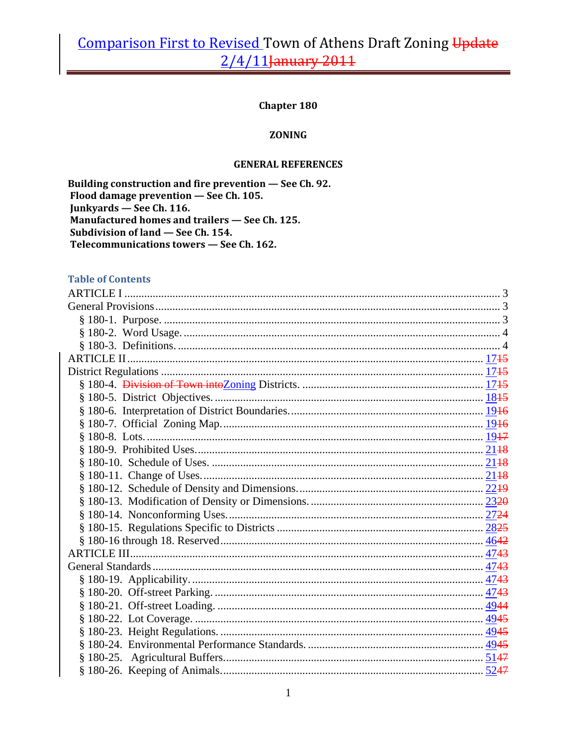### **Chapter 180**

#### **ZONING**

#### **GENERAL REFERENCES**

Building construction and fire prevention - See Ch. 92. Flood damage prevention - See Ch. 105. Junkyards - See Ch. 116. Manufactured homes and trailers - See Ch. 125. Subdivision of land - See Ch. 154. Telecommunications towers - See Ch. 162.

### **Table of Contents**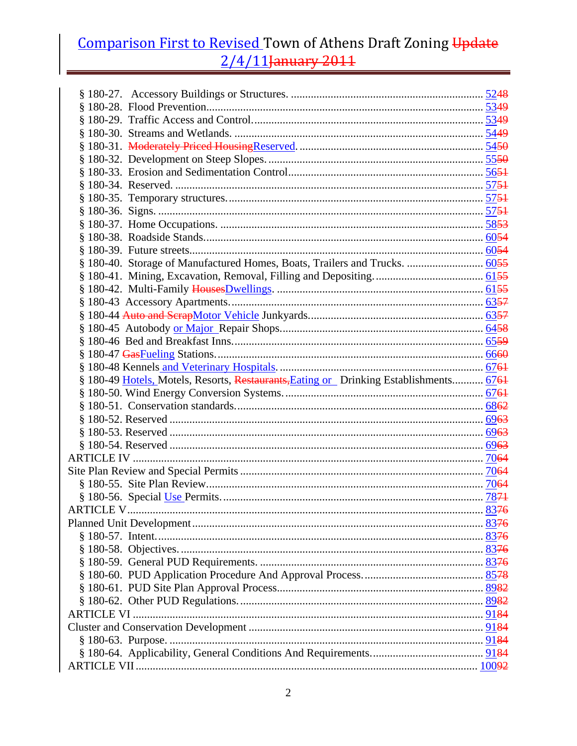| § 180-40. Storage of Manufactured Homes, Boats, Trailers and Trucks.  6055<br>§ 180-49 Hotels, Motels, Resorts, Restaurants, Eating or Drinking Establishments 6761 |  |
|---------------------------------------------------------------------------------------------------------------------------------------------------------------------|--|
|                                                                                                                                                                     |  |
|                                                                                                                                                                     |  |
|                                                                                                                                                                     |  |
|                                                                                                                                                                     |  |
|                                                                                                                                                                     |  |
|                                                                                                                                                                     |  |
|                                                                                                                                                                     |  |
|                                                                                                                                                                     |  |
|                                                                                                                                                                     |  |
|                                                                                                                                                                     |  |
|                                                                                                                                                                     |  |
|                                                                                                                                                                     |  |
|                                                                                                                                                                     |  |
|                                                                                                                                                                     |  |
|                                                                                                                                                                     |  |
|                                                                                                                                                                     |  |
|                                                                                                                                                                     |  |
|                                                                                                                                                                     |  |
|                                                                                                                                                                     |  |
|                                                                                                                                                                     |  |
|                                                                                                                                                                     |  |
|                                                                                                                                                                     |  |
|                                                                                                                                                                     |  |
|                                                                                                                                                                     |  |
|                                                                                                                                                                     |  |
|                                                                                                                                                                     |  |
|                                                                                                                                                                     |  |
|                                                                                                                                                                     |  |
|                                                                                                                                                                     |  |
|                                                                                                                                                                     |  |
|                                                                                                                                                                     |  |
|                                                                                                                                                                     |  |
|                                                                                                                                                                     |  |
|                                                                                                                                                                     |  |
|                                                                                                                                                                     |  |
|                                                                                                                                                                     |  |
|                                                                                                                                                                     |  |
|                                                                                                                                                                     |  |
|                                                                                                                                                                     |  |
|                                                                                                                                                                     |  |
|                                                                                                                                                                     |  |
|                                                                                                                                                                     |  |
|                                                                                                                                                                     |  |
|                                                                                                                                                                     |  |
|                                                                                                                                                                     |  |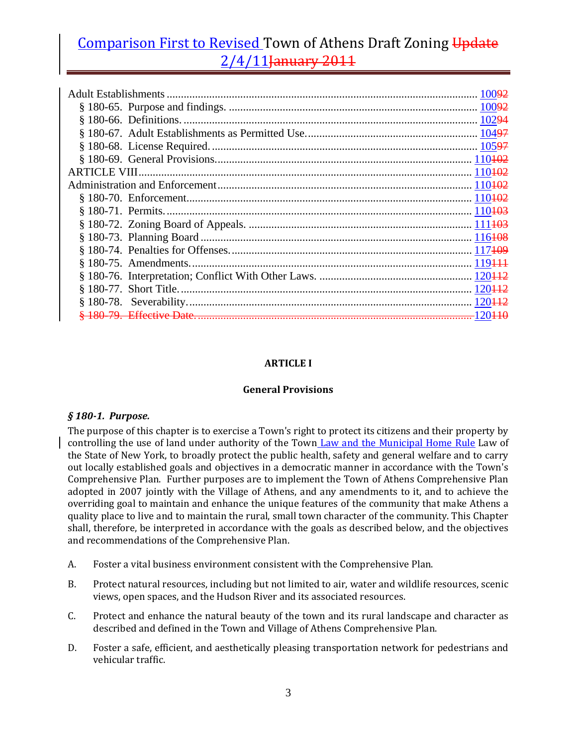### **ARTICLE I**

#### **General Provisions**

#### *§ 1801. Purpose.*

The purpose of this chapter is to exercise a Town's right to protect its citizens and their property by controlling the use of land under authority of the Town Law and the Municipal Home Rule Law of the State of New York, to broadly protect the public health, safety and general welfare and to carry out locally established goals and objectives in a democratic manner in accordance with the Town's Comprehensive Plan. Further purposes are to implement the Town of Athens Comprehensive Plan adopted in 2007 jointly with the Village of Athens, and any amendments to it, and to achieve the overriding goal to maintain and enhance the unique features of the community that make Athens a quality place to live and to maintain the rural, small town character of the community. This Chapter shall, therefore, be interpreted in accordance with the goals as described below, and the objectives and recommendations of the Comprehensive Plan.

- A. Foster a vital business environment consistent with the Comprehensive Plan.
- B. Protect natural resources, including but not limited to air, water and wildlife resources, scenic views, open spaces, and the Hudson River and its associated resources.
- C. Protect and enhance the natural beauty of the town and its rural landscape and character as described and defined in the Town and Village of Athens Comprehensive Plan.
- D. Foster a safe, efficient, and aesthetically pleasing transportation network for pedestrians and vehicular traffic.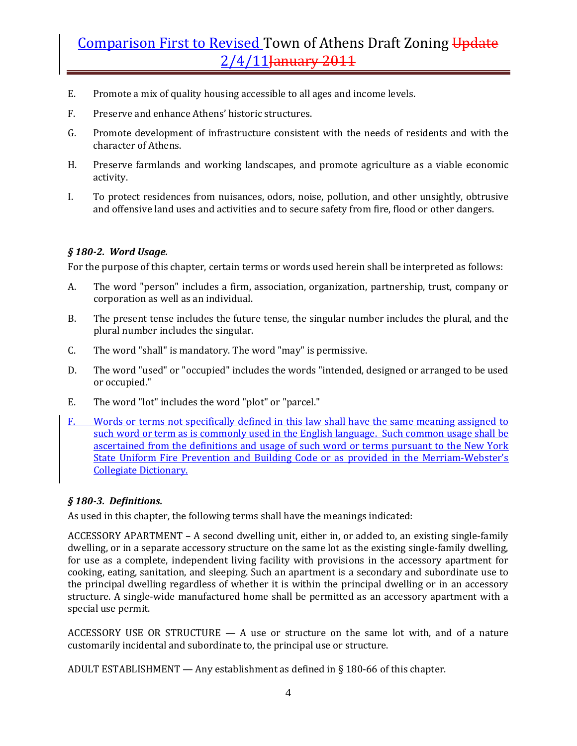- E. Promote a mix of quality housing accessible to all ages and income levels.
- F. Preserve and enhance Athens' historic structures.
- G. Promote development of infrastructure consistent with the needs of residents and with the character of Athens.
- H. Preserve farmlands and working landscapes, and promote agriculture as a viable economic activity.
- I. To protect residences from nuisances, odors, noise, pollution, and other unsightly, obtrusive and offensive land uses and activities and to secure safety from fire, flood or other dangers.

### *§ 1802. Word Usage.*

For the purpose of this chapter, certain terms or words used herein shall be interpreted as follows:

- A. The word "person" includes a firm, association, organization, partnership, trust, company or corporation as well as an individual.
- B. The present tense includes the future tense, the singular number includes the plural, and the plural number includes the singular.
- C. The word "shall" is mandatory. The word "may" is permissive.
- D. The word "used" or "occupied" includes the words "intended, designed or arranged to be used or occupied."
- E. The word "lot" includes the word "plot" or "parcel."
- F. Words or terms not specifically defined in this law shall have the same meaning assigned to such word or term as is commonly used in the English language. Such common usage shall be ascertained from the definitions and usage of such word or terms pursuant to the New York State Uniform Fire Prevention and Building Code or as provided in the Merriam-Webster's Collegiate Dictionary.

#### *§ 1803. Definitions.*

As used in this chapter, the following terms shall have the meanings indicated:

ACCESSORY APARTMENT – A second dwelling unit, either in, or added to, an existing single‐family dwelling, or in a separate accessory structure on the same lot as the existing single‐family dwelling, for use as a complete, independent living facility with provisions in the accessory apartment for cooking, eating, sanitation, and sleeping. Such an apartment is a secondary and subordinate use to the principal dwelling regardless of whether it is within the principal dwelling or in an accessory structure. A single‐wide manufactured home shall be permitted as an accessory apartment with a special use permit.

ACCESSORY USE OR STRUCTURE  $- A$  use or structure on the same lot with, and of a nature customarily incidental and subordinate to, the principal use or structure.

ADULT ESTABLISHMENT — Any establishment as defined in § 180‐66 of this chapter.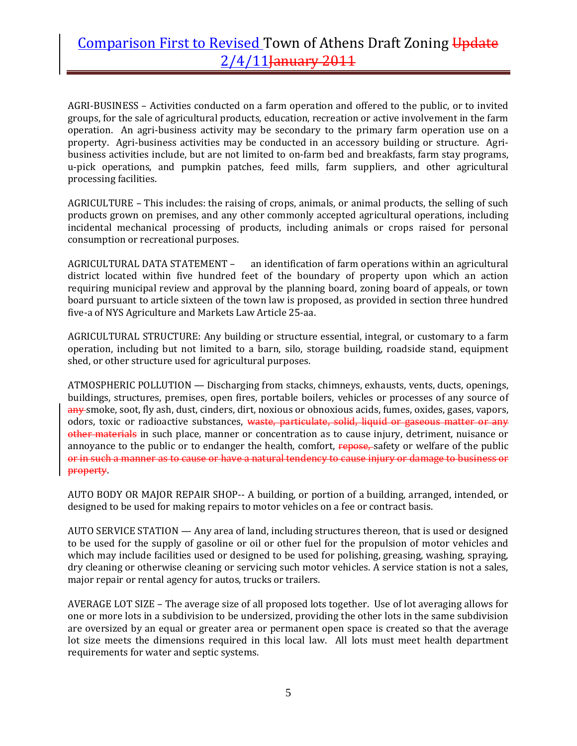AGRI‐BUSINESS – Activities conducted on a farm operation and offered to the public, or to invited groups, for the sale of agricultural products, education, recreation or active involvement in the farm operation. An agri‐business activity may be secondary to the primary farm operation use on a property. Agri-business activities may be conducted in an accessory building or structure. Agribusiness activities include, but are not limited to on‐farm bed and breakfasts, farm stay programs, u‐pick operations, and pumpkin patches, feed mills, farm suppliers, and other agricultural processing facilities.

AGRICULTURE – This includes: the raising of crops, animals, or animal products, the selling of such products grown on premises, and any other commonly accepted agricultural operations, including incidental mechanical processing of products, including animals or crops raised for personal consumption or recreational purposes.

AGRICULTURAL DATA STATEMENT – an identification of farm operations within an agricultural district located within five hundred feet of the boundary of property upon which an action requiring municipal review and approval by the planning board, zoning board of appeals, or town board pursuant to article sixteen of the town law is proposed, as provided in section three hundred five‐a of NYS Agriculture and Markets Law Article 25‐aa.

AGRICULTURAL STRUCTURE: Any building or structure essential, integral, or customary to a farm operation, including but not limited to a barn, silo, storage building, roadside stand, equipment shed, or other structure used for agricultural purposes.

ATMOSPHERIC POLLUTION — Discharging from stacks, chimneys, exhausts, vents, ducts, openings, buildings, structures, premises, open fires, portable boilers, vehicles or processes of any source of any smoke, soot, fly ash, dust, cinders, dirt, noxious or obnoxious acids, fumes, oxides, gases, vapors, odors, toxic or radioactive substances, waste, particulate, solid, liquid or gaseous matter or any other materials in such place, manner or concentration as to cause injury, detriment, nuisance or annoyance to the public or to endanger the health, comfort, repose, safety or welfare of the public or in such a manner as to cause or have a natural tendency to cause injury or damage to business or property.

AUTO BODY OR MAJOR REPAIR SHOP‐‐ A building, or portion of a building, arranged, intended, or designed to be used for making repairs to motor vehicles on a fee or contract basis.

AUTO SERVICE STATION — Any area of land, including structures thereon, that is used or designed to be used for the supply of gasoline or oil or other fuel for the propulsion of motor vehicles and which may include facilities used or designed to be used for polishing, greasing, washing, spraying, dry cleaning or otherwise cleaning or servicing such motor vehicles. A service station is not a sales, major repair or rental agency for autos, trucks or trailers.

AVERAGE LOT SIZE – The average size of all proposed lots together. Use of lot averaging allows for one or more lots in a subdivision to be undersized, providing the other lots in the same subdivision are oversized by an equal or greater area or permanent open space is created so that the average lot size meets the dimensions required in this local law. All lots must meet health department requirements for water and septic systems.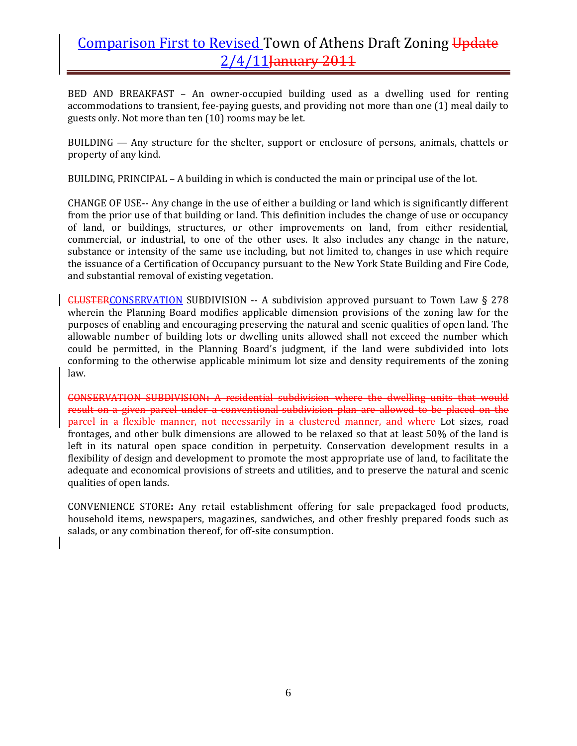BED AND BREAKFAST - An owner-occupied building used as a dwelling used for renting accommodations to transient, fee‐paying guests, and providing not more than one (1) meal daily to guests only. Not more than ten (10) rooms may be let.

BUILDING — Any structure for the shelter, support or enclosure of persons, animals, chattels or property of any kind.

BUILDING, PRINCIPAL – A building in which is conducted the main or principal use of the lot.

CHANGE OF USE‐‐ Any change in the use of either a building or land which is significantly different from the prior use of that building or land. This definition includes the change of use or occupancy of land, or buildings, structures, or other improvements on land, from either residential, commercial, or industrial, to one of the other uses. It also includes any change in the nature, substance or intensity of the same use including, but not limited to, changes in use which require the issuance of a Certification of Occupancy pursuant to the New York State Building and Fire Code, and substantial removal of existing vegetation.

CLUSTERCONSERVATION SUBDIVISION ‐‐ A subdivision approved pursuant to Town Law § 278 wherein the Planning Board modifies applicable dimension provisions of the zoning law for the purposes of enabling and encouraging preserving the natural and scenic qualities of open land. The allowable number of building lots or dwelling units allowed shall not exceed the number which could be permitted, in the Planning Board's judgment, if the land were subdivided into lots conforming to the otherwise applicable minimum lot size and density requirements of the zoning law.

CONSERVATION SUBDIVISION**:** A residential subdivision where the dwelling units that would result on a given parcel under a conventional subdivision plan are allowed to be placed on the parcel in a flexible manner, not necessarily in a clustered manner, and where Lot sizes, road frontages, and other bulk dimensions are allowed to be relaxed so that at least 50% of the land is left in its natural open space condition in perpetuity. Conservation development results in a flexibility of design and development to promote the most appropriate use of land, to facilitate the adequate and economical provisions of streets and utilities, and to preserve the natural and scenic qualities of open lands.

CONVENIENCE STORE**:** Any retail establishment offering for sale prepackaged food products, household items, newspapers, magazines, sandwiches, and other freshly prepared foods such as salads, or any combination thereof, for off-site consumption.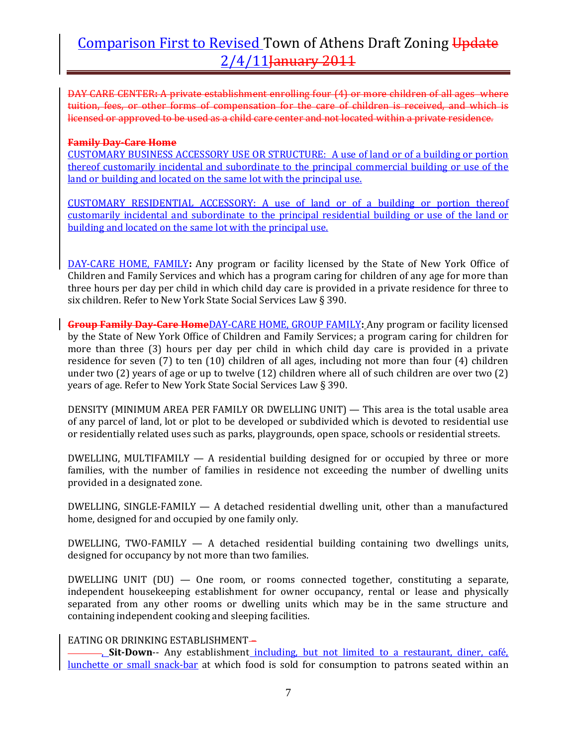DAY CARE CENTER**:** A private establishment enrolling four (4) or more children of all ages where tuition, fees, or other forms of compensation for the care of children is received, and which is licensed or approved to be used as a child care center and not located within a private residence.

#### **Family DayCare Home**

CUSTOMARY BUSINESS ACCESSORY USE OR STRUCTURE: A use of land or of a building or portion thereof customarily incidental and subordinate to the principal commercial building or use of the land or building and located on the same lot with the principal use.

CUSTOMARY RESIDENTIAL ACCESSORY: A use of land or of a building or portion thereof customarily incidental and subordinate to the principal residential building or use of the land or building and located on the same lot with the principal use.

DAY‐CARE HOME, FAMILY**:** Any program or facility licensed by the State of New York Office of Children and Family Services and which has a program caring for children of any age for more than three hours per day per child in which child day care is provided in a private residence for three to six children. Refer to New York State Social Services Law § 390.

**Group Family DayCare Home**DAY‐CARE HOME, GROUP FAMILY**:** Any program or facility licensed by the State of New York Office of Children and Family Services; a program caring for children for more than three (3) hours per day per child in which child day care is provided in a private residence for seven (7) to ten (10) children of all ages, including not more than four (4) children under two (2) years of age or up to twelve (12) children where all of such children are over two (2) years of age. Refer to New York State Social Services Law § 390.

DENSITY (MINIMUM AREA PER FAMILY OR DWELLING UNIT) — This area is the total usable area of any parcel of land, lot or plot to be developed or subdivided which is devoted to residential use or residentially related uses such as parks, playgrounds, open space, schools or residential streets.

DWELLING, MULTIFAMILY  $-$  A residential building designed for or occupied by three or more families, with the number of families in residence not exceeding the number of dwelling units provided in a designated zone.

DWELLING, SINGLE-FAMILY — A detached residential dwelling unit, other than a manufactured home, designed for and occupied by one family only.

DWELLING, TWO-FAMILY  $-$  A detached residential building containing two dwellings units, designed for occupancy by not more than two families.

DWELLING UNIT  $(DU)$  — One room, or rooms connected together, constituting a separate, independent housekeeping establishment for owner occupancy, rental or lease and physically separated from any other rooms or dwelling units which may be in the same structure and containing independent cooking and sleeping facilities.

### EATING OR DRINKING ESTABLISHMENT-

, **SitDown**‐‐ Any establishment including, but not limited to a restaurant, diner, café, lunchette or small snack-bar at which food is sold for consumption to patrons seated within an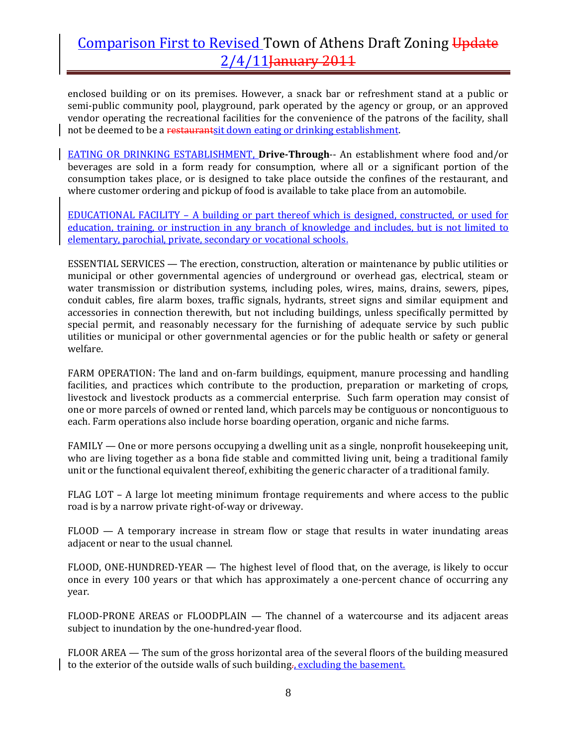enclosed building or on its premises. However, a snack bar or refreshment stand at a public or semi-public community pool, playground, park operated by the agency or group, or an approved vendor operating the recreational facilities for the convenience of the patrons of the facility, shall not be deemed to be a restaurantsit down eating or drinking establishment.

EATING OR DRINKING ESTABLISHMENT, **DriveThrough**‐‐ An establishment where food and/or beverages are sold in a form ready for consumption, where all or a significant portion of the consumption takes place, or is designed to take place outside the confines of the restaurant, and where customer ordering and pickup of food is available to take place from an automobile.

EDUCATIONAL FACILITY – A building or part thereof which is designed, constructed, or used for education, training, or instruction in any branch of knowledge and includes, but is not limited to elementary, parochial, private, secondary or vocational schools.

ESSENTIAL SERVICES — The erection, construction, alteration or maintenance by public utilities or municipal or other governmental agencies of underground or overhead gas, electrical, steam or water transmission or distribution systems, including poles, wires, mains, drains, sewers, pipes, conduit cables, fire alarm boxes, traffic signals, hydrants, street signs and similar equipment and accessories in connection therewith, but not including buildings, unless specifically permitted by special permit, and reasonably necessary for the furnishing of adequate service by such public utilities or municipal or other governmental agencies or for the public health or safety or general welfare.

FARM OPERATION: The land and on-farm buildings, equipment, manure processing and handling facilities, and practices which contribute to the production, preparation or marketing of crops, livestock and livestock products as a commercial enterprise. Such farm operation may consist of one or more parcels of owned or rented land, which parcels may be contiguous or noncontiguous to each. Farm operations also include horse boarding operation, organic and niche farms.

FAMILY — One or more persons occupying a dwelling unit as a single, nonprofit housekeeping unit, who are living together as a bona fide stable and committed living unit, being a traditional family unit or the functional equivalent thereof, exhibiting the generic character of a traditional family.

FLAG LOT – A large lot meeting minimum frontage requirements and where access to the public road is by a narrow private right‐of‐way or driveway.

 $FLOOD - A$  temporary increase in stream flow or stage that results in water inundating areas adjacent or near to the usual channel.

FLOOD, ONE-HUNDRED-YEAR — The highest level of flood that, on the average, is likely to occur once in every 100 years or that which has approximately a one‐percent chance of occurring any year.

FLOOD-PRONE AREAS or FLOODPLAIN — The channel of a watercourse and its adjacent areas subject to inundation by the one-hundred-year flood.

FLOOR AREA — The sum of the gross horizontal area of the several floors of the building measured to the exterior of the outside walls of such building<sub>7</sub>, excluding the basement.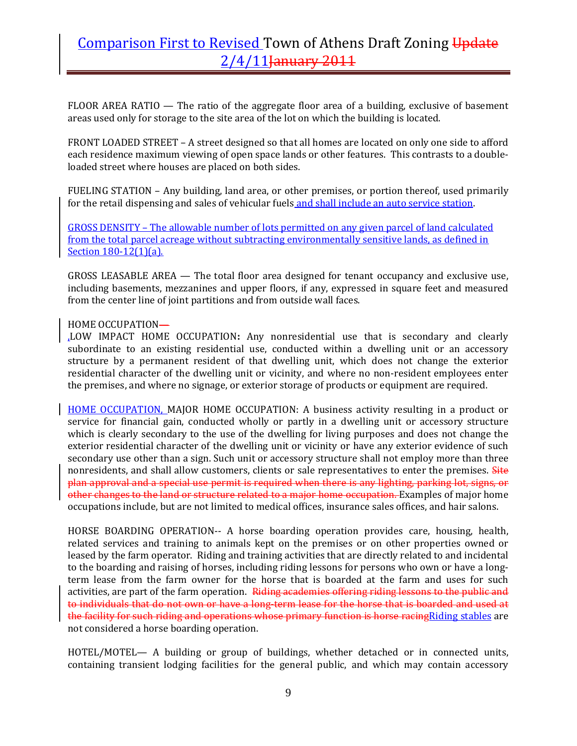FLOOR AREA RATIO  $-$  The ratio of the aggregate floor area of a building, exclusive of basement areas used only for storage to the site area of the lot on which the building is located.

FRONT LOADED STREET – A street designed so that all homes are located on only one side to afford each residence maximum viewing of open space lands or other features. This contrasts to a double‐ loaded street where houses are placed on both sides.

FUELING STATION – Any building, land area, or other premises, or portion thereof, used primarily for the retail dispensing and sales of vehicular fuels and shall include an auto service station.

GROSS DENSITY – The allowable number of lots permitted on any given parcel of land calculated from the total parcel acreage without subtracting environmentally sensitive lands, as defined in Section 180-12(1)(a).

GROSS LEASABLE AREA — The total floor area designed for tenant occupancy and exclusive use, including basements, mezzanines and upper floors, if any, expressed in square feet and measured from the center line of joint partitions and from outside wall faces.

### HOME OCCUPATION—

,LOW IMPACT HOME OCCUPATION**:** Any nonresidential use that is secondary and clearly subordinate to an existing residential use, conducted within a dwelling unit or an accessory structure by a permanent resident of that dwelling unit, which does not change the exterior residential character of the dwelling unit or vicinity, and where no non-resident employees enter the premises, and where no signage, or exterior storage of products or equipment are required.

HOME OCCUPATION, MAJOR HOME OCCUPATION: A business activity resulting in a product or service for financial gain, conducted wholly or partly in a dwelling unit or accessory structure which is clearly secondary to the use of the dwelling for living purposes and does not change the exterior residential character of the dwelling unit or vicinity or have any exterior evidence of such secondary use other than a sign. Such unit or accessory structure shall not employ more than three nonresidents, and shall allow customers, clients or sale representatives to enter the premises. Site plan approval and a special use permit is required when there is any lighting, parking lot, signs, or other changes to the land or structure related to a major home occupation. Examples of major home occupations include, but are not limited to medical offices, insurance sales offices, and hair salons.

HORSE BOARDING OPERATION‐‐ A horse boarding operation provides care, housing, health, related services and training to animals kept on the premises or on other properties owned or leased by the farm operator. Riding and training activities that are directly related to and incidental to the boarding and raising of horses, including riding lessons for persons who own or have a longterm lease from the farm owner for the horse that is boarded at the farm and uses for such activities, are part of the farm operation. Riding academies offering riding lessons to the public and to individuals that do not own or have a long-term lease for the horse that is boarded and used at the facility for such riding and operations whose primary function is horse racing Riding stables are not considered a horse boarding operation.

HOTEL/MOTEL— A building or group of buildings, whether detached or in connected units, containing transient lodging facilities for the general public, and which may contain accessory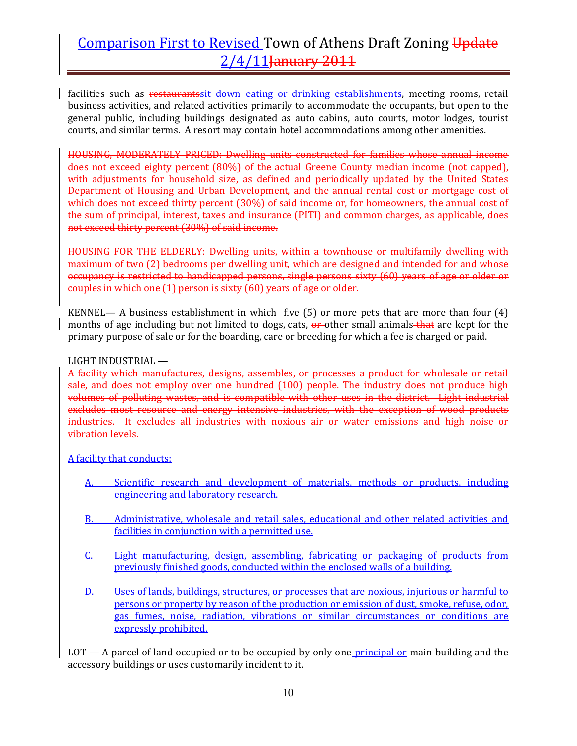facilities such as restaurantssit down eating or drinking establishments, meeting rooms, retail business activities, and related activities primarily to accommodate the occupants, but open to the general public, including buildings designated as auto cabins, auto courts, motor lodges, tourist courts, and similar terms. A resort may contain hotel accommodations among other amenities.

HOUSING, MODERATELY PRICED: Dwelling units constructed for families whose annual income does not exceed eighty percent (80%) of the actual Greene County median income (not capped), with adjustments for household size, as defined and periodically updated by the United States Department of Housing and Urban Development, and the annual rental cost or mortgage cost of which does not exceed thirty percent (30%) of said income or, for homeowners, the annual cost of the sum of principal, interest, taxes and insurance (PITI) and common charges, as applicable, does not exceed thirty percent (30%) of said income.

HOUSING FOR THE ELDERLY: Dwelling units, within a townhouse or multifamily dwelling with maximum of two (2) bedrooms per dwelling unit, which are designed and intended for and whose occupancy is restricted to handicapped persons, single persons sixty (60) years of age or older or couples in which one (1) person is sixty (60) years of age or older.

KENNEL— A business establishment in which five  $(5)$  or more pets that are more than four  $(4)$ months of age including but not limited to dogs, cats,  $\theta$ -other small animals-that are kept for the primary purpose of sale or for the boarding, care or breeding for which a fee is charged or paid.

#### LIGHT INDUSTRIAL —

A facility which manufactures, designs, assembles, or processes a product for wholesale or retail sale, and does not employ over one hundred (100) people. The industry does not produce high volumes of polluting wastes, and is compatible with other uses in the district. Light industrial excludes most resource and energy intensive industries, with the exception of wood products industries. It excludes all industries with noxious air or water emissions and high noise or vibration levels.

A facility that conducts:

- A. Scientific research and development of materials, methods or products, including engineering and laboratory research.
- B. Administrative, wholesale and retail sales, educational and other related activities and facilities in conjunction with a permitted use.
- C. Light manufacturing, design, assembling, fabricating or packaging of products from previously finished goods, conducted within the enclosed walls of a building.
- D. Uses of lands, buildings, structures, or processes that are noxious, injurious or harmful to persons or property by reason of the production or emission of dust, smoke, refuse, odor, gas fumes, noise, radiation, vibrations or similar circumstances or conditions are expressly prohibited.

 $LOT - A$  parcel of land occupied or to be occupied by only one *principal or* main building and the accessory buildings or uses customarily incident to it.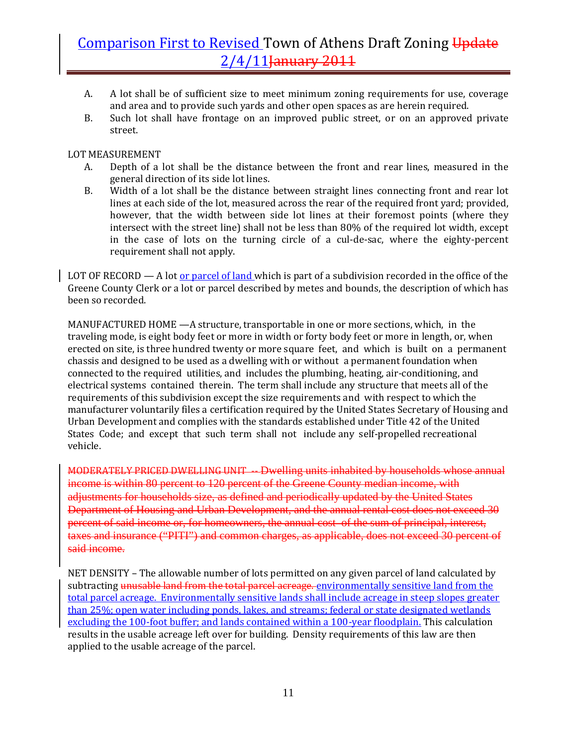- A. A lot shall be of sufficient size to meet minimum zoning requirements for use, coverage and area and to provide such yards and other open spaces as are herein required.
- B. Such lot shall have frontage on an improved public street, or on an approved private street.

### LOT MEASUREMENT

- A. Depth of a lot shall be the distance between the front and rear lines, measured in the general direction of its side lot lines.
- B. Width of a lot shall be the distance between straight lines connecting front and rear lot lines at each side of the lot, measured across the rear of the required front yard; provided, however, that the width between side lot lines at their foremost points (where they intersect with the street line) shall not be less than 80% of the required lot width, except in the case of lots on the turning circle of a cul-de-sac, where the eighty-percent requirement shall not apply.

LOT OF RECORD — A lot <u>or parcel of land</u> which is part of a subdivision recorded in the office of the Greene County Clerk or a lot or parcel described by metes and bounds, the description of which has been so recorded.

MANUFACTURED HOME —A structure, transportable in one or more sections, which, in the traveling mode, is eight body feet or more in width or forty body feet or more in length, or, when erected on site, is three hundred twenty or more square feet, and which is built on a permanent chassis and designed to be used as a dwelling with or without a permanent foundation when connected to the required utilities, and includes the plumbing, heating, air‐conditioning, and electrical systems contained therein. The term shall include any structure that meets all of the requirements of this subdivision except the size requirements and with respect to which the manufacturer voluntarily files a certification required by the United States Secretary of Housing and Urban Development and complies with the standards established under Title 42 of the United States Code; and except that such term shall not include any self-propelled recreational vehicle.

MODERATELY PRICED DWELLING UNIT -- Dwelling units inhabited by households whose annual income is within 80 percent to 120 percent of the Greene County median income, with adjustments for households size, as defined and periodically updated by the United States Department of Housing and Urban Development, and the annual rental cost does not exceed 30 percent of said income or, for homeowners, the annual cost of the sum of principal, interest, taxes and insurance ("PITI") and common charges, as applicable, does not exceed 30 percent of said income.

NET DENSITY – The allowable number of lots permitted on any given parcel of land calculated by subtracting unusable land from the total parcel acreage. environmentally sensitive land from the total parcel acreage. Environmentally sensitive lands shall include acreage in steep slopes greater than 25%; open water including ponds, lakes, and streams; federal or state designated wetlands excluding the 100-foot buffer; and lands contained within a 100-year floodplain. This calculation results in the usable acreage left over for building. Density requirements of this law are then applied to the usable acreage of the parcel.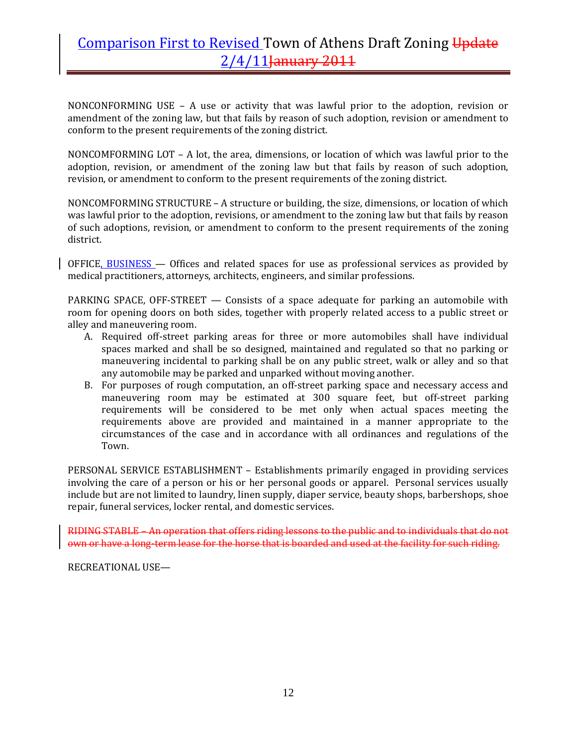NONCONFORMING USE - A use or activity that was lawful prior to the adoption, revision or amendment of the zoning law, but that fails by reason of such adoption, revision or amendment to conform to the present requirements of the zoning district.

NONCOMFORMING LOT – A lot, the area, dimensions, or location of which was lawful prior to the adoption, revision, or amendment of the zoning law but that fails by reason of such adoption, revision, or amendment to conform to the present requirements of the zoning district.

NONCOMFORMING STRUCTURE – A structure or building, the size, dimensions, or location of which was lawful prior to the adoption, revisions, or amendment to the zoning law but that fails by reason of such adoptions, revision, or amendment to conform to the present requirements of the zoning district.

OFFICE, BUSINESS — Offices and related spaces for use as professional services as provided by medical practitioners, attorneys, architects, engineers, and similar professions.

PARKING SPACE, OFF-STREET — Consists of a space adequate for parking an automobile with room for opening doors on both sides, together with properly related access to a public street or alley and maneuvering room.

- A. Required off‐street parking areas for three or more automobiles shall have individual spaces marked and shall be so designed, maintained and regulated so that no parking or maneuvering incidental to parking shall be on any public street, walk or alley and so that any automobile may be parked and unparked without moving another.
- B. For purposes of rough computation, an off-street parking space and necessary access and maneuvering room may be estimated at 300 square feet, but off-street parking requirements will be considered to be met only when actual spaces meeting the requirements above are provided and maintained in a manner appropriate to the circumstances of the case and in accordance with all ordinances and regulations of the Town.

PERSONAL SERVICE ESTABLISHMENT – Establishments primarily engaged in providing services involving the care of a person or his or her personal goods or apparel. Personal services usually include but are not limited to laundry, linen supply, diaper service, beauty shops, barbershops, shoe repair, funeral services, locker rental, and domestic services.

RIDING STABLE – An operation that offers riding lessons to the public and to individuals that do not own or have a long-term lease for the horse that is boarded and used at the facility for such riding.

RECREATIONAL USE—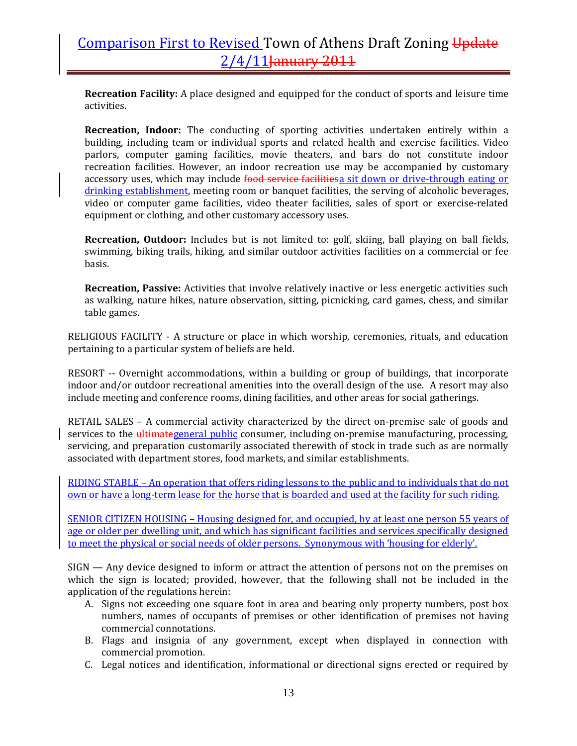**Recreation Facility:** A place designed and equipped for the conduct of sports and leisure time activities.

**Recreation, Indoor:** The conducting of sporting activities undertaken entirely within a building, including team or individual sports and related health and exercise facilities. Video parlors, computer gaming facilities, movie theaters, and bars do not constitute indoor recreation facilities. However, an indoor recreation use may be accompanied by customary accessory uses, which may include food service facilitiesa sit down or drive-through eating or drinking establishment, meeting room or banquet facilities, the serving of alcoholic beverages, video or computer game facilities, video theater facilities, sales of sport or exercise‐related equipment or clothing, and other customary accessory uses.

**Recreation, Outdoor:** Includes but is not limited to: golf, skiing, ball playing on ball fields, swimming, biking trails, hiking, and similar outdoor activities facilities on a commercial or fee basis.

**Recreation, Passive:** Activities that involve relatively inactive or less energetic activities such as walking, nature hikes, nature observation, sitting, picnicking, card games, chess, and similar table games.

RELIGIOUS FACILITY - A structure or place in which worship, ceremonies, rituals, and education pertaining to a particular system of beliefs are held.

RESORT -- Overnight accommodations, within a building or group of buildings, that incorporate indoor and/or outdoor recreational amenities into the overall design of the use. A resort may also include meeting and conference rooms, dining facilities, and other areas for social gatherings.

RETAIL SALES – A commercial activity characterized by the direct on-premise sale of goods and services to the *ultimategeneral public consumer*, including on-premise manufacturing, processing, servicing, and preparation customarily associated therewith of stock in trade such as are normally associated with department stores, food markets, and similar establishments.

RIDING STABLE – An operation that offers riding lessons to the public and to individuals that do not own or have a long‐term lease for the horse that is boarded and used at the facility for such riding.

SENIOR CITIZEN HOUSING – Housing designed for, and occupied, by at least one person 55 years of age or older per dwelling unit, and which has significant facilities and services specifically designed to meet the physical or social needs of older persons. Synonymous with 'housing for elderly'.

SIGN — Any device designed to inform or attract the attention of persons not on the premises on which the sign is located; provided, however, that the following shall not be included in the application of the regulations herein:

- A. Signs not exceeding one square foot in area and bearing only property numbers, post box numbers, names of occupants of premises or other identification of premises not having commercial connotations.
- B. Flags and insignia of any government, except when displayed in connection with commercial promotion.
- C. Legal notices and identification, informational or directional signs erected or required by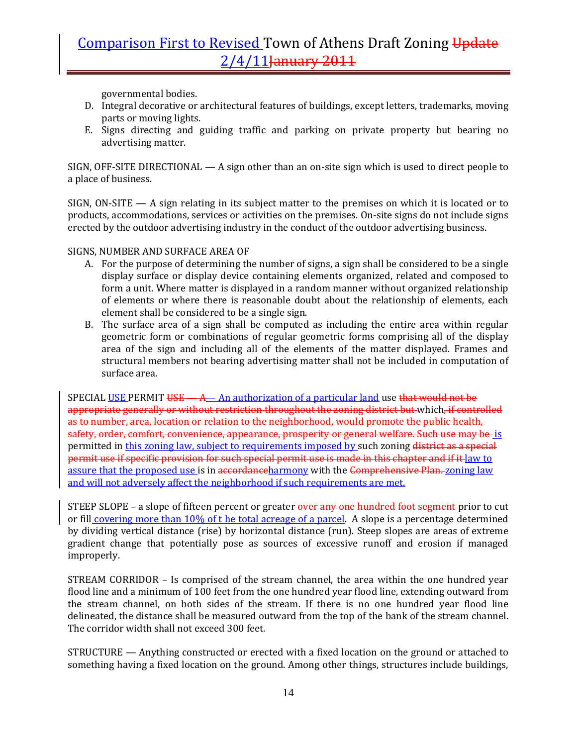governmental bodies.

- D. Integral decorative or architectural features of buildings, except letters, trademarks, moving parts or moving lights.
- E. Signs directing and guiding traffic and parking on private property but bearing no advertising matter.

SIGN, OFF‐SITE DIRECTIONAL — A sign other than an on‐site sign which is used to direct people to a place of business.

SIGN, ON‐SITE — A sign relating in its subject matter to the premises on which it is located or to products, accommodations, services or activities on the premises. On‐site signs do not include signs erected by the outdoor advertising industry in the conduct of the outdoor advertising business.

SIGNS, NUMBER AND SURFACE AREA OF

- A. For the purpose of determining the number of signs, a sign shall be considered to be a single display surface or display device containing elements organized, related and composed to form a unit. Where matter is displayed in a random manner without organized relationship of elements or where there is reasonable doubt about the relationship of elements, each element shall be considered to be a single sign.
- B. The surface area of a sign shall be computed as including the entire area within regular geometric form or combinations of regular geometric forms comprising all of the display area of the sign and including all of the elements of the matter displayed. Frames and structural members not bearing advertising matter shall not be included in computation of surface area.

SPECIAL USE PERMIT  $\overline{USE}$  - A authorization of a particular land use that would not be appropriate generally or without restriction throughout the zoning district but which, if controlled as to number, area, location or relation to the neighborhood, would promote the public health, safety, order, comfort, convenience, appearance, prosperity or general welfare. Such use may be is permitted in this zoning law, subject to requirements imposed by such zoning district as a special permit use if specific provision for such special permit use is made in this chapter and if it law to assure that the proposed use is in accordanceharmony with the Comprehensive Plan. zoning law and will not adversely affect the neighborhood if such requirements are met.

STEEP SLOPE – a slope of fifteen percent or greater over any one hundred foot segment prior to cut or fill covering more than 10% of t he total acreage of a parcel. A slope is a percentage determined by dividing vertical distance (rise) by horizontal distance (run). Steep slopes are areas of extreme gradient change that potentially pose as sources of excessive runoff and erosion if managed improperly.

STREAM CORRIDOR – Is comprised of the stream channel, the area within the one hundred year flood line and a minimum of 100 feet from the one hundred year flood line, extending outward from the stream channel, on both sides of the stream. If there is no one hundred year flood line delineated, the distance shall be measured outward from the top of the bank of the stream channel. The corridor width shall not exceed 300 feet.

STRUCTURE — Anything constructed or erected with a fixed location on the ground or attached to something having a fixed location on the ground. Among other things, structures include buildings,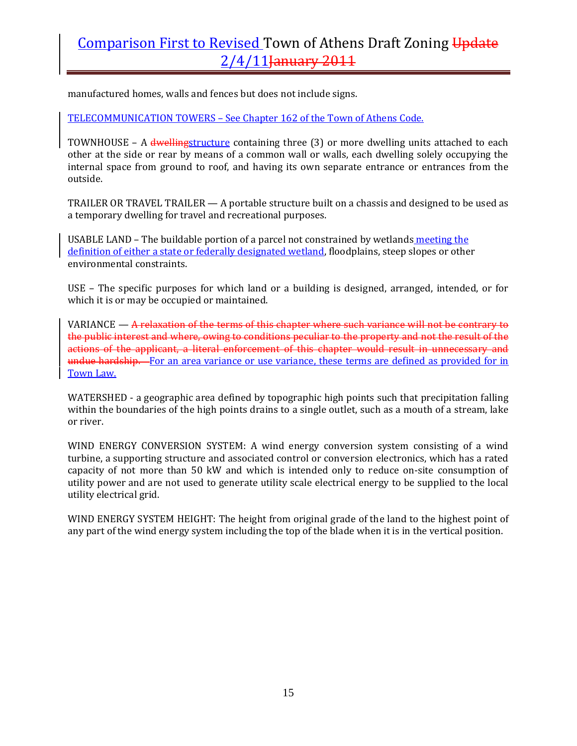manufactured homes, walls and fences but does not include signs.

TELECOMMUNICATION TOWERS – See Chapter 162 of the Town of Athens Code.

TOWNHOUSE  $-$  A dwellingstructure containing three  $(3)$  or more dwelling units attached to each other at the side or rear by means of a common wall or walls, each dwelling solely occupying the internal space from ground to roof, and having its own separate entrance or entrances from the outside.

TRAILER OR TRAVEL TRAILER  $-$  A portable structure built on a chassis and designed to be used as a temporary dwelling for travel and recreational purposes.

USABLE LAND – The buildable portion of a parcel not constrained by wetlands meeting the definition of either a state or federally designated wetland, floodplains, steep slopes or other environmental constraints.

USE – The specific purposes for which land or a building is designed, arranged, intended, or for which it is or may be occupied or maintained.

VARIANCE  $-$  A relaxation of the terms of this chapter where such variance will not be contrary to the public interest and where, owing to conditions peculiar to the property and not the result of the actions of the applicant, a literal enforcement of this chapter would result in unnecessary and undue hardship. For an area variance or use variance, these terms are defined as provided for in Town Law.

WATERSHED - a geographic area defined by topographic high points such that precipitation falling within the boundaries of the high points drains to a single outlet, such as a mouth of a stream, lake or river.

WIND ENERGY CONVERSION SYSTEM: A wind energy conversion system consisting of a wind turbine, a supporting structure and associated control or conversion electronics, which has a rated capacity of not more than 50 kW and which is intended only to reduce on-site consumption of utility power and are not used to generate utility scale electrical energy to be supplied to the local utility electrical grid.

WIND ENERGY SYSTEM HEIGHT: The height from original grade of the land to the highest point of any part of the wind energy system including the top of the blade when it is in the vertical position.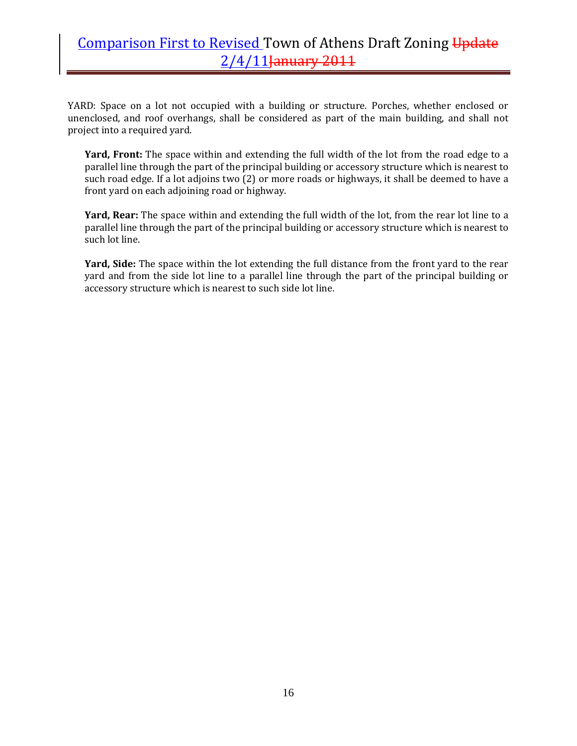YARD: Space on a lot not occupied with a building or structure. Porches, whether enclosed or unenclosed, and roof overhangs, shall be considered as part of the main building, and shall not project into a required yard.

Yard, Front: The space within and extending the full width of the lot from the road edge to a parallel line through the part of the principal building or accessory structure which is nearest to such road edge. If a lot adjoins two (2) or more roads or highways, it shall be deemed to have a front yard on each adjoining road or highway.

**Yard, Rear:** The space within and extending the full width of the lot, from the rear lot line to a parallel line through the part of the principal building or accessory structure which is nearest to such lot line.

**Yard, Side:** The space within the lot extending the full distance from the front yard to the rear yard and from the side lot line to a parallel line through the part of the principal building or accessory structure which is nearest to such side lot line.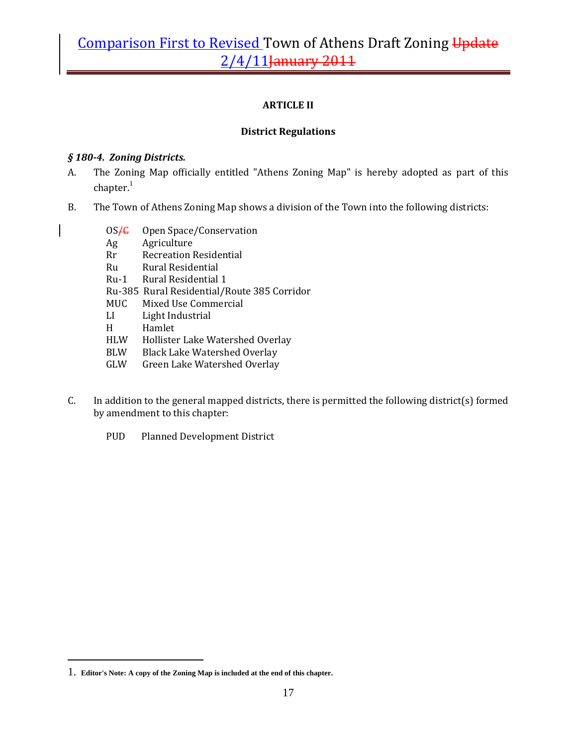### **ARTICLE II**

### **District Regulations**

### *§ 1804. Zoning Districts.*

- A. The Zoning Map officially entitled "Athens Zoning Map" is hereby adopted as part of this  $ch$ apter. $1$
- B. The Town of Athens Zoning Map shows a division of the Town into the following districts:
	- OS<del>/C</del> Open Space/Conservation
	- Ag Agriculture
	- Rr Recreation Residential
	- Ru Rural Residential
	- Ru-1 Rural Residential 1
	- Ru‐385 Rural Residential/Route 385 Corridor
	- MUC Mixed Use Commercial
	- LI Light Industrial
	- H Hamlet
	- HLW Hollister Lake Watershed Overlay
	- BLW Black Lake Watershed Overlay
	- GLW Green Lake Watershed Overlay
- C. In addition to the general mapped districts, there is permitted the following district(s) formed by amendment to this chapter:
	- PUD Planned Development District

 $\overline{a}$ 

<sup>1.</sup> **Editor's Note: A copy of the Zoning Map is included at the end of this chapter.**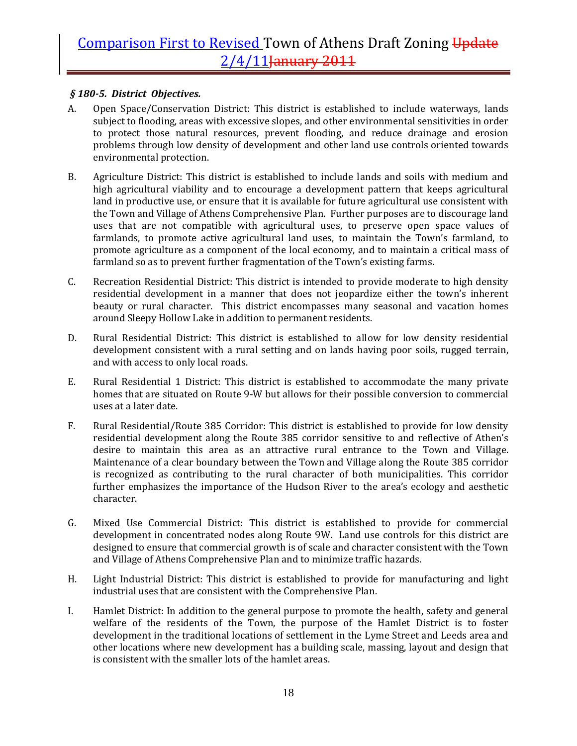### *§ 1805. District Objectives.*

- A. Open Space/Conservation District: This district is established to include waterways, lands subject to flooding, areas with excessive slopes, and other environmental sensitivities in order to protect those natural resources, prevent flooding, and reduce drainage and erosion problems through low density of development and other land use controls oriented towards environmental protection.
- B. Agriculture District: This district is established to include lands and soils with medium and high agricultural viability and to encourage a development pattern that keeps agricultural land in productive use, or ensure that it is available for future agricultural use consistent with the Town and Village of Athens Comprehensive Plan. Further purposes are to discourage land uses that are not compatible with agricultural uses, to preserve open space values of farmlands, to promote active agricultural land uses, to maintain the Town's farmland, to promote agriculture as a component of the local economy, and to maintain a critical mass of farmland so as to prevent further fragmentation of the Town's existing farms.
- C. Recreation Residential District: This district is intended to provide moderate to high density residential development in a manner that does not jeopardize either the town's inherent beauty or rural character. This district encompasses many seasonal and vacation homes around Sleepy Hollow Lake in addition to permanent residents.
- D. Rural Residential District: This district is established to allow for low density residential development consistent with a rural setting and on lands having poor soils, rugged terrain, and with access to only local roads.
- E. Rural Residential 1 District: This district is established to accommodate the many private homes that are situated on Route 9‐W but allows for their possible conversion to commercial uses at a later date.
- F. Rural Residential/Route 385 Corridor: This district is established to provide for low density residential development along the Route 385 corridor sensitive to and reflective of Athen's desire to maintain this area as an attractive rural entrance to the Town and Village. Maintenance of a clear boundary between the Town and Village along the Route 385 corridor is recognized as contributing to the rural character of both municipalities. This corridor further emphasizes the importance of the Hudson River to the area's ecology and aesthetic character.
- G. Mixed Use Commercial District: This district is established to provide for commercial development in concentrated nodes along Route 9W. Land use controls for this district are designed to ensure that commercial growth is of scale and character consistent with the Town and Village of Athens Comprehensive Plan and to minimize traffic hazards.
- H. Light Industrial District: This district is established to provide for manufacturing and light industrial uses that are consistent with the Comprehensive Plan.
- I. Hamlet District: In addition to the general purpose to promote the health, safety and general welfare of the residents of the Town, the purpose of the Hamlet District is to foster development in the traditional locations of settlement in the Lyme Street and Leeds area and other locations where new development has a building scale, massing, layout and design that is consistent with the smaller lots of the hamlet areas.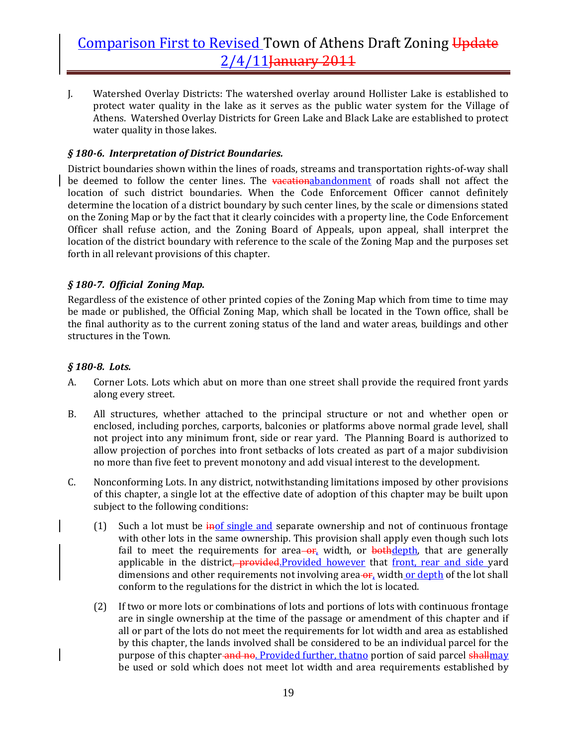J. Watershed Overlay Districts: The watershed overlay around Hollister Lake is established to protect water quality in the lake as it serves as the public water system for the Village of Athens. Watershed Overlay Districts for Green Lake and Black Lake are established to protect water quality in those lakes.

### *§ 1806. Interpretation of District Boundaries.*

District boundaries shown within the lines of roads, streams and transportation rights‐of‐way shall be deemed to follow the center lines. The **vacationabandonment** of roads shall not affect the location of such district boundaries. When the Code Enforcement Officer cannot definitely determine the location of a district boundary by such center lines, by the scale or dimensions stated on the Zoning Map or by the fact that it clearly coincides with a property line, the Code Enforcement Officer shall refuse action, and the Zoning Board of Appeals, upon appeal, shall interpret the location of the district boundary with reference to the scale of the Zoning Map and the purposes set forth in all relevant provisions of this chapter.

### *§ 1807. Official Zoning Map.*

Regardless of the existence of other printed copies of the Zoning Map which from time to time may be made or published, the Official Zoning Map, which shall be located in the Town office, shall be the final authority as to the current zoning status of the land and water areas, buildings and other structures in the Town.

### *§ 1808. Lots.*

- A. Corner Lots. Lots which abut on more than one street shall provide the required front yards along every street.
- B. All structures, whether attached to the principal structure or not and whether open or enclosed, including porches, carports, balconies or platforms above normal grade level, shall not project into any minimum front, side or rear yard. The Planning Board is authorized to allow projection of porches into front setbacks of lots created as part of a major subdivision no more than five feet to prevent monotony and add visual interest to the development.
- C. Nonconforming Lots. In any district, notwithstanding limitations imposed by other provisions of this chapter, a single lot at the effective date of adoption of this chapter may be built upon subject to the following conditions:
	- (1) Such a lot must be  $\frac{1}{100}$  single and separate ownership and not of continuous frontage with other lots in the same ownership. This provision shall apply even though such lots fail to meet the requirements for  $area - or$ , width, or **bothdepth**, that are generally applicable in the district, provided.Provided however that front, rear and side yard dimensions and other requirements not involving area-or, width or depth of the lot shall conform to the regulations for the district in which the lot is located.
	- (2) If two or more lots or combinations of lots and portions of lots with continuous frontage are in single ownership at the time of the passage or amendment of this chapter and if all or part of the lots do not meet the requirements for lot width and area as established by this chapter, the lands involved shall be considered to be an individual parcel for the purpose of this chapter and no. Provided further, that no portion of said parcel shallmay be used or sold which does not meet lot width and area requirements established by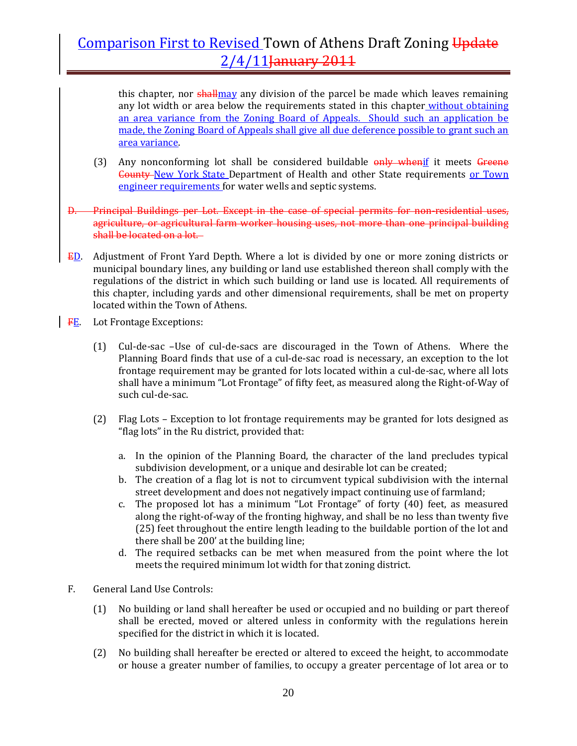this chapter, nor **shall** may any division of the parcel be made which leaves remaining any lot width or area below the requirements stated in this chapter without obtaining an area variance from the Zoning Board of Appeals. Should such an application be made, the Zoning Board of Appeals shall give all due deference possible to grant such an area variance.

- (3) Any nonconforming lot shall be considered buildable  $\frac{m}{y}$  whenif it meets Greene **County-New York State Department of Health and other State requirements or Town** engineer requirements for water wells and septic systems.
- D. Principal Buildings per Lot. Except in the case of special permits for non‐residential uses, agriculture, or agricultural farm worker housing uses, not more than one principal building shall be located on a lot.
- **ED.** Adjustment of Front Yard Depth. Where a lot is divided by one or more zoning districts or municipal boundary lines, any building or land use established thereon shall comply with the regulations of the district in which such building or land use is located. All requirements of this chapter, including yards and other dimensional requirements, shall be met on property located within the Town of Athens.
- FE. Lot Frontage Exceptions:
	- (1) Cul‐de‐sac –Use of cul‐de‐sacs are discouraged in the Town of Athens. Where the Planning Board finds that use of a cul-de-sac road is necessary, an exception to the lot frontage requirement may be granted for lots located within a cul-de-sac, where all lots shall have a minimum "Lot Frontage" of fifty feet, as measured along the Right‐of‐Way of such cul‐de‐sac.
	- (2) Flag Lots Exception to lot frontage requirements may be granted for lots designed as "flag lots" in the Ru district, provided that:
		- a. In the opinion of the Planning Board, the character of the land precludes typical subdivision development, or a unique and desirable lot can be created;
		- b. The creation of a flag lot is not to circumvent typical subdivision with the internal street development and does not negatively impact continuing use of farmland;
		- c. The proposed lot has a minimum "Lot Frontage" of forty (40) feet, as measured along the right‐of‐way of the fronting highway, and shall be no less than twenty five (25) feet throughout the entire length leading to the buildable portion of the lot and there shall be 200' at the building line;
		- d. The required setbacks can be met when measured from the point where the lot meets the required minimum lot width for that zoning district.
- F. General Land Use Controls:
	- (1) No building or land shall hereafter be used or occupied and no building or part thereof shall be erected, moved or altered unless in conformity with the regulations herein specified for the district in which it is located.
	- (2) No building shall hereafter be erected or altered to exceed the height, to accommodate or house a greater number of families, to occupy a greater percentage of lot area or to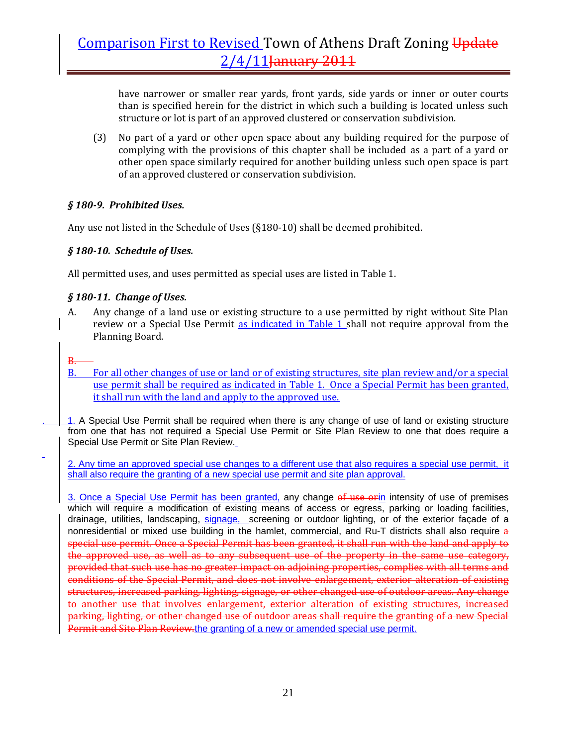have narrower or smaller rear yards, front yards, side yards or inner or outer courts than is specified herein for the district in which such a building is located unless such structure or lot is part of an approved clustered or conservation subdivision.

(3) No part of a yard or other open space about any building required for the purpose of complying with the provisions of this chapter shall be included as a part of a yard or other open space similarly required for another building unless such open space is part of an approved clustered or conservation subdivision.

### *§ 1809. Prohibited Uses.*

Any use not listed in the Schedule of Uses (§180‐10) shall be deemed prohibited.

### *§ 18010. Schedule of Uses.*

All permitted uses, and uses permitted as special uses are listed in Table 1.

### *§ 18011. Change of Uses.*

- A. Any change of a land use or existing structure to a use permitted by right without Site Plan review or a Special Use Permit as indicated in Table 1 shall not require approval from the Planning Board.
- B.
- B. For all other changes of use or land or of existing structures, site plan review and/or a special use permit shall be required as indicated in Table 1. Once a Special Permit has been granted, it shall run with the land and apply to the approved use.

. 1. A Special Use Permit shall be required when there is any change of use of land or existing structure from one that has not required a Special Use Permit or Site Plan Review to one that does require a Special Use Permit or Site Plan Review.

2. Any time an approved special use changes to a different use that also requires a special use permit, it shall also require the granting of a new special use permit and site plan approval.

3. Once a Special Use Permit has been granted, any change of use orin intensity of use of premises which will require a modification of existing means of access or egress, parking or loading facilities, drainage, utilities, landscaping, signage, screening or outdoor lighting, or of the exterior façade of a nonresidential or mixed use building in the hamlet, commercial, and Ru-T districts shall also require a special use permit. Once a Special Permit has been granted, it shall run with the land and apply to the approved use, as well as to any subsequent use of the property in the same use category, provided that such use has no greater impact on adjoining properties, complies with all terms and conditions of the Special Permit, and does not involve enlargement, exterior alteration of existing structures, increased parking, lighting, signage, or other changed use of outdoor areas. Any change to another use that involves enlargement, exterior alteration of existing structures, increased parking, lighting, or other changed use of outdoor areas shall require the granting of a new Special Permit and Site Plan Review.the granting of a new or amended special use permit.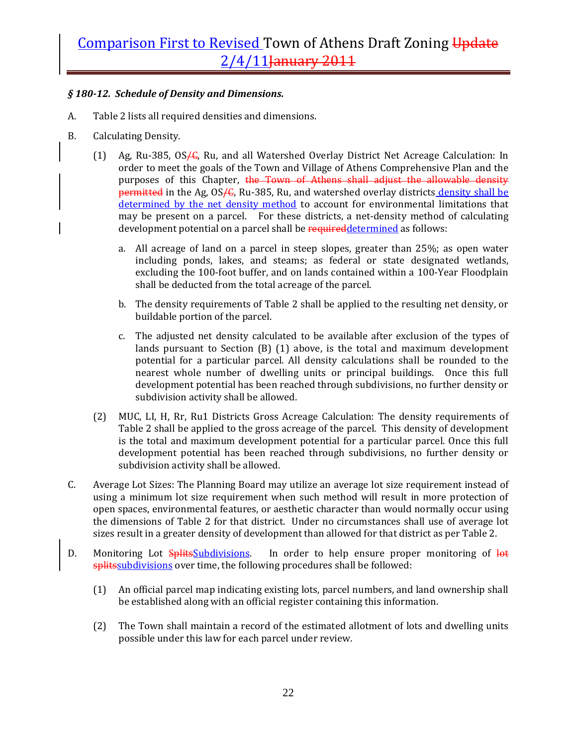### *§ 18012. Schedule of Density and Dimensions.*

- A. Table 2 lists all required densities and dimensions.
- B. Calculating Density.
	- (1) Ag, Ru-385, OS<sub>/6</sub>, Ru, and all Watershed Overlay District Net Acreage Calculation: In order to meet the goals of the Town and Village of Athens Comprehensive Plan and the purposes of this Chapter, the Town of Athens shall adjust the allowable density permitted in the Ag, OS<sub>/6</sub>, Ru-385, Ru, and watershed overlay districts density shall be determined by the net density method to account for environmental limitations that may be present on a parcel. For these districts, a net-density method of calculating development potential on a parcel shall be required determined as follows:
		- a. All acreage of land on a parcel in steep slopes, greater than 25%; as open water including ponds, lakes, and steams; as federal or state designated wetlands, excluding the 100‐foot buffer, and on lands contained within a 100‐Year Floodplain shall be deducted from the total acreage of the parcel.
		- b. The density requirements of Table 2 shall be applied to the resulting net density, or buildable portion of the parcel.
		- c. The adjusted net density calculated to be available after exclusion of the types of lands pursuant to Section  $(B)$   $(1)$  above, is the total and maximum development potential for a particular parcel. All density calculations shall be rounded to the nearest whole number of dwelling units or principal buildings. Once this full development potential has been reached through subdivisions, no further density or subdivision activity shall be allowed.
	- (2) MUC, LI, H, Rr, Ru1 Districts Gross Acreage Calculation: The density requirements of Table 2 shall be applied to the gross acreage of the parcel. This density of development is the total and maximum development potential for a particular parcel. Once this full development potential has been reached through subdivisions, no further density or subdivision activity shall be allowed.
- C. Average Lot Sizes: The Planning Board may utilize an average lot size requirement instead of using a minimum lot size requirement when such method will result in more protection of open spaces, environmental features, or aesthetic character than would normally occur using the dimensions of Table 2 for that district. Under no circumstances shall use of average lot sizes result in a greater density of development than allowed for that district as per Table 2.
- D. Monitoring Lot SplitsSubdivisions. In order to help ensure proper monitoring of lot splits subdivisions over time, the following procedures shall be followed:
	- (1) An official parcel map indicating existing lots, parcel numbers, and land ownership shall be established along with an official register containing this information.
	- (2) The Town shall maintain a record of the estimated allotment of lots and dwelling units possible under this law for each parcel under review.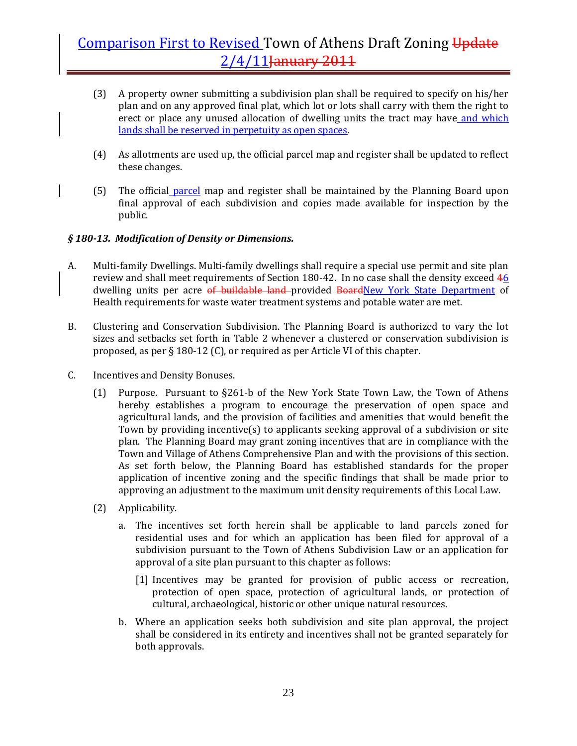- (3) A property owner submitting a subdivision plan shall be required to specify on his/her plan and on any approved final plat, which lot or lots shall carry with them the right to erect or place any unused allocation of dwelling units the tract may have and which lands shall be reserved in perpetuity as open spaces.
- (4) As allotments are used up, the official parcel map and register shall be updated to reflect these changes.
- (5) The official parcel map and register shall be maintained by the Planning Board upon final approval of each subdivision and copies made available for inspection by the public.

### *§ 18013. Modification of Density or Dimensions.*

- A. Multi-family Dwellings. Multi-family dwellings shall require a special use permit and site plan review and shall meet requirements of Section 180-42. In no case shall the density exceed 46 dwelling units per acre of buildable land-provided BoardNew York State Department of Health requirements for waste water treatment systems and potable water are met.
- B. Clustering and Conservation Subdivision. The Planning Board is authorized to vary the lot sizes and setbacks set forth in Table 2 whenever a clustered or conservation subdivision is proposed, as per § 180‐12 (C), or required as per Article VI of this chapter.
- C. Incentives and Density Bonuses.
	- (1) Purpose. Pursuant to  $\S261-b$  of the New York State Town Law, the Town of Athens hereby establishes a program to encourage the preservation of open space and agricultural lands, and the provision of facilities and amenities that would benefit the Town by providing incentive(s) to applicants seeking approval of a subdivision or site plan. The Planning Board may grant zoning incentives that are in compliance with the Town and Village of Athens Comprehensive Plan and with the provisions of this section. As set forth below, the Planning Board has established standards for the proper application of incentive zoning and the specific findings that shall be made prior to approving an adjustment to the maximum unit density requirements of this Local Law.
	- (2) Applicability.
		- a. The incentives set forth herein shall be applicable to land parcels zoned for residential uses and for which an application has been filed for approval of a subdivision pursuant to the Town of Athens Subdivision Law or an application for approval of a site plan pursuant to this chapter as follows:
			- [1] Incentives may be granted for provision of public access or recreation, protection of open space, protection of agricultural lands, or protection of cultural, archaeological, historic or other unique natural resources.
		- b. Where an application seeks both subdivision and site plan approval, the project shall be considered in its entirety and incentives shall not be granted separately for both approvals.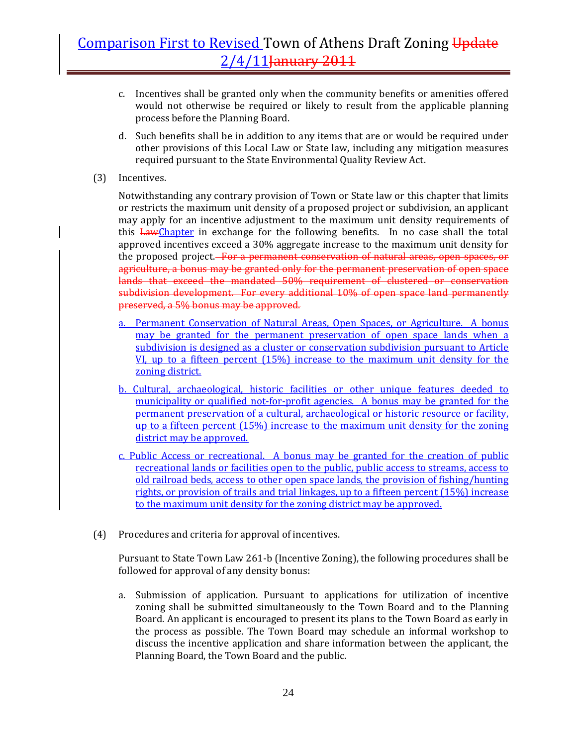- c. Incentives shall be granted only when the community benefits or amenities offered would not otherwise be required or likely to result from the applicable planning process before the Planning Board.
- d. Such benefits shall be in addition to any items that are or would be required under other provisions of this Local Law or State law, including any mitigation measures required pursuant to the State Environmental Quality Review Act.
- (3) Incentives.

Notwithstanding any contrary provision of Town or State law or this chapter that limits or restricts the maximum unit density of a proposed project or subdivision, an applicant may apply for an incentive adjustment to the maximum unit density requirements of this **LawChapter** in exchange for the following benefits. In no case shall the total approved incentives exceed a 30% aggregate increase to the maximum unit density for the proposed project.<del> For a permanent conservation of natural areas, open spaces, or</del> agriculture, a bonus may be granted only for the permanent preservation of open space lands that exceed the mandated 50% requirement of clustered or conservation subdivision development. For every additional 10% of open space land permanently preserved, a 5% bonus may be approved.

- a. Permanent Conservation of Natural Areas, Open Spaces, or Agriculture. A bonus may be granted for the permanent preservation of open space lands when a subdivision is designed as a cluster or conservation subdivision pursuant to Article VI, up to a fifteen percent (15%) increase to the maximum unit density for the zoning district.
- b. Cultural, archaeological, historic facilities or other unique features deeded to municipality or qualified not-for-profit agencies. A bonus may be granted for the permanent preservation of a cultural, archaeological or historic resource or facility, up to a fifteen percent (15%) increase to the maximum unit density for the zoning district may be approved.
- c. Public Access or recreational. A bonus may be granted for the creation of public recreational lands or facilities open to the public, public access to streams, access to old railroad beds, access to other open space lands, the provision of fishing/hunting rights, or provision of trails and trial linkages, up to a fifteen percent (15%) increase to the maximum unit density for the zoning district may be approved.
- (4) Procedures and criteria for approval of incentives.

Pursuant to State Town Law 261‐b (Incentive Zoning), the following procedures shall be followed for approval of any density bonus:

a. Submission of application. Pursuant to applications for utilization of incentive zoning shall be submitted simultaneously to the Town Board and to the Planning Board. An applicant is encouraged to present its plans to the Town Board as early in the process as possible. The Town Board may schedule an informal workshop to discuss the incentive application and share information between the applicant, the Planning Board, the Town Board and the public.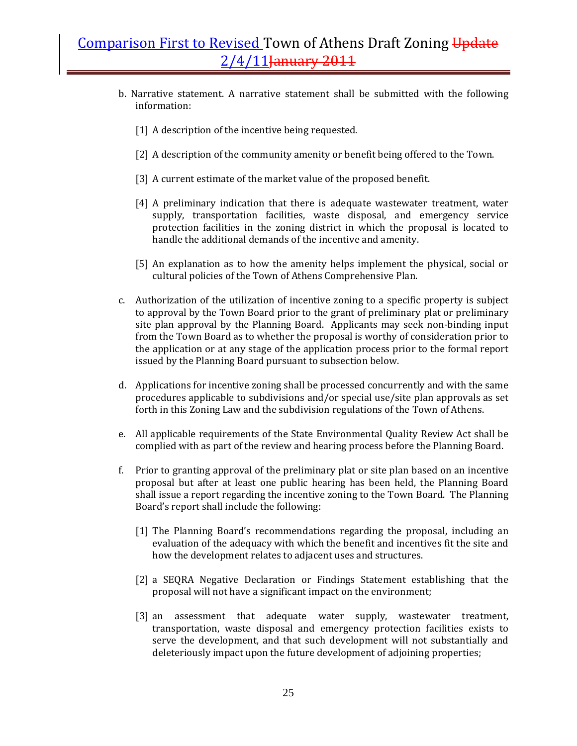- b. Narrative statement. A narrative statement shall be submitted with the following information:
	- [1] A description of the incentive being requested.
	- [2] A description of the community amenity or benefit being offered to the Town.
	- [3] A current estimate of the market value of the proposed benefit.
	- [4] A preliminary indication that there is adequate wastewater treatment, water supply, transportation facilities, waste disposal, and emergency service protection facilities in the zoning district in which the proposal is located to handle the additional demands of the incentive and amenity.
	- [5] An explanation as to how the amenity helps implement the physical, social or cultural policies of the Town of Athens Comprehensive Plan.
- c. Authorization of the utilization of incentive zoning to a specific property is subject to approval by the Town Board prior to the grant of preliminary plat or preliminary site plan approval by the Planning Board. Applicants may seek non-binding input from the Town Board as to whether the proposal is worthy of consideration prior to the application or at any stage of the application process prior to the formal report issued by the Planning Board pursuant to subsection below.
- d. Applications for incentive zoning shall be processed concurrently and with the same procedures applicable to subdivisions and/or special use/site plan approvals as set forth in this Zoning Law and the subdivision regulations of the Town of Athens.
- e. All applicable requirements of the State Environmental Quality Review Act shall be complied with as part of the review and hearing process before the Planning Board.
- f. Prior to granting approval of the preliminary plat or site plan based on an incentive proposal but after at least one public hearing has been held, the Planning Board shall issue a report regarding the incentive zoning to the Town Board. The Planning Board's report shall include the following:
	- [1] The Planning Board's recommendations regarding the proposal, including an evaluation of the adequacy with which the benefit and incentives fit the site and how the development relates to adjacent uses and structures.
	- [2] a SEQRA Negative Declaration or Findings Statement establishing that the proposal will not have a significant impact on the environment;
	- [3] an assessment that adequate water supply, wastewater treatment, transportation, waste disposal and emergency protection facilities exists to serve the development, and that such development will not substantially and deleteriously impact upon the future development of adjoining properties;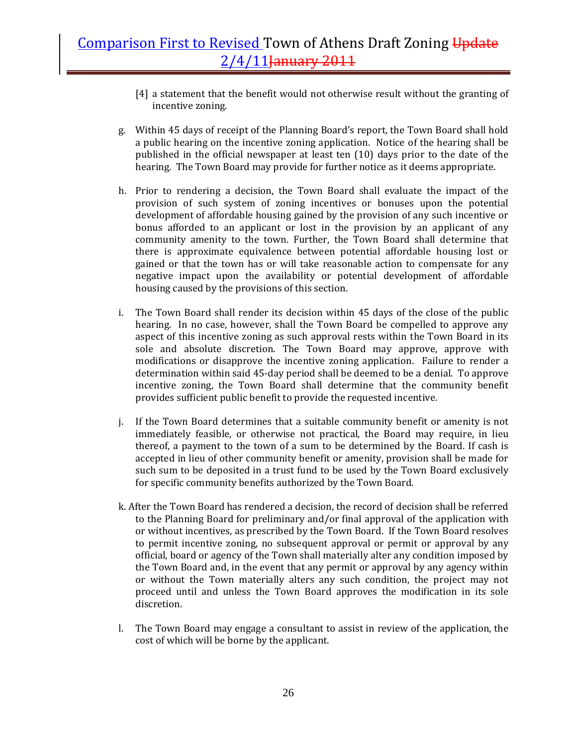- [4] a statement that the benefit would not otherwise result without the granting of incentive zoning.
- g. Within 45 days of receipt of the Planning Board's report, the Town Board shall hold a public hearing on the incentive zoning application. Notice of the hearing shall be published in the official newspaper at least ten (10) days prior to the date of the hearing. The Town Board may provide for further notice as it deems appropriate.
- h. Prior to rendering a decision, the Town Board shall evaluate the impact of the provision of such system of zoning incentives or bonuses upon the potential development of affordable housing gained by the provision of any such incentive or bonus afforded to an applicant or lost in the provision by an applicant of any community amenity to the town. Further, the Town Board shall determine that there is approximate equivalence between potential affordable housing lost or gained or that the town has or will take reasonable action to compensate for any negative impact upon the availability or potential development of affordable housing caused by the provisions of this section.
- i. The Town Board shall render its decision within 45 days of the close of the public hearing. In no case, however, shall the Town Board be compelled to approve any aspect of this incentive zoning as such approval rests within the Town Board in its sole and absolute discretion. The Town Board may approve, approve with modifications or disapprove the incentive zoning application. Failure to render a determination within said 45‐day period shall be deemed to be a denial. To approve incentive zoning, the Town Board shall determine that the community benefit provides sufficient public benefit to provide the requested incentive.
- j. If the Town Board determines that a suitable community benefit or amenity is not immediately feasible, or otherwise not practical, the Board may require, in lieu thereof, a payment to the town of a sum to be determined by the Board. If cash is accepted in lieu of other community benefit or amenity, provision shall be made for such sum to be deposited in a trust fund to be used by the Town Board exclusively for specific community benefits authorized by the Town Board.
- k. After the Town Board has rendered a decision, the record of decision shall be referred to the Planning Board for preliminary and/or final approval of the application with or without incentives, as prescribed by the Town Board. If the Town Board resolves to permit incentive zoning, no subsequent approval or permit or approval by any official, board or agency of the Town shall materially alter any condition imposed by the Town Board and, in the event that any permit or approval by any agency within or without the Town materially alters any such condition, the project may not proceed until and unless the Town Board approves the modification in its sole discretion.
- l. The Town Board may engage a consultant to assist in review of the application, the cost of which will be borne by the applicant.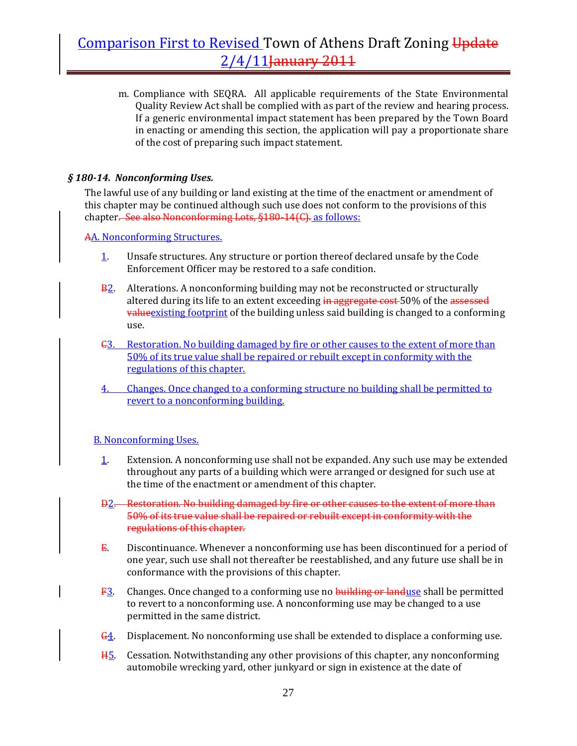m. Compliance with SEQRA. All applicable requirements of the State Environmental Quality Review Act shall be complied with as part of the review and hearing process. If a generic environmental impact statement has been prepared by the Town Board in enacting or amending this section, the application will pay a proportionate share of the cost of preparing such impact statement.

### *§ 18014. Nonconforming Uses.*

The lawful use of any building or land existing at the time of the enactment or amendment of this chapter may be continued although such use does not conform to the provisions of this chapter. See also Nonconforming Lots, §180-14(C). as follows:

AA. Nonconforming Structures.

- 1. Unsafe structures. Any structure or portion thereof declared unsafe by the Code Enforcement Officer may be restored to a safe condition.
- **B2.** Alterations. A nonconforming building may not be reconstructed or structurally altered during its life to an extent exceeding in aggregate cost 50% of the assessed valueexisting footprint of the building unless said building is changed to a conforming use.
- C3. Restoration. No building damaged by fire or other causes to the extent of more than 50% of its true value shall be repaired or rebuilt except in conformity with the regulations of this chapter.
- 4. Changes. Once changed to a conforming structure no building shall be permitted to revert to a nonconforming building.

### B. Nonconforming Uses.

- 1. Extension. A nonconforming use shall not be expanded. Any such use may be extended throughout any parts of a building which were arranged or designed for such use at the time of the enactment or amendment of this chapter.
- D2. Restoration. No building damaged by fire or other causes to the extent of more than 50% of its true value shall be repaired or rebuilt except in conformity with the regulations of this chapter.
- E. Discontinuance. Whenever a nonconforming use has been discontinued for a period of one year, such use shall not thereafter be reestablished, and any future use shall be in conformance with the provisions of this chapter.
- F3. Changes. Once changed to a conforming use no building or landuse shall be permitted to revert to a nonconforming use. A nonconforming use may be changed to a use permitted in the same district.
- G4. Displacement. No nonconforming use shall be extended to displace a conforming use.
- H5. Cessation. Notwithstanding any other provisions of this chapter, any nonconforming automobile wrecking yard, other junkyard or sign in existence at the date of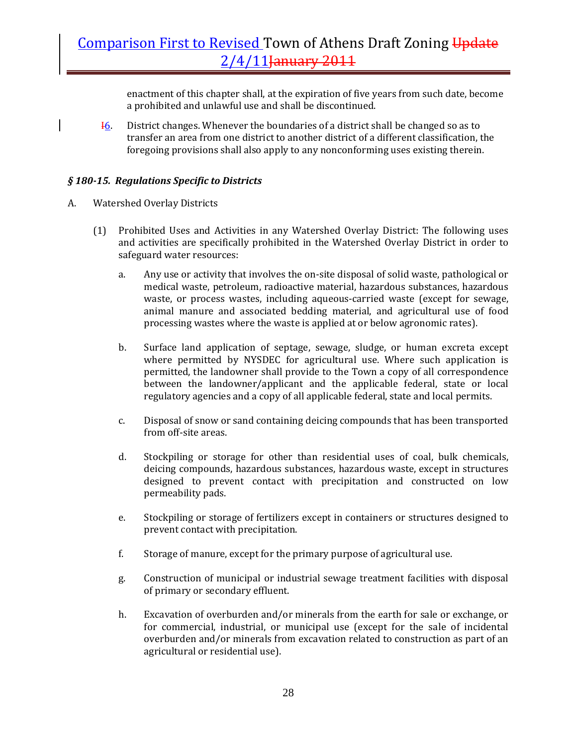enactment of this chapter shall, at the expiration of five years from such date, become a prohibited and unlawful use and shall be discontinued.

I6. District changes. Whenever the boundaries of a district shall be changed so as to transfer an area from one district to another district of a different classification, the foregoing provisions shall also apply to any nonconforming uses existing therein.

### *§ 18015. Regulations Specific to Districts*

- A. Watershed Overlay Districts
	- (1) Prohibited Uses and Activities in any Watershed Overlay District: The following uses and activities are specifically prohibited in the Watershed Overlay District in order to safeguard water resources:
		- a. Any use or activity that involves the on‐site disposal of solid waste, pathological or medical waste, petroleum, radioactive material, hazardous substances, hazardous waste, or process wastes, including aqueous-carried waste (except for sewage, animal manure and associated bedding material, and agricultural use of food processing wastes where the waste is applied at or below agronomic rates).
		- b. Surface land application of septage, sewage, sludge, or human excreta except where permitted by NYSDEC for agricultural use. Where such application is permitted, the landowner shall provide to the Town a copy of all correspondence between the landowner/applicant and the applicable federal, state or local regulatory agencies and a copy of all applicable federal, state and local permits.
		- c. Disposal of snow or sand containing deicing compounds that has been transported from off‐site areas.
		- d. Stockpiling or storage for other than residential uses of coal, bulk chemicals, deicing compounds, hazardous substances, hazardous waste, except in structures designed to prevent contact with precipitation and constructed on low permeability pads.
		- e. Stockpiling or storage of fertilizers except in containers or structures designed to prevent contact with precipitation.
		- f. Storage of manure, except for the primary purpose of agricultural use.
		- g. Construction of municipal or industrial sewage treatment facilities with disposal of primary or secondary effluent.
		- h. Excavation of overburden and/or minerals from the earth for sale or exchange, or for commercial, industrial, or municipal use (except for the sale of incidental overburden and/or minerals from excavation related to construction as part of an agricultural or residential use).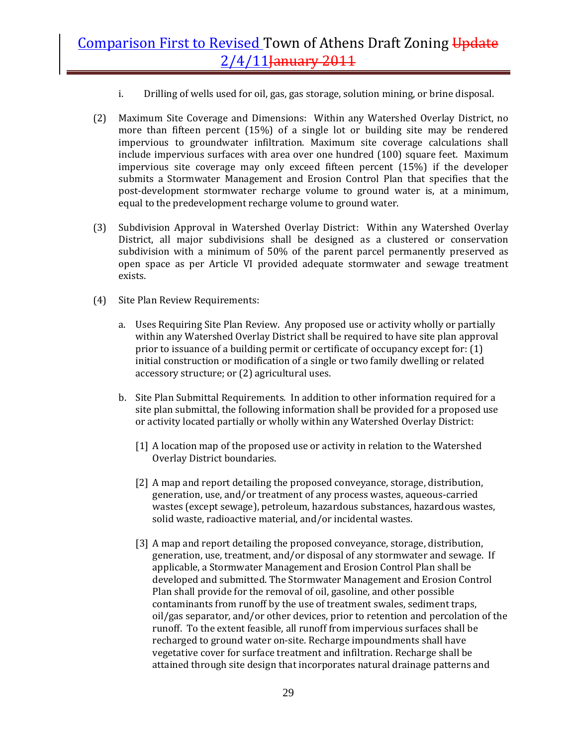- i. Drilling of wells used for oil, gas, gas storage, solution mining, or brine disposal.
- (2) Maximum Site Coverage and Dimensions: Within any Watershed Overlay District, no more than fifteen percent (15%) of a single lot or building site may be rendered impervious to groundwater infiltration. Maximum site coverage calculations shall include impervious surfaces with area over one hundred (100) square feet. Maximum impervious site coverage may only exceed fifteen percent (15%) if the developer submits a Stormwater Management and Erosion Control Plan that specifies that the post-development stormwater recharge volume to ground water is, at a minimum, equal to the predevelopment recharge volume to ground water.
- (3) Subdivision Approval in Watershed Overlay District: Within any Watershed Overlay District, all major subdivisions shall be designed as a clustered or conservation subdivision with a minimum of 50% of the parent parcel permanently preserved as open space as per Article VI provided adequate stormwater and sewage treatment exists.
- (4) Site Plan Review Requirements:
	- a. Uses Requiring Site Plan Review. Any proposed use or activity wholly or partially within any Watershed Overlay District shall be required to have site plan approval prior to issuance of a building permit or certificate of occupancy except for: (1) initial construction or modification of a single or two family dwelling or related accessory structure; or (2) agricultural uses.
	- b. Site Plan Submittal Requirements. In addition to other information required for a site plan submittal, the following information shall be provided for a proposed use or activity located partially or wholly within any Watershed Overlay District:
		- [1] A location map of the proposed use or activity in relation to the Watershed Overlay District boundaries.
		- [2] A map and report detailing the proposed conveyance, storage, distribution, generation, use, and/or treatment of any process wastes, aqueous‐carried wastes (except sewage), petroleum, hazardous substances, hazardous wastes, solid waste, radioactive material, and/or incidental wastes.
		- [3] A map and report detailing the proposed conveyance, storage, distribution, generation, use, treatment, and/or disposal of any stormwater and sewage. If applicable, a Stormwater Management and Erosion Control Plan shall be developed and submitted. The Stormwater Management and Erosion Control Plan shall provide for the removal of oil, gasoline, and other possible contaminants from runoff by the use of treatment swales, sediment traps, oil/gas separator, and/or other devices, prior to retention and percolation of the runoff. To the extent feasible, all runoff from impervious surfaces shall be recharged to ground water on‐site. Recharge impoundments shall have vegetative cover for surface treatment and infiltration. Recharge shall be attained through site design that incorporates natural drainage patterns and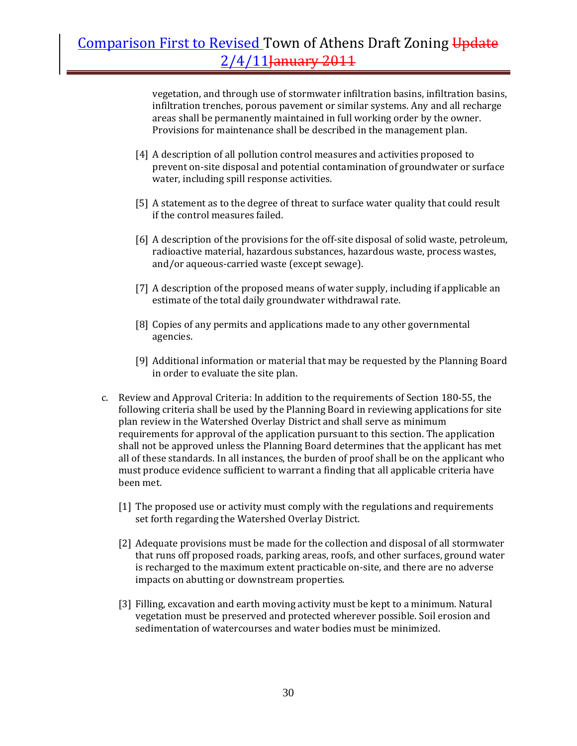vegetation, and through use of stormwater infiltration basins, infiltration basins, infiltration trenches, porous pavement or similar systems. Any and all recharge areas shall be permanently maintained in full working order by the owner. Provisions for maintenance shall be described in the management plan.

- [4] A description of all pollution control measures and activities proposed to prevent on‐site disposal and potential contamination of groundwater or surface water, including spill response activities.
- [5] A statement as to the degree of threat to surface water quality that could result if the control measures failed.
- [6] A description of the provisions for the off-site disposal of solid waste, petroleum, radioactive material, hazardous substances, hazardous waste, process wastes, and/or aqueous‐carried waste (except sewage).
- [7] A description of the proposed means of water supply, including if applicable an estimate of the total daily groundwater withdrawal rate.
- [8] Copies of any permits and applications made to any other governmental agencies.
- [9] Additional information or material that may be requested by the Planning Board in order to evaluate the site plan.
- c. Review and Approval Criteria: In addition to the requirements of Section 180‐55, the following criteria shall be used by the Planning Board in reviewing applications for site plan review in the Watershed Overlay District and shall serve as minimum requirements for approval of the application pursuant to this section. The application shall not be approved unless the Planning Board determines that the applicant has met all of these standards. In all instances, the burden of proof shall be on the applicant who must produce evidence sufficient to warrant a finding that all applicable criteria have been met.
	- [1] The proposed use or activity must comply with the regulations and requirements set forth regarding the Watershed Overlay District.
	- [2] Adequate provisions must be made for the collection and disposal of all stormwater that runs off proposed roads, parking areas, roofs, and other surfaces, ground water is recharged to the maximum extent practicable on-site, and there are no adverse impacts on abutting or downstream properties.
	- [3] Filling, excavation and earth moving activity must be kept to a minimum. Natural vegetation must be preserved and protected wherever possible. Soil erosion and sedimentation of watercourses and water bodies must be minimized.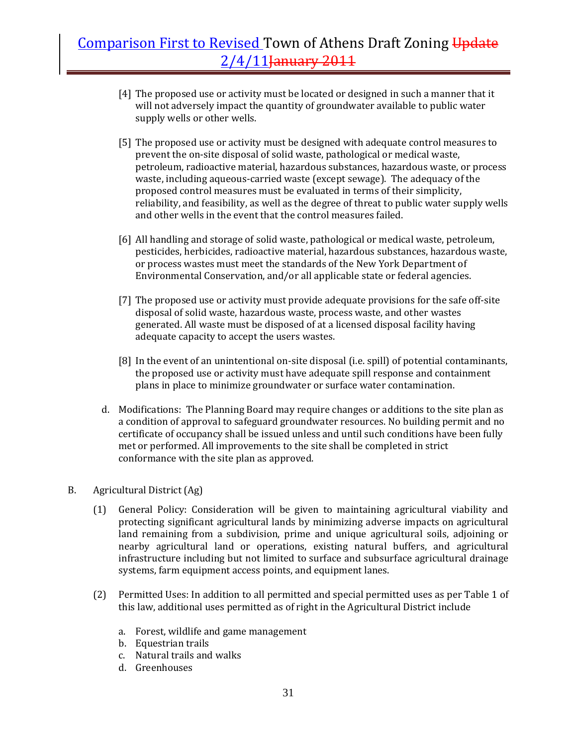- [4] The proposed use or activity must be located or designed in such a manner that it will not adversely impact the quantity of groundwater available to public water supply wells or other wells.
- [5] The proposed use or activity must be designed with adequate control measures to prevent the on-site disposal of solid waste, pathological or medical waste, petroleum, radioactive material, hazardous substances, hazardous waste, or process waste, including aqueous-carried waste (except sewage). The adequacy of the proposed control measures must be evaluated in terms of their simplicity, reliability, and feasibility, as well as the degree of threat to public water supply wells and other wells in the event that the control measures failed.
- [6] All handling and storage of solid waste, pathological or medical waste, petroleum, pesticides, herbicides, radioactive material, hazardous substances, hazardous waste, or process wastes must meet the standards of the New York Department of Environmental Conservation, and/or all applicable state or federal agencies.
- [7] The proposed use or activity must provide adequate provisions for the safe off-site disposal of solid waste, hazardous waste, process waste, and other wastes generated. All waste must be disposed of at a licensed disposal facility having adequate capacity to accept the users wastes.
- [8] In the event of an unintentional on-site disposal (i.e. spill) of potential contaminants, the proposed use or activity must have adequate spill response and containment plans in place to minimize groundwater or surface water contamination.
- d. Modifications: The Planning Board may require changes or additions to the site plan as a condition of approval to safeguard groundwater resources. No building permit and no certificate of occupancy shall be issued unless and until such conditions have been fully met or performed. All improvements to the site shall be completed in strict conformance with the site plan as approved.

### B. Agricultural District (Ag)

- (1) General Policy: Consideration will be given to maintaining agricultural viability and protecting significant agricultural lands by minimizing adverse impacts on agricultural land remaining from a subdivision, prime and unique agricultural soils, adjoining or nearby agricultural land or operations, existing natural buffers, and agricultural infrastructure including but not limited to surface and subsurface agricultural drainage systems, farm equipment access points, and equipment lanes.
- (2) Permitted Uses: In addition to all permitted and special permitted uses as per Table 1 of this law, additional uses permitted as of right in the Agricultural District include
	- a. Forest, wildlife and game management
	- b. Equestrian trails
	- c. Natural trails and walks
	- d. Greenhouses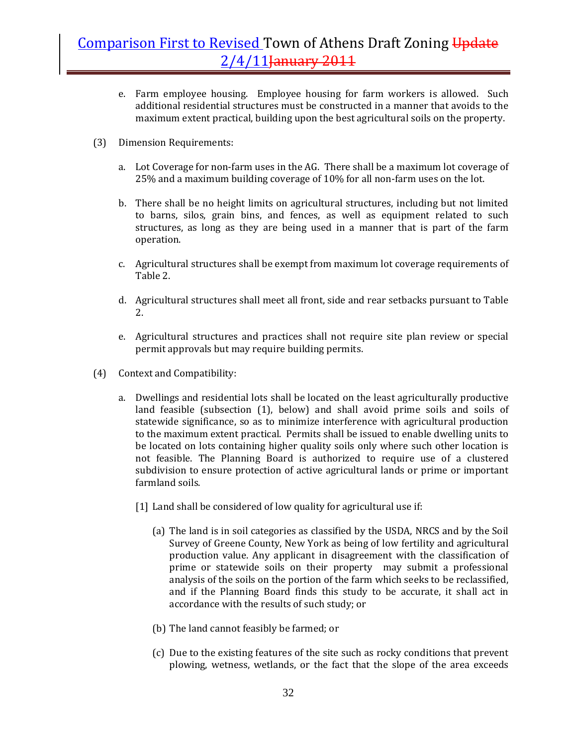- e. Farm employee housing. Employee housing for farm workers is allowed. Such additional residential structures must be constructed in a manner that avoids to the maximum extent practical, building upon the best agricultural soils on the property.
- (3) Dimension Requirements:
	- a. Lot Coverage for non-farm uses in the AG. There shall be a maximum lot coverage of 25% and a maximum building coverage of 10% for all non‐farm uses on the lot.
	- b. There shall be no height limits on agricultural structures, including but not limited to barns, silos, grain bins, and fences, as well as equipment related to such structures, as long as they are being used in a manner that is part of the farm operation.
	- c. Agricultural structures shall be exempt from maximum lot coverage requirements of Table 2.
	- d. Agricultural structures shall meet all front, side and rear setbacks pursuant to Table 2.
	- e. Agricultural structures and practices shall not require site plan review or special permit approvals but may require building permits.
- (4) Context and Compatibility:
	- a. Dwellings and residential lots shall be located on the least agriculturally productive land feasible (subsection (1), below) and shall avoid prime soils and soils of statewide significance, so as to minimize interference with agricultural production to the maximum extent practical. Permits shall be issued to enable dwelling units to be located on lots containing higher quality soils only where such other location is not feasible. The Planning Board is authorized to require use of a clustered subdivision to ensure protection of active agricultural lands or prime or important farmland soils.
		- [1] Land shall be considered of low quality for agricultural use if:
			- (a) The land is in soil categories as classified by the USDA, NRCS and by the Soil Survey of Greene County, New York as being of low fertility and agricultural production value. Any applicant in disagreement with the classification of prime or statewide soils on their property may submit a professional analysis of the soils on the portion of the farm which seeks to be reclassified, and if the Planning Board finds this study to be accurate, it shall act in accordance with the results of such study; or
			- (b) The land cannot feasibly be farmed; or
			- (c) Due to the existing features of the site such as rocky conditions that prevent plowing, wetness, wetlands, or the fact that the slope of the area exceeds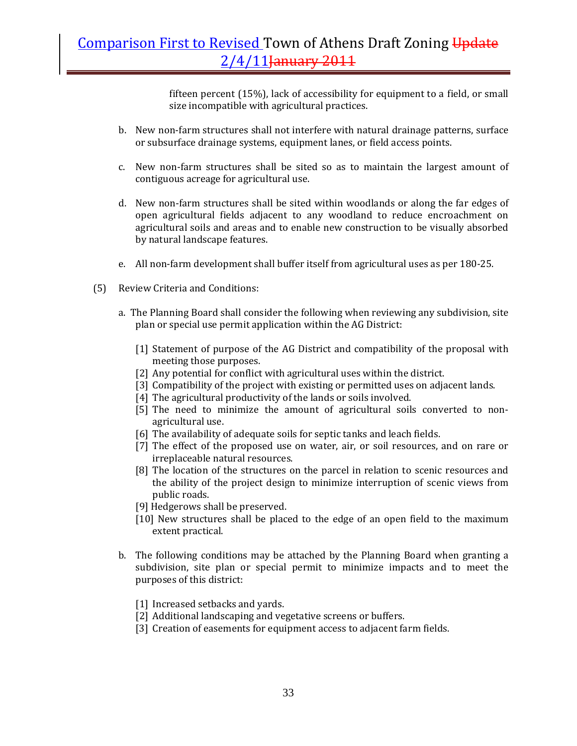fifteen percent (15%), lack of accessibility for equipment to a field, or small size incompatible with agricultural practices.

- b. New non-farm structures shall not interfere with natural drainage patterns, surface or subsurface drainage systems, equipment lanes, or field access points.
- c. New non-farm structures shall be sited so as to maintain the largest amount of contiguous acreage for agricultural use.
- d. New non‐farm structures shall be sited within woodlands or along the far edges of open agricultural fields adjacent to any woodland to reduce encroachment on agricultural soils and areas and to enable new construction to be visually absorbed by natural landscape features.
- e. All non-farm development shall buffer itself from agricultural uses as per 180-25.
- (5) Review Criteria and Conditions:
	- a. The Planning Board shall consider the following when reviewing any subdivision, site plan or special use permit application within the AG District:
		- [1] Statement of purpose of the AG District and compatibility of the proposal with meeting those purposes.
		- [2] Any potential for conflict with agricultural uses within the district.
		- [3] Compatibility of the project with existing or permitted uses on adjacent lands.
		- [4] The agricultural productivity of the lands or soils involved.
		- [5] The need to minimize the amount of agricultural soils converted to nonagricultural use.
		- [6] The availability of adequate soils for septic tanks and leach fields.
		- [7] The effect of the proposed use on water, air, or soil resources, and on rare or irreplaceable natural resources.
		- [8] The location of the structures on the parcel in relation to scenic resources and the ability of the project design to minimize interruption of scenic views from public roads.
		- [9] Hedgerows shall be preserved.
		- [10] New structures shall be placed to the edge of an open field to the maximum extent practical.
	- b. The following conditions may be attached by the Planning Board when granting a subdivision, site plan or special permit to minimize impacts and to meet the purposes of this district:
		- [1] Increased setbacks and yards.
		- [2] Additional landscaping and vegetative screens or buffers.
		- [3] Creation of easements for equipment access to adjacent farm fields.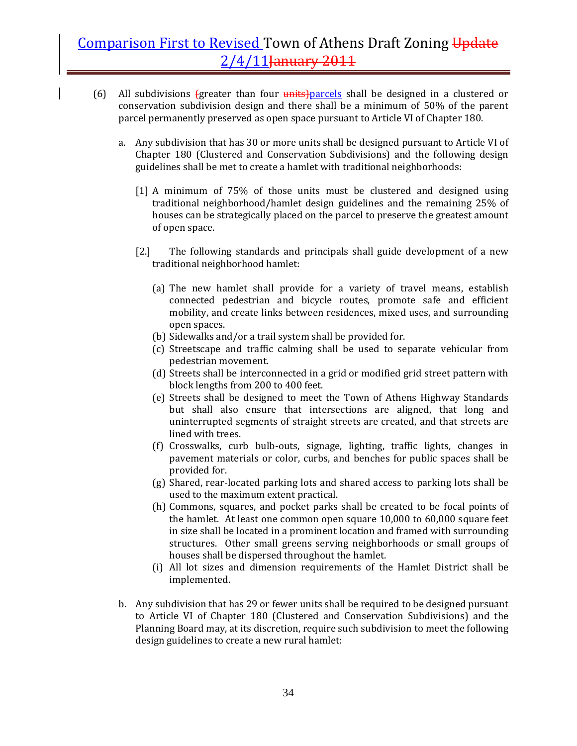- (6) All subdivisions  ${g}$  reater than four  $\frac{units}{units}$  parcels shall be designed in a clustered or conservation subdivision design and there shall be a minimum of 50% of the parent parcel permanently preserved as open space pursuant to Article VI of Chapter 180.
	- a. Any subdivision that has 30 or more units shall be designed pursuant to Article VI of Chapter 180 (Clustered and Conservation Subdivisions) and the following design guidelines shall be met to create a hamlet with traditional neighborhoods:
		- [1] A minimum of 75% of those units must be clustered and designed using traditional neighborhood/hamlet design guidelines and the remaining 25% of houses can be strategically placed on the parcel to preserve the greatest amount of open space.
		- [2.] The following standards and principals shall guide development of a new traditional neighborhood hamlet:
			- (a) The new hamlet shall provide for a variety of travel means, establish connected pedestrian and bicycle routes, promote safe and efficient mobility, and create links between residences, mixed uses, and surrounding open spaces.
			- (b) Sidewalks and/or a trail system shall be provided for.
			- (c) Streetscape and traffic calming shall be used to separate vehicular from pedestrian movement.
			- (d) Streets shall be interconnected in a grid or modified grid street pattern with block lengths from 200 to 400 feet.
			- (e) Streets shall be designed to meet the Town of Athens Highway Standards but shall also ensure that intersections are aligned, that long and uninterrupted segments of straight streets are created, and that streets are lined with trees.
			- (f) Crosswalks, curb bulb‐outs, signage, lighting, traffic lights, changes in pavement materials or color, curbs, and benches for public spaces shall be provided for.
			- (g) Shared, rear‐located parking lots and shared access to parking lots shall be used to the maximum extent practical.
			- (h) Commons, squares, and pocket parks shall be created to be focal points of the hamlet. At least one common open square 10,000 to 60,000 square feet in size shall be located in a prominent location and framed with surrounding structures. Other small greens serving neighborhoods or small groups of houses shall be dispersed throughout the hamlet.
			- (i) All lot sizes and dimension requirements of the Hamlet District shall be implemented.
	- b. Any subdivision that has 29 or fewer units shall be required to be designed pursuant to Article VI of Chapter 180 (Clustered and Conservation Subdivisions) and the Planning Board may, at its discretion, require such subdivision to meet the following design guidelines to create a new rural hamlet: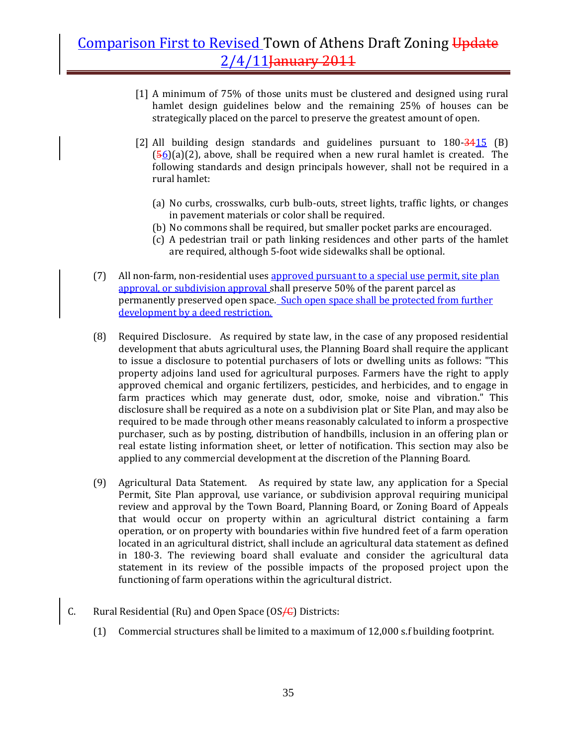- [1] A minimum of 75% of those units must be clustered and designed using rural hamlet design guidelines below and the remaining 25% of houses can be strategically placed on the parcel to preserve the greatest amount of open.
- [2] All building design standards and guidelines pursuant to  $180 \frac{3415}{9}$  (B)  $(56)(a)(2)$ , above, shall be required when a new rural hamlet is created. The following standards and design principals however, shall not be required in a rural hamlet:
	- (a) No curbs, crosswalks, curb bulb‐outs, street lights, traffic lights, or changes in pavement materials or color shall be required.
	- (b) No commons shall be required, but smaller pocket parks are encouraged.
	- (c) A pedestrian trail or path linking residences and other parts of the hamlet are required, although 5‐foot wide sidewalks shall be optional.
- (7) All non-farm, non-residential uses approved pursuant to a special use permit, site plan approval, or subdivision approval shall preserve 50% of the parent parcel as permanently preserved open space. Such open space shall be protected from further development by a deed restriction.
- (8) Required Disclosure. As required by state law, in the case of any proposed residential development that abuts agricultural uses, the Planning Board shall require the applicant to issue a disclosure to potential purchasers of lots or dwelling units as follows: "This property adjoins land used for agricultural purposes. Farmers have the right to apply approved chemical and organic fertilizers, pesticides, and herbicides, and to engage in farm practices which may generate dust, odor, smoke, noise and vibration." This disclosure shall be required as a note on a subdivision plat or Site Plan, and may also be required to be made through other means reasonably calculated to inform a prospective purchaser, such as by posting, distribution of handbills, inclusion in an offering plan or real estate listing information sheet, or letter of notification. This section may also be applied to any commercial development at the discretion of the Planning Board.
- (9) Agricultural Data Statement. As required by state law, any application for a Special Permit, Site Plan approval, use variance, or subdivision approval requiring municipal review and approval by the Town Board, Planning Board, or Zoning Board of Appeals that would occur on property within an agricultural district containing a farm operation, or on property with boundaries within five hundred feet of a farm operation located in an agricultural district, shall include an agricultural data statement as defined in 180‐3. The reviewing board shall evaluate and consider the agricultural data statement in its review of the possible impacts of the proposed project upon the functioning of farm operations within the agricultural district.
- C. Rural Residential (Ru) and Open Space (OS $\leftarrow$ ) Districts:
	- (1) Commercial structures shall be limited to a maximum of 12,000 s.f building footprint.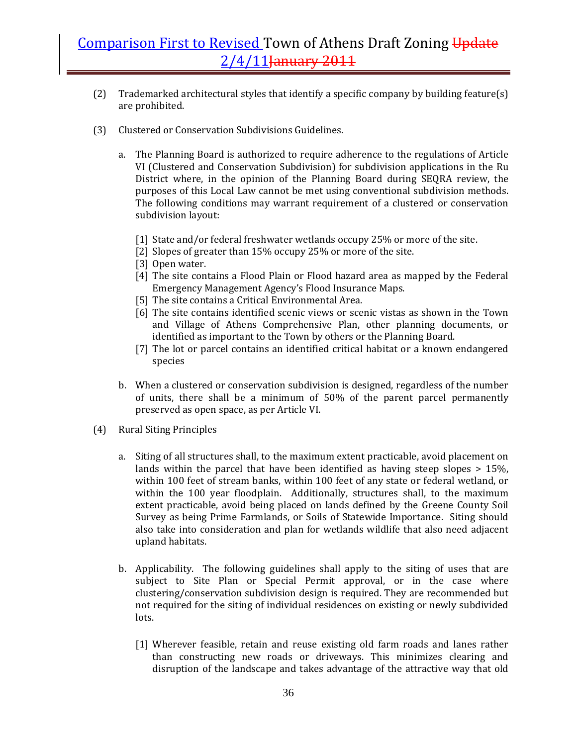- (2) Trademarked architectural styles that identify a specific company by building feature(s) are prohibited.
- (3) Clustered or Conservation Subdivisions Guidelines.
	- a. The Planning Board is authorized to require adherence to the regulations of Article VI (Clustered and Conservation Subdivision) for subdivision applications in the Ru District where, in the opinion of the Planning Board during SEQRA review, the purposes of this Local Law cannot be met using conventional subdivision methods. The following conditions may warrant requirement of a clustered or conservation subdivision layout:
		- [1] State and/or federal freshwater wetlands occupy 25% or more of the site.
		- [2] Slopes of greater than 15% occupy 25% or more of the site.
		- [3] Open water.
		- [4] The site contains a Flood Plain or Flood hazard area as mapped by the Federal Emergency Management Agency's Flood Insurance Maps.
		- [5] The site contains a Critical Environmental Area.
		- [6] The site contains identified scenic views or scenic vistas as shown in the Town and Village of Athens Comprehensive Plan, other planning documents, or identified as important to the Town by others or the Planning Board.
		- [7] The lot or parcel contains an identified critical habitat or a known endangered species
	- b. When a clustered or conservation subdivision is designed, regardless of the number of units, there shall be a minimum of 50% of the parent parcel permanently preserved as open space, as per Article VI.
- (4) Rural Siting Principles
	- a. Siting of all structures shall, to the maximum extent practicable, avoid placement on lands within the parcel that have been identified as having steep slopes  $> 15\%$ . within 100 feet of stream banks, within 100 feet of any state or federal wetland, or within the 100 year floodplain. Additionally, structures shall, to the maximum extent practicable, avoid being placed on lands defined by the Greene County Soil Survey as being Prime Farmlands, or Soils of Statewide Importance. Siting should also take into consideration and plan for wetlands wildlife that also need adjacent upland habitats.
	- b. Applicability. The following guidelines shall apply to the siting of uses that are subject to Site Plan or Special Permit approval, or in the case where clustering/conservation subdivision design is required. They are recommended but not required for the siting of individual residences on existing or newly subdivided lots.
		- [1] Wherever feasible, retain and reuse existing old farm roads and lanes rather than constructing new roads or driveways. This minimizes clearing and disruption of the landscape and takes advantage of the attractive way that old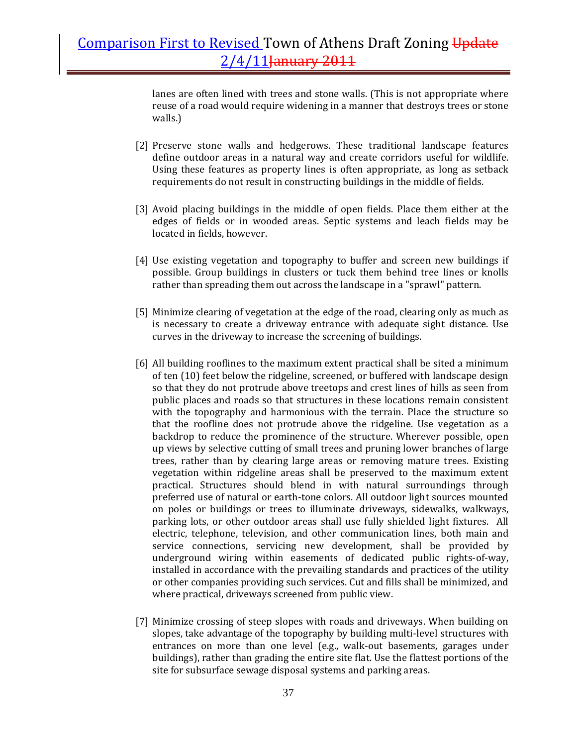lanes are often lined with trees and stone walls. (This is not appropriate where reuse of a road would require widening in a manner that destroys trees or stone walls.)

- [2] Preserve stone walls and hedgerows. These traditional landscape features define outdoor areas in a natural way and create corridors useful for wildlife. Using these features as property lines is often appropriate, as long as setback requirements do not result in constructing buildings in the middle of fields.
- [3] Avoid placing buildings in the middle of open fields. Place them either at the edges of fields or in wooded areas. Septic systems and leach fields may be located in fields, however.
- [4] Use existing vegetation and topography to buffer and screen new buildings if possible. Group buildings in clusters or tuck them behind tree lines or knolls rather than spreading them out across the landscape in a "sprawl" pattern.
- [5] Minimize clearing of vegetation at the edge of the road, clearing only as much as is necessary to create a driveway entrance with adequate sight distance. Use curves in the driveway to increase the screening of buildings.
- [6] All building rooflines to the maximum extent practical shall be sited a minimum of ten (10) feet below the ridgeline, screened, or buffered with landscape design so that they do not protrude above treetops and crest lines of hills as seen from public places and roads so that structures in these locations remain consistent with the topography and harmonious with the terrain. Place the structure so that the roofline does not protrude above the ridgeline. Use vegetation as a backdrop to reduce the prominence of the structure. Wherever possible, open up views by selective cutting of small trees and pruning lower branches of large trees, rather than by clearing large areas or removing mature trees. Existing vegetation within ridgeline areas shall be preserved to the maximum extent practical. Structures should blend in with natural surroundings through preferred use of natural or earth‐tone colors. All outdoor light sources mounted on poles or buildings or trees to illuminate driveways, sidewalks, walkways, parking lots, or other outdoor areas shall use fully shielded light fixtures. All electric, telephone, television, and other communication lines, both main and service connections, servicing new development, shall be provided by underground wiring within easements of dedicated public rights‐of‐way, installed in accordance with the prevailing standards and practices of the utility or other companies providing such services. Cut and fills shall be minimized, and where practical, driveways screened from public view.
- [7] Minimize crossing of steep slopes with roads and driveways. When building on slopes, take advantage of the topography by building multi‐level structures with entrances on more than one level (e.g., walk‐out basements, garages under buildings), rather than grading the entire site flat. Use the flattest portions of the site for subsurface sewage disposal systems and parking areas.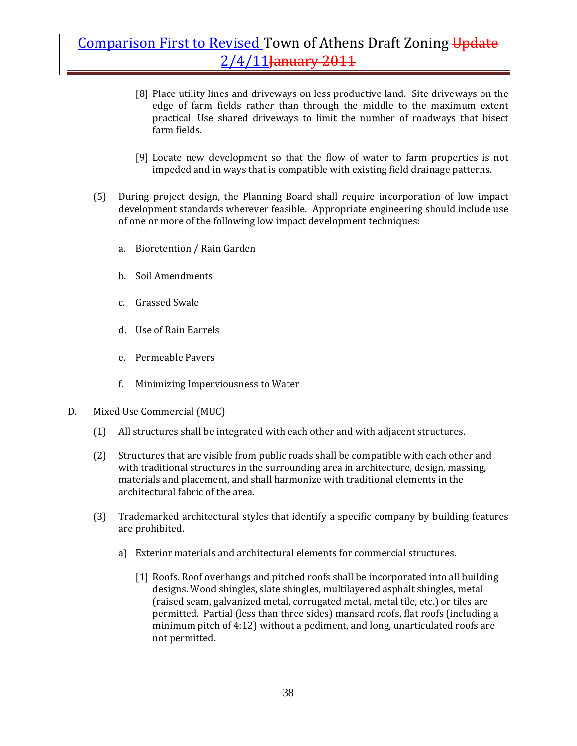- [8] Place utility lines and driveways on less productive land. Site driveways on the edge of farm fields rather than through the middle to the maximum extent practical. Use shared driveways to limit the number of roadways that bisect farm fields.
- [9] Locate new development so that the flow of water to farm properties is not impeded and in ways that is compatible with existing field drainage patterns.
- (5) During project design, the Planning Board shall require incorporation of low impact development standards wherever feasible. Appropriate engineering should include use of one or more of the following low impact development techniques:
	- a. Bioretention / Rain Garden
	- b. Soil Amendments
	- c. Grassed Swale
	- d. Use of Rain Barrels
	- e. Permeable Pavers
	- f. Minimizing Imperviousness to Water
- D. Mixed Use Commercial (MUC)
	- (1) All structures shall be integrated with each other and with adjacent structures.
	- (2) Structures that are visible from public roads shall be compatible with each other and with traditional structures in the surrounding area in architecture, design, massing, materials and placement, and shall harmonize with traditional elements in the architectural fabric of the area.
	- (3) Trademarked architectural styles that identify a specific company by building features are prohibited.
		- a) Exterior materials and architectural elements for commercial structures.
			- [1] Roofs. Roof overhangs and pitched roofs shall be incorporated into all building designs. Wood shingles, slate shingles, multilayered asphalt shingles, metal (raised seam, galvanized metal, corrugated metal, metal tile, etc.) or tiles are permitted. Partial (less than three sides) mansard roofs, flat roofs (including a minimum pitch of 4:12) without a pediment, and long, unarticulated roofs are not permitted.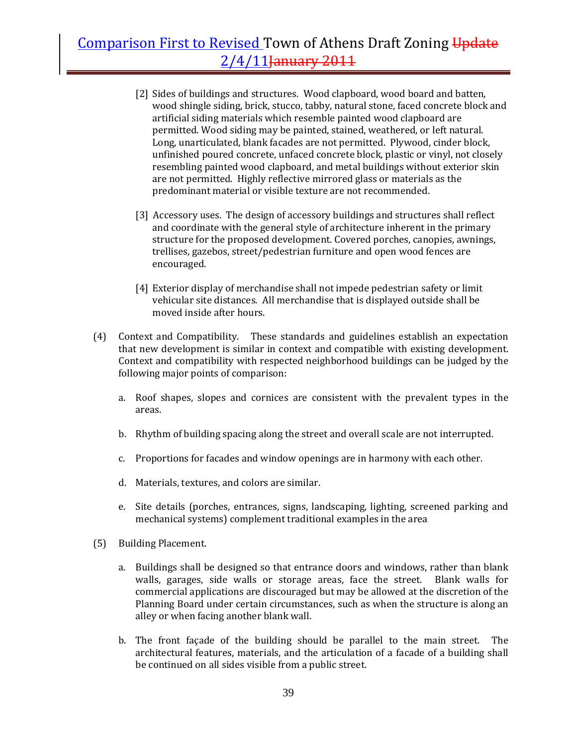- [2] Sides of buildings and structures. Wood clapboard, wood board and batten, wood shingle siding, brick, stucco, tabby, natural stone, faced concrete block and artificial siding materials which resemble painted wood clapboard are permitted. Wood siding may be painted, stained, weathered, or left natural. Long, unarticulated, blank facades are not permitted. Plywood, cinder block, unfinished poured concrete, unfaced concrete block, plastic or vinyl, not closely resembling painted wood clapboard, and metal buildings without exterior skin are not permitted. Highly reflective mirrored glass or materials as the predominant material or visible texture are not recommended.
- [3] Accessory uses. The design of accessory buildings and structures shall reflect and coordinate with the general style of architecture inherent in the primary structure for the proposed development. Covered porches, canopies, awnings, trellises, gazebos, street/pedestrian furniture and open wood fences are encouraged.
- [4] Exterior display of merchandise shall not impede pedestrian safety or limit vehicular site distances. All merchandise that is displayed outside shall be moved inside after hours.
- (4) Context and Compatibility. These standards and guidelines establish an expectation that new development is similar in context and compatible with existing development. Context and compatibility with respected neighborhood buildings can be judged by the following major points of comparison:
	- a. Roof shapes, slopes and cornices are consistent with the prevalent types in the areas.
	- b. Rhythm of building spacing along the street and overall scale are not interrupted.
	- c. Proportions for facades and window openings are in harmony with each other.
	- d. Materials, textures, and colors are similar.
	- e. Site details (porches, entrances, signs, landscaping, lighting, screened parking and mechanical systems) complement traditional examples in the area
- (5) Building Placement.
	- a. Buildings shall be designed so that entrance doors and windows, rather than blank walls, garages, side walls or storage areas, face the street. Blank walls for commercial applications are discouraged but may be allowed at the discretion of the Planning Board under certain circumstances, such as when the structure is along an alley or when facing another blank wall.
	- b. The front façade of the building should be parallel to the main street. The architectural features, materials, and the articulation of a facade of a building shall be continued on all sides visible from a public street.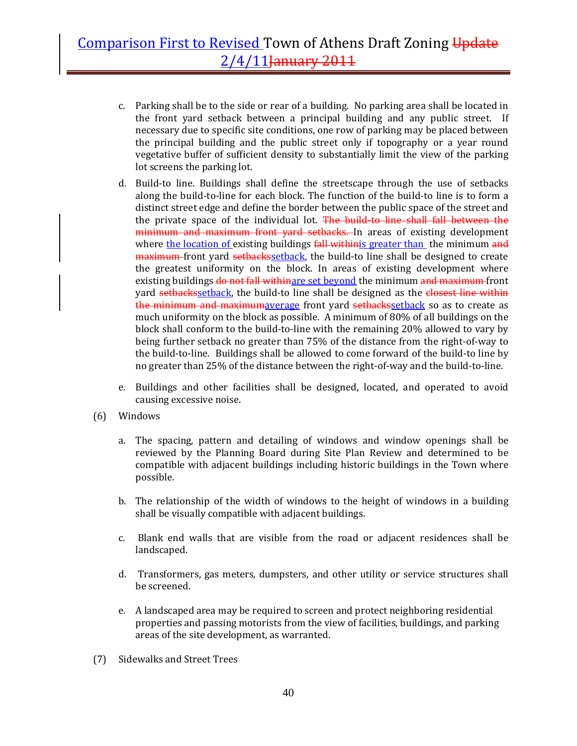- c. Parking shall be to the side or rear of a building. No parking area shall be located in the front yard setback between a principal building and any public street. If necessary due to specific site conditions, one row of parking may be placed between the principal building and the public street only if topography or a year round vegetative buffer of sufficient density to substantially limit the view of the parking lot screens the parking lot.
- d. Build-to line. Buildings shall define the streetscape through the use of setbacks along the build‐to‐line for each block. The function of the build‐to line is to form a distinct street edge and define the border between the public space of the street and the private space of the individual lot. The build-to line shall fall between the minimum and maximum front yard setbacks. In areas of existing development where the location of existing buildings fall withing greater than the minimum and maximum front yard setbackssetback, the build-to line shall be designed to create the greatest uniformity on the block. In areas of existing development where existing buildings do not fall withinare set beyond the minimum and maximum front yard setbackssetback, the build-to line shall be designed as the closest line within the minimum and maximumaverage front yard setbackssetback so as to create as much uniformity on the block as possible. A minimum of 80% of all buildings on the block shall conform to the build‐to‐line with the remaining 20% allowed to vary by being further setback no greater than 75% of the distance from the right‐of‐way to the build‐to‐line. Buildings shall be allowed to come forward of the build‐to line by no greater than 25% of the distance between the right-of-way and the build-to-line.
- e. Buildings and other facilities shall be designed, located, and operated to avoid causing excessive noise.
- (6) Windows
	- a. The spacing, pattern and detailing of windows and window openings shall be reviewed by the Planning Board during Site Plan Review and determined to be compatible with adjacent buildings including historic buildings in the Town where possible.
	- b. The relationship of the width of windows to the height of windows in a building shall be visually compatible with adjacent buildings.
	- c. Blank end walls that are visible from the road or adjacent residences shall be landscaped.
	- d. Transformers, gas meters, dumpsters, and other utility or service structures shall be screened.
	- e. A landscaped area may be required to screen and protect neighboring residential properties and passing motorists from the view of facilities, buildings, and parking areas of the site development, as warranted.
- (7) Sidewalks and Street Trees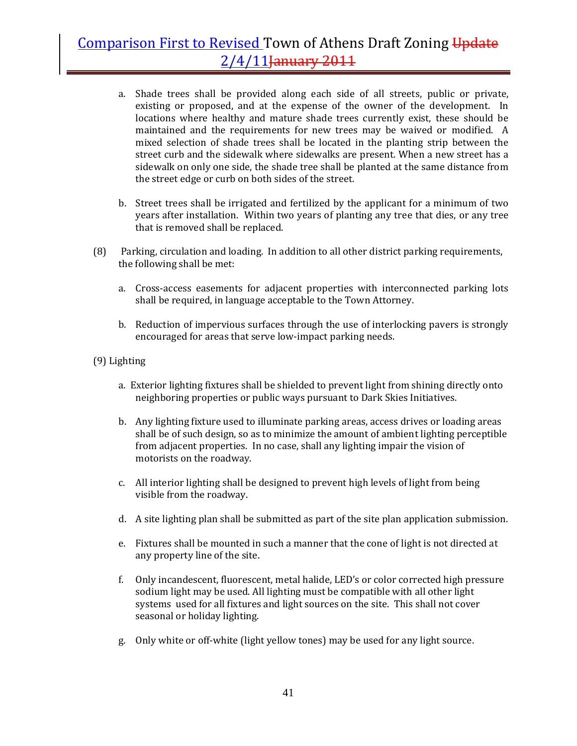- a. Shade trees shall be provided along each side of all streets, public or private, existing or proposed, and at the expense of the owner of the development. In locations where healthy and mature shade trees currently exist, these should be maintained and the requirements for new trees may be waived or modified. A mixed selection of shade trees shall be located in the planting strip between the street curb and the sidewalk where sidewalks are present. When a new street has a sidewalk on only one side, the shade tree shall be planted at the same distance from the street edge or curb on both sides of the street.
- b. Street trees shall be irrigated and fertilized by the applicant for a minimum of two years after installation. Within two years of planting any tree that dies, or any tree that is removed shall be replaced.
- (8) Parking, circulation and loading. In addition to all other district parking requirements, the following shall be met:
	- a. Cross-access easements for adjacent properties with interconnected parking lots shall be required, in language acceptable to the Town Attorney.
	- b. Reduction of impervious surfaces through the use of interlocking pavers is strongly encouraged for areas that serve low-impact parking needs.

#### (9) Lighting

- a. Exterior lighting fixtures shall be shielded to prevent light from shining directly onto neighboring properties or public ways pursuant to Dark Skies Initiatives.
- b. Any lighting fixture used to illuminate parking areas, access drives or loading areas shall be of such design, so as to minimize the amount of ambient lighting perceptible from adjacent properties. In no case, shall any lighting impair the vision of motorists on the roadway.
- c. All interior lighting shall be designed to prevent high levels of light from being visible from the roadway.
- d. A site lighting plan shall be submitted as part of the site plan application submission.
- e. Fixtures shall be mounted in such a manner that the cone of light is not directed at any property line of the site.
- f. Only incandescent, fluorescent, metal halide, LED's or color corrected high pressure sodium light may be used. All lighting must be compatible with all other light systems used for all fixtures and light sources on the site. This shall not cover seasonal or holiday lighting.
- g. Only white or off‐white (light yellow tones) may be used for any light source.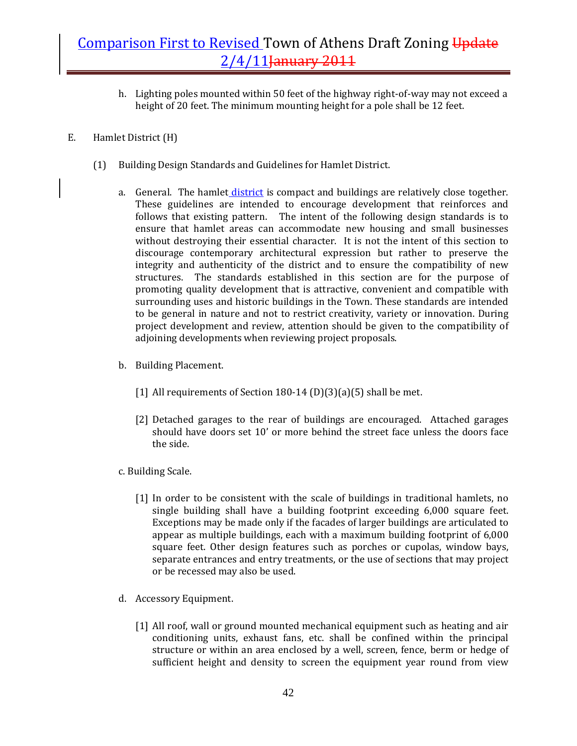- h. Lighting poles mounted within 50 feet of the highway right‐of‐way may not exceed a height of 20 feet. The minimum mounting height for a pole shall be 12 feet.
- E. Hamlet District (H)
	- (1) Building Design Standards and Guidelines for Hamlet District.
		- a. General. The hamlet district is compact and buildings are relatively close together. These guidelines are intended to encourage development that reinforces and follows that existing pattern. The intent of the following design standards is to ensure that hamlet areas can accommodate new housing and small businesses without destroying their essential character. It is not the intent of this section to discourage contemporary architectural expression but rather to preserve the integrity and authenticity of the district and to ensure the compatibility of new structures. The standards established in this section are for the purpose of promoting quality development that is attractive, convenient and compatible with surrounding uses and historic buildings in the Town. These standards are intended to be general in nature and not to restrict creativity, variety or innovation. During project development and review, attention should be given to the compatibility of adjoining developments when reviewing project proposals.
		- b. Building Placement.
			- [1] All requirements of Section 180-14 (D)(3)(a)(5) shall be met.
			- [2] Detached garages to the rear of buildings are encouraged. Attached garages should have doors set 10' or more behind the street face unless the doors face the side.
		- c. Building Scale.
			- [1] In order to be consistent with the scale of buildings in traditional hamlets, no single building shall have a building footprint exceeding 6,000 square feet. Exceptions may be made only if the facades of larger buildings are articulated to appear as multiple buildings, each with a maximum building footprint of 6,000 square feet. Other design features such as porches or cupolas, window bays, separate entrances and entry treatments, or the use of sections that may project or be recessed may also be used.
		- d. Accessory Equipment.
			- [1] All roof, wall or ground mounted mechanical equipment such as heating and air conditioning units, exhaust fans, etc. shall be confined within the principal structure or within an area enclosed by a well, screen, fence, berm or hedge of sufficient height and density to screen the equipment year round from view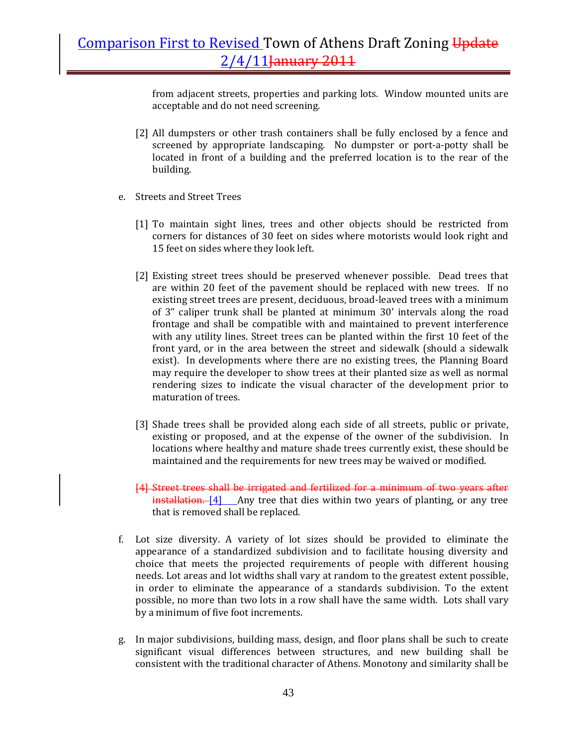from adjacent streets, properties and parking lots. Window mounted units are acceptable and do not need screening.

- [2] All dumpsters or other trash containers shall be fully enclosed by a fence and screened by appropriate landscaping. No dumpster or port-a-potty shall be located in front of a building and the preferred location is to the rear of the building.
- e. Streets and Street Trees
	- [1] To maintain sight lines, trees and other objects should be restricted from corners for distances of 30 feet on sides where motorists would look right and 15 feet on sides where they look left.
	- [2] Existing street trees should be preserved whenever possible. Dead trees that are within 20 feet of the pavement should be replaced with new trees. If no existing street trees are present, deciduous, broad‐leaved trees with a minimum of 3" caliper trunk shall be planted at minimum 30' intervals along the road frontage and shall be compatible with and maintained to prevent interference with any utility lines. Street trees can be planted within the first 10 feet of the front yard, or in the area between the street and sidewalk (should a sidewalk exist). In developments where there are no existing trees, the Planning Board may require the developer to show trees at their planted size as well as normal rendering sizes to indicate the visual character of the development prior to maturation of trees.
	- [3] Shade trees shall be provided along each side of all streets, public or private, existing or proposed, and at the expense of the owner of the subdivision. In locations where healthy and mature shade trees currently exist, these should be maintained and the requirements for new trees may be waived or modified.
	- [4] Street trees shall be irrigated and fertilized for a minimum of two years after  $intallation. [4]$  Any tree that dies within two years of planting, or any tree that is removed shall be replaced.
- f. Lot size diversity. A variety of lot sizes should be provided to eliminate the appearance of a standardized subdivision and to facilitate housing diversity and choice that meets the projected requirements of people with different housing needs. Lot areas and lot widths shall vary at random to the greatest extent possible, in order to eliminate the appearance of a standards subdivision. To the extent possible, no more than two lots in a row shall have the same width. Lots shall vary by a minimum of five foot increments.
- g. In major subdivisions, building mass, design, and floor plans shall be such to create significant visual differences between structures, and new building shall be consistent with the traditional character of Athens. Monotony and similarity shall be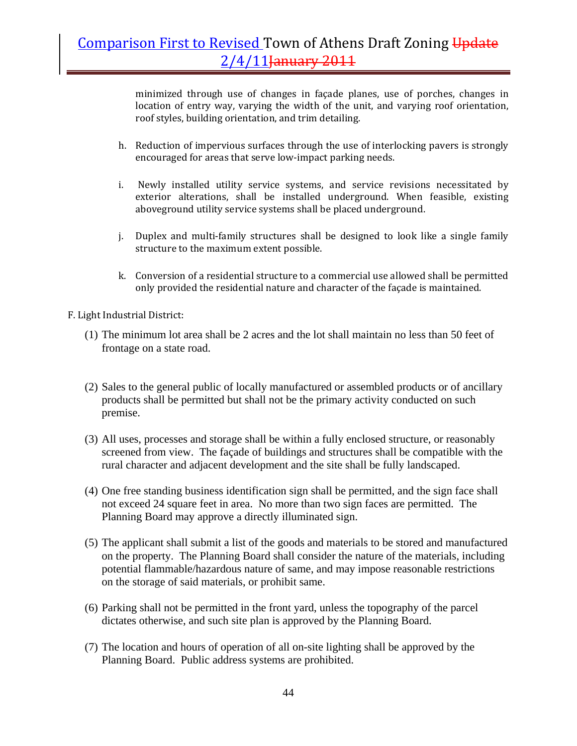minimized through use of changes in façade planes, use of porches, changes in location of entry way, varying the width of the unit, and varying roof orientation, roof styles, building orientation, and trim detailing.

- h. Reduction of impervious surfaces through the use of interlocking pavers is strongly encouraged for areas that serve low‐impact parking needs.
- i. Newly installed utility service systems, and service revisions necessitated by exterior alterations, shall be installed underground. When feasible, existing aboveground utility service systems shall be placed underground.
- j. Duplex and multi-family structures shall be designed to look like a single family structure to the maximum extent possible.
- k. Conversion of a residential structure to a commercial use allowed shall be permitted only provided the residential nature and character of the façade is maintained.
- F. Light Industrial District:
	- (1) The minimum lot area shall be 2 acres and the lot shall maintain no less than 50 feet of frontage on a state road.
	- (2) Sales to the general public of locally manufactured or assembled products or of ancillary products shall be permitted but shall not be the primary activity conducted on such premise.
	- (3) All uses, processes and storage shall be within a fully enclosed structure, or reasonably screened from view. The façade of buildings and structures shall be compatible with the rural character and adjacent development and the site shall be fully landscaped.
	- (4) One free standing business identification sign shall be permitted, and the sign face shall not exceed 24 square feet in area. No more than two sign faces are permitted. The Planning Board may approve a directly illuminated sign.
	- (5) The applicant shall submit a list of the goods and materials to be stored and manufactured on the property. The Planning Board shall consider the nature of the materials, including potential flammable/hazardous nature of same, and may impose reasonable restrictions on the storage of said materials, or prohibit same.
	- (6) Parking shall not be permitted in the front yard, unless the topography of the parcel dictates otherwise, and such site plan is approved by the Planning Board.
	- (7) The location and hours of operation of all on-site lighting shall be approved by the Planning Board. Public address systems are prohibited.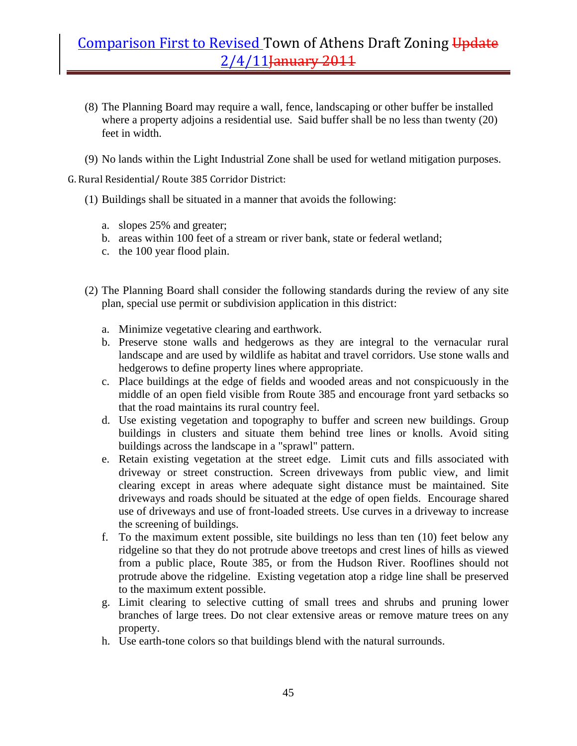- (8) The Planning Board may require a wall, fence, landscaping or other buffer be installed where a property adjoins a residential use. Said buffer shall be no less than twenty (20) feet in width.
- (9) No lands within the Light Industrial Zone shall be used for wetland mitigation purposes.
- G. Rural Residential/ Route 385 Corridor District:
	- (1) Buildings shall be situated in a manner that avoids the following:
		- a. slopes 25% and greater;
		- b. areas within 100 feet of a stream or river bank, state or federal wetland;
		- c. the 100 year flood plain.
	- (2) The Planning Board shall consider the following standards during the review of any site plan, special use permit or subdivision application in this district:
		- a. Minimize vegetative clearing and earthwork.
		- b. Preserve stone walls and hedgerows as they are integral to the vernacular rural landscape and are used by wildlife as habitat and travel corridors. Use stone walls and hedgerows to define property lines where appropriate.
		- c. Place buildings at the edge of fields and wooded areas and not conspicuously in the middle of an open field visible from Route 385 and encourage front yard setbacks so that the road maintains its rural country feel.
		- d. Use existing vegetation and topography to buffer and screen new buildings. Group buildings in clusters and situate them behind tree lines or knolls. Avoid siting buildings across the landscape in a "sprawl" pattern.
		- e. Retain existing vegetation at the street edge. Limit cuts and fills associated with driveway or street construction. Screen driveways from public view, and limit clearing except in areas where adequate sight distance must be maintained. Site driveways and roads should be situated at the edge of open fields. Encourage shared use of driveways and use of front-loaded streets. Use curves in a driveway to increase the screening of buildings.
		- f. To the maximum extent possible, site buildings no less than ten (10) feet below any ridgeline so that they do not protrude above treetops and crest lines of hills as viewed from a public place, Route 385, or from the Hudson River. Rooflines should not protrude above the ridgeline. Existing vegetation atop a ridge line shall be preserved to the maximum extent possible.
		- g. Limit clearing to selective cutting of small trees and shrubs and pruning lower branches of large trees. Do not clear extensive areas or remove mature trees on any property.
		- h. Use earth-tone colors so that buildings blend with the natural surrounds.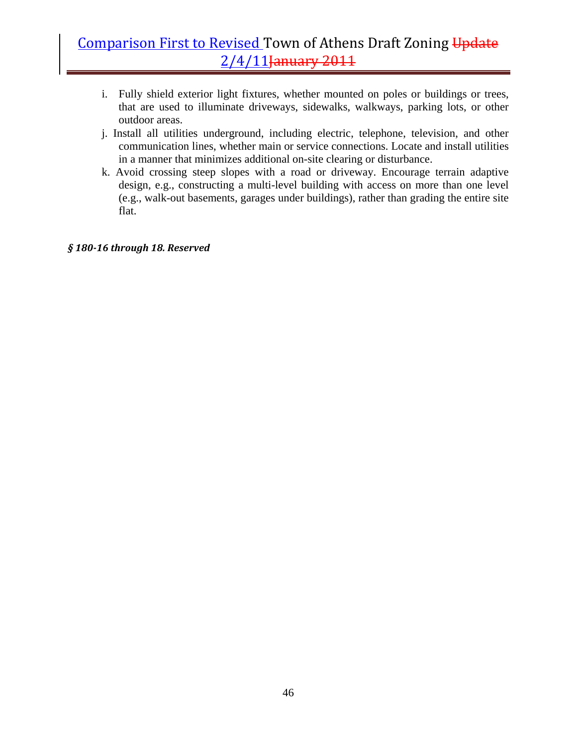- i. Fully shield exterior light fixtures, whether mounted on poles or buildings or trees, that are used to illuminate driveways, sidewalks, walkways, parking lots, or other outdoor areas.
- j. Install all utilities underground, including electric, telephone, television, and other communication lines, whether main or service connections. Locate and install utilities in a manner that minimizes additional on-site clearing or disturbance.
- k. Avoid crossing steep slopes with a road or driveway. Encourage terrain adaptive design, e.g., constructing a multi-level building with access on more than one level (e.g., walk-out basements, garages under buildings), rather than grading the entire site flat.

#### *§ 18016 through 18. Reserved*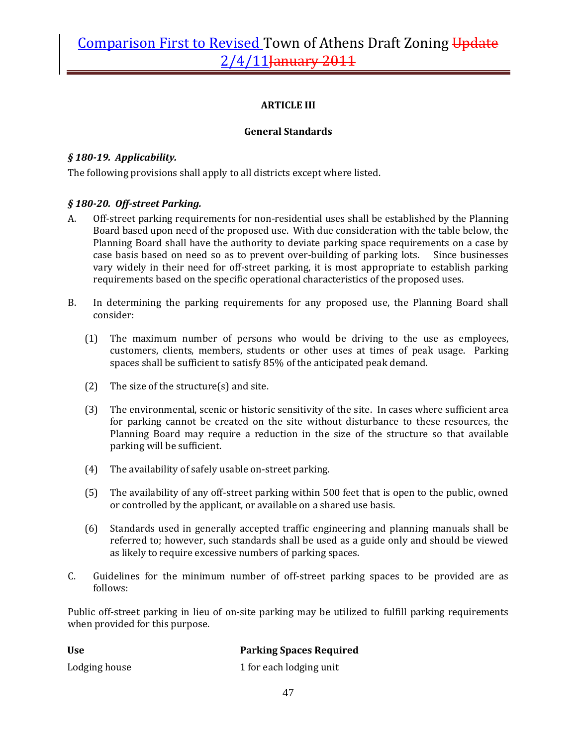### **ARTICLE III**

### **General Standards**

### *§ 18019. Applicability.*

The following provisions shall apply to all districts except where listed.

### *§ 18020. Offstreet Parking.*

- A. Off-street parking requirements for non-residential uses shall be established by the Planning Board based upon need of the proposed use. With due consideration with the table below, the Planning Board shall have the authority to deviate parking space requirements on a case by case basis based on need so as to prevent over-building of parking lots. Since businesses vary widely in their need for off‐street parking, it is most appropriate to establish parking requirements based on the specific operational characteristics of the proposed uses.
- B. In determining the parking requirements for any proposed use, the Planning Board shall consider:
	- (1) The maximum number of persons who would be driving to the use as employees, customers, clients, members, students or other uses at times of peak usage. Parking spaces shall be sufficient to satisfy 85% of the anticipated peak demand.
	- (2) The size of the structure(s) and site.
	- (3) The environmental, scenic or historic sensitivity of the site. In cases where sufficient area for parking cannot be created on the site without disturbance to these resources, the Planning Board may require a reduction in the size of the structure so that available parking will be sufficient.
	- (4) The availability of safely usable on‐street parking.
	- (5) The availability of any off‐street parking within 500 feet that is open to the public, owned or controlled by the applicant, or available on a shared use basis.
	- (6) Standards used in generally accepted traffic engineering and planning manuals shall be referred to; however, such standards shall be used as a guide only and should be viewed as likely to require excessive numbers of parking spaces.
- C. Guidelines for the minimum number of off‐street parking spaces to be provided are as follows:

Public off-street parking in lieu of on-site parking may be utilized to fulfill parking requirements when provided for this purpose.

| <b>Use</b>    | <b>Parking Spaces Required</b> |
|---------------|--------------------------------|
| Lodging house | 1 for each lodging unit        |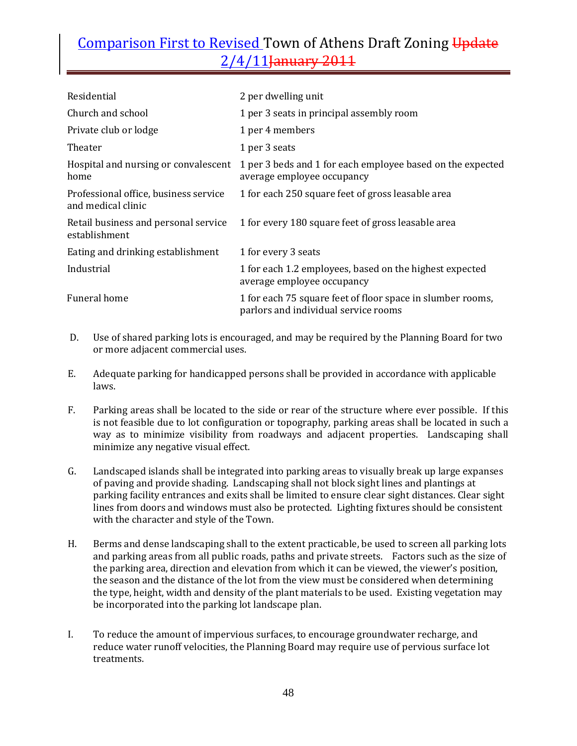| Residential                                                 | 2 per dwelling unit                                                                                |
|-------------------------------------------------------------|----------------------------------------------------------------------------------------------------|
| Church and school                                           | 1 per 3 seats in principal assembly room                                                           |
| Private club or lodge                                       | 1 per 4 members                                                                                    |
| Theater                                                     | 1 per 3 seats                                                                                      |
| Hospital and nursing or convalescent<br>home                | 1 per 3 beds and 1 for each employee based on the expected<br>average employee occupancy           |
| Professional office, business service<br>and medical clinic | 1 for each 250 square feet of gross leasable area                                                  |
| Retail business and personal service<br>establishment       | 1 for every 180 square feet of gross leasable area                                                 |
| Eating and drinking establishment                           | 1 for every 3 seats                                                                                |
| Industrial                                                  | 1 for each 1.2 employees, based on the highest expected<br>average employee occupancy              |
| Funeral home                                                | 1 for each 75 square feet of floor space in slumber rooms,<br>parlors and individual service rooms |

- D. Use of shared parking lots is encouraged, and may be required by the Planning Board for two or more adjacent commercial uses.
- E. Adequate parking for handicapped persons shall be provided in accordance with applicable laws.
- F. Parking areas shall be located to the side or rear of the structure where ever possible. If this is not feasible due to lot configuration or topography, parking areas shall be located in such a way as to minimize visibility from roadways and adjacent properties. Landscaping shall minimize any negative visual effect.
- G. Landscaped islands shall be integrated into parking areas to visually break up large expanses of paving and provide shading. Landscaping shall not block sight lines and plantings at parking facility entrances and exits shall be limited to ensure clear sight distances. Clear sight lines from doors and windows must also be protected. Lighting fixtures should be consistent with the character and style of the Town.
- H. Berms and dense landscaping shall to the extent practicable, be used to screen all parking lots and parking areas from all public roads, paths and private streets. Factors such as the size of the parking area, direction and elevation from which it can be viewed, the viewer's position, the season and the distance of the lot from the view must be considered when determining the type, height, width and density of the plant materials to be used. Existing vegetation may be incorporated into the parking lot landscape plan.
- I. To reduce the amount of impervious surfaces, to encourage groundwater recharge, and reduce water runoff velocities, the Planning Board may require use of pervious surface lot treatments.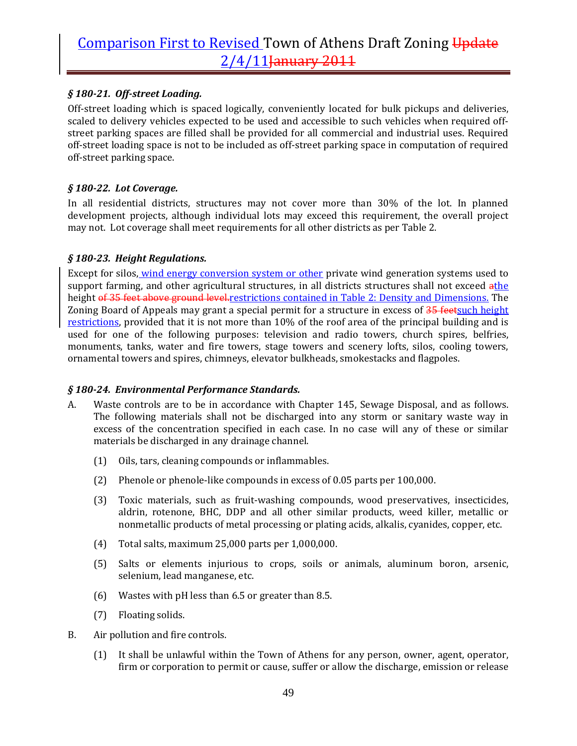### *§ 18021. Offstreet Loading.*

Off-street loading which is spaced logically, conveniently located for bulk pickups and deliveries, scaled to delivery vehicles expected to be used and accessible to such vehicles when required off‐ street parking spaces are filled shall be provided for all commercial and industrial uses. Required off‐street loading space is not to be included as off‐street parking space in computation of required off‐street parking space.

#### *§ 18022. Lot Coverage.*

In all residential districts, structures may not cover more than 30% of the lot. In planned development projects, although individual lots may exceed this requirement, the overall project may not. Lot coverage shall meet requirements for all other districts as per Table 2.

#### *§ 18023. Height Regulations.*

Except for silos, wind energy conversion system or other private wind generation systems used to support farming, and other agricultural structures, in all districts structures shall not exceed athe height of 35 feet above ground level restrictions contained in Table 2: Density and Dimensions. The Zoning Board of Appeals may grant a special permit for a structure in excess of 35 feetsuch height restrictions, provided that it is not more than 10% of the roof area of the principal building and is used for one of the following purposes: television and radio towers, church spires, belfries, monuments, tanks, water and fire towers, stage towers and scenery lofts, silos, cooling towers, ornamental towers and spires, chimneys, elevator bulkheads, smokestacks and flagpoles.

#### *§ 18024. Environmental Performance Standards.*

- A. Waste controls are to be in accordance with Chapter 145, Sewage Disposal, and as follows. The following materials shall not be discharged into any storm or sanitary waste way in excess of the concentration specified in each case. In no case will any of these or similar materials be discharged in any drainage channel.
	- (1) Oils, tars, cleaning compounds or inflammables.
	- (2) Phenole or phenole‐like compounds in excess of 0.05 parts per 100,000.
	- (3) Toxic materials, such as fruit‐washing compounds, wood preservatives, insecticides, aldrin, rotenone, BHC, DDP and all other similar products, weed killer, metallic or nonmetallic products of metal processing or plating acids, alkalis, cyanides, copper, etc.
	- (4) Total salts, maximum 25,000 parts per 1,000,000.
	- (5) Salts or elements injurious to crops, soils or animals, aluminum boron, arsenic, selenium, lead manganese, etc.
	- (6) Wastes with pH less than 6.5 or greater than 8.5.
	- (7) Floating solids.
- B. Air pollution and fire controls.
	- (1) It shall be unlawful within the Town of Athens for any person, owner, agent, operator, firm or corporation to permit or cause, suffer or allow the discharge, emission or release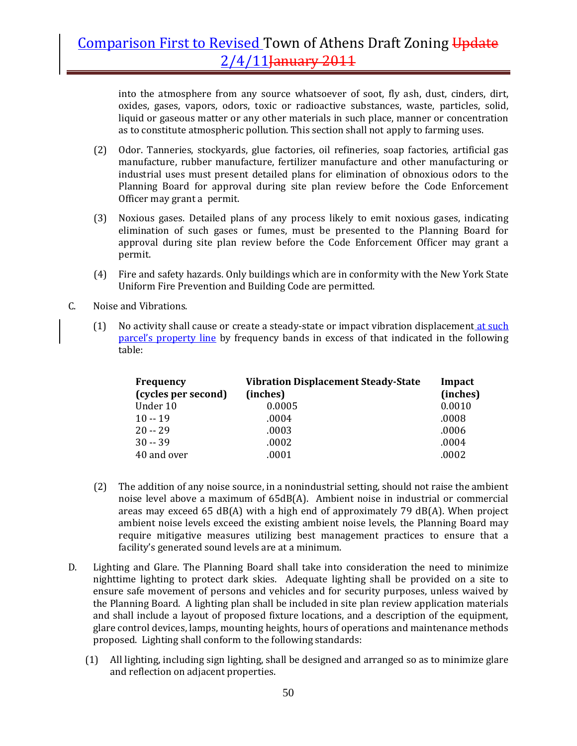into the atmosphere from any source whatsoever of soot, fly ash, dust, cinders, dirt, oxides, gases, vapors, odors, toxic or radioactive substances, waste, particles, solid, liquid or gaseous matter or any other materials in such place, manner or concentration as to constitute atmospheric pollution. This section shall not apply to farming uses.

- (2) Odor. Tanneries, stockyards, glue factories, oil refineries, soap factories, artificial gas manufacture, rubber manufacture, fertilizer manufacture and other manufacturing or industrial uses must present detailed plans for elimination of obnoxious odors to the Planning Board for approval during site plan review before the Code Enforcement Officer may grant a permit.
- (3) Noxious gases. Detailed plans of any process likely to emit noxious gases, indicating elimination of such gases or fumes, must be presented to the Planning Board for approval during site plan review before the Code Enforcement Officer may grant a permit.
- (4) Fire and safety hazards. Only buildings which are in conformity with the New York State Uniform Fire Prevention and Building Code are permitted.
- C. Noise and Vibrations.
	- (1) No activity shall cause or create a steady-state or impact vibration displacement at such parcel's property line by frequency bands in excess of that indicated in the following table:

| <b>Frequency</b>    | <b>Vibration Displacement Steady-State</b> | Impact   |
|---------------------|--------------------------------------------|----------|
| (cycles per second) | (inches)                                   | (inches) |
| Under 10            | 0.0005                                     | 0.0010   |
| $10 - 19$           | .0004                                      | .0008    |
| $20 - 29$           | .0003                                      | .0006    |
| $30 - 39$           | .0002                                      | .0004    |
| 40 and over         | .0001                                      | .0002    |

- (2) The addition of any noise source, in a nonindustrial setting, should not raise the ambient noise level above a maximum of  $65dB(A)$ . Ambient noise in industrial or commercial areas may exceed 65 dB(A) with a high end of approximately 79 dB(A). When project ambient noise levels exceed the existing ambient noise levels, the Planning Board may require mitigative measures utilizing best management practices to ensure that a facility's generated sound levels are at a minimum.
- D. Lighting and Glare. The Planning Board shall take into consideration the need to minimize nighttime lighting to protect dark skies. Adequate lighting shall be provided on a site to ensure safe movement of persons and vehicles and for security purposes, unless waived by the Planning Board. A lighting plan shall be included in site plan review application materials and shall include a layout of proposed fixture locations, and a description of the equipment, glare control devices, lamps, mounting heights, hours of operations and maintenance methods proposed. Lighting shall conform to the following standards:
	- (1) All lighting, including sign lighting, shall be designed and arranged so as to minimize glare and reflection on adjacent properties.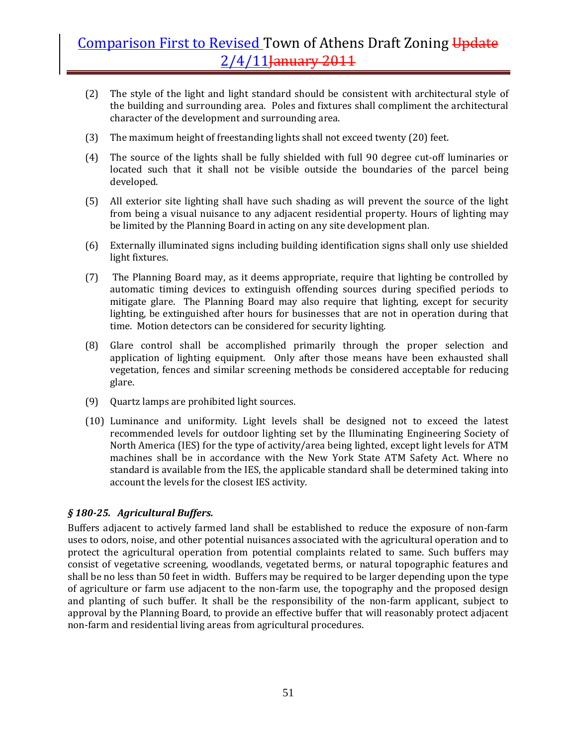- (2) The style of the light and light standard should be consistent with architectural style of the building and surrounding area. Poles and fixtures shall compliment the architectural character of the development and surrounding area.
- (3) The maximum height of freestanding lights shall not exceed twenty (20) feet.
- (4) The source of the lights shall be fully shielded with full 90 degree cut‐off luminaries or located such that it shall not be visible outside the boundaries of the parcel being developed.
- (5) All exterior site lighting shall have such shading as will prevent the source of the light from being a visual nuisance to any adjacent residential property. Hours of lighting may be limited by the Planning Board in acting on any site development plan.
- (6) Externally illuminated signs including building identification signs shall only use shielded light fixtures.
- (7) The Planning Board may, as it deems appropriate, require that lighting be controlled by automatic timing devices to extinguish offending sources during specified periods to mitigate glare. The Planning Board may also require that lighting, except for security lighting, be extinguished after hours for businesses that are not in operation during that time. Motion detectors can be considered for security lighting.
- (8) Glare control shall be accomplished primarily through the proper selection and application of lighting equipment. Only after those means have been exhausted shall vegetation, fences and similar screening methods be considered acceptable for reducing glare.
- (9) Quartz lamps are prohibited light sources.
- (10) Luminance and uniformity. Light levels shall be designed not to exceed the latest recommended levels for outdoor lighting set by the Illuminating Engineering Society of North America (IES) for the type of activity/area being lighted, except light levels for ATM machines shall be in accordance with the New York State ATM Safety Act. Where no standard is available from the IES, the applicable standard shall be determined taking into account the levels for the closest IES activity.

#### *§ 18025. Agricultural Buffers.*

Buffers adjacent to actively farmed land shall be established to reduce the exposure of non‐farm uses to odors, noise, and other potential nuisances associated with the agricultural operation and to protect the agricultural operation from potential complaints related to same. Such buffers may consist of vegetative screening, woodlands, vegetated berms, or natural topographic features and shall be no less than 50 feet in width. Buffers may be required to be larger depending upon the type of agriculture or farm use adjacent to the non‐farm use, the topography and the proposed design and planting of such buffer. It shall be the responsibility of the non‐farm applicant, subject to approval by the Planning Board, to provide an effective buffer that will reasonably protect adjacent non‐farm and residential living areas from agricultural procedures.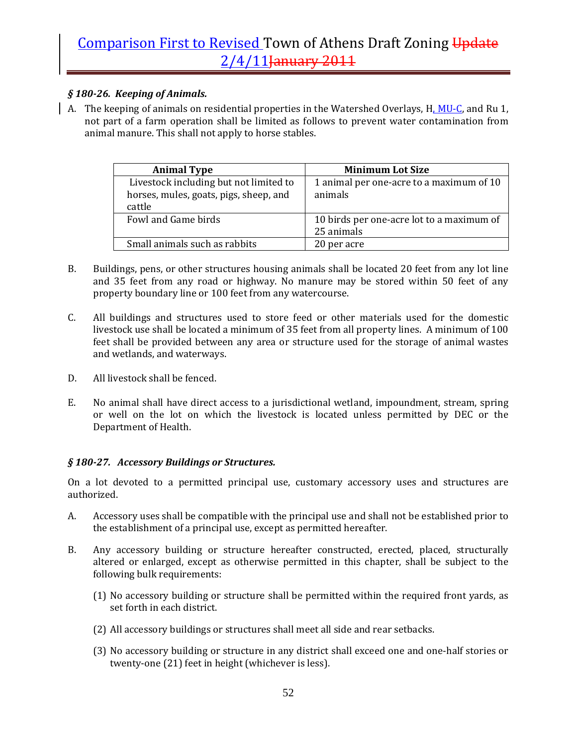### *§ 18026. Keeping of Animals.*

A. The keeping of animals on residential properties in the Watershed Overlays, H. MU-C, and Ru 1, not part of a farm operation shall be limited as follows to prevent water contamination from animal manure. This shall not apply to horse stables.

| <b>Animal Type</b>                     | <b>Minimum Lot Size</b>                   |
|----------------------------------------|-------------------------------------------|
| Livestock including but not limited to | 1 animal per one-acre to a maximum of 10  |
| horses, mules, goats, pigs, sheep, and | animals                                   |
| cattle                                 |                                           |
| Fowl and Game birds                    | 10 birds per one-acre lot to a maximum of |
|                                        | 25 animals                                |
| Small animals such as rabbits          | 20 per acre                               |

- B. Buildings, pens, or other structures housing animals shall be located 20 feet from any lot line and 35 feet from any road or highway. No manure may be stored within 50 feet of any property boundary line or 100 feet from any watercourse.
- C. All buildings and structures used to store feed or other materials used for the domestic livestock use shall be located a minimum of 35 feet from all property lines. A minimum of 100 feet shall be provided between any area or structure used for the storage of animal wastes and wetlands, and waterways.
- D. All livestock shall be fenced.
- E. No animal shall have direct access to a jurisdictional wetland, impoundment, stream, spring or well on the lot on which the livestock is located unless permitted by DEC or the Department of Health.

### *§ 18027. Accessory Buildings or Structures.*

On a lot devoted to a permitted principal use, customary accessory uses and structures are authorized.

- A. Accessory uses shall be compatible with the principal use and shall not be established prior to the establishment of a principal use, except as permitted hereafter.
- B. Any accessory building or structure hereafter constructed, erected, placed, structurally altered or enlarged, except as otherwise permitted in this chapter, shall be subject to the following bulk requirements:
	- (1) No accessory building or structure shall be permitted within the required front yards, as set forth in each district.
	- (2) All accessory buildings or structures shall meet all side and rear setbacks.
	- (3) No accessory building or structure in any district shall exceed one and one‐half stories or twenty-one (21) feet in height (whichever is less).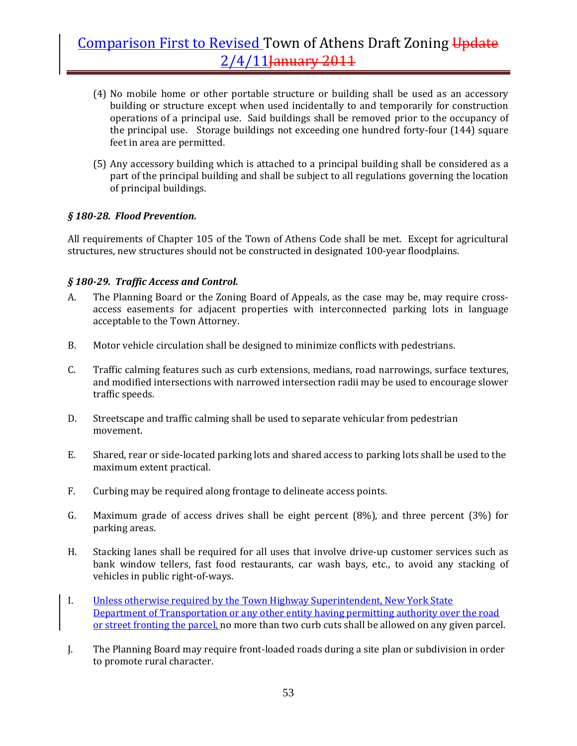- (4) No mobile home or other portable structure or building shall be used as an accessory building or structure except when used incidentally to and temporarily for construction operations of a principal use. Said buildings shall be removed prior to the occupancy of the principal use. Storage buildings not exceeding one hundred forty‐four (144) square feet in area are permitted.
- (5) Any accessory building which is attached to a principal building shall be considered as a part of the principal building and shall be subject to all regulations governing the location of principal buildings.

#### *§ 18028. Flood Prevention.*

All requirements of Chapter 105 of the Town of Athens Code shall be met. Except for agricultural structures, new structures should not be constructed in designated 100‐year floodplains.

#### *§ 18029. Traffic Access and Control.*

- A. The Planning Board or the Zoning Board of Appeals, as the case may be, may require crossaccess easements for adjacent properties with interconnected parking lots in language acceptable to the Town Attorney.
- B. Motor vehicle circulation shall be designed to minimize conflicts with pedestrians.
- C. Traffic calming features such as curb extensions, medians, road narrowings, surface textures, and modified intersections with narrowed intersection radii may be used to encourage slower traffic speeds.
- D. Streetscape and traffic calming shall be used to separate vehicular from pedestrian movement.
- E. Shared, rear or side‐located parking lots and shared access to parking lots shall be used to the maximum extent practical.
- F. Curbing may be required along frontage to delineate access points.
- G. Maximum grade of access drives shall be eight percent (8%), and three percent (3%) for parking areas.
- H. Stacking lanes shall be required for all uses that involve drive‐up customer services such as bank window tellers, fast food restaurants, car wash bays, etc., to avoid any stacking of vehicles in public right‐of‐ways.
- I. Unless otherwise required by the Town Highway Superintendent, New York State Department of Transportation or any other entity having permitting authority over the road or street fronting the parcel, no more than two curb cuts shall be allowed on any given parcel.
- J. The Planning Board may require front‐loaded roads during a site plan or subdivision in order to promote rural character.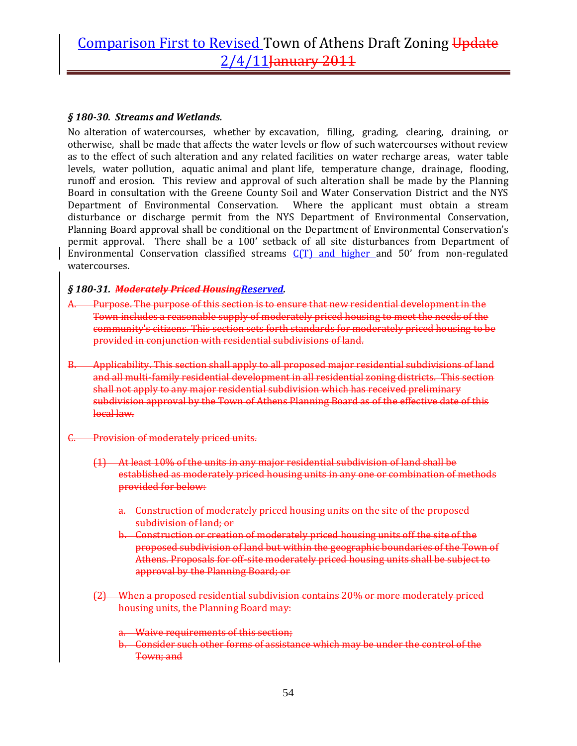#### *§ 18030. Streams and Wetlands.*

No alteration of watercourses, whether by excavation, filling, grading, clearing, draining, or otherwise, shall be made that affects the water levels or flow of such watercourses without review as to the effect of such alteration and any related facilities on water recharge areas, water table levels, water pollution, aquatic animal and plant life, temperature change, drainage, flooding, runoff and erosion. This review and approval of such alteration shall be made by the Planning Board in consultation with the Greene County Soil and Water Conservation District and the NYS Department of Environmental Conservation. Where the applicant must obtain a stream disturbance or discharge permit from the NYS Department of Environmental Conservation, Planning Board approval shall be conditional on the Department of Environmental Conservation's permit approval. There shall be a 100' setback of all site disturbances from Department of Environmental Conservation classified streams  $C(T)$  and higher and 50' from non-regulated watercourses.

#### *§ 18031. Moderately Priced HousingReserved.*

- A. Purpose. The purpose of this section is to ensure that new residential development in the Town includes a reasonable supply of moderately priced housing to meet the needs of the community's citizens. This section sets forth standards for moderately priced housing to be provided in conjunction with residential subdivisions of land.
- B. Applicability. This section shall apply to all proposed major residential subdivisions of land and all multi‐family residential development in all residential zoning districts. This section shall not apply to any major residential subdivision which has received preliminary subdivision approval by the Town of Athens Planning Board as of the effective date of this local law.
- Provision of moderately priced units.
	- (1) At least 10% of the units in any major residential subdivision of land shall be established as moderately priced housing units in any one or combination of methods provided for below:
		- a. Construction of moderately priced housing units on the site of the proposed subdivision of land; or
		- b. Construction or creation of moderately priced housing units off the site of the proposed subdivision of land but within the geographic boundaries of the Town of Athens. Proposals for off‐site moderately priced housing units shall be subject to approval by the Planning Board; or
	- (2) When a proposed residential subdivision contains 20% or more moderately priced housing units, the Planning Board may:
		- a. Waive requirements of this section;
		- b. Consider such other forms of assistance which may be under the control of the Town; and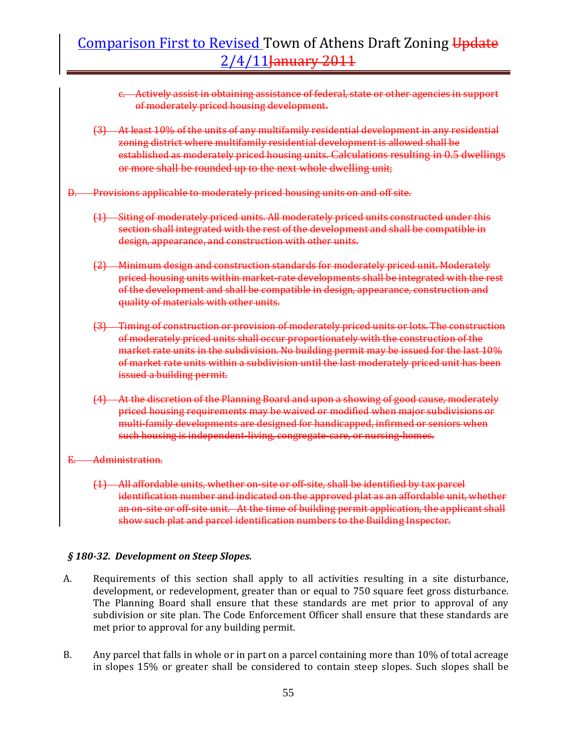- c. Actively assist in obtaining assistance of federal, state or other agencies in support of moderately priced housing development.
- (3) At least 10% of the units of any multifamily residential development in any residential zoning district where multifamily residential development is allowed shall be established as moderately priced housing units. Calculations resulting in 0.5 dwellings or more shall be rounded up to the next whole dwelling unit;
- D. Provisions applicable to moderately priced housing units on and off site.
	- (1) Siting of moderately priced units. All moderately priced units constructed under this section shall integrated with the rest of the development and shall be compatible in design, appearance, and construction with other units.
	- (2) Minimum design and construction standards for moderately priced unit. Moderately priced housing units within market-rate developments shall be integrated with the rest of the development and shall be compatible in design, appearance, construction and quality of materials with other units.
	- (3) Timing of construction or provision of moderately priced units or lots. The construction of moderately priced units shall occur proportionately with the construction of the market rate units in the subdivision. No building permit may be issued for the last 10% of market rate units within a subdivision until the last moderately priced unit has been issued a building permit.
	- (4) At the discretion of the Planning Board and upon a showing of good cause, moderately priced housing requirements may be waived or modified when major subdivisions or multi-family developments are designed for handicapped, infirmed or seniors when such housing is independent‐living, congregate‐care, or nursing‐homes.
- E. Administration.
	- (1) All affordable units, whether on‐site or off‐site, shall be identified by tax parcel identification number and indicated on the approved plat as an affordable unit, whether an on-site or off-site unit. At the time of building permit application, the applicant shall show such plat and parcel identification numbers to the Building Inspector.

#### *§ 18032. Development on Steep Slopes.*

- A. Requirements of this section shall apply to all activities resulting in a site disturbance, development, or redevelopment, greater than or equal to 750 square feet gross disturbance. The Planning Board shall ensure that these standards are met prior to approval of any subdivision or site plan. The Code Enforcement Officer shall ensure that these standards are met prior to approval for any building permit.
- B. Any parcel that falls in whole or in part on a parcel containing more than 10% of total acreage in slopes 15% or greater shall be considered to contain steep slopes. Such slopes shall be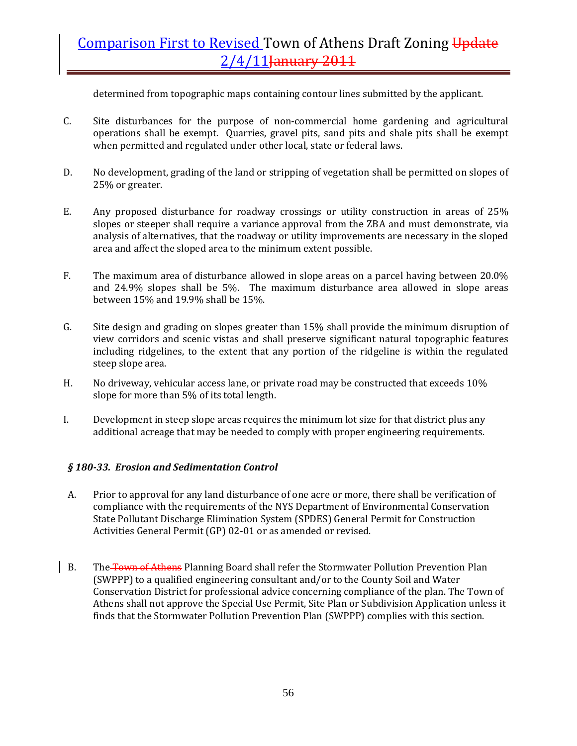determined from topographic maps containing contour lines submitted by the applicant.

- C. Site disturbances for the purpose of non‐commercial home gardening and agricultural operations shall be exempt. Quarries, gravel pits, sand pits and shale pits shall be exempt when permitted and regulated under other local, state or federal laws.
- D. No development, grading of the land or stripping of vegetation shall be permitted on slopes of 25% or greater.
- E. Any proposed disturbance for roadway crossings or utility construction in areas of 25% slopes or steeper shall require a variance approval from the ZBA and must demonstrate, via analysis of alternatives, that the roadway or utility improvements are necessary in the sloped area and affect the sloped area to the minimum extent possible.
- F. The maximum area of disturbance allowed in slope areas on a parcel having between 20.0% and 24.9% slopes shall be 5%. The maximum disturbance area allowed in slope areas between 15% and 19.9% shall be 15%.
- G. Site design and grading on slopes greater than 15% shall provide the minimum disruption of view corridors and scenic vistas and shall preserve significant natural topographic features including ridgelines, to the extent that any portion of the ridgeline is within the regulated steep slope area.
- H. No driveway, vehicular access lane, or private road may be constructed that exceeds 10% slope for more than 5% of its total length.
- I. Development in steep slope areas requires the minimum lot size for that district plus any additional acreage that may be needed to comply with proper engineering requirements.

#### *§ 18033. Erosion and Sedimentation Control*

- A. Prior to approval for any land disturbance of one acre or more, there shall be verification of compliance with the requirements of the NYS Department of Environmental Conservation State Pollutant Discharge Elimination System (SPDES) General Permit for Construction Activities General Permit (GP) 02‐01 or as amended or revised.
- B. The Town of Athens Planning Board shall refer the Stormwater Pollution Prevention Plan (SWPPP) to a qualified engineering consultant and/or to the County Soil and Water Conservation District for professional advice concerning compliance of the plan. The Town of Athens shall not approve the Special Use Permit, Site Plan or Subdivision Application unless it finds that the Stormwater Pollution Prevention Plan (SWPPP) complies with this section.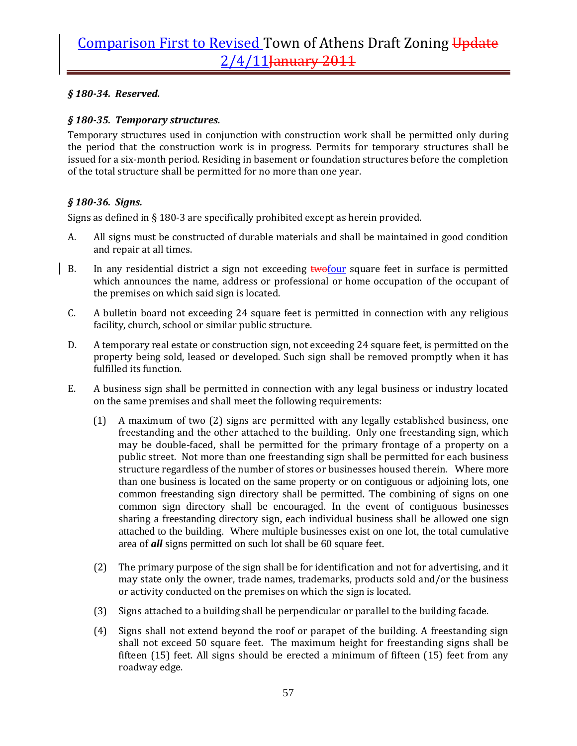### *§ 18034. Reserved.*

### *§ 18035. Temporary structures.*

Temporary structures used in conjunction with construction work shall be permitted only during the period that the construction work is in progress. Permits for temporary structures shall be issued for a six‐month period. Residing in basement or foundation structures before the completion of the total structure shall be permitted for no more than one year.

### *§ 18036. Signs.*

Signs as defined in § 180‐3 are specifically prohibited except as herein provided.

- A. All signs must be constructed of durable materials and shall be maintained in good condition and repair at all times.
- B. In any residential district a sign not exceeding **twofour** square feet in surface is permitted which announces the name, address or professional or home occupation of the occupant of the premises on which said sign is located.
- C. A bulletin board not exceeding 24 square feet is permitted in connection with any religious facility, church, school or similar public structure.
- D. A temporary real estate or construction sign, not exceeding 24 square feet, is permitted on the property being sold, leased or developed. Such sign shall be removed promptly when it has fulfilled its function.
- E. A business sign shall be permitted in connection with any legal business or industry located on the same premises and shall meet the following requirements:
	- (1) A maximum of two (2) signs are permitted with any legally established business, one freestanding and the other attached to the building. Only one freestanding sign, which may be double-faced, shall be permitted for the primary frontage of a property on a public street. Not more than one freestanding sign shall be permitted for each business structure regardless of the number of stores or businesses housed therein. Where more than one business is located on the same property or on contiguous or adjoining lots, one common freestanding sign directory shall be permitted. The combining of signs on one common sign directory shall be encouraged. In the event of contiguous businesses sharing a freestanding directory sign, each individual business shall be allowed one sign attached to the building. Where multiple businesses exist on one lot, the total cumulative area of *all* signs permitted on such lot shall be 60 square feet.
	- (2) The primary purpose of the sign shall be for identification and not for advertising, and it may state only the owner, trade names, trademarks, products sold and/or the business or activity conducted on the premises on which the sign is located.
	- (3) Signs attached to a building shall be perpendicular or parallel to the building facade.
	- (4) Signs shall not extend beyond the roof or parapet of the building. A freestanding sign shall not exceed 50 square feet. The maximum height for freestanding signs shall be fifteen (15) feet. All signs should be erected a minimum of fifteen (15) feet from any roadway edge.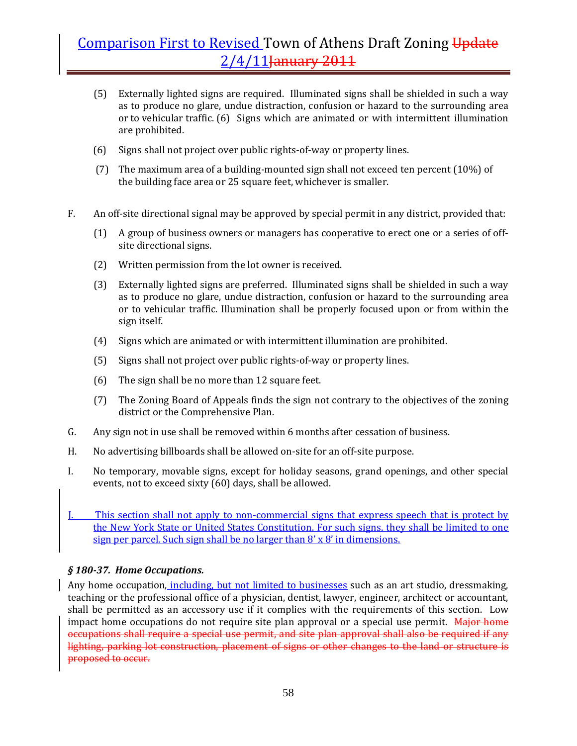- (5) Externally lighted signs are required. Illuminated signs shall be shielded in such a way as to produce no glare, undue distraction, confusion or hazard to the surrounding area or to vehicular traffic. (6) Signs which are animated or with intermittent illumination are prohibited.
- (6) Signs shall not project over public rights‐of‐way or property lines.
- (7) The maximum area of a building‐mounted sign shall not exceed ten percent (10%) of the building face area or 25 square feet, whichever is smaller.
- F. An off‐site directional signal may be approved by special permit in any district, provided that:
	- (1) A group of business owners or managers has cooperative to erect one or a series of off‐ site directional signs.
	- (2) Written permission from the lot owner is received.
	- (3) Externally lighted signs are preferred. Illuminated signs shall be shielded in such a way as to produce no glare, undue distraction, confusion or hazard to the surrounding area or to vehicular traffic. Illumination shall be properly focused upon or from within the sign itself.
	- (4) Signs which are animated or with intermittent illumination are prohibited.
	- (5) Signs shall not project over public rights‐of‐way or property lines.
	- (6) The sign shall be no more than 12 square feet.
	- (7) The Zoning Board of Appeals finds the sign not contrary to the objectives of the zoning district or the Comprehensive Plan.
- G. Any sign not in use shall be removed within 6 months after cessation of business.
- H. No advertising billboards shall be allowed on-site for an off-site purpose.
- I. No temporary, movable signs, except for holiday seasons, grand openings, and other special events, not to exceed sixty (60) days, shall be allowed.
- This section shall not apply to non-commercial signs that express speech that is protect by the New York State or United States Constitution. For such signs, they shall be limited to one sign per parcel. Such sign shall be no larger than 8' x 8' in dimensions.

#### *§ 18037. Home Occupations.*

Any home occupation, including, but not limited to businesses such as an art studio, dressmaking, teaching or the professional office of a physician, dentist, lawyer, engineer, architect or accountant, shall be permitted as an accessory use if it complies with the requirements of this section. Low impact home occupations do not require site plan approval or a special use permit. Major home occupations shall require a special use permit, and site plan approval shall also be required if any lighting, parking lot construction, placement of signs or other changes to the land or structure is proposed to occur.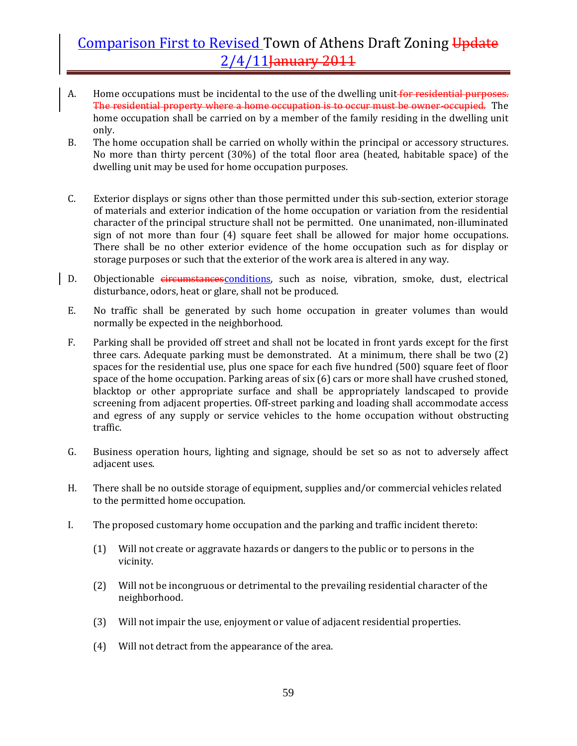- A. Home occupations must be incidental to the use of the dwelling unit for residential purposes. The residential property where a home occupation is to occur must be owner-occupied. The home occupation shall be carried on by a member of the family residing in the dwelling unit only.
- B. The home occupation shall be carried on wholly within the principal or accessory structures. No more than thirty percent (30%) of the total floor area (heated, habitable space) of the dwelling unit may be used for home occupation purposes.
- C. Exterior displays or signs other than those permitted under this sub‐section, exterior storage of materials and exterior indication of the home occupation or variation from the residential character of the principal structure shall not be permitted. One unanimated, non‐illuminated sign of not more than four (4) square feet shall be allowed for major home occupations. There shall be no other exterior evidence of the home occupation such as for display or storage purposes or such that the exterior of the work area is altered in any way.
- D. Objectionable circumstances conditions, such as noise, vibration, smoke, dust, electrical disturbance, odors, heat or glare, shall not be produced.
- E. No traffic shall be generated by such home occupation in greater volumes than would normally be expected in the neighborhood.
- F. Parking shall be provided off street and shall not be located in front yards except for the first three cars. Adequate parking must be demonstrated. At a minimum, there shall be two (2) spaces for the residential use, plus one space for each five hundred (500) square feet of floor space of the home occupation. Parking areas of six (6) cars or more shall have crushed stoned, blacktop or other appropriate surface and shall be appropriately landscaped to provide screening from adjacent properties. Off-street parking and loading shall accommodate access and egress of any supply or service vehicles to the home occupation without obstructing traffic.
- G. Business operation hours, lighting and signage, should be set so as not to adversely affect adjacent uses.
- H. There shall be no outside storage of equipment, supplies and/or commercial vehicles related to the permitted home occupation.
- I. The proposed customary home occupation and the parking and traffic incident thereto:
	- (1) Will not create or aggravate hazards or dangers to the public or to persons in the vicinity.
	- (2) Will not be incongruous or detrimental to the prevailing residential character of the neighborhood.
	- (3) Will not impair the use, enjoyment or value of adjacent residential properties.
	- (4) Will not detract from the appearance of the area.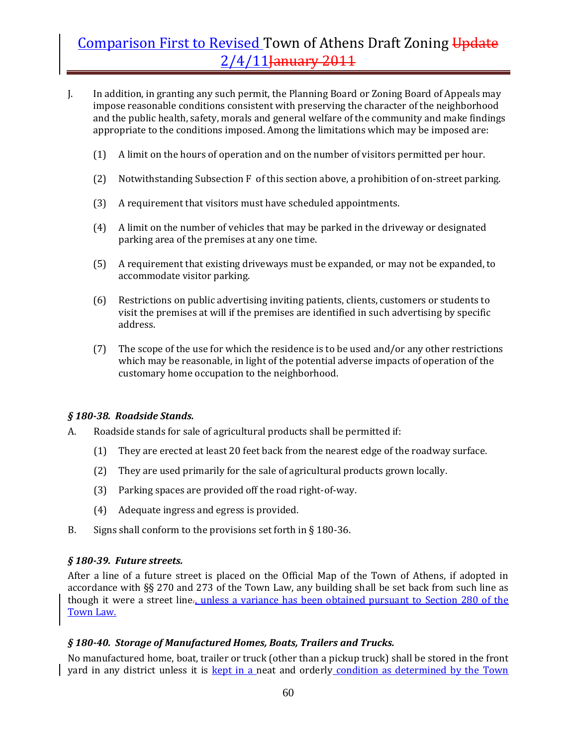- J. In addition, in granting any such permit, the Planning Board or Zoning Board of Appeals may impose reasonable conditions consistent with preserving the character of the neighborhood and the public health, safety, morals and general welfare of the community and make findings appropriate to the conditions imposed. Among the limitations which may be imposed are:
	- (1) A limit on the hours of operation and on the number of visitors permitted per hour.
	- (2) Notwithstanding Subsection F of this section above, a prohibition of on-street parking.
	- (3) A requirement that visitors must have scheduled appointments.
	- (4) A limit on the number of vehicles that may be parked in the driveway or designated parking area of the premises at any one time.
	- (5) A requirement that existing driveways must be expanded, or may not be expanded, to accommodate visitor parking.
	- (6) Restrictions on public advertising inviting patients, clients, customers or students to visit the premises at will if the premises are identified in such advertising by specific address.
	- (7) The scope of the use for which the residence is to be used and/or any other restrictions which may be reasonable, in light of the potential adverse impacts of operation of the customary home occupation to the neighborhood.

#### *§ 18038. Roadside Stands.*

- A. Roadside stands for sale of agricultural products shall be permitted if:
	- (1) They are erected at least 20 feet back from the nearest edge of the roadway surface.
	- (2) They are used primarily for the sale of agricultural products grown locally.
	- (3) Parking spaces are provided off the road right‐of‐way.
	- (4) Adequate ingress and egress is provided.
- B. Signs shall conform to the provisions set forth in § 180-36.

#### *§ 18039. Future streets.*

After a line of a future street is placed on the Official Map of the Town of Athens, if adopted in accordance with §§ 270 and 273 of the Town Law, any building shall be set back from such line as though it were a street line., unless a variance has been obtained pursuant to Section 280 of the Town Law.

#### *§ 18040. Storage of Manufactured Homes, Boats, Trailers and Trucks.*

No manufactured home, boat, trailer or truck (other than a pickup truck) shall be stored in the front yard in any district unless it is **kept in a** neat and orderly condition as determined by the Town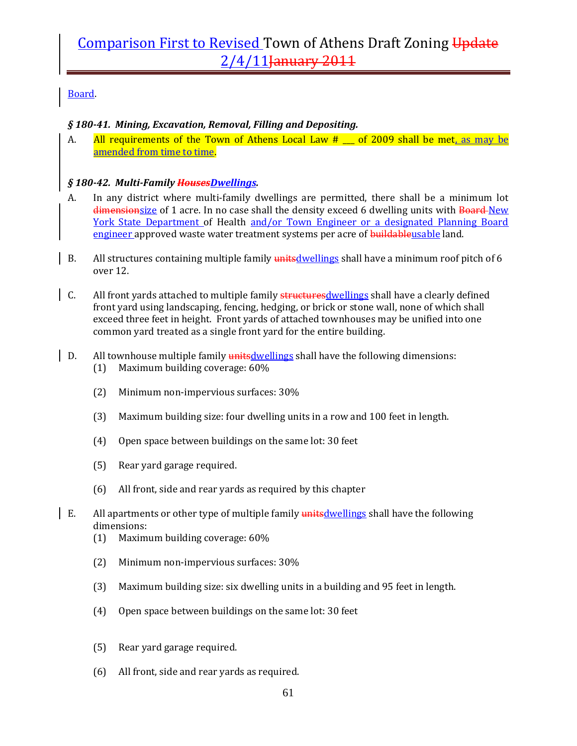### Board.

### *§ 18041. Mining, Excavation, Removal, Filling and Depositing.*

A. All requirements of the Town of Athens Local Law  $#_$  of 2009 shall be met, as may be amended from time to time.

#### *§ 18042. MultiFamily HousesDwellings.*

- A. In any district where multi-family dwellings are permitted, there shall be a minimum lot dimensionsize of 1 acre. In no case shall the density exceed 6 dwelling units with Board-New York State Department of Health and/or Town Engineer or a designated Planning Board engineer approved waste water treatment systems per acre of buildableusable land.
- B. All structures containing multiple family unitsdwellings shall have a minimum roof pitch of 6 over 12.
- $\vert$  C. All front yards attached to multiple family structures dwellings shall have a clearly defined front yard using landscaping, fencing, hedging, or brick or stone wall, none of which shall exceed three feet in height. Front yards of attached townhouses may be unified into one common yard treated as a single front yard for the entire building.
- D. All townhouse multiple family unitsdwellings shall have the following dimensions: (1) Maximum building coverage: 60%
	- (2) Minimum non‐impervious surfaces: 30%
	- (3) Maximum building size: four dwelling units in a row and 100 feet in length.
	- (4) Open space between buildings on the same lot: 30 feet
	- (5) Rear yard garage required.
	- (6) All front, side and rear yards as required by this chapter
- E. All apartments or other type of multiple family unitsdwellings shall have the following dimensions:
	- (1) Maximum building coverage: 60%
	- (2) Minimum non‐impervious surfaces: 30%
	- (3) Maximum building size: six dwelling units in a building and 95 feet in length.
	- (4) Open space between buildings on the same lot: 30 feet
	- (5) Rear yard garage required.
	- (6) All front, side and rear yards as required.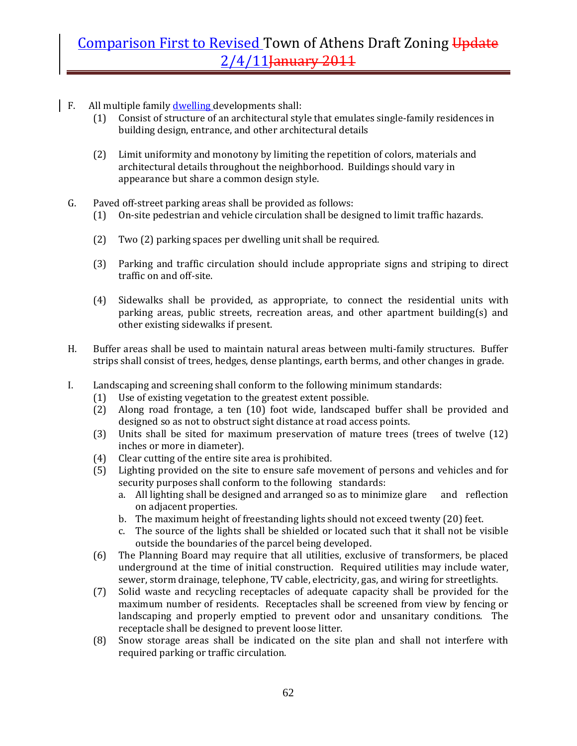- $\parallel$  F. All multiple family dwelling developments shall:
	- (1) Consist of structure of an architectural style that emulates single‐family residences in building design, entrance, and other architectural details
	- (2) Limit uniformity and monotony by limiting the repetition of colors, materials and architectural details throughout the neighborhood. Buildings should vary in appearance but share a common design style.
	- G. Paved off‐street parking areas shall be provided as follows:
		- (1) On‐site pedestrian and vehicle circulation shall be designed to limit traffic hazards.
		- (2) Two (2) parking spaces per dwelling unit shall be required.
		- (3) Parking and traffic circulation should include appropriate signs and striping to direct traffic on and off‐site.
		- (4) Sidewalks shall be provided, as appropriate, to connect the residential units with parking areas, public streets, recreation areas, and other apartment building(s) and other existing sidewalks if present.
	- H. Buffer areas shall be used to maintain natural areas between multi‐family structures. Buffer strips shall consist of trees, hedges, dense plantings, earth berms, and other changes in grade.
	- I. Landscaping and screening shall conform to the following minimum standards:
		- (1) Use of existing vegetation to the greatest extent possible.
		- (2) Along road frontage, a ten (10) foot wide, landscaped buffer shall be provided and designed so as not to obstruct sight distance at road access points.
		- (3) Units shall be sited for maximum preservation of mature trees (trees of twelve (12) inches or more in diameter).
		- (4) Clear cutting of the entire site area is prohibited.
		- (5) Lighting provided on the site to ensure safe movement of persons and vehicles and for security purposes shall conform to the following standards:
			- a. All lighting shall be designed and arranged so as to minimize glare and reflection on adjacent properties.
			- b. The maximum height of freestanding lights should not exceed twenty (20) feet.
			- c. The source of the lights shall be shielded or located such that it shall not be visible outside the boundaries of the parcel being developed.
		- (6) The Planning Board may require that all utilities, exclusive of transformers, be placed underground at the time of initial construction. Required utilities may include water, sewer, storm drainage, telephone, TV cable, electricity, gas, and wiring for streetlights.
		- (7) Solid waste and recycling receptacles of adequate capacity shall be provided for the maximum number of residents. Receptacles shall be screened from view by fencing or landscaping and properly emptied to prevent odor and unsanitary conditions. The receptacle shall be designed to prevent loose litter.
		- (8) Snow storage areas shall be indicated on the site plan and shall not interfere with required parking or traffic circulation.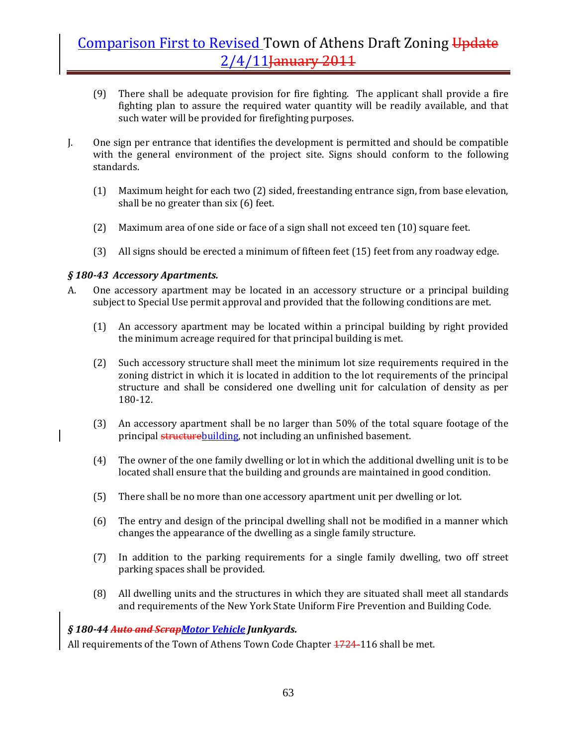- (9) There shall be adequate provision for fire fighting. The applicant shall provide a fire fighting plan to assure the required water quantity will be readily available, and that such water will be provided for firefighting purposes.
- J. One sign per entrance that identifies the development is permitted and should be compatible with the general environment of the project site. Signs should conform to the following standards.
	- (1) Maximum height for each two (2) sided, freestanding entrance sign, from base elevation, shall be no greater than six (6) feet.
	- (2) Maximum area of one side or face of a sign shall not exceed ten (10) square feet.
	- (3) All signs should be erected a minimum of fifteen feet (15) feet from any roadway edge.

### *§ 18043 Accessory Apartments.*

- A. One accessory apartment may be located in an accessory structure or a principal building subject to Special Use permit approval and provided that the following conditions are met.
	- (1) An accessory apartment may be located within a principal building by right provided the minimum acreage required for that principal building is met.
	- (2) Such accessory structure shall meet the minimum lot size requirements required in the zoning district in which it is located in addition to the lot requirements of the principal structure and shall be considered one dwelling unit for calculation of density as per 180‐12.
	- (3) An accessory apartment shall be no larger than 50% of the total square footage of the principal structurebuilding, not including an unfinished basement.
	- (4) The owner of the one family dwelling or lot in which the additional dwelling unit is to be located shall ensure that the building and grounds are maintained in good condition.
	- (5) There shall be no more than one accessory apartment unit per dwelling or lot.
	- (6) The entry and design of the principal dwelling shall not be modified in a manner which changes the appearance of the dwelling as a single family structure.
	- (7) In addition to the parking requirements for a single family dwelling, two off street parking spaces shall be provided.
	- (8) All dwelling units and the structures in which they are situated shall meet all standards and requirements of the New York State Uniform Fire Prevention and Building Code.

#### *§ 18044 Auto and ScrapMotor Vehicle Junkyards.*

All requirements of the Town of Athens Town Code Chapter  $\frac{1724}{116}$  shall be met.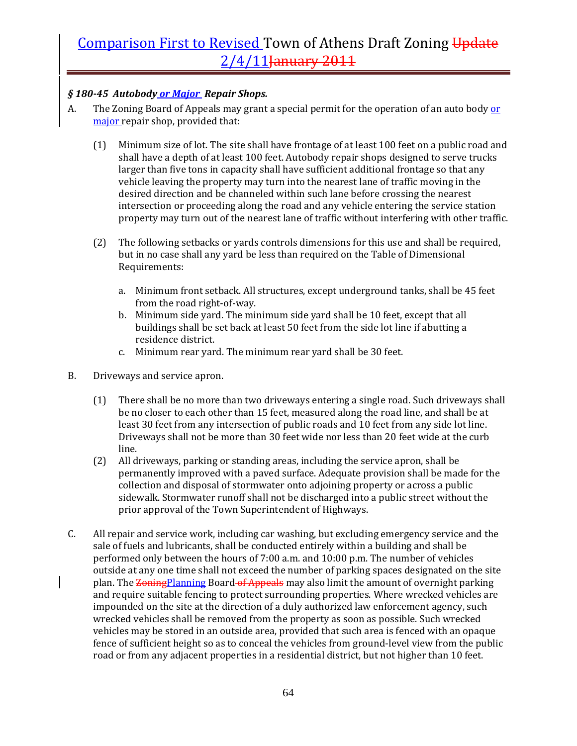### *§ 18045 Autobody or Major Repair Shops.*

- A. The Zoning Board of Appeals may grant a special permit for the operation of an auto body or major repair shop, provided that:
	- (1) Minimum size of lot. The site shall have frontage of at least 100 feet on a public road and shall have a depth of at least 100 feet. Autobody repair shops designed to serve trucks larger than five tons in capacity shall have sufficient additional frontage so that any vehicle leaving the property may turn into the nearest lane of traffic moving in the desired direction and be channeled within such lane before crossing the nearest intersection or proceeding along the road and any vehicle entering the service station property may turn out of the nearest lane of traffic without interfering with other traffic.
	- (2) The following setbacks or yards controls dimensions for this use and shall be required, but in no case shall any yard be less than required on the Table of Dimensional Requirements:
		- a. Minimum front setback. All structures, except underground tanks, shall be 45 feet from the road right‐of‐way.
		- b. Minimum side yard. The minimum side yard shall be 10 feet, except that all buildings shall be set back at least 50 feet from the side lot line if abutting a residence district.
		- c. Minimum rear yard. The minimum rear yard shall be 30 feet.
- B. Driveways and service apron.
	- (1) There shall be no more than two driveways entering a single road. Such driveways shall be no closer to each other than 15 feet, measured along the road line, and shall be at least 30 feet from any intersection of public roads and 10 feet from any side lot line. Driveways shall not be more than 30 feet wide nor less than 20 feet wide at the curb line.
	- (2) All driveways, parking or standing areas, including the service apron, shall be permanently improved with a paved surface. Adequate provision shall be made for the collection and disposal of stormwater onto adjoining property or across a public sidewalk. Stormwater runoff shall not be discharged into a public street without the prior approval of the Town Superintendent of Highways.
- C. All repair and service work, including car washing, but excluding emergency service and the sale of fuels and lubricants, shall be conducted entirely within a building and shall be performed only between the hours of 7:00 a.m. and 10:00 p.m. The number of vehicles outside at any one time shall not exceed the number of parking spaces designated on the site plan. The Zoning Planning Board of Appeals may also limit the amount of overnight parking and require suitable fencing to protect surrounding properties. Where wrecked vehicles are impounded on the site at the direction of a duly authorized law enforcement agency, such wrecked vehicles shall be removed from the property as soon as possible. Such wrecked vehicles may be stored in an outside area, provided that such area is fenced with an opaque fence of sufficient height so as to conceal the vehicles from ground‐level view from the public road or from any adjacent properties in a residential district, but not higher than 10 feet.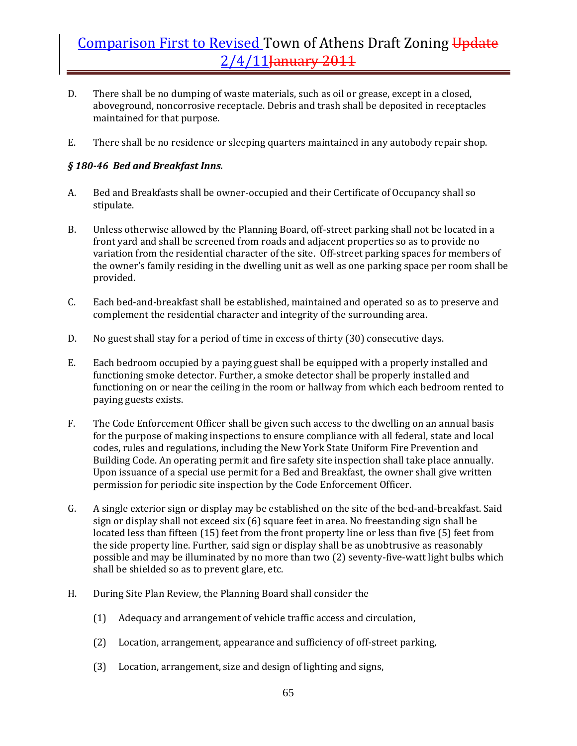- D. There shall be no dumping of waste materials, such as oil or grease, except in a closed, aboveground, noncorrosive receptacle. Debris and trash shall be deposited in receptacles maintained for that purpose.
- E. There shall be no residence or sleeping quarters maintained in any autobody repair shop.

### *§ 18046 Bed and Breakfast Inns.*

- A. Bed and Breakfasts shall be owner‐occupied and their Certificate of Occupancy shall so stipulate.
- B. Unless otherwise allowed by the Planning Board, off-street parking shall not be located in a front yard and shall be screened from roads and adjacent properties so as to provide no variation from the residential character of the site. Off-street parking spaces for members of the owner's family residing in the dwelling unit as well as one parking space per room shall be provided.
- C. Each bed‐and‐breakfast shall be established, maintained and operated so as to preserve and complement the residential character and integrity of the surrounding area.
- D. No guest shall stay for a period of time in excess of thirty (30) consecutive days.
- E. Each bedroom occupied by a paying guest shall be equipped with a properly installed and functioning smoke detector. Further, a smoke detector shall be properly installed and functioning on or near the ceiling in the room or hallway from which each bedroom rented to paying guests exists.
- F. The Code Enforcement Officer shall be given such access to the dwelling on an annual basis for the purpose of making inspections to ensure compliance with all federal, state and local codes, rules and regulations, including the New York State Uniform Fire Prevention and Building Code. An operating permit and fire safety site inspection shall take place annually. Upon issuance of a special use permit for a Bed and Breakfast, the owner shall give written permission for periodic site inspection by the Code Enforcement Officer.
- G. A single exterior sign or display may be established on the site of the bed‐and‐breakfast. Said sign or display shall not exceed six (6) square feet in area. No freestanding sign shall be located less than fifteen (15) feet from the front property line or less than five (5) feet from the side property line. Further, said sign or display shall be as unobtrusive as reasonably possible and may be illuminated by no more than two (2) seventy‐five‐watt light bulbs which shall be shielded so as to prevent glare, etc.
- H. During Site Plan Review, the Planning Board shall consider the
	- (1) Adequacy and arrangement of vehicle traffic access and circulation,
	- (2) Location, arrangement, appearance and sufficiency of off‐street parking,
	- (3) Location, arrangement, size and design of lighting and signs,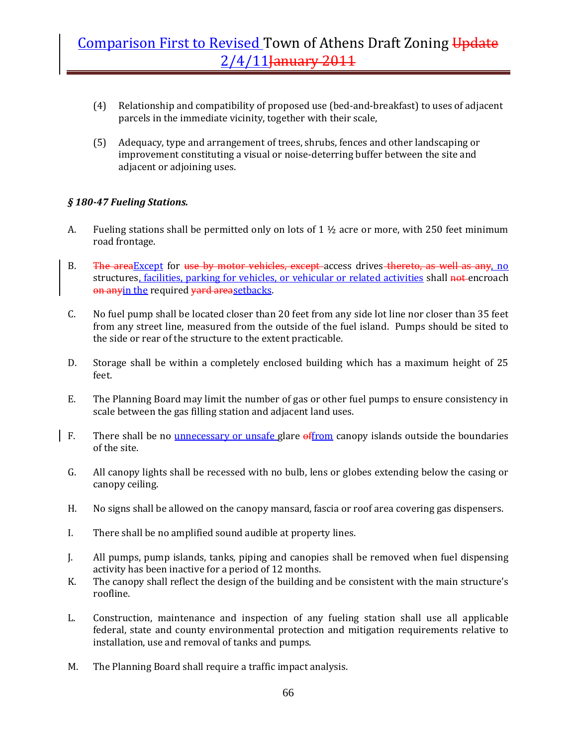- (4) Relationship and compatibility of proposed use (bed‐and‐breakfast) to uses of adjacent parcels in the immediate vicinity, together with their scale,
- (5) Adequacy, type and arrangement of trees, shrubs, fences and other landscaping or improvement constituting a visual or noise‐deterring buffer between the site and adjacent or adjoining uses.

### *§ 18047 Fueling Stations.*

- A. Fueling stations shall be permitted only on lots of  $1 \frac{1}{2}$  acre or more, with 250 feet minimum road frontage.
- B. The areaExcept for use by motor vehicles, except access drives thereto, as well as any, no structures, facilities, parking for vehicles, or vehicular or related activities shall not encroach on anyin the required yard areasetbacks.
- C. No fuel pump shall be located closer than 20 feet from any side lot line nor closer than 35 feet from any street line, measured from the outside of the fuel island. Pumps should be sited to the side or rear of the structure to the extent practicable.
- D. Storage shall be within a completely enclosed building which has a maximum height of 25 feet.
- E. The Planning Board may limit the number of gas or other fuel pumps to ensure consistency in scale between the gas filling station and adjacent land uses.
- F. There shall be no unnecessary or unsafe glare offrom canopy islands outside the boundaries of the site.
- G. All canopy lights shall be recessed with no bulb, lens or globes extending below the casing or canopy ceiling.
- H. No signs shall be allowed on the canopy mansard, fascia or roof area covering gas dispensers.
- I. There shall be no amplified sound audible at property lines.
- J. All pumps, pump islands, tanks, piping and canopies shall be removed when fuel dispensing activity has been inactive for a period of 12 months.
- K. The canopy shall reflect the design of the building and be consistent with the main structure's roofline.
- L. Construction, maintenance and inspection of any fueling station shall use all applicable federal, state and county environmental protection and mitigation requirements relative to installation, use and removal of tanks and pumps.
- M. The Planning Board shall require a traffic impact analysis.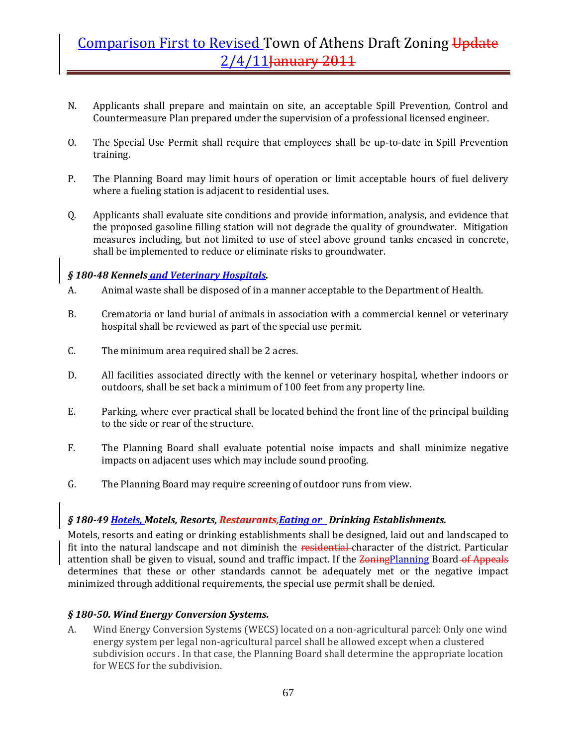- N. Applicants shall prepare and maintain on site, an acceptable Spill Prevention, Control and Countermeasure Plan prepared under the supervision of a professional licensed engineer.
- O. The Special Use Permit shall require that employees shall be up-to-date in Spill Prevention training.
- P. The Planning Board may limit hours of operation or limit acceptable hours of fuel delivery where a fueling station is adjacent to residential uses.
- Q. Applicants shall evaluate site conditions and provide information, analysis, and evidence that the proposed gasoline filling station will not degrade the quality of groundwater. Mitigation measures including, but not limited to use of steel above ground tanks encased in concrete, shall be implemented to reduce or eliminate risks to groundwater.

### *§ 18048 Kennels and Veterinary Hospitals.*

- A. Animal waste shall be disposed of in a manner acceptable to the Department of Health.
- B. Crematoria or land burial of animals in association with a commercial kennel or veterinary hospital shall be reviewed as part of the special use permit.
- C. The minimum area required shall be 2 acres.
- D. All facilities associated directly with the kennel or veterinary hospital, whether indoors or outdoors, shall be set back a minimum of 100 feet from any property line.
- E. Parking, where ever practical shall be located behind the front line of the principal building to the side or rear of the structure.
- F. The Planning Board shall evaluate potential noise impacts and shall minimize negative impacts on adjacent uses which may include sound proofing.
- G. The Planning Board may require screening of outdoor runs from view.

### *§ 18049 Hotels, Motels, Resorts, Restaurants,Eating or Drinking Establishments.*

Motels, resorts and eating or drinking establishments shall be designed, laid out and landscaped to fit into the natural landscape and not diminish the residential-character of the district. Particular attention shall be given to visual, sound and traffic impact. If the Zoning Planning Board of Appeals determines that these or other standards cannot be adequately met or the negative impact minimized through additional requirements, the special use permit shall be denied.

### *§ 18050. Wind Energy Conversion Systems.*

A. Wind Energy Conversion Systems (WECS) located on a non‐agricultural parcel: Only one wind energy system per legal non‐agricultural parcel shall be allowed except when a clustered subdivision occurs . In that case, the Planning Board shall determine the appropriate location for WECS for the subdivision.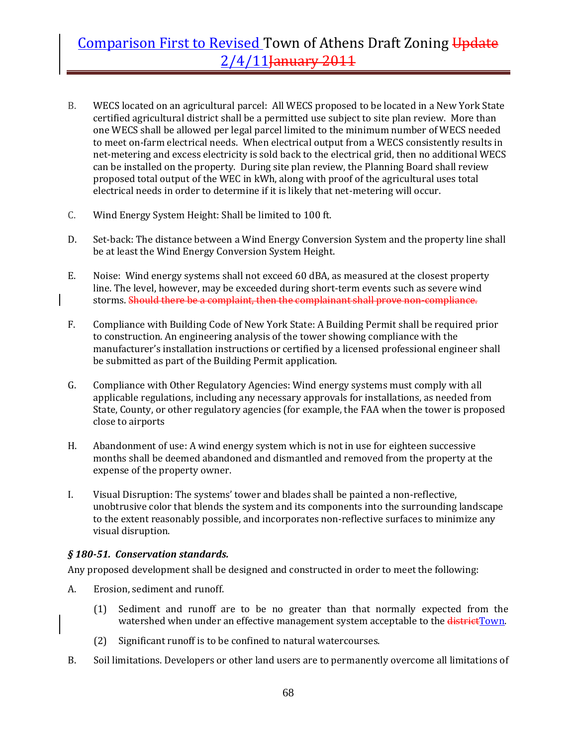- B. WECS located on an agricultural parcel: All WECS proposed to be located in a New York State certified agricultural district shall be a permitted use subject to site plan review. More than one WECS shall be allowed per legal parcel limited to the minimum number of WECS needed to meet on-farm electrical needs. When electrical output from a WECS consistently results in net-metering and excess electricity is sold back to the electrical grid, then no additional WECS can be installed on the property. During site plan review, the Planning Board shall review proposed total output of the WEC in kWh, along with proof of the agricultural uses total electrical needs in order to determine if it is likely that net‐metering will occur.
- C. Wind Energy System Height: Shall be limited to 100 ft.
- D. Set-back: The distance between a Wind Energy Conversion System and the property line shall be at least the Wind Energy Conversion System Height.
- E. Noise: Wind energy systems shall not exceed 60 dBA, as measured at the closest property line. The level, however, may be exceeded during short-term events such as severe wind storms. Should there be a complaint, then the complainant shall prove non-compliance.
- F. Compliance with Building Code of New York State: A Building Permit shall be required prior to construction. An engineering analysis of the tower showing compliance with the manufacturer's installation instructions or certified by a licensed professional engineer shall be submitted as part of the Building Permit application.
- G. Compliance with Other Regulatory Agencies: Wind energy systems must comply with all applicable regulations, including any necessary approvals for installations, as needed from State, County, or other regulatory agencies (for example, the FAA when the tower is proposed close to airports
- H. Abandonment of use: A wind energy system which is not in use for eighteen successive months shall be deemed abandoned and dismantled and removed from the property at the expense of the property owner.
- I. Visual Disruption: The systems' tower and blades shall be painted a non‐reflective, unobtrusive color that blends the system and its components into the surrounding landscape to the extent reasonably possible, and incorporates non-reflective surfaces to minimize any visual disruption.

#### *§ 18051. Conservation standards.*

Any proposed development shall be designed and constructed in order to meet the following:

- A. Erosion, sediment and runoff.
	- (1) Sediment and runoff are to be no greater than that normally expected from the watershed when under an effective management system acceptable to the *districtTown*.
	- (2) Significant runoff is to be confined to natural watercourses.
- B. Soil limitations. Developers or other land users are to permanently overcome all limitations of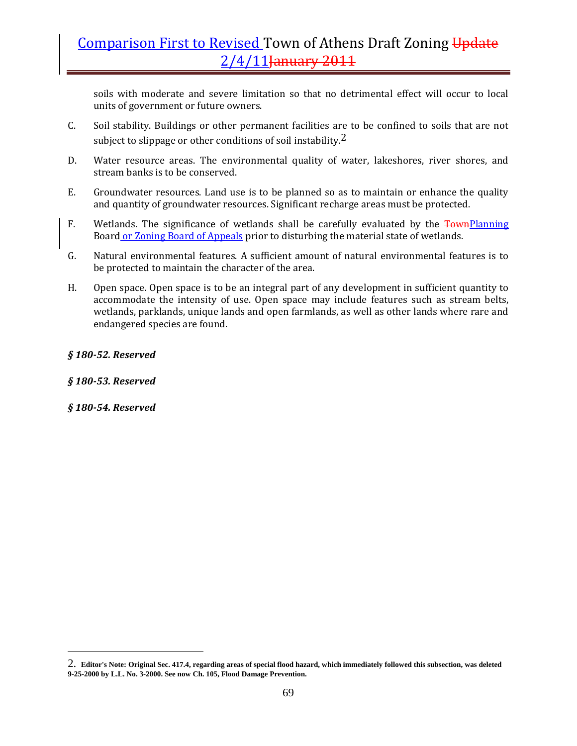soils with moderate and severe limitation so that no detrimental effect will occur to local units of government or future owners.

- C. Soil stability. Buildings or other permanent facilities are to be confined to soils that are not subject to slippage or other conditions of soil instability.<sup>2</sup>
- D. Water resource areas. The environmental quality of water, lakeshores, river shores, and stream banks is to be conserved.
- E. Groundwater resources. Land use is to be planned so as to maintain or enhance the quality and quantity of groundwater resources. Significant recharge areas must be protected.
- F. Wetlands. The significance of wetlands shall be carefully evaluated by the **TownPlanning** Board or Zoning Board of Appeals prior to disturbing the material state of wetlands.
- G. Natural environmental features. A sufficient amount of natural environmental features is to be protected to maintain the character of the area.
- H. Open space. Open space is to be an integral part of any development in sufficient quantity to accommodate the intensity of use. Open space may include features such as stream belts, wetlands, parklands, unique lands and open farmlands, as well as other lands where rare and endangered species are found.

#### *§ 18052. Reserved*

#### *§ 18053. Reserved*

*§ 18054. Reserved*

 $\overline{a}$ 

<sup>2.</sup> **Editor's Note: Original Sec. 417.4, regarding areas of special flood hazard, which immediately followed this subsection, was deleted 9-25-2000 by L.L. No. 3-2000. See now Ch. 105, Flood Damage Prevention.**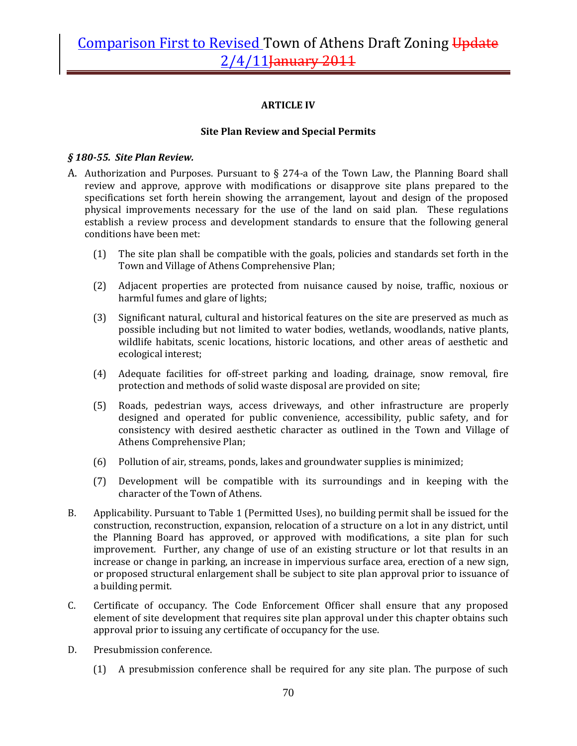### **ARTICLE IV**

#### **Site Plan Review and Special Permits**

#### *§ 18055. Site Plan Review.*

- A. Authorization and Purposes. Pursuant to  $\S 274$ -a of the Town Law, the Planning Board shall review and approve, approve with modifications or disapprove site plans prepared to the specifications set forth herein showing the arrangement, layout and design of the proposed physical improvements necessary for the use of the land on said plan. These regulations establish a review process and development standards to ensure that the following general conditions have been met:
	- (1) The site plan shall be compatible with the goals, policies and standards set forth in the Town and Village of Athens Comprehensive Plan;
	- (2) Adjacent properties are protected from nuisance caused by noise, traffic, noxious or harmful fumes and glare of lights;
	- (3) Significant natural, cultural and historical features on the site are preserved as much as possible including but not limited to water bodies, wetlands, woodlands, native plants, wildlife habitats, scenic locations, historic locations, and other areas of aesthetic and ecological interest;
	- (4) Adequate facilities for off‐street parking and loading, drainage, snow removal, fire protection and methods of solid waste disposal are provided on site;
	- (5) Roads, pedestrian ways, access driveways, and other infrastructure are properly designed and operated for public convenience, accessibility, public safety, and for consistency with desired aesthetic character as outlined in the Town and Village of Athens Comprehensive Plan;
	- (6) Pollution of air, streams, ponds, lakes and groundwater supplies is minimized;
	- (7) Development will be compatible with its surroundings and in keeping with the character of the Town of Athens.
- B. Applicability. Pursuant to Table 1 (Permitted Uses), no building permit shall be issued for the construction, reconstruction, expansion, relocation of a structure on a lot in any district, until the Planning Board has approved, or approved with modifications, a site plan for such improvement. Further, any change of use of an existing structure or lot that results in an increase or change in parking, an increase in impervious surface area, erection of a new sign, or proposed structural enlargement shall be subject to site plan approval prior to issuance of a building permit.
- C. Certificate of occupancy. The Code Enforcement Officer shall ensure that any proposed element of site development that requires site plan approval under this chapter obtains such approval prior to issuing any certificate of occupancy for the use.
- D. Presubmission conference.
	- (1) A presubmission conference shall be required for any site plan. The purpose of such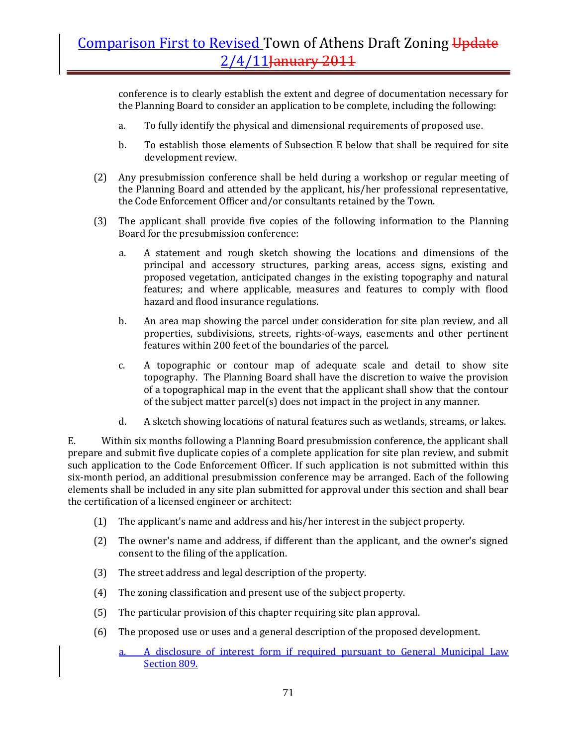conference is to clearly establish the extent and degree of documentation necessary for the Planning Board to consider an application to be complete, including the following:

- a. To fully identify the physical and dimensional requirements of proposed use.
- b. To establish those elements of Subsection E below that shall be required for site development review.
- (2) Any presubmission conference shall be held during a workshop or regular meeting of the Planning Board and attended by the applicant, his/her professional representative, the Code Enforcement Officer and/or consultants retained by the Town.
- (3) The applicant shall provide five copies of the following information to the Planning Board for the presubmission conference:
	- a. A statement and rough sketch showing the locations and dimensions of the principal and accessory structures, parking areas, access signs, existing and proposed vegetation, anticipated changes in the existing topography and natural features; and where applicable, measures and features to comply with flood hazard and flood insurance regulations.
	- b. An area map showing the parcel under consideration for site plan review, and all properties, subdivisions, streets, rights‐of‐ways, easements and other pertinent features within 200 feet of the boundaries of the parcel.
	- c. A topographic or contour map of adequate scale and detail to show site topography. The Planning Board shall have the discretion to waive the provision of a topographical map in the event that the applicant shall show that the contour of the subject matter parcel(s) does not impact in the project in any manner.
	- d. A sketch showing locations of natural features such as wetlands, streams, or lakes.

E. Within six months following a Planning Board presubmission conference, the applicant shall prepare and submit five duplicate copies of a complete application for site plan review, and submit such application to the Code Enforcement Officer. If such application is not submitted within this six‐month period, an additional presubmission conference may be arranged. Each of the following elements shall be included in any site plan submitted for approval under this section and shall bear the certification of a licensed engineer or architect:

- (1) The applicant's name and address and his/her interest in the subject property.
- (2) The owner's name and address, if different than the applicant, and the owner's signed consent to the filing of the application.
- (3) The street address and legal description of the property.
- (4) The zoning classification and present use of the subject property.
- (5) The particular provision of this chapter requiring site plan approval.
- (6) The proposed use or uses and a general description of the proposed development.
	- a. A disclosure of interest form if required pursuant to General Municipal Law Section 809.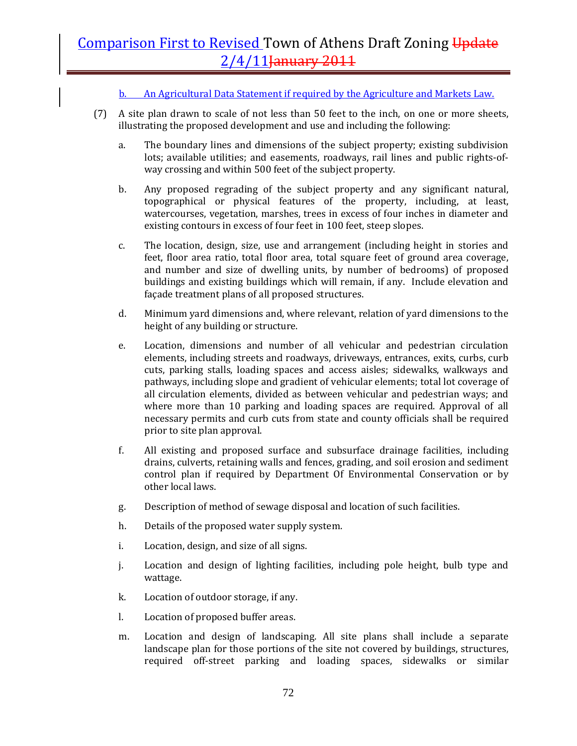b. An Agricultural Data Statement if required by the Agriculture and Markets Law.

- (7) A site plan drawn to scale of not less than 50 feet to the inch, on one or more sheets, illustrating the proposed development and use and including the following:
	- a. The boundary lines and dimensions of the subject property; existing subdivision lots; available utilities; and easements, roadways, rail lines and public rights-ofway crossing and within 500 feet of the subject property.
	- b. Any proposed regrading of the subject property and any significant natural, topographical or physical features of the property, including, at least, watercourses, vegetation, marshes, trees in excess of four inches in diameter and existing contours in excess of four feet in 100 feet, steep slopes.
	- c. The location, design, size, use and arrangement (including height in stories and feet, floor area ratio, total floor area, total square feet of ground area coverage, and number and size of dwelling units, by number of bedrooms) of proposed buildings and existing buildings which will remain, if any. Include elevation and façade treatment plans of all proposed structures.
	- d. Minimum yard dimensions and, where relevant, relation of yard dimensions to the height of any building or structure.
	- e. Location, dimensions and number of all vehicular and pedestrian circulation elements, including streets and roadways, driveways, entrances, exits, curbs, curb cuts, parking stalls, loading spaces and access aisles; sidewalks, walkways and pathways, including slope and gradient of vehicular elements; total lot coverage of all circulation elements, divided as between vehicular and pedestrian ways; and where more than 10 parking and loading spaces are required. Approval of all necessary permits and curb cuts from state and county officials shall be required prior to site plan approval.
	- f. All existing and proposed surface and subsurface drainage facilities, including drains, culverts, retaining walls and fences, grading, and soil erosion and sediment control plan if required by Department Of Environmental Conservation or by other local laws.
	- g. Description of method of sewage disposal and location of such facilities.
	- h. Details of the proposed water supply system.
	- i. Location, design, and size of all signs.
	- j. Location and design of lighting facilities, including pole height, bulb type and wattage.
	- k. Location of outdoor storage, if any.
	- l. Location of proposed buffer areas.
	- m. Location and design of landscaping. All site plans shall include a separate landscape plan for those portions of the site not covered by buildings, structures, required off‐street parking and loading spaces, sidewalks or similar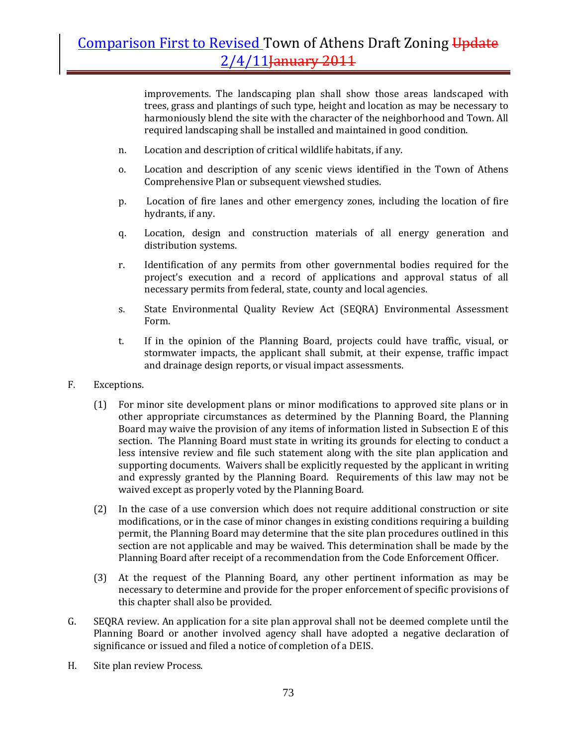improvements. The landscaping plan shall show those areas landscaped with trees, grass and plantings of such type, height and location as may be necessary to harmoniously blend the site with the character of the neighborhood and Town. All required landscaping shall be installed and maintained in good condition.

- n. Location and description of critical wildlife habitats, if any.
- o. Location and description of any scenic views identified in the Town of Athens Comprehensive Plan or subsequent viewshed studies.
- p. Location of fire lanes and other emergency zones, including the location of fire hydrants, if any.
- q. Location, design and construction materials of all energy generation and distribution systems.
- r. Identification of any permits from other governmental bodies required for the project's execution and a record of applications and approval status of all necessary permits from federal, state, county and local agencies.
- s. State Environmental Quality Review Act (SEQRA) Environmental Assessment Form.
- t. If in the opinion of the Planning Board, projects could have traffic, visual, or stormwater impacts, the applicant shall submit, at their expense, traffic impact and drainage design reports, or visual impact assessments.
- F. Exceptions.
	- (1) For minor site development plans or minor modifications to approved site plans or in other appropriate circumstances as determined by the Planning Board, the Planning Board may waive the provision of any items of information listed in Subsection E of this section. The Planning Board must state in writing its grounds for electing to conduct a less intensive review and file such statement along with the site plan application and supporting documents. Waivers shall be explicitly requested by the applicant in writing and expressly granted by the Planning Board. Requirements of this law may not be waived except as properly voted by the Planning Board.
	- (2) In the case of a use conversion which does not require additional construction or site modifications, or in the case of minor changes in existing conditions requiring a building permit, the Planning Board may determine that the site plan procedures outlined in this section are not applicable and may be waived. This determination shall be made by the Planning Board after receipt of a recommendation from the Code Enforcement Officer.
	- (3) At the request of the Planning Board, any other pertinent information as may be necessary to determine and provide for the proper enforcement of specific provisions of this chapter shall also be provided.
- G. SEQRA review. An application for a site plan approval shall not be deemed complete until the Planning Board or another involved agency shall have adopted a negative declaration of significance or issued and filed a notice of completion of a DEIS.
- H. Site plan review Process.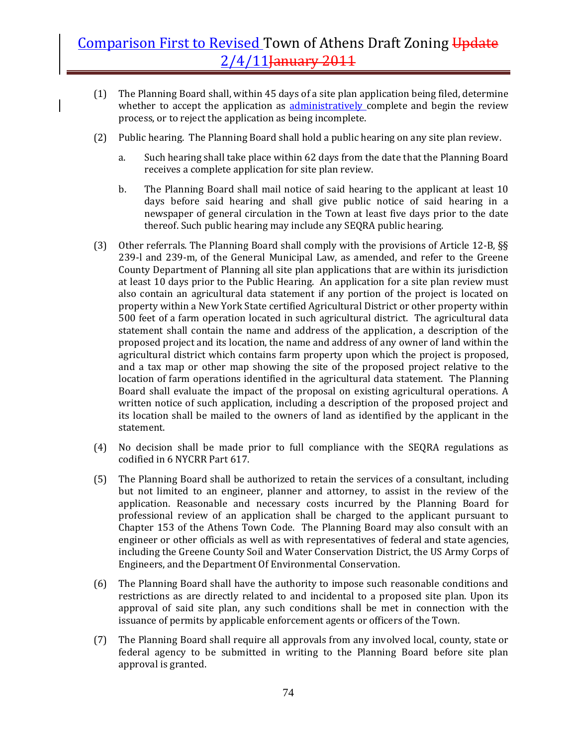- (1) The Planning Board shall, within 45 days of a site plan application being filed, determine whether to accept the application as administratively complete and begin the review process, or to reject the application as being incomplete.
- (2) Public hearing. The Planning Board shall hold a public hearing on any site plan review.
	- a. Such hearing shall take place within 62 days from the date that the Planning Board receives a complete application for site plan review.
	- b. The Planning Board shall mail notice of said hearing to the applicant at least 10 days before said hearing and shall give public notice of said hearing in a newspaper of general circulation in the Town at least five days prior to the date thereof. Such public hearing may include any SEQRA public hearing.
- (3) Other referrals. The Planning Board shall comply with the provisions of Article 12‐B, §§ 239-l and 239-m, of the General Municipal Law, as amended, and refer to the Greene County Department of Planning all site plan applications that are within its jurisdiction at least 10 days prior to the Public Hearing. An application for a site plan review must also contain an agricultural data statement if any portion of the project is located on property within a New York State certified Agricultural District or other property within 500 feet of a farm operation located in such agricultural district. The agricultural data statement shall contain the name and address of the application, a description of the proposed project and its location, the name and address of any owner of land within the agricultural district which contains farm property upon which the project is proposed, and a tax map or other map showing the site of the proposed project relative to the location of farm operations identified in the agricultural data statement. The Planning Board shall evaluate the impact of the proposal on existing agricultural operations. A written notice of such application, including a description of the proposed project and its location shall be mailed to the owners of land as identified by the applicant in the statement.
- (4) No decision shall be made prior to full compliance with the SEQRA regulations as codified in 6 NYCRR Part 617.
- (5) The Planning Board shall be authorized to retain the services of a consultant, including but not limited to an engineer, planner and attorney, to assist in the review of the application. Reasonable and necessary costs incurred by the Planning Board for professional review of an application shall be charged to the applicant pursuant to Chapter 153 of the Athens Town Code. The Planning Board may also consult with an engineer or other officials as well as with representatives of federal and state agencies, including the Greene County Soil and Water Conservation District, the US Army Corps of Engineers, and the Department Of Environmental Conservation.
- (6) The Planning Board shall have the authority to impose such reasonable conditions and restrictions as are directly related to and incidental to a proposed site plan. Upon its approval of said site plan, any such conditions shall be met in connection with the issuance of permits by applicable enforcement agents or officers of the Town.
- (7) The Planning Board shall require all approvals from any involved local, county, state or federal agency to be submitted in writing to the Planning Board before site plan approval is granted.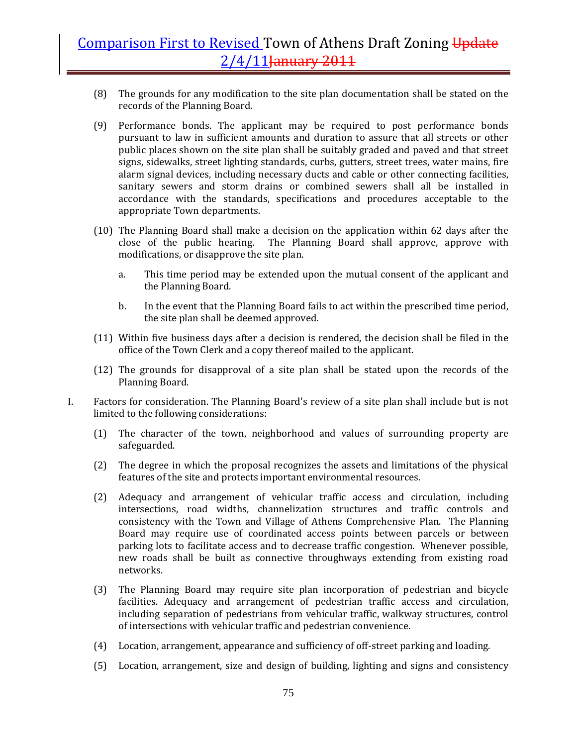- (8) The grounds for any modification to the site plan documentation shall be stated on the records of the Planning Board.
- (9) Performance bonds. The applicant may be required to post performance bonds pursuant to law in sufficient amounts and duration to assure that all streets or other public places shown on the site plan shall be suitably graded and paved and that street signs, sidewalks, street lighting standards, curbs, gutters, street trees, water mains, fire alarm signal devices, including necessary ducts and cable or other connecting facilities, sanitary sewers and storm drains or combined sewers shall all be installed in accordance with the standards, specifications and procedures acceptable to the appropriate Town departments.
- (10) The Planning Board shall make a decision on the application within 62 days after the close of the public hearing. The Planning Board shall approve, approve with modifications, or disapprove the site plan.
	- a. This time period may be extended upon the mutual consent of the applicant and the Planning Board.
	- b. In the event that the Planning Board fails to act within the prescribed time period, the site plan shall be deemed approved.
- (11) Within five business days after a decision is rendered, the decision shall be filed in the office of the Town Clerk and a copy thereof mailed to the applicant.
- (12) The grounds for disapproval of a site plan shall be stated upon the records of the Planning Board.
- I. Factors for consideration. The Planning Board's review of a site plan shall include but is not limited to the following considerations:
	- (1) The character of the town, neighborhood and values of surrounding property are safeguarded.
	- (2) The degree in which the proposal recognizes the assets and limitations of the physical features of the site and protects important environmental resources.
	- (2) Adequacy and arrangement of vehicular traffic access and circulation, including intersections, road widths, channelization structures and traffic controls and consistency with the Town and Village of Athens Comprehensive Plan. The Planning Board may require use of coordinated access points between parcels or between parking lots to facilitate access and to decrease traffic congestion. Whenever possible, new roads shall be built as connective throughways extending from existing road networks.
	- (3) The Planning Board may require site plan incorporation of pedestrian and bicycle facilities. Adequacy and arrangement of pedestrian traffic access and circulation, including separation of pedestrians from vehicular traffic, walkway structures, control of intersections with vehicular traffic and pedestrian convenience.
	- (4) Location, arrangement, appearance and sufficiency of off‐street parking and loading.
	- (5) Location, arrangement, size and design of building, lighting and signs and consistency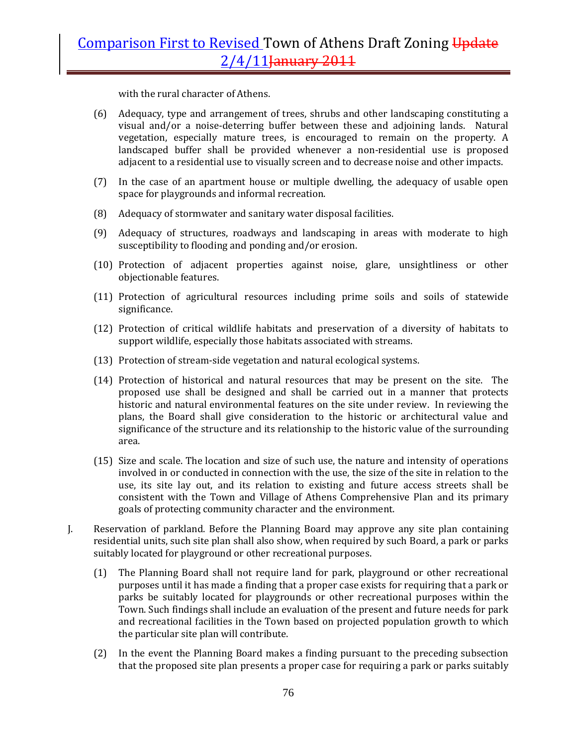with the rural character of Athens.

- (6) Adequacy, type and arrangement of trees, shrubs and other landscaping constituting a visual and/or a noise-deterring buffer between these and adjoining lands. Natural vegetation, especially mature trees, is encouraged to remain on the property. A landscaped buffer shall be provided whenever a non-residential use is proposed adjacent to a residential use to visually screen and to decrease noise and other impacts.
- (7) In the case of an apartment house or multiple dwelling, the adequacy of usable open space for playgrounds and informal recreation.
- (8) Adequacy of stormwater and sanitary water disposal facilities.
- (9) Adequacy of structures, roadways and landscaping in areas with moderate to high susceptibility to flooding and ponding and/or erosion.
- (10) Protection of adjacent properties against noise, glare, unsightliness or other objectionable features.
- (11) Protection of agricultural resources including prime soils and soils of statewide significance.
- (12) Protection of critical wildlife habitats and preservation of a diversity of habitats to support wildlife, especially those habitats associated with streams.
- (13) Protection of stream‐side vegetation and natural ecological systems.
- (14) Protection of historical and natural resources that may be present on the site. The proposed use shall be designed and shall be carried out in a manner that protects historic and natural environmental features on the site under review. In reviewing the plans, the Board shall give consideration to the historic or architectural value and significance of the structure and its relationship to the historic value of the surrounding area.
- (15) Size and scale. The location and size of such use, the nature and intensity of operations involved in or conducted in connection with the use, the size of the site in relation to the use, its site lay out, and its relation to existing and future access streets shall be consistent with the Town and Village of Athens Comprehensive Plan and its primary goals of protecting community character and the environment.
- J. Reservation of parkland. Before the Planning Board may approve any site plan containing residential units, such site plan shall also show, when required by such Board, a park or parks suitably located for playground or other recreational purposes.
	- (1) The Planning Board shall not require land for park, playground or other recreational purposes until it has made a finding that a proper case exists for requiring that a park or parks be suitably located for playgrounds or other recreational purposes within the Town. Such findings shall include an evaluation of the present and future needs for park and recreational facilities in the Town based on projected population growth to which the particular site plan will contribute.
	- (2) In the event the Planning Board makes a finding pursuant to the preceding subsection that the proposed site plan presents a proper case for requiring a park or parks suitably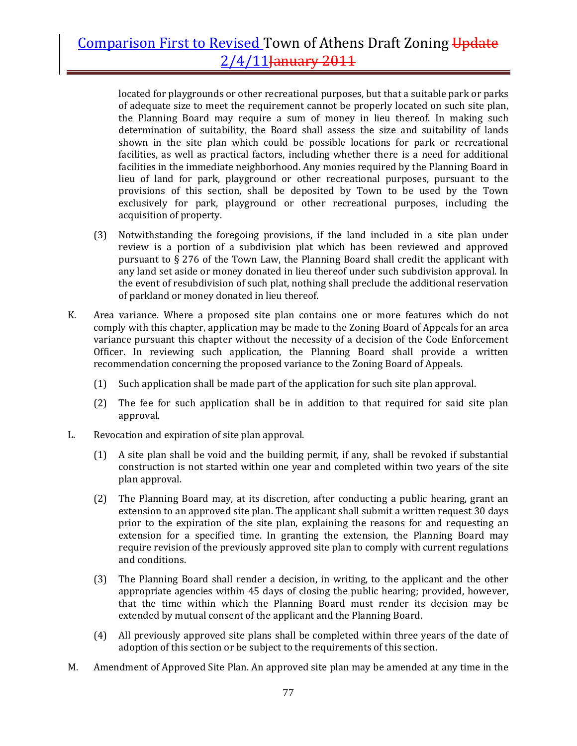located for playgrounds or other recreational purposes, but that a suitable park or parks of adequate size to meet the requirement cannot be properly located on such site plan, the Planning Board may require a sum of money in lieu thereof. In making such determination of suitability, the Board shall assess the size and suitability of lands shown in the site plan which could be possible locations for park or recreational facilities, as well as practical factors, including whether there is a need for additional facilities in the immediate neighborhood. Any monies required by the Planning Board in lieu of land for park, playground or other recreational purposes, pursuant to the provisions of this section, shall be deposited by Town to be used by the Town exclusively for park, playground or other recreational purposes, including the acquisition of property.

- (3) Notwithstanding the foregoing provisions, if the land included in a site plan under review is a portion of a subdivision plat which has been reviewed and approved pursuant to § 276 of the Town Law, the Planning Board shall credit the applicant with any land set aside or money donated in lieu thereof under such subdivision approval. In the event of resubdivision of such plat, nothing shall preclude the additional reservation of parkland or money donated in lieu thereof.
- K. Area variance. Where a proposed site plan contains one or more features which do not comply with this chapter, application may be made to the Zoning Board of Appeals for an area variance pursuant this chapter without the necessity of a decision of the Code Enforcement Officer. In reviewing such application, the Planning Board shall provide a written recommendation concerning the proposed variance to the Zoning Board of Appeals.
	- (1) Such application shall be made part of the application for such site plan approval.
	- (2) The fee for such application shall be in addition to that required for said site plan approval.
- L. Revocation and expiration of site plan approval.
	- (1) A site plan shall be void and the building permit, if any, shall be revoked if substantial construction is not started within one year and completed within two years of the site plan approval.
	- (2) The Planning Board may, at its discretion, after conducting a public hearing, grant an extension to an approved site plan. The applicant shall submit a written request 30 days prior to the expiration of the site plan, explaining the reasons for and requesting an extension for a specified time. In granting the extension, the Planning Board may require revision of the previously approved site plan to comply with current regulations and conditions.
	- (3) The Planning Board shall render a decision, in writing, to the applicant and the other appropriate agencies within 45 days of closing the public hearing; provided, however, that the time within which the Planning Board must render its decision may be extended by mutual consent of the applicant and the Planning Board.
	- (4) All previously approved site plans shall be completed within three years of the date of adoption of this section or be subject to the requirements of this section.
- M. Amendment of Approved Site Plan. An approved site plan may be amended at any time in the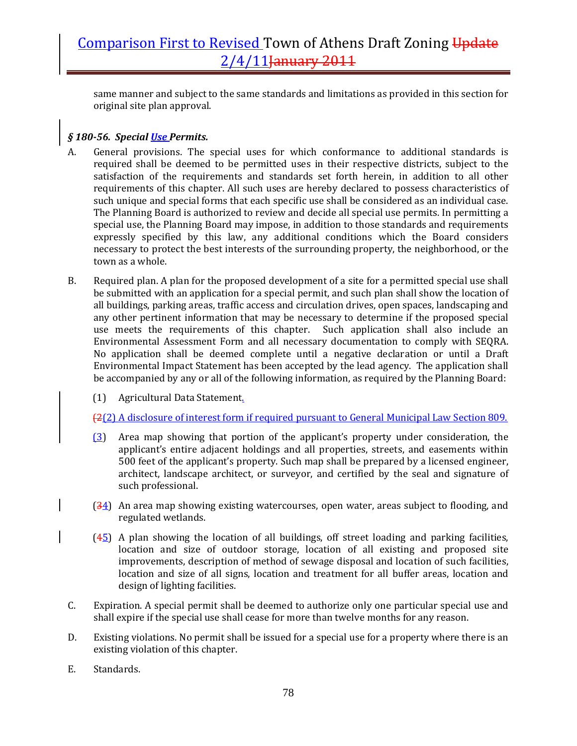same manner and subject to the same standards and limitations as provided in this section for original site plan approval.

### *§ 18056. Special Use Permits.*

- A. General provisions. The special uses for which conformance to additional standards is required shall be deemed to be permitted uses in their respective districts, subject to the satisfaction of the requirements and standards set forth herein, in addition to all other requirements of this chapter. All such uses are hereby declared to possess characteristics of such unique and special forms that each specific use shall be considered as an individual case. The Planning Board is authorized to review and decide all special use permits. In permitting a special use, the Planning Board may impose, in addition to those standards and requirements expressly specified by this law, any additional conditions which the Board considers necessary to protect the best interests of the surrounding property, the neighborhood, or the town as a whole.
- B. Required plan. A plan for the proposed development of a site for a permitted special use shall be submitted with an application for a special permit, and such plan shall show the location of all buildings, parking areas, traffic access and circulation drives, open spaces, landscaping and any other pertinent information that may be necessary to determine if the proposed special use meets the requirements of this chapter. Such application shall also include an Environmental Assessment Form and all necessary documentation to comply with SEQRA. No application shall be deemed complete until a negative declaration or until a Draft Environmental Impact Statement has been accepted by the lead agency. The application shall be accompanied by any or all of the following information, as required by the Planning Board:
	- (1) Agricultural Data Statement.

(2(2) A disclosure of interest form if required pursuant to General Municipal Law Section 809.

- (3) Area map showing that portion of the applicant's property under consideration, the applicant's entire adjacent holdings and all properties, streets, and easements within 500 feet of the applicant's property. Such map shall be prepared by a licensed engineer, architect, landscape architect, or surveyor, and certified by the seal and signature of such professional.
- (34) An area map showing existing watercourses, open water, areas subject to flooding, and regulated wetlands.
- $(45)$  A plan showing the location of all buildings, off street loading and parking facilities, location and size of outdoor storage, location of all existing and proposed site improvements, description of method of sewage disposal and location of such facilities, location and size of all signs, location and treatment for all buffer areas, location and design of lighting facilities.
- C. Expiration. A special permit shall be deemed to authorize only one particular special use and shall expire if the special use shall cease for more than twelve months for any reason.
- D. Existing violations. No permit shall be issued for a special use for a property where there is an existing violation of this chapter.
- E. Standards.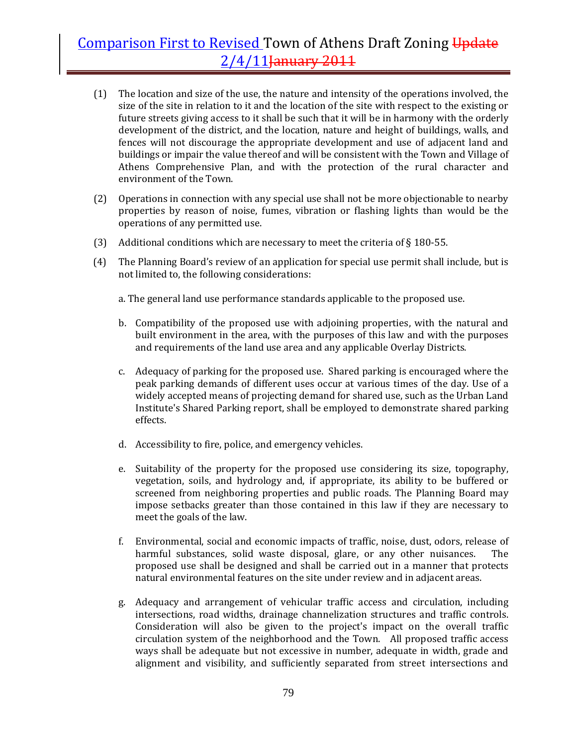- (1) The location and size of the use, the nature and intensity of the operations involved, the size of the site in relation to it and the location of the site with respect to the existing or future streets giving access to it shall be such that it will be in harmony with the orderly development of the district, and the location, nature and height of buildings, walls, and fences will not discourage the appropriate development and use of adjacent land and buildings or impair the value thereof and will be consistent with the Town and Village of Athens Comprehensive Plan, and with the protection of the rural character and environment of the Town.
- (2) Operations in connection with any special use shall not be more objectionable to nearby properties by reason of noise, fumes, vibration or flashing lights than would be the operations of any permitted use.
- (3) Additional conditions which are necessary to meet the criteria of  $\S 180-55$ .
- (4) The Planning Board's review of an application for special use permit shall include, but is not limited to, the following considerations:
	- a. The general land use performance standards applicable to the proposed use.
	- b. Compatibility of the proposed use with adjoining properties, with the natural and built environment in the area, with the purposes of this law and with the purposes and requirements of the land use area and any applicable Overlay Districts.
	- c. Adequacy of parking for the proposed use. Shared parking is encouraged where the peak parking demands of different uses occur at various times of the day. Use of a widely accepted means of projecting demand for shared use, such as the Urban Land Institute's Shared Parking report, shall be employed to demonstrate shared parking effects.
	- d. Accessibility to fire, police, and emergency vehicles.
	- e. Suitability of the property for the proposed use considering its size, topography, vegetation, soils, and hydrology and, if appropriate, its ability to be buffered or screened from neighboring properties and public roads. The Planning Board may impose setbacks greater than those contained in this law if they are necessary to meet the goals of the law.
	- f. Environmental, social and economic impacts of traffic, noise, dust, odors, release of harmful substances, solid waste disposal, glare, or any other nuisances. The proposed use shall be designed and shall be carried out in a manner that protects natural environmental features on the site under review and in adjacent areas.
	- g. Adequacy and arrangement of vehicular traffic access and circulation, including intersections, road widths, drainage channelization structures and traffic controls. Consideration will also be given to the project's impact on the overall traffic circulation system of the neighborhood and the Town. All proposed traffic access ways shall be adequate but not excessive in number, adequate in width, grade and alignment and visibility, and sufficiently separated from street intersections and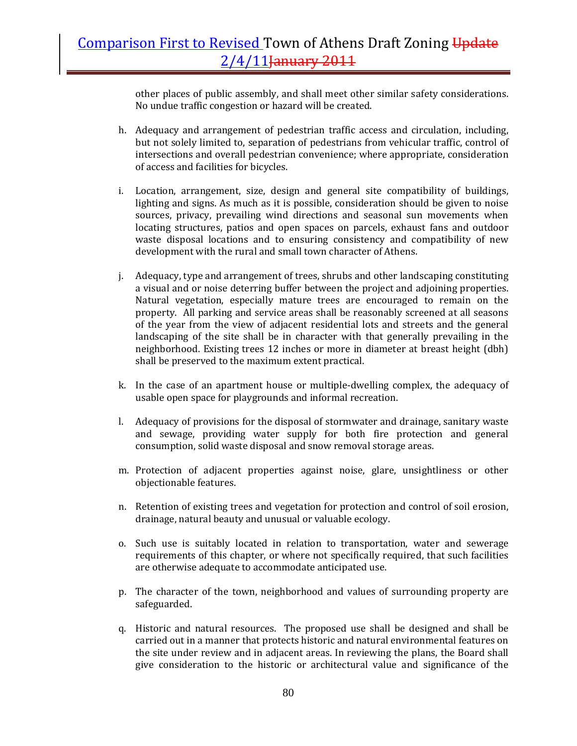other places of public assembly, and shall meet other similar safety considerations. No undue traffic congestion or hazard will be created.

- h. Adequacy and arrangement of pedestrian traffic access and circulation, including, but not solely limited to, separation of pedestrians from vehicular traffic, control of intersections and overall pedestrian convenience; where appropriate, consideration of access and facilities for bicycles.
- i. Location, arrangement, size, design and general site compatibility of buildings, lighting and signs. As much as it is possible, consideration should be given to noise sources, privacy, prevailing wind directions and seasonal sun movements when locating structures, patios and open spaces on parcels, exhaust fans and outdoor waste disposal locations and to ensuring consistency and compatibility of new development with the rural and small town character of Athens.
- j. Adequacy, type and arrangement of trees, shrubs and other landscaping constituting a visual and or noise deterring buffer between the project and adjoining properties. Natural vegetation, especially mature trees are encouraged to remain on the property. All parking and service areas shall be reasonably screened at all seasons of the year from the view of adjacent residential lots and streets and the general landscaping of the site shall be in character with that generally prevailing in the neighborhood. Existing trees 12 inches or more in diameter at breast height (dbh) shall be preserved to the maximum extent practical.
- k. In the case of an apartment house or multiple-dwelling complex, the adequacy of usable open space for playgrounds and informal recreation.
- l. Adequacy of provisions for the disposal of stormwater and drainage, sanitary waste and sewage, providing water supply for both fire protection and general consumption, solid waste disposal and snow removal storage areas.
- m. Protection of adjacent properties against noise, glare, unsightliness or other objectionable features.
- n. Retention of existing trees and vegetation for protection and control of soil erosion, drainage, natural beauty and unusual or valuable ecology.
- o. Such use is suitably located in relation to transportation, water and sewerage requirements of this chapter, or where not specifically required, that such facilities are otherwise adequate to accommodate anticipated use.
- p. The character of the town, neighborhood and values of surrounding property are safeguarded.
- q. Historic and natural resources. The proposed use shall be designed and shall be carried out in a manner that protects historic and natural environmental features on the site under review and in adjacent areas. In reviewing the plans, the Board shall give consideration to the historic or architectural value and significance of the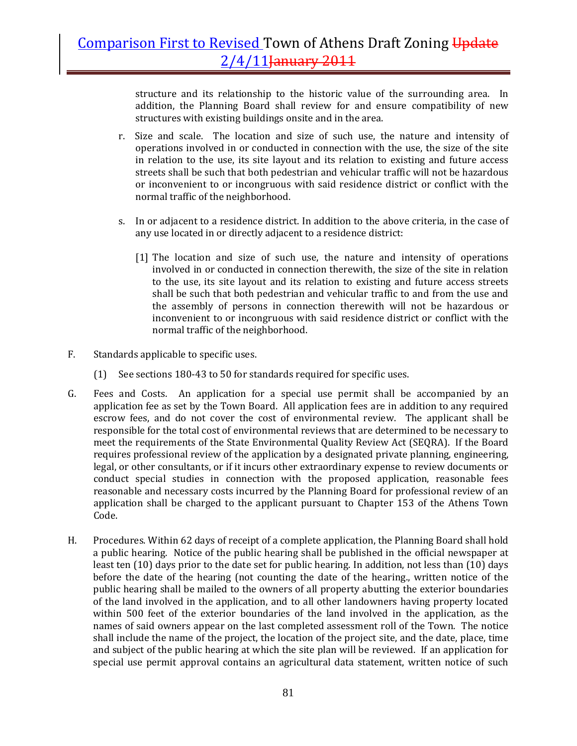structure and its relationship to the historic value of the surrounding area. In addition, the Planning Board shall review for and ensure compatibility of new structures with existing buildings onsite and in the area.

- r. Size and scale. The location and size of such use, the nature and intensity of operations involved in or conducted in connection with the use, the size of the site in relation to the use, its site layout and its relation to existing and future access streets shall be such that both pedestrian and vehicular traffic will not be hazardous or inconvenient to or incongruous with said residence district or conflict with the normal traffic of the neighborhood.
- s. In or adjacent to a residence district. In addition to the above criteria, in the case of any use located in or directly adjacent to a residence district:
	- [1] The location and size of such use, the nature and intensity of operations involved in or conducted in connection therewith, the size of the site in relation to the use, its site layout and its relation to existing and future access streets shall be such that both pedestrian and vehicular traffic to and from the use and the assembly of persons in connection therewith will not be hazardous or inconvenient to or incongruous with said residence district or conflict with the normal traffic of the neighborhood.
- F. Standards applicable to specific uses.
	- (1) See sections 180‐43 to 50 for standards required for specific uses.
- G. Fees and Costs. An application for a special use permit shall be accompanied by an application fee as set by the Town Board. All application fees are in addition to any required escrow fees, and do not cover the cost of environmental review. The applicant shall be responsible for the total cost of environmental reviews that are determined to be necessary to meet the requirements of the State Environmental Quality Review Act (SEQRA). If the Board requires professional review of the application by a designated private planning, engineering, legal, or other consultants, or if it incurs other extraordinary expense to review documents or conduct special studies in connection with the proposed application, reasonable fees reasonable and necessary costs incurred by the Planning Board for professional review of an application shall be charged to the applicant pursuant to Chapter 153 of the Athens Town Code.
- H. Procedures. Within 62 days of receipt of a complete application, the Planning Board shall hold a public hearing. Notice of the public hearing shall be published in the official newspaper at least ten (10) days prior to the date set for public hearing. In addition, not less than (10) days before the date of the hearing (not counting the date of the hearing., written notice of the public hearing shall be mailed to the owners of all property abutting the exterior boundaries of the land involved in the application, and to all other landowners having property located within 500 feet of the exterior boundaries of the land involved in the application, as the names of said owners appear on the last completed assessment roll of the Town. The notice shall include the name of the project, the location of the project site, and the date, place, time and subject of the public hearing at which the site plan will be reviewed. If an application for special use permit approval contains an agricultural data statement, written notice of such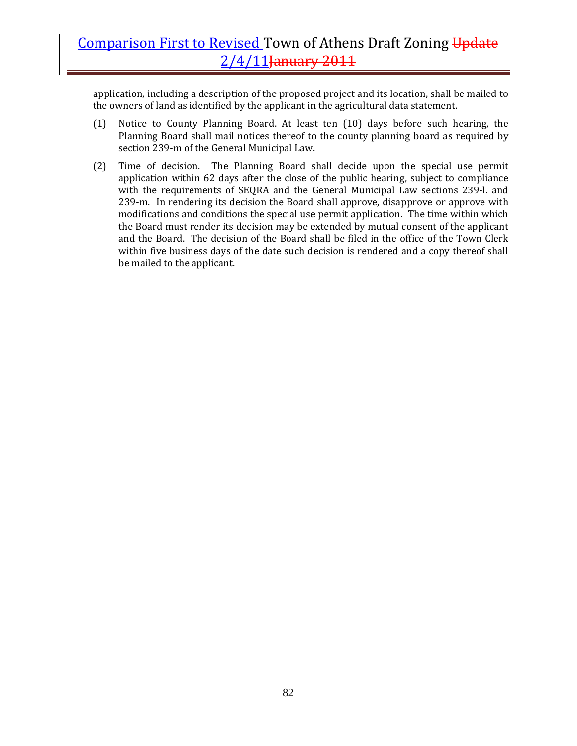application, including a description of the proposed project and its location, shall be mailed to the owners of land as identified by the applicant in the agricultural data statement.

- (1) Notice to County Planning Board. At least ten (10) days before such hearing, the Planning Board shall mail notices thereof to the county planning board as required by section 239‐m of the General Municipal Law.
- (2) Time of decision. The Planning Board shall decide upon the special use permit application within 62 days after the close of the public hearing, subject to compliance with the requirements of  $SEQRA$  and the General Municipal Law sections 239-l. and 239-m. In rendering its decision the Board shall approve, disapprove or approve with modifications and conditions the special use permit application. The time within which the Board must render its decision may be extended by mutual consent of the applicant and the Board. The decision of the Board shall be filed in the office of the Town Clerk within five business days of the date such decision is rendered and a copy thereof shall be mailed to the applicant.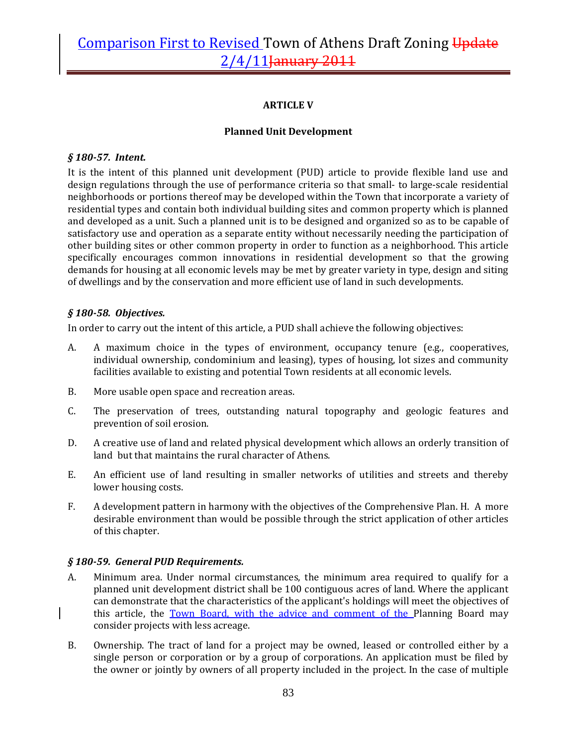### **ARTICLE V**

### **Planned Unit Development**

#### *§ 18057. Intent.*

It is the intent of this planned unit development (PUD) article to provide flexible land use and design regulations through the use of performance criteria so that small- to large-scale residential neighborhoods or portions thereof may be developed within the Town that incorporate a variety of residential types and contain both individual building sites and common property which is planned and developed as a unit. Such a planned unit is to be designed and organized so as to be capable of satisfactory use and operation as a separate entity without necessarily needing the participation of other building sites or other common property in order to function as a neighborhood. This article specifically encourages common innovations in residential development so that the growing demands for housing at all economic levels may be met by greater variety in type, design and siting of dwellings and by the conservation and more efficient use of land in such developments.

### *§ 18058. Objectives.*

In order to carry out the intent of this article, a PUD shall achieve the following objectives:

- A. A maximum choice in the types of environment, occupancy tenure (e.g., cooperatives, individual ownership, condominium and leasing), types of housing, lot sizes and community facilities available to existing and potential Town residents at all economic levels.
- B. More usable open space and recreation areas.
- C. The preservation of trees, outstanding natural topography and geologic features and prevention of soil erosion.
- D. A creative use of land and related physical development which allows an orderly transition of land but that maintains the rural character of Athens.
- E. An efficient use of land resulting in smaller networks of utilities and streets and thereby lower housing costs.
- F. A development pattern in harmony with the objectives of the Comprehensive Plan. H. A more desirable environment than would be possible through the strict application of other articles of this chapter.

### *§ 18059. General PUD Requirements.*

- A. Minimum area. Under normal circumstances, the minimum area required to qualify for a planned unit development district shall be 100 contiguous acres of land. Where the applicant can demonstrate that the characteristics of the applicant's holdings will meet the objectives of this article, the Town Board, with the advice and comment of the Planning Board may consider projects with less acreage.
- B. Ownership. The tract of land for a project may be owned, leased or controlled either by a single person or corporation or by a group of corporations. An application must be filed by the owner or jointly by owners of all property included in the project. In the case of multiple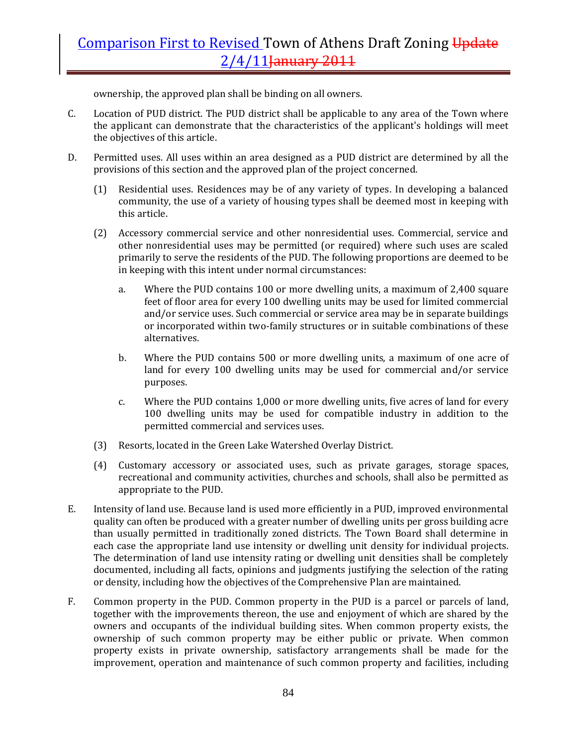ownership, the approved plan shall be binding on all owners.

- C. Location of PUD district. The PUD district shall be applicable to any area of the Town where the applicant can demonstrate that the characteristics of the applicant's holdings will meet the objectives of this article.
- D. Permitted uses. All uses within an area designed as a PUD district are determined by all the provisions of this section and the approved plan of the project concerned.
	- (1) Residential uses. Residences may be of any variety of types. In developing a balanced community, the use of a variety of housing types shall be deemed most in keeping with this article.
	- (2) Accessory commercial service and other nonresidential uses. Commercial, service and other nonresidential uses may be permitted (or required) where such uses are scaled primarily to serve the residents of the PUD. The following proportions are deemed to be in keeping with this intent under normal circumstances:
		- a. Where the PUD contains 100 or more dwelling units, a maximum of 2,400 square feet of floor area for every 100 dwelling units may be used for limited commercial and/or service uses. Such commercial or service area may be in separate buildings or incorporated within two-family structures or in suitable combinations of these alternatives.
		- b. Where the PUD contains 500 or more dwelling units, a maximum of one acre of land for every 100 dwelling units may be used for commercial and/or service purposes.
		- c. Where the PUD contains 1,000 or more dwelling units, five acres of land for every 100 dwelling units may be used for compatible industry in addition to the permitted commercial and services uses.
	- (3) Resorts, located in the Green Lake Watershed Overlay District.
	- (4) Customary accessory or associated uses, such as private garages, storage spaces, recreational and community activities, churches and schools, shall also be permitted as appropriate to the PUD.
- E. Intensity of land use. Because land is used more efficiently in a PUD, improved environmental quality can often be produced with a greater number of dwelling units per gross building acre than usually permitted in traditionally zoned districts. The Town Board shall determine in each case the appropriate land use intensity or dwelling unit density for individual projects. The determination of land use intensity rating or dwelling unit densities shall be completely documented, including all facts, opinions and judgments justifying the selection of the rating or density, including how the objectives of the Comprehensive Plan are maintained.
- F. Common property in the PUD. Common property in the PUD is a parcel or parcels of land, together with the improvements thereon, the use and enjoyment of which are shared by the owners and occupants of the individual building sites. When common property exists, the ownership of such common property may be either public or private. When common property exists in private ownership, satisfactory arrangements shall be made for the improvement, operation and maintenance of such common property and facilities, including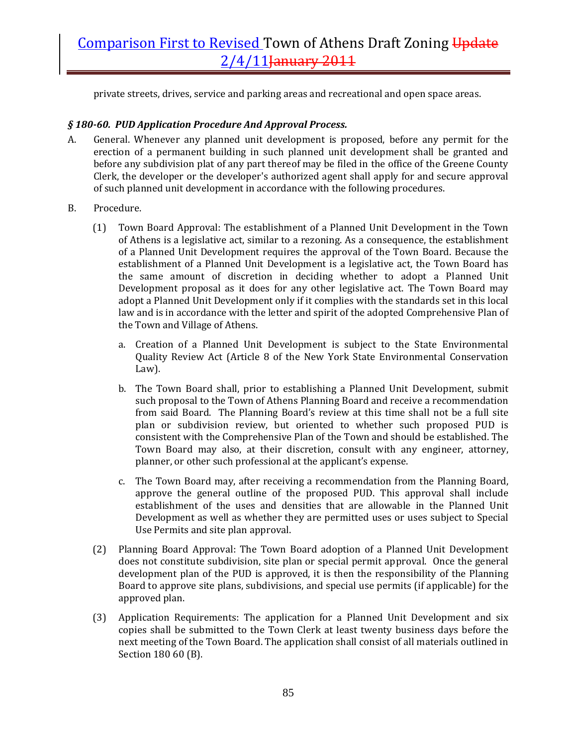private streets, drives, service and parking areas and recreational and open space areas.

### *§ 18060. PUD Application Procedure And Approval Process.*

- A. General. Whenever any planned unit development is proposed, before any permit for the erection of a permanent building in such planned unit development shall be granted and before any subdivision plat of any part thereof may be filed in the office of the Greene County Clerk, the developer or the developer's authorized agent shall apply for and secure approval of such planned unit development in accordance with the following procedures.
- B. Procedure.
	- (1) Town Board Approval: The establishment of a Planned Unit Development in the Town of Athens is a legislative act, similar to a rezoning. As a consequence, the establishment of a Planned Unit Development requires the approval of the Town Board. Because the establishment of a Planned Unit Development is a legislative act, the Town Board has the same amount of discretion in deciding whether to adopt a Planned Unit Development proposal as it does for any other legislative act. The Town Board may adopt a Planned Unit Development only if it complies with the standards set in this local law and is in accordance with the letter and spirit of the adopted Comprehensive Plan of the Town and Village of Athens.
		- a. Creation of a Planned Unit Development is subject to the State Environmental Quality Review Act (Article 8 of the New York State Environmental Conservation Law).
		- b. The Town Board shall, prior to establishing a Planned Unit Development, submit such proposal to the Town of Athens Planning Board and receive a recommendation from said Board. The Planning Board's review at this time shall not be a full site plan or subdivision review, but oriented to whether such proposed PUD is consistent with the Comprehensive Plan of the Town and should be established. The Town Board may also, at their discretion, consult with any engineer, attorney, planner, or other such professional at the applicant's expense.
		- c. The Town Board may, after receiving a recommendation from the Planning Board, approve the general outline of the proposed PUD. This approval shall include establishment of the uses and densities that are allowable in the Planned Unit Development as well as whether they are permitted uses or uses subject to Special Use Permits and site plan approval.
	- (2) Planning Board Approval: The Town Board adoption of a Planned Unit Development does not constitute subdivision, site plan or special permit approval. Once the general development plan of the PUD is approved, it is then the responsibility of the Planning Board to approve site plans, subdivisions, and special use permits (if applicable) for the approved plan.
	- (3) Application Requirements: The application for a Planned Unit Development and six copies shall be submitted to the Town Clerk at least twenty business days before the next meeting of the Town Board. The application shall consist of all materials outlined in Section 180 60 (B).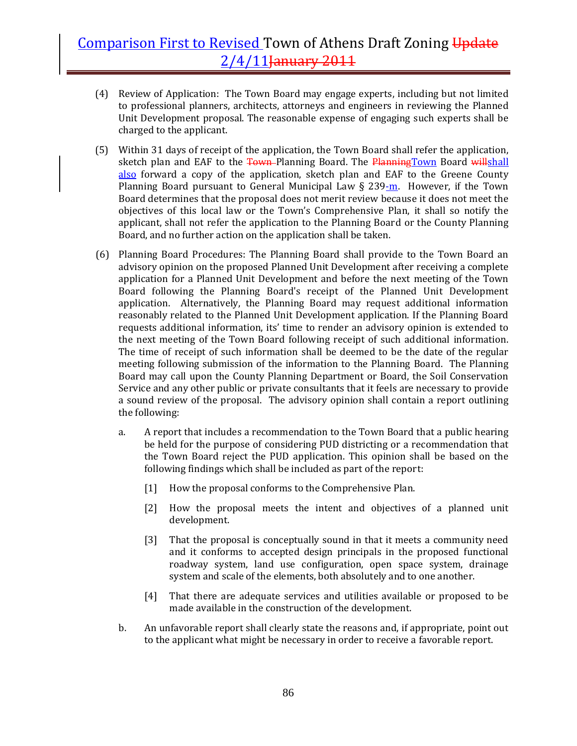- (4) Review of Application: The Town Board may engage experts, including but not limited to professional planners, architects, attorneys and engineers in reviewing the Planned Unit Development proposal. The reasonable expense of engaging such experts shall be charged to the applicant.
- (5) Within 31 days of receipt of the application, the Town Board shall refer the application, sketch plan and EAF to the Town Planning Board. The PlanningTown Board willshall also forward a copy of the application, sketch plan and EAF to the Greene County Planning Board pursuant to General Municipal Law  $\S 239$ -m. However, if the Town Board determines that the proposal does not merit review because it does not meet the objectives of this local law or the Town's Comprehensive Plan, it shall so notify the applicant, shall not refer the application to the Planning Board or the County Planning Board, and no further action on the application shall be taken.
- (6) Planning Board Procedures: The Planning Board shall provide to the Town Board an advisory opinion on the proposed Planned Unit Development after receiving a complete application for a Planned Unit Development and before the next meeting of the Town Board following the Planning Board's receipt of the Planned Unit Development application. Alternatively, the Planning Board may request additional information reasonably related to the Planned Unit Development application. If the Planning Board requests additional information, its' time to render an advisory opinion is extended to the next meeting of the Town Board following receipt of such additional information. The time of receipt of such information shall be deemed to be the date of the regular meeting following submission of the information to the Planning Board. The Planning Board may call upon the County Planning Department or Board, the Soil Conservation Service and any other public or private consultants that it feels are necessary to provide a sound review of the proposal. The advisory opinion shall contain a report outlining the following:
	- a. A report that includes a recommendation to the Town Board that a public hearing be held for the purpose of considering PUD districting or a recommendation that the Town Board reject the PUD application. This opinion shall be based on the following findings which shall be included as part of the report:
		- [1] How the proposal conforms to the Comprehensive Plan.
		- [2] How the proposal meets the intent and objectives of a planned unit development.
		- [3] That the proposal is conceptually sound in that it meets a community need and it conforms to accepted design principals in the proposed functional roadway system, land use configuration, open space system, drainage system and scale of the elements, both absolutely and to one another.
		- [4] That there are adequate services and utilities available or proposed to be made available in the construction of the development.
	- b. An unfavorable report shall clearly state the reasons and, if appropriate, point out to the applicant what might be necessary in order to receive a favorable report.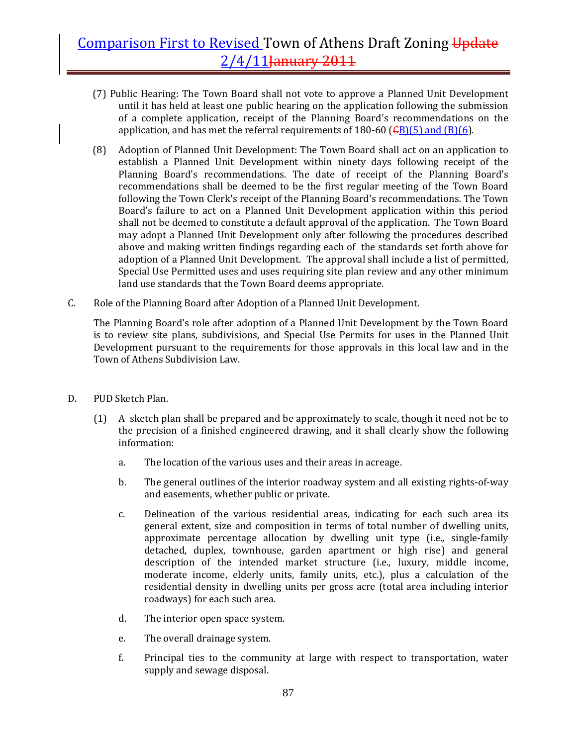- (7) Public Hearing: The Town Board shall not vote to approve a Planned Unit Development until it has held at least one public hearing on the application following the submission of a complete application, receipt of the Planning Board's recommendations on the application, and has met the referral requirements of 180-60 ( $\overline{GB}$ )(5) and (B)(6).
- (8) Adoption of Planned Unit Development: The Town Board shall act on an application to establish a Planned Unit Development within ninety days following receipt of the Planning Board's recommendations. The date of receipt of the Planning Board's recommendations shall be deemed to be the first regular meeting of the Town Board following the Town Clerk's receipt of the Planning Board's recommendations. The Town Board's failure to act on a Planned Unit Development application within this period shall not be deemed to constitute a default approval of the application. The Town Board may adopt a Planned Unit Development only after following the procedures described above and making written findings regarding each of the standards set forth above for adoption of a Planned Unit Development. The approval shall include a list of permitted, Special Use Permitted uses and uses requiring site plan review and any other minimum land use standards that the Town Board deems appropriate.
- C. Role of the Planning Board after Adoption of a Planned Unit Development.

The Planning Board's role after adoption of a Planned Unit Development by the Town Board is to review site plans, subdivisions, and Special Use Permits for uses in the Planned Unit Development pursuant to the requirements for those approvals in this local law and in the Town of Athens Subdivision Law.

- D. PUD Sketch Plan.
	- (1) A sketch plan shall be prepared and be approximately to scale, though it need not be to the precision of a finished engineered drawing, and it shall clearly show the following information:
		- a. The location of the various uses and their areas in acreage.
		- b. The general outlines of the interior roadway system and all existing rights‐of‐way and easements, whether public or private.
		- c. Delineation of the various residential areas, indicating for each such area its general extent, size and composition in terms of total number of dwelling units, approximate percentage allocation by dwelling unit type (i.e., single‐family detached, duplex, townhouse, garden apartment or high rise) and general description of the intended market structure (i.e., luxury, middle income, moderate income, elderly units, family units, etc.), plus a calculation of the residential density in dwelling units per gross acre (total area including interior roadways) for each such area.
		- d. The interior open space system.
		- e. The overall drainage system.
		- f. Principal ties to the community at large with respect to transportation, water supply and sewage disposal.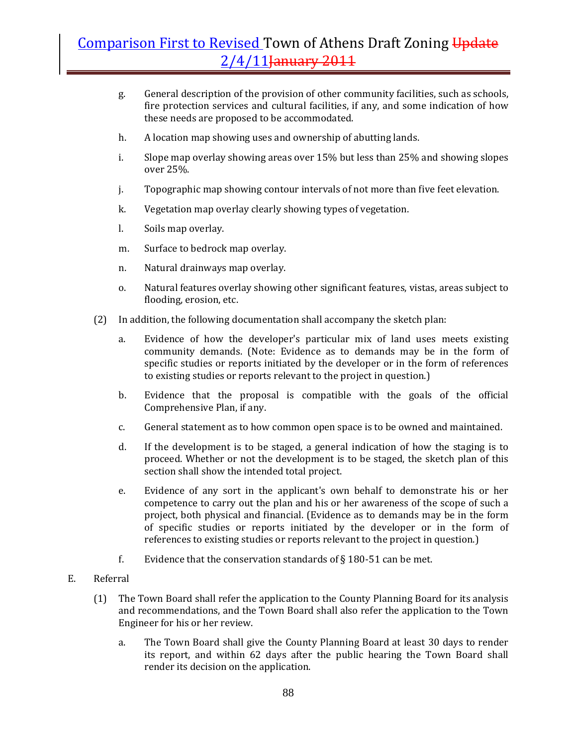- g. General description of the provision of other community facilities, such as schools, fire protection services and cultural facilities, if any, and some indication of how these needs are proposed to be accommodated.
- h. A location map showing uses and ownership of abutting lands.
- i. Slope map overlay showing areas over 15% but less than 25% and showing slopes over 25%.
- j. Topographic map showing contour intervals of not more than five feet elevation.
- k. Vegetation map overlay clearly showing types of vegetation.
- l. Soils map overlay.
- m. Surface to bedrock map overlay.
- n. Natural drainways map overlay.
- o. Natural features overlay showing other significant features, vistas, areas subject to flooding, erosion, etc.
- (2) In addition, the following documentation shall accompany the sketch plan:
	- a. Evidence of how the developer's particular mix of land uses meets existing community demands. (Note: Evidence as to demands may be in the form of specific studies or reports initiated by the developer or in the form of references to existing studies or reports relevant to the project in question.)
	- b. Evidence that the proposal is compatible with the goals of the official Comprehensive Plan, if any.
	- c. General statement as to how common open space is to be owned and maintained.
	- d. If the development is to be staged, a general indication of how the staging is to proceed. Whether or not the development is to be staged, the sketch plan of this section shall show the intended total project.
	- e. Evidence of any sort in the applicant's own behalf to demonstrate his or her competence to carry out the plan and his or her awareness of the scope of such a project, both physical and financial. (Evidence as to demands may be in the form of specific studies or reports initiated by the developer or in the form of references to existing studies or reports relevant to the project in question.)
	- f. Evidence that the conservation standards of  $\S$  180-51 can be met.

#### E. Referral

- (1) The Town Board shall refer the application to the County Planning Board for its analysis and recommendations, and the Town Board shall also refer the application to the Town Engineer for his or her review.
	- a. The Town Board shall give the County Planning Board at least 30 days to render its report, and within 62 days after the public hearing the Town Board shall render its decision on the application.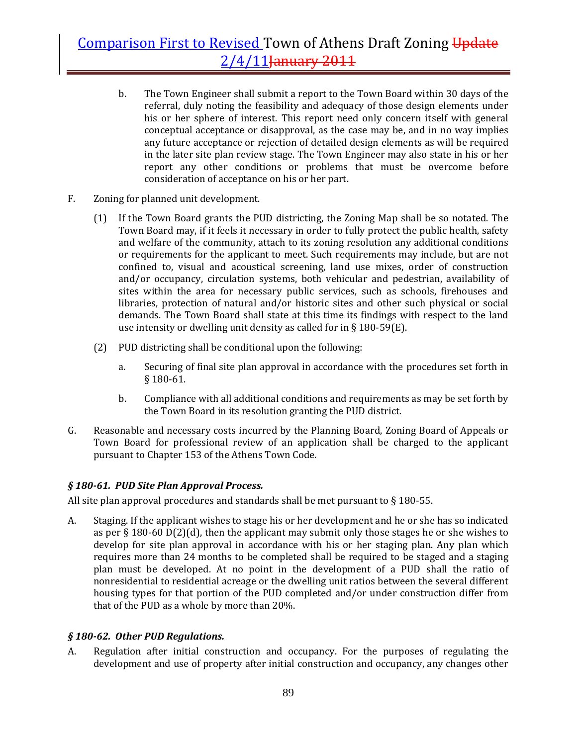- b. The Town Engineer shall submit a report to the Town Board within 30 days of the referral, duly noting the feasibility and adequacy of those design elements under his or her sphere of interest. This report need only concern itself with general conceptual acceptance or disapproval, as the case may be, and in no way implies any future acceptance or rejection of detailed design elements as will be required in the later site plan review stage. The Town Engineer may also state in his or her report any other conditions or problems that must be overcome before consideration of acceptance on his or her part.
- F. Zoning for planned unit development.
	- (1) If the Town Board grants the PUD districting, the Zoning Map shall be so notated. The Town Board may, if it feels it necessary in order to fully protect the public health, safety and welfare of the community, attach to its zoning resolution any additional conditions or requirements for the applicant to meet. Such requirements may include, but are not confined to, visual and acoustical screening, land use mixes, order of construction and/or occupancy, circulation systems, both vehicular and pedestrian, availability of sites within the area for necessary public services, such as schools, firehouses and libraries, protection of natural and/or historic sites and other such physical or social demands. The Town Board shall state at this time its findings with respect to the land use intensity or dwelling unit density as called for in § 180‐59(E).
	- (2) PUD districting shall be conditional upon the following:
		- a. Securing of final site plan approval in accordance with the procedures set forth in § 180‐61.
		- b. Compliance with all additional conditions and requirements as may be set forth by the Town Board in its resolution granting the PUD district.
- G. Reasonable and necessary costs incurred by the Planning Board, Zoning Board of Appeals or Town Board for professional review of an application shall be charged to the applicant pursuant to Chapter 153 of the Athens Town Code.

### *§ 18061. PUD Site Plan Approval Process.*

All site plan approval procedures and standards shall be met pursuant to  $\S 180-55$ .

A. Staging. If the applicant wishes to stage his or her development and he or she has so indicated as per § 180-60 D(2)(d), then the applicant may submit only those stages he or she wishes to develop for site plan approval in accordance with his or her staging plan. Any plan which requires more than 24 months to be completed shall be required to be staged and a staging plan must be developed. At no point in the development of a PUD shall the ratio of nonresidential to residential acreage or the dwelling unit ratios between the several different housing types for that portion of the PUD completed and/or under construction differ from that of the PUD as a whole by more than 20%.

### *§ 18062. Other PUD Regulations.*

A. Regulation after initial construction and occupancy. For the purposes of regulating the development and use of property after initial construction and occupancy, any changes other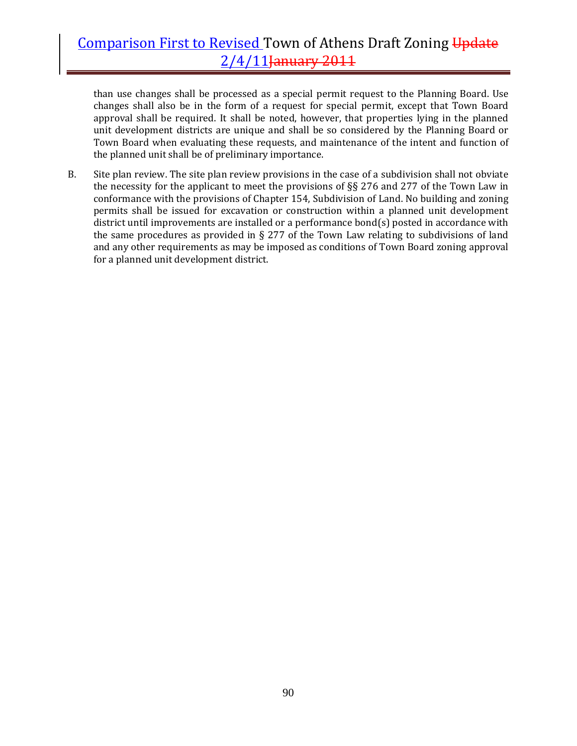than use changes shall be processed as a special permit request to the Planning Board. Use changes shall also be in the form of a request for special permit, except that Town Board approval shall be required. It shall be noted, however, that properties lying in the planned unit development districts are unique and shall be so considered by the Planning Board or Town Board when evaluating these requests, and maintenance of the intent and function of the planned unit shall be of preliminary importance.

B. Site plan review. The site plan review provisions in the case of a subdivision shall not obviate the necessity for the applicant to meet the provisions of §§ 276 and 277 of the Town Law in conformance with the provisions of Chapter 154, Subdivision of Land. No building and zoning permits shall be issued for excavation or construction within a planned unit development district until improvements are installed or a performance bond(s) posted in accordance with the same procedures as provided in  $\S 277$  of the Town Law relating to subdivisions of land and any other requirements as may be imposed as conditions of Town Board zoning approval for a planned unit development district.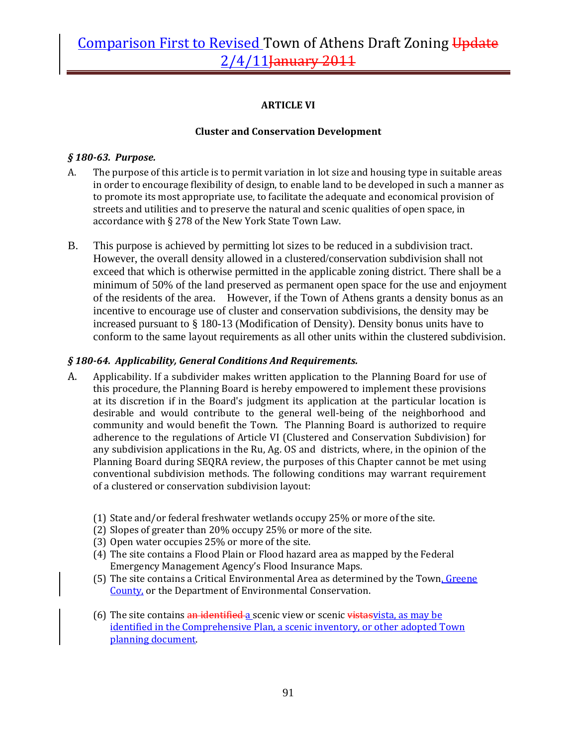### **ARTICLE VI**

### **Cluster and Conservation Development**

### *§ 18063. Purpose.*

- A. The purpose of this article is to permit variation in lot size and housing type in suitable areas in order to encourage flexibility of design, to enable land to be developed in such a manner as to promote its most appropriate use, to facilitate the adequate and economical provision of streets and utilities and to preserve the natural and scenic qualities of open space, in accordance with § 278 of the New York State Town Law.
- B. This purpose is achieved by permitting lot sizes to be reduced in a subdivision tract. However, the overall density allowed in a clustered/conservation subdivision shall not exceed that which is otherwise permitted in the applicable zoning district. There shall be a minimum of 50% of the land preserved as permanent open space for the use and enjoyment of the residents of the area. However, if the Town of Athens grants a density bonus as an incentive to encourage use of cluster and conservation subdivisions, the density may be increased pursuant to § 180-13 (Modification of Density). Density bonus units have to conform to the same layout requirements as all other units within the clustered subdivision.

### *§ 18064. Applicability, General Conditions And Requirements.*

- A. Applicability. If a subdivider makes written application to the Planning Board for use of this procedure, the Planning Board is hereby empowered to implement these provisions at its discretion if in the Board's judgment its application at the particular location is desirable and would contribute to the general well-being of the neighborhood and community and would benefit the Town. The Planning Board is authorized to require adherence to the regulations of Article VI (Clustered and Conservation Subdivision) for any subdivision applications in the Ru, Ag. OS and districts, where, in the opinion of the Planning Board during SEQRA review, the purposes of this Chapter cannot be met using conventional subdivision methods. The following conditions may warrant requirement of a clustered or conservation subdivision layout:
	- (1) State and/or federal freshwater wetlands occupy 25% or more of the site.
	- (2) Slopes of greater than 20% occupy 25% or more of the site.
	- (3) Open water occupies 25% or more of the site.
	- (4) The site contains a Flood Plain or Flood hazard area as mapped by the Federal Emergency Management Agency's Flood Insurance Maps.
	- (5) The site contains a Critical Environmental Area as determined by the Town, Greene County, or the Department of Environmental Conservation.
	- (6) The site contains an identified a scenic view or scenic vistas vista, as may be identified in the Comprehensive Plan, a scenic inventory, or other adopted Town planning document.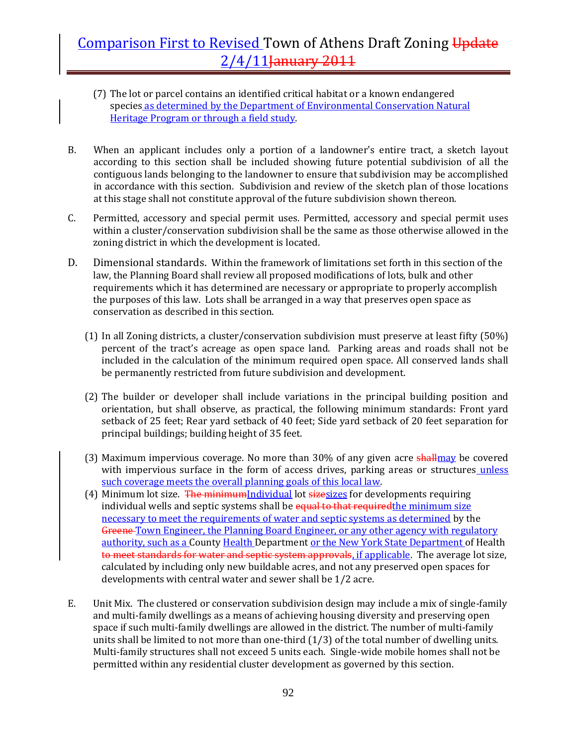- (7) The lot or parcel contains an identified critical habitat or a known endangered species as determined by the Department of Environmental Conservation Natural Heritage Program or through a field study.
- B. When an applicant includes only a portion of a landowner's entire tract, a sketch layout according to this section shall be included showing future potential subdivision of all the contiguous lands belonging to the landowner to ensure that subdivision may be accomplished in accordance with this section. Subdivision and review of the sketch plan of those locations at this stage shall not constitute approval of the future subdivision shown thereon.
- C. Permitted, accessory and special permit uses. Permitted, accessory and special permit uses within a cluster/conservation subdivision shall be the same as those otherwise allowed in the zoning district in which the development is located.
- D. Dimensional standards. Within the framework of limitations set forth in this section of the law, the Planning Board shall review all proposed modifications of lots, bulk and other requirements which it has determined are necessary or appropriate to properly accomplish the purposes of this law. Lots shall be arranged in a way that preserves open space as conservation as described in this section.
	- (1) In all Zoning districts, a cluster/conservation subdivision must preserve at least fifty (50%) percent of the tract's acreage as open space land. Parking areas and roads shall not be included in the calculation of the minimum required open space. All conserved lands shall be permanently restricted from future subdivision and development.
	- (2) The builder or developer shall include variations in the principal building position and orientation, but shall observe, as practical, the following minimum standards: Front yard setback of 25 feet; Rear yard setback of 40 feet; Side yard setback of 20 feet separation for principal buildings; building height of 35 feet.
	- (3) Maximum impervious coverage. No more than 30% of any given acre shall may be covered with impervious surface in the form of access drives, parking areas or structures unless such coverage meets the overall planning goals of this local law.
	- (4) Minimum lot size. The minimumIndividual lot size sizes for developments requiring individual wells and septic systems shall be equal to that required the minimum size necessary to meet the requirements of water and septic systems as determined by the Greene Town Engineer, the Planning Board Engineer, or any other agency with regulatory authority, such as a County Health Department or the New York State Department of Health to meet standards for water and septic system approvals, if applicable. The average lot size, calculated by including only new buildable acres, and not any preserved open spaces for developments with central water and sewer shall be 1/2 acre.
- E. Unit Mix. The clustered or conservation subdivision design may include a mix of single‐family and multi‐family dwellings as a means of achieving housing diversity and preserving open space if such multi-family dwellings are allowed in the district. The number of multi-family units shall be limited to not more than one-third  $(1/3)$  of the total number of dwelling units. Multi-family structures shall not exceed 5 units each. Single-wide mobile homes shall not be permitted within any residential cluster development as governed by this section.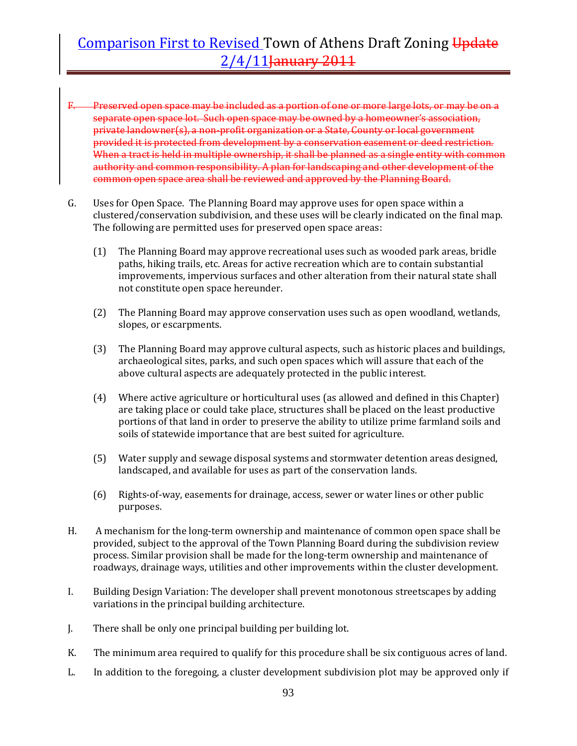- Preserved open space may be included as a portion of one or more large lots, or may be on a separate open space lot. Such open space may be owned by a homeowner's association, private landowner(s), a non‐profit organization or a State, County or local government provided it is protected from development by a conservation easement or deed restriction. When a tract is held in multiple ownership, it shall be planned as a single entity with common authority and common responsibility. A plan for landscaping and other development of the common open space area shall be reviewed and approved by the Planning Board.
- G. Uses for Open Space. The Planning Board may approve uses for open space within a clustered/conservation subdivision, and these uses will be clearly indicated on the final map. The following are permitted uses for preserved open space areas:
	- (1) The Planning Board may approve recreational uses such as wooded park areas, bridle paths, hiking trails, etc. Areas for active recreation which are to contain substantial improvements, impervious surfaces and other alteration from their natural state shall not constitute open space hereunder.
	- (2) The Planning Board may approve conservation uses such as open woodland, wetlands, slopes, or escarpments.
	- (3) The Planning Board may approve cultural aspects, such as historic places and buildings, archaeological sites, parks, and such open spaces which will assure that each of the above cultural aspects are adequately protected in the public interest.
	- (4) Where active agriculture or horticultural uses (as allowed and defined in this Chapter) are taking place or could take place, structures shall be placed on the least productive portions of that land in order to preserve the ability to utilize prime farmland soils and soils of statewide importance that are best suited for agriculture.
	- (5) Water supply and sewage disposal systems and stormwater detention areas designed, landscaped, and available for uses as part of the conservation lands.
	- (6) Rights‐of‐way, easements for drainage, access, sewer or water lines or other public purposes.
- H. A mechanism for the long‐term ownership and maintenance of common open space shall be provided, subject to the approval of the Town Planning Board during the subdivision review process. Similar provision shall be made for the long‐term ownership and maintenance of roadways, drainage ways, utilities and other improvements within the cluster development.
- I. Building Design Variation: The developer shall prevent monotonous streetscapes by adding variations in the principal building architecture.
- J. There shall be only one principal building per building lot.
- K. The minimum area required to qualify for this procedure shall be six contiguous acres of land.
- L. In addition to the foregoing, a cluster development subdivision plot may be approved only if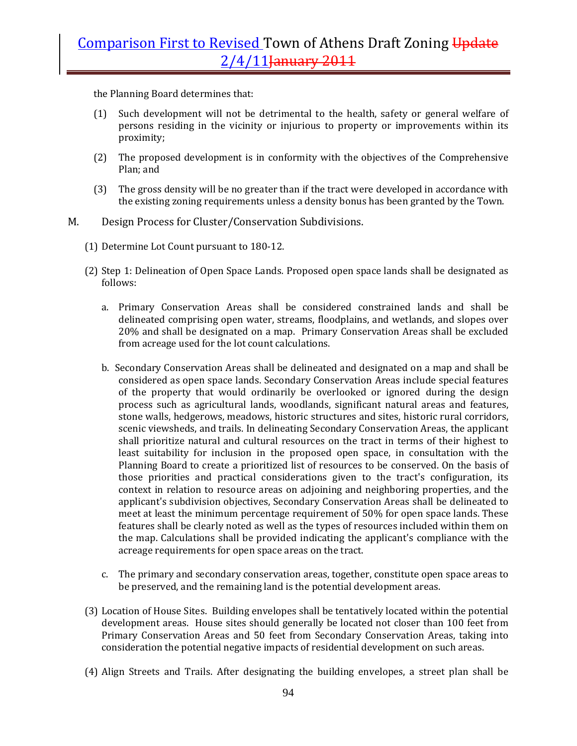the Planning Board determines that:

- (1) Such development will not be detrimental to the health, safety or general welfare of persons residing in the vicinity or injurious to property or improvements within its proximity;
- (2) The proposed development is in conformity with the objectives of the Comprehensive Plan; and
- (3) The gross density will be no greater than if the tract were developed in accordance with the existing zoning requirements unless a density bonus has been granted by the Town.
- M. Design Process for Cluster/Conservation Subdivisions.
	- (1) Determine Lot Count pursuant to 180‐12.
	- (2) Step 1: Delineation of Open Space Lands*.* Proposed open space lands shall be designated as follows:
		- a. Primary Conservation Areas shall be considered constrained lands and shall be delineated comprising open water, streams, floodplains, and wetlands, and slopes over 20% and shall be designated on a map. Primary Conservation Areas shall be excluded from acreage used for the lot count calculations.
		- b. Secondary Conservation Areas shall be delineated and designated on a map and shall be considered as open space lands. Secondary Conservation Areas include special features of the property that would ordinarily be overlooked or ignored during the design process such as agricultural lands, woodlands, significant natural areas and features, stone walls, hedgerows, meadows, historic structures and sites, historic rural corridors, scenic viewsheds, and trails. In delineating Secondary Conservation Areas, the applicant shall prioritize natural and cultural resources on the tract in terms of their highest to least suitability for inclusion in the proposed open space, in consultation with the Planning Board to create a prioritized list of resources to be conserved. On the basis of those priorities and practical considerations given to the tract's configuration, its context in relation to resource areas on adjoining and neighboring properties, and the applicant's subdivision objectives, Secondary Conservation Areas shall be delineated to meet at least the minimum percentage requirement of 50% for open space lands. These features shall be clearly noted as well as the types of resources included within them on the map. Calculations shall be provided indicating the applicant's compliance with the acreage requirements for open space areas on the tract.
		- c. The primary and secondary conservation areas, together, constitute open space areas to be preserved, and the remaining land is the potential development areas.
	- (3) Location of House Sites. Building envelopes shall be tentatively located within the potential development areas. House sites should generally be located not closer than 100 feet from Primary Conservation Areas and 50 feet from Secondary Conservation Areas, taking into consideration the potential negative impacts of residential development on such areas.
	- (4) Align Streets and Trails. After designating the building envelopes, a street plan shall be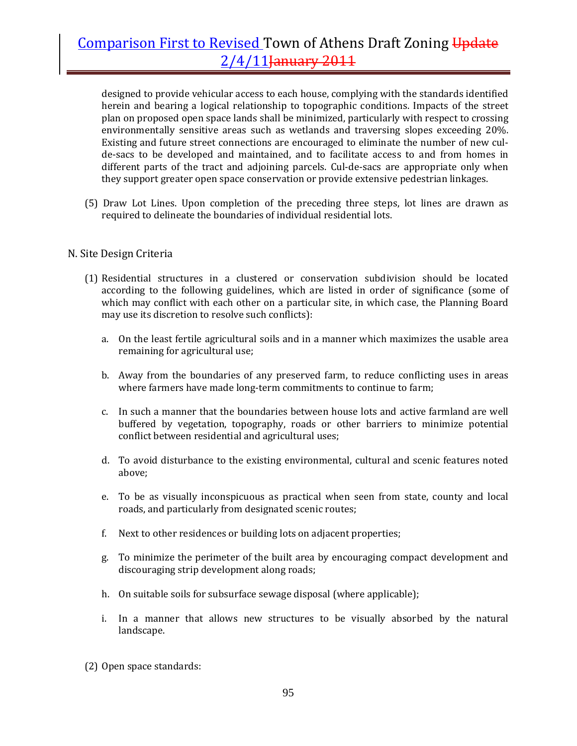designed to provide vehicular access to each house, complying with the standards identified herein and bearing a logical relationship to topographic conditions. Impacts of the street plan on proposed open space lands shall be minimized, particularly with respect to crossing environmentally sensitive areas such as wetlands and traversing slopes exceeding 20%. Existing and future street connections are encouraged to eliminate the number of new culde‐sacs to be developed and maintained, and to facilitate access to and from homes in different parts of the tract and adjoining parcels. Cul-de-sacs are appropriate only when they support greater open space conservation or provide extensive pedestrian linkages.

(5) Draw Lot Lines. Upon completion of the preceding three steps, lot lines are drawn as required to delineate the boundaries of individual residential lots.

### N. Site Design Criteria

- (1) Residential structures in a clustered or conservation subdivision should be located according to the following guidelines, which are listed in order of significance (some of which may conflict with each other on a particular site, in which case, the Planning Board may use its discretion to resolve such conflicts):
	- a. On the least fertile agricultural soils and in a manner which maximizes the usable area remaining for agricultural use;
	- b. Away from the boundaries of any preserved farm, to reduce conflicting uses in areas where farmers have made long-term commitments to continue to farm;
	- c. In such a manner that the boundaries between house lots and active farmland are well buffered by vegetation, topography, roads or other barriers to minimize potential conflict between residential and agricultural uses;
	- d. To avoid disturbance to the existing environmental, cultural and scenic features noted above;
	- e. To be as visually inconspicuous as practical when seen from state, county and local roads, and particularly from designated scenic routes;
	- f. Next to other residences or building lots on adjacent properties;
	- g. To minimize the perimeter of the built area by encouraging compact development and discouraging strip development along roads;
	- h. On suitable soils for subsurface sewage disposal (where applicable);
	- i. In a manner that allows new structures to be visually absorbed by the natural landscape.
- (2) Open space standards: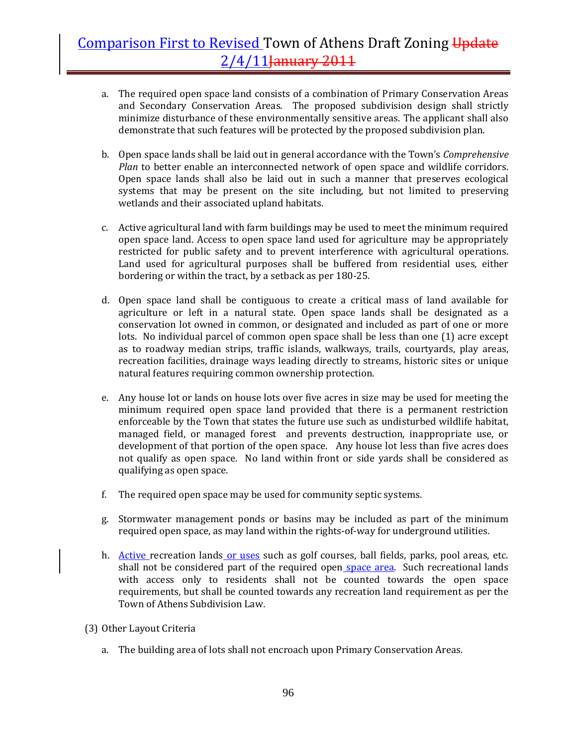- a. The required open space land consists of a combination of Primary Conservation Areas and Secondary Conservation Areas. The proposed subdivision design shall strictly minimize disturbance of these environmentally sensitive areas. The applicant shall also demonstrate that such features will be protected by the proposed subdivision plan.
- b. Open space lands shall be laid out in general accordance with the Town's *Comprehensive Plan* to better enable an interconnected network of open space and wildlife corridors. Open space lands shall also be laid out in such a manner that preserves ecological systems that may be present on the site including, but not limited to preserving wetlands and their associated upland habitats.
- c. Active agricultural land with farm buildings may be used to meet the minimum required open space land. Access to open space land used for agriculture may be appropriately restricted for public safety and to prevent interference with agricultural operations. Land used for agricultural purposes shall be buffered from residential uses, either bordering or within the tract, by a setback as per 180‐25.
- d. Open space land shall be contiguous to create a critical mass of land available for agriculture or left in a natural state. Open space lands shall be designated as a conservation lot owned in common, or designated and included as part of one or more lots. No individual parcel of common open space shall be less than one (1) acre except as to roadway median strips, traffic islands, walkways, trails, courtyards, play areas, recreation facilities, drainage ways leading directly to streams, historic sites or unique natural features requiring common ownership protection.
- e. Any house lot or lands on house lots over five acres in size may be used for meeting the minimum required open space land provided that there is a permanent restriction enforceable by the Town that states the future use such as undisturbed wildlife habitat, managed field, or managed forest and prevents destruction, inappropriate use, or development of that portion of the open space. Any house lot less than five acres does not qualify as open space. No land within front or side yards shall be considered as qualifying as open space.
- f. The required open space may be used for community septic systems.
- g. Stormwater management ponds or basins may be included as part of the minimum required open space, as may land within the rights‐of‐way for underground utilities.
- h. Active recreation lands or uses such as golf courses, ball fields, parks, pool areas, etc. shall not be considered part of the required open space area. Such recreational lands with access only to residents shall not be counted towards the open space requirements, but shall be counted towards any recreation land requirement as per the Town of Athens Subdivision Law.
- (3) Other Layout Criteria
	- a. The building area of lots shall not encroach upon Primary Conservation Areas.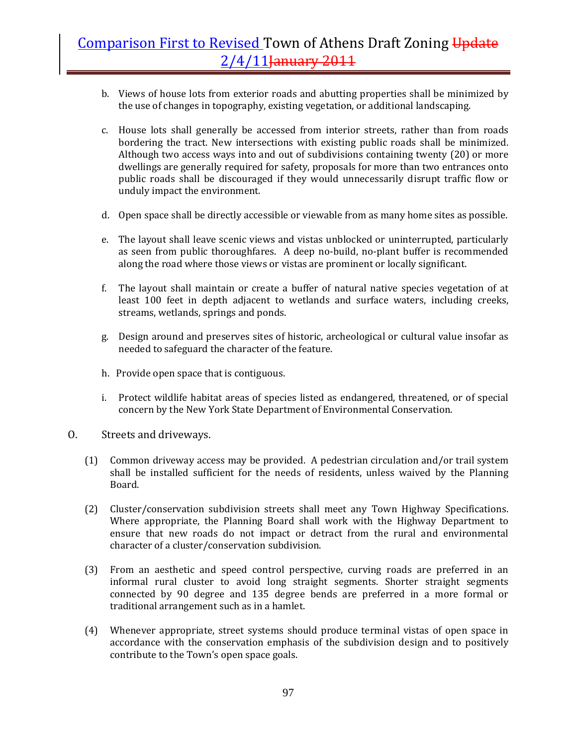- b. Views of house lots from exterior roads and abutting properties shall be minimized by the use of changes in topography, existing vegetation, or additional landscaping.
- c. House lots shall generally be accessed from interior streets, rather than from roads bordering the tract. New intersections with existing public roads shall be minimized. Although two access ways into and out of subdivisions containing twenty (20) or more dwellings are generally required for safety, proposals for more than two entrances onto public roads shall be discouraged if they would unnecessarily disrupt traffic flow or unduly impact the environment.
- d. Open space shall be directly accessible or viewable from as many home sites as possible.
- e. The layout shall leave scenic views and vistas unblocked or uninterrupted, particularly as seen from public thoroughfares. A deep no‐build, no‐plant buffer is recommended along the road where those views or vistas are prominent or locally significant.
- f. The layout shall maintain or create a buffer of natural native species vegetation of at least 100 feet in depth adjacent to wetlands and surface waters, including creeks, streams, wetlands, springs and ponds.
- g. Design around and preserves sites of historic, archeological or cultural value insofar as needed to safeguard the character of the feature.
- h. Provide open space that is contiguous.
- i. Protect wildlife habitat areas of species listed as endangered, threatened, or of special concern by the New York State Department of Environmental Conservation.
- O. Streets and driveways.
	- (1) Common driveway access may be provided. A pedestrian circulation and/or trail system shall be installed sufficient for the needs of residents, unless waived by the Planning Board.
	- (2) Cluster/conservation subdivision streets shall meet any Town Highway Specifications. Where appropriate, the Planning Board shall work with the Highway Department to ensure that new roads do not impact or detract from the rural and environmental character of a cluster/conservation subdivision.
	- (3) From an aesthetic and speed control perspective, curving roads are preferred in an informal rural cluster to avoid long straight segments. Shorter straight segments connected by 90 degree and 135 degree bends are preferred in a more formal or traditional arrangement such as in a hamlet.
	- (4) Whenever appropriate, street systems should produce terminal vistas of open space in accordance with the conservation emphasis of the subdivision design and to positively contribute to the Town's open space goals.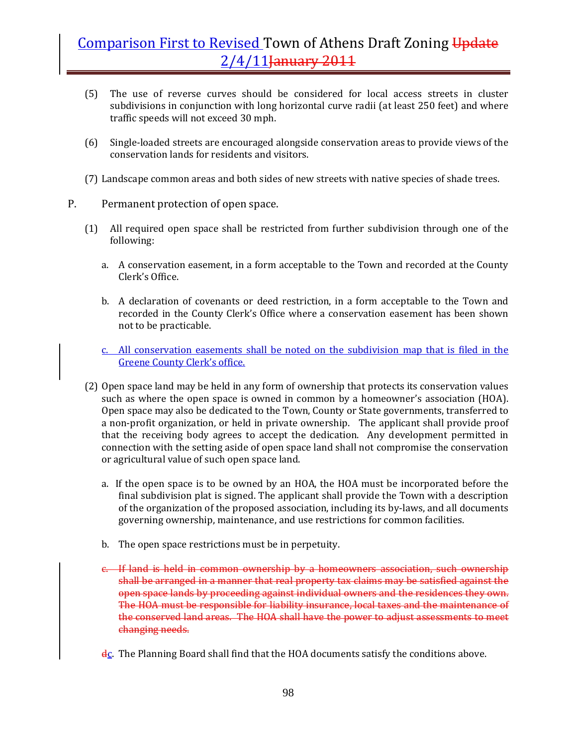- (5) The use of reverse curves should be considered for local access streets in cluster subdivisions in conjunction with long horizontal curve radii (at least 250 feet) and where traffic speeds will not exceed 30 mph.
- (6) Single‐loaded streets are encouraged alongside conservation areas to provide views of the conservation lands for residents and visitors.
- (7) Landscape common areas and both sides of new streets with native species of shade trees.
- P. Permanent protection of open space.
	- (1) All required open space shall be restricted from further subdivision through one of the following:
		- a. A conservation easement, in a form acceptable to the Town and recorded at the County Clerk's Office.
		- b. A declaration of covenants or deed restriction, in a form acceptable to the Town and recorded in the County Clerk's Office where a conservation easement has been shown not to be practicable.
		- c. All conservation easements shall be noted on the subdivision map that is filed in the Greene County Clerk's office.
	- (2) Open space land may be held in any form of ownership that protects its conservation values such as where the open space is owned in common by a homeowner's association (HOA). Open space may also be dedicated to the Town, County or State governments, transferred to a non‐profit organization, or held in private ownership. The applicant shall provide proof that the receiving body agrees to accept the dedication. Any development permitted in connection with the setting aside of open space land shall not compromise the conservation or agricultural value of such open space land.
		- a. If the open space is to be owned by an HOA, the HOA must be incorporated before the final subdivision plat is signed. The applicant shall provide the Town with a description of the organization of the proposed association, including its by‐laws, and all documents governing ownership, maintenance, and use restrictions for common facilities.
		- b. The open space restrictions must be in perpetuity.
		- c. If land is held in common ownership by a homeowners association, such ownership shall be arranged in a manner that real property tax claims may be satisfied against the open space lands by proceeding against individual owners and the residences they own. The HOA must be responsible for liability insurance, local taxes and the maintenance of the conserved land areas. The HOA shall have the power to adjust assessments to meet changing needs.
		- dc. The Planning Board shall find that the HOA documents satisfy the conditions above.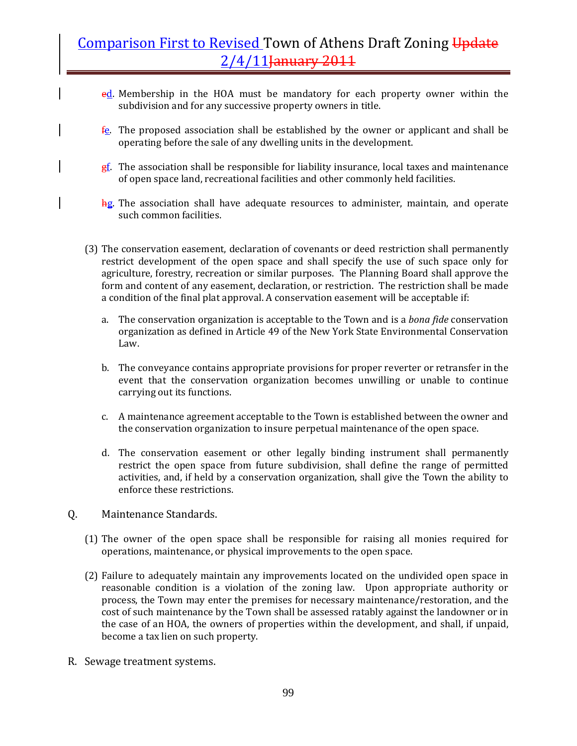- ed. Membership in the HOA must be mandatory for each property owner within the subdivision and for any successive property owners in title.
- $f$ e. The proposed association shall be established by the owner or applicant and shall be operating before the sale of any dwelling units in the development.
- $g<sub>i</sub>$ . The association shall be responsible for liability insurance, local taxes and maintenance of open space land, recreational facilities and other commonly held facilities.
- hg. The association shall have adequate resources to administer, maintain, and operate such common facilities.
- (3) The conservation easement, declaration of covenants or deed restriction shall permanently restrict development of the open space and shall specify the use of such space only for agriculture, forestry, recreation or similar purposes. The Planning Board shall approve the form and content of any easement, declaration, or restriction. The restriction shall be made a condition of the final plat approval. A conservation easement will be acceptable if:
	- a. The conservation organization is acceptable to the Town and is a *bona fide* conservation organization as defined in Article 49 of the New York State Environmental Conservation Law.
	- b. The conveyance contains appropriate provisions for proper reverter or retransfer in the event that the conservation organization becomes unwilling or unable to continue carrying out its functions.
	- c. A maintenance agreement acceptable to the Town is established between the owner and the conservation organization to insure perpetual maintenance of the open space.
	- d. The conservation easement or other legally binding instrument shall permanently restrict the open space from future subdivision, shall define the range of permitted activities, and, if held by a conservation organization, shall give the Town the ability to enforce these restrictions.
- Q. Maintenance Standards.
	- (1) The owner of the open space shall be responsible for raising all monies required for operations, maintenance, or physical improvements to the open space.
	- (2) Failure to adequately maintain any improvements located on the undivided open space in reasonable condition is a violation of the zoning law. Upon appropriate authority or process, the Town may enter the premises for necessary maintenance/restoration, and the cost of such maintenance by the Town shall be assessed ratably against the landowner or in the case of an HOA, the owners of properties within the development, and shall, if unpaid, become a tax lien on such property.
- R. Sewage treatment systems.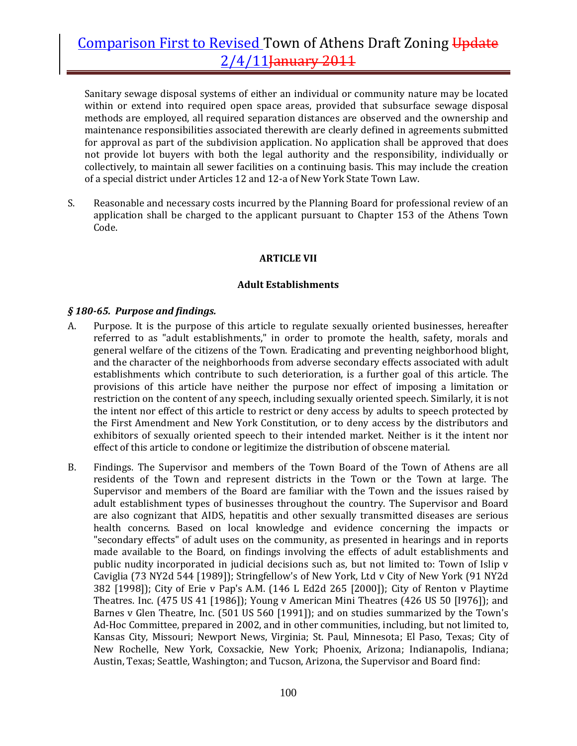Sanitary sewage disposal systems of either an individual or community nature may be located within or extend into required open space areas, provided that subsurface sewage disposal methods are employed, all required separation distances are observed and the ownership and maintenance responsibilities associated therewith are clearly defined in agreements submitted for approval as part of the subdivision application. No application shall be approved that does not provide lot buyers with both the legal authority and the responsibility, individually or collectively, to maintain all sewer facilities on a continuing basis. This may include the creation of a special district under Articles 12 and 12‐a of New York State Town Law.

S. Reasonable and necessary costs incurred by the Planning Board for professional review of an application shall be charged to the applicant pursuant to Chapter 153 of the Athens Town Code.

### **ARTICLE VII**

### **Adult Establishments**

#### *§ 18065. Purpose and findings.*

- A. Purpose. It is the purpose of this article to regulate sexually oriented businesses, hereafter referred to as "adult establishments," in order to promote the health, safety, morals and general welfare of the citizens of the Town. Eradicating and preventing neighborhood blight, and the character of the neighborhoods from adverse secondary effects associated with adult establishments which contribute to such deterioration, is a further goal of this article. The provisions of this article have neither the purpose nor effect of imposing a limitation or restriction on the content of any speech, including sexually oriented speech. Similarly, it is not the intent nor effect of this article to restrict or deny access by adults to speech protected by the First Amendment and New York Constitution, or to deny access by the distributors and exhibitors of sexually oriented speech to their intended market. Neither is it the intent nor effect of this article to condone or legitimize the distribution of obscene material.
- B. Findings. The Supervisor and members of the Town Board of the Town of Athens are all residents of the Town and represent districts in the Town or the Town at large. The Supervisor and members of the Board are familiar with the Town and the issues raised by adult establishment types of businesses throughout the country. The Supervisor and Board are also cognizant that AIDS, hepatitis and other sexually transmitted diseases are serious health concerns. Based on local knowledge and evidence concerning the impacts or "secondary effects" of adult uses on the community, as presented in hearings and in reports made available to the Board, on findings involving the effects of adult establishments and public nudity incorporated in judicial decisions such as, but not limited to: Town of Islip v Caviglia (73 NY2d 544 [1989]); Stringfellow's of New York, Ltd v City of New York (91 NY2d 382 [1998]); City of Erie v Pap's A.M. (146 L Ed2d 265 [2000]); City of Renton v Playtime Theatres. Inc. (475 US 41 [1986]); Young v American Mini Theatres (426 US 50 [I976]); and Barnes v Glen Theatre, Inc. (501 US 560 [1991]); and on studies summarized by the Town's Ad‐Hoc Committee, prepared in 2002, and in other communities, including, but not limited to, Kansas City, Missouri; Newport News, Virginia; St. Paul, Minnesota; El Paso, Texas; City of New Rochelle, New York, Coxsackie, New York; Phoenix, Arizona; Indianapolis, Indiana; Austin, Texas; Seattle, Washington; and Tucson, Arizona, the Supervisor and Board find: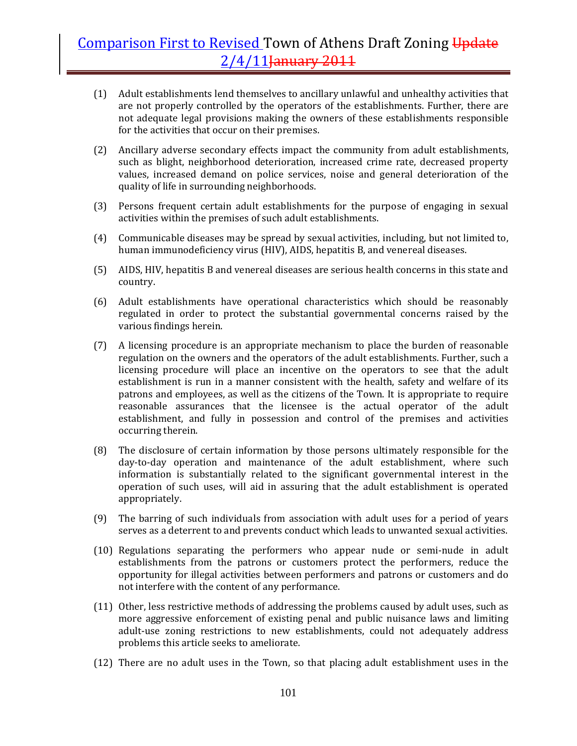- (1) Adult establishments lend themselves to ancillary unlawful and unhealthy activities that are not properly controlled by the operators of the establishments. Further, there are not adequate legal provisions making the owners of these establishments responsible for the activities that occur on their premises.
- (2) Ancillary adverse secondary effects impact the community from adult establishments, such as blight, neighborhood deterioration, increased crime rate, decreased property values, increased demand on police services, noise and general deterioration of the quality of life in surrounding neighborhoods.
- (3) Persons frequent certain adult establishments for the purpose of engaging in sexual activities within the premises of such adult establishments.
- (4) Communicable diseases may be spread by sexual activities, including, but not limited to, human immunodeficiency virus (HIV), AIDS, hepatitis B, and venereal diseases.
- (5) AIDS, HIV, hepatitis B and venereal diseases are serious health concerns in this state and country.
- (6) Adult establishments have operational characteristics which should be reasonably regulated in order to protect the substantial governmental concerns raised by the various findings herein.
- (7) A licensing procedure is an appropriate mechanism to place the burden of reasonable regulation on the owners and the operators of the adult establishments. Further, such a licensing procedure will place an incentive on the operators to see that the adult establishment is run in a manner consistent with the health, safety and welfare of its patrons and employees, as well as the citizens of the Town. It is appropriate to require reasonable assurances that the licensee is the actual operator of the adult establishment, and fully in possession and control of the premises and activities occurring therein.
- (8) The disclosure of certain information by those persons ultimately responsible for the day‐to‐day operation and maintenance of the adult establishment, where such information is substantially related to the significant governmental interest in the operation of such uses, will aid in assuring that the adult establishment is operated appropriately.
- (9) The barring of such individuals from association with adult uses for a period of years serves as a deterrent to and prevents conduct which leads to unwanted sexual activities.
- (10) Regulations separating the performers who appear nude or semi‐nude in adult establishments from the patrons or customers protect the performers, reduce the opportunity for illegal activities between performers and patrons or customers and do not interfere with the content of any performance.
- (11) Other, less restrictive methods of addressing the problems caused by adult uses, such as more aggressive enforcement of existing penal and public nuisance laws and limiting adult-use zoning restrictions to new establishments, could not adequately address problems this article seeks to ameliorate.
- (12) There are no adult uses in the Town, so that placing adult establishment uses in the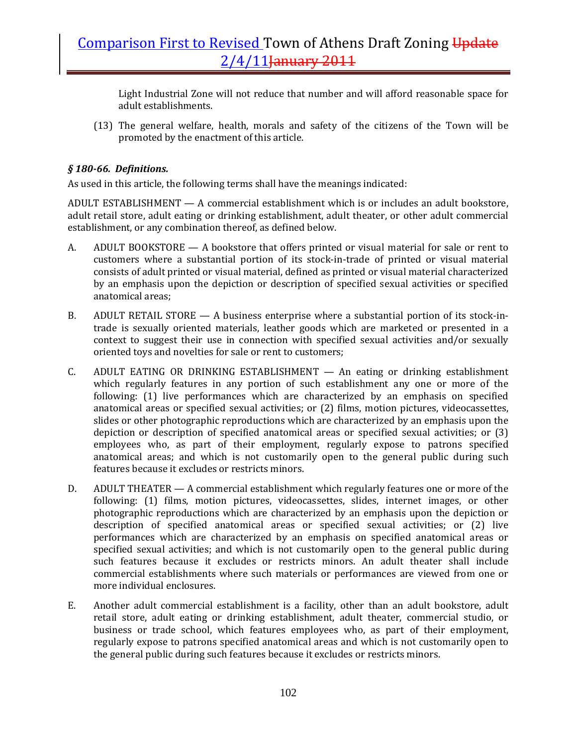Light Industrial Zone will not reduce that number and will afford reasonable space for adult establishments.

(13) The general welfare, health, morals and safety of the citizens of the Town will be promoted by the enactment of this article.

### *§ 18066. Definitions.*

As used in this article, the following terms shall have the meanings indicated:

ADULT ESTABLISHMENT — A commercial establishment which is or includes an adult bookstore, adult retail store, adult eating or drinking establishment, adult theater, or other adult commercial establishment, or any combination thereof, as defined below.

- A. ADULT BOOKSTORE  $-$  A bookstore that offers printed or visual material for sale or rent to customers where a substantial portion of its stock‐in‐trade of printed or visual material consists of adult printed or visual material, defined as printed or visual material characterized by an emphasis upon the depiction or description of specified sexual activities or specified anatomical areas;
- B. ADULT RETAIL STORE A business enterprise where a substantial portion of its stock-intrade is sexually oriented materials, leather goods which are marketed or presented in a context to suggest their use in connection with specified sexual activities and/or sexually oriented toys and novelties for sale or rent to customers;
- C. ADULT EATING OR DRINKING ESTABLISHMENT An eating or drinking establishment which regularly features in any portion of such establishment any one or more of the following: (1) live performances which are characterized by an emphasis on specified anatomical areas or specified sexual activities; or (2) films, motion pictures, videocassettes, slides or other photographic reproductions which are characterized by an emphasis upon the depiction or description of specified anatomical areas or specified sexual activities; or (3) employees who, as part of their employment, regularly expose to patrons specified anatomical areas; and which is not customarily open to the general public during such features because it excludes or restricts minors.
- D. ADULT THEATER A commercial establishment which regularly features one or more of the following: (1) films, motion pictures, videocassettes, slides, internet images, or other photographic reproductions which are characterized by an emphasis upon the depiction or description of specified anatomical areas or specified sexual activities; or (2) live performances which are characterized by an emphasis on specified anatomical areas or specified sexual activities; and which is not customarily open to the general public during such features because it excludes or restricts minors. An adult theater shall include commercial establishments where such materials or performances are viewed from one or more individual enclosures.
- E. Another adult commercial establishment is a facility, other than an adult bookstore, adult retail store, adult eating or drinking establishment, adult theater, commercial studio, or business or trade school, which features employees who, as part of their employment, regularly expose to patrons specified anatomical areas and which is not customarily open to the general public during such features because it excludes or restricts minors.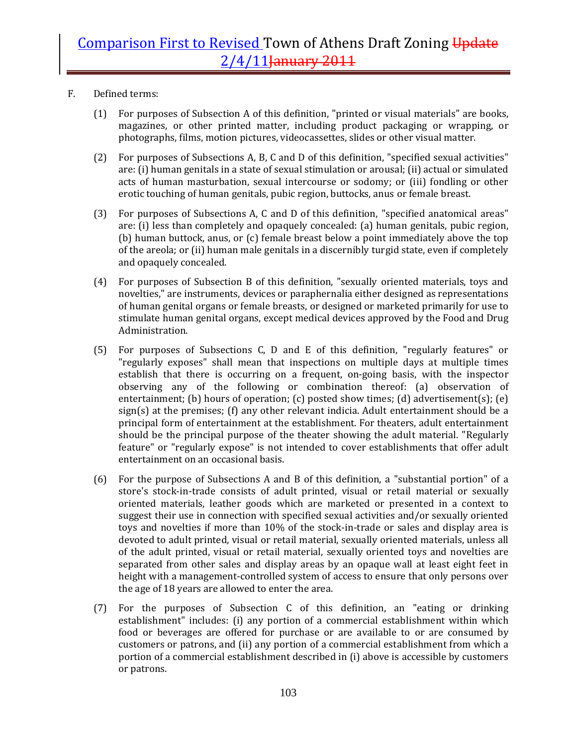- F. Defined terms:
	- (1) For purposes of Subsection A of this definition, "printed or visual materials" are books, magazines, or other printed matter, including product packaging or wrapping, or photographs, films, motion pictures, videocassettes, slides or other visual matter.
	- (2) For purposes of Subsections A, B, C and D of this definition, "specified sexual activities" are: (i) human genitals in a state of sexual stimulation or arousal; (ii) actual or simulated acts of human masturbation, sexual intercourse or sodomy; or (iii) fondling or other erotic touching of human genitals, pubic region, buttocks, anus or female breast.
	- (3) For purposes of Subsections A, C and D of this definition, "specified anatomical areas" are: (i) less than completely and opaquely concealed: (a) human genitals, pubic region, (b) human buttock, anus, or (c) female breast below a point immediately above the top of the areola; or (ii) human male genitals in a discernibly turgid state, even if completely and opaquely concealed.
	- (4) For purposes of Subsection B of this definition, "sexually oriented materials, toys and novelties," are instruments, devices or paraphernalia either designed as representations of human genital organs or female breasts, or designed or marketed primarily for use to stimulate human genital organs, except medical devices approved by the Food and Drug Administration.
	- (5) For purposes of Subsections C, D and E of this definition, "regularly features" or "regularly exposes" shall mean that inspections on multiple days at multiple times establish that there is occurring on a frequent, on-going basis, with the inspector observing any of the following or combination thereof: (a) observation of entertainment; (b) hours of operation; (c) posted show times; (d) advertisement(s); (e)  $sign(s)$  at the premises; (f) any other relevant indicia. Adult entertainment should be a principal form of entertainment at the establishment. For theaters, adult entertainment should be the principal purpose of the theater showing the adult material. "Regularly feature" or "regularly expose" is not intended to cover establishments that offer adult entertainment on an occasional basis.
	- (6) For the purpose of Subsections A and B of this definition, a "substantial portion" of a store's stock-in-trade consists of adult printed, visual or retail material or sexually oriented materials, leather goods which are marketed or presented in a context to suggest their use in connection with specified sexual activities and/or sexually oriented toys and novelties if more than 10% of the stock‐in‐trade or sales and display area is devoted to adult printed, visual or retail material, sexually oriented materials, unless all of the adult printed, visual or retail material, sexually oriented toys and novelties are separated from other sales and display areas by an opaque wall at least eight feet in height with a management-controlled system of access to ensure that only persons over the age of 18 years are allowed to enter the area.
	- (7) For the purposes of Subsection C of this definition, an "eating or drinking establishment" includes: (i) any portion of a commercial establishment within which food or beverages are offered for purchase or are available to or are consumed by customers or patrons, and (ii) any portion of a commercial establishment from which a portion of a commercial establishment described in (i) above is accessible by customers or patrons.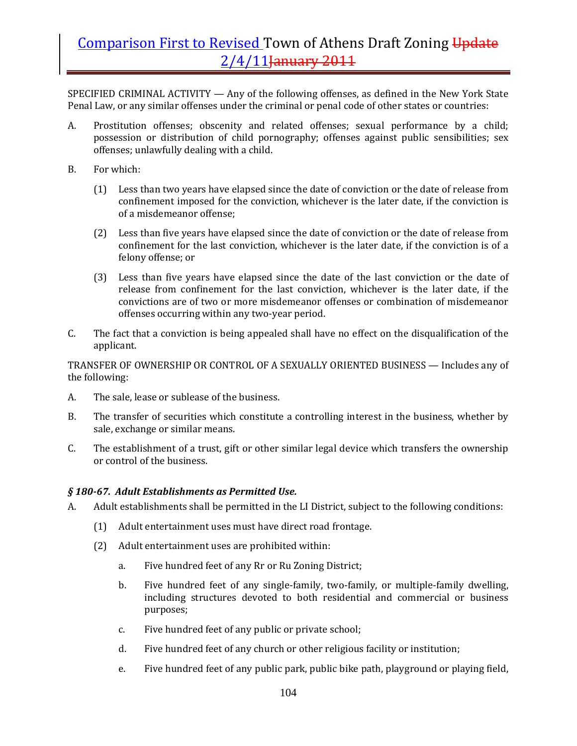SPECIFIED CRIMINAL ACTIVITY — Any of the following offenses, as defined in the New York State Penal Law, or any similar offenses under the criminal or penal code of other states or countries:

- A. Prostitution offenses; obscenity and related offenses; sexual performance by a child; possession or distribution of child pornography; offenses against public sensibilities; sex offenses; unlawfully dealing with a child.
- B. For which:
	- (1) Less than two years have elapsed since the date of conviction or the date of release from confinement imposed for the conviction, whichever is the later date, if the conviction is of a misdemeanor offense;
	- (2) Less than five years have elapsed since the date of conviction or the date of release from confinement for the last conviction, whichever is the later date, if the conviction is of a felony offense; or
	- (3) Less than five years have elapsed since the date of the last conviction or the date of release from confinement for the last conviction, whichever is the later date, if the convictions are of two or more misdemeanor offenses or combination of misdemeanor offenses occurring within any two‐year period.
- C. The fact that a conviction is being appealed shall have no effect on the disqualification of the applicant.

TRANSFER OF OWNERSHIP OR CONTROL OF A SEXUALLY ORIENTED BUSINESS — Includes any of the following:

- A. The sale, lease or sublease of the business.
- B. The transfer of securities which constitute a controlling interest in the business, whether by sale, exchange or similar means.
- C. The establishment of a trust, gift or other similar legal device which transfers the ownership or control of the business.

#### *§ 18067. Adult Establishments as Permitted Use.*

- A. Adult establishments shall be permitted in the LI District, subject to the following conditions:
	- (1) Adult entertainment uses must have direct road frontage.
	- (2) Adult entertainment uses are prohibited within:
		- a. Five hundred feet of any Rr or Ru Zoning District;
		- b. Five hundred feet of any single-family, two-family, or multiple-family dwelling, including structures devoted to both residential and commercial or business purposes;
		- c. Five hundred feet of any public or private school;
		- d. Five hundred feet of any church or other religious facility or institution;
		- e. Five hundred feet of any public park, public bike path, playground or playing field,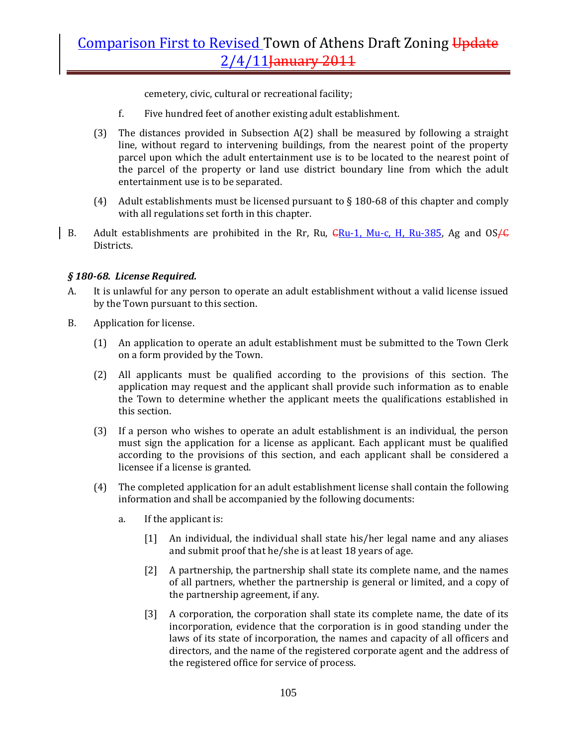cemetery, civic, cultural or recreational facility;

- f. Five hundred feet of another existing adult establishment.
- (3) The distances provided in Subsection  $A(2)$  shall be measured by following a straight line, without regard to intervening buildings, from the nearest point of the property parcel upon which the adult entertainment use is to be located to the nearest point of the parcel of the property or land use district boundary line from which the adult entertainment use is to be separated.
- (4) Adult establishments must be licensed pursuant to  $\S$  180-68 of this chapter and comply with all regulations set forth in this chapter.
- B. Adult establishments are prohibited in the Rr, Ru,  $\frac{C}{C}$ Ru-1, Mu-c, H, Ru-385, Ag and OS $\frac{C}{C}$ Districts.

### *§ 18068. License Required.*

- A. It is unlawful for any person to operate an adult establishment without a valid license issued by the Town pursuant to this section.
- B. Application for license.
	- (1) An application to operate an adult establishment must be submitted to the Town Clerk on a form provided by the Town.
	- (2) All applicants must be qualified according to the provisions of this section. The application may request and the applicant shall provide such information as to enable the Town to determine whether the applicant meets the qualifications established in this section.
	- (3) If a person who wishes to operate an adult establishment is an individual, the person must sign the application for a license as applicant. Each applicant must be qualified according to the provisions of this section, and each applicant shall be considered a licensee if a license is granted.
	- (4) The completed application for an adult establishment license shall contain the following information and shall be accompanied by the following documents:
		- a. If the applicant is:
			- [1] An individual, the individual shall state his/her legal name and any aliases and submit proof that he/she is at least 18 years of age.
			- [2] A partnership, the partnership shall state its complete name, and the names of all partners, whether the partnership is general or limited, and a copy of the partnership agreement, if any.
			- [3] A corporation, the corporation shall state its complete name, the date of its incorporation, evidence that the corporation is in good standing under the laws of its state of incorporation, the names and capacity of all officers and directors, and the name of the registered corporate agent and the address of the registered office for service of process.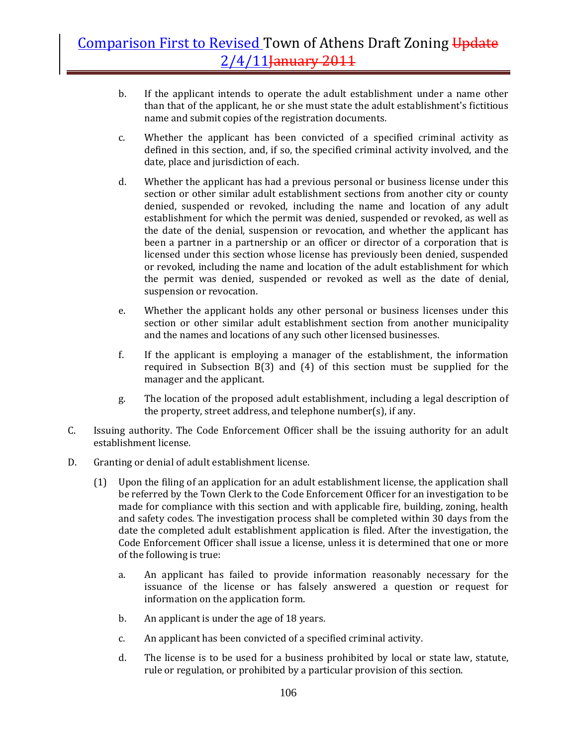- b. If the applicant intends to operate the adult establishment under a name other than that of the applicant, he or she must state the adult establishment's fictitious name and submit copies of the registration documents.
- c. Whether the applicant has been convicted of a specified criminal activity as defined in this section, and, if so, the specified criminal activity involved, and the date, place and jurisdiction of each.
- d. Whether the applicant has had a previous personal or business license under this section or other similar adult establishment sections from another city or county denied, suspended or revoked, including the name and location of any adult establishment for which the permit was denied, suspended or revoked, as well as the date of the denial, suspension or revocation, and whether the applicant has been a partner in a partnership or an officer or director of a corporation that is licensed under this section whose license has previously been denied, suspended or revoked, including the name and location of the adult establishment for which the permit was denied, suspended or revoked as well as the date of denial, suspension or revocation.
- e. Whether the applicant holds any other personal or business licenses under this section or other similar adult establishment section from another municipality and the names and locations of any such other licensed businesses.
- f. If the applicant is employing a manager of the establishment, the information required in Subsection  $B(3)$  and  $(4)$  of this section must be supplied for the manager and the applicant.
- g. The location of the proposed adult establishment, including a legal description of the property, street address, and telephone number(s), if any.
- C. Issuing authority. The Code Enforcement Officer shall be the issuing authority for an adult establishment license.
- D. Granting or denial of adult establishment license.
	- (1) Upon the filing of an application for an adult establishment license, the application shall be referred by the Town Clerk to the Code Enforcement Officer for an investigation to be made for compliance with this section and with applicable fire, building, zoning, health and safety codes. The investigation process shall be completed within 30 days from the date the completed adult establishment application is filed. After the investigation, the Code Enforcement Officer shall issue a license, unless it is determined that one or more of the following is true:
		- a. An applicant has failed to provide information reasonably necessary for the issuance of the license or has falsely answered a question or request for information on the application form.
		- b. An applicant is under the age of 18 years.
		- c. An applicant has been convicted of a specified criminal activity.
		- d. The license is to be used for a business prohibited by local or state law, statute, rule or regulation, or prohibited by a particular provision of this section.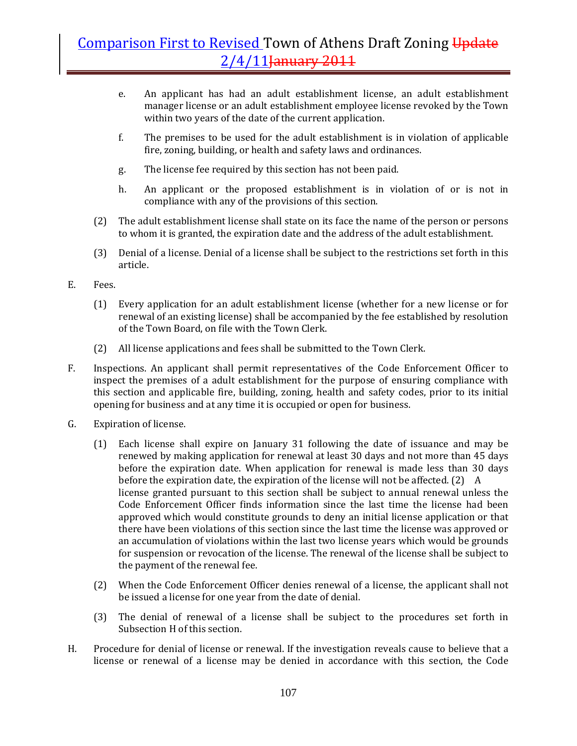- e. An applicant has had an adult establishment license, an adult establishment manager license or an adult establishment employee license revoked by the Town within two years of the date of the current application.
- f. The premises to be used for the adult establishment is in violation of applicable fire, zoning, building, or health and safety laws and ordinances.
- g. The license fee required by this section has not been paid.
- h. An applicant or the proposed establishment is in violation of or is not in compliance with any of the provisions of this section.
- (2) The adult establishment license shall state on its face the name of the person or persons to whom it is granted, the expiration date and the address of the adult establishment.
- (3) Denial of a license. Denial of a license shall be subject to the restrictions set forth in this article.
- E. Fees.
	- (1) Every application for an adult establishment license (whether for a new license or for renewal of an existing license) shall be accompanied by the fee established by resolution of the Town Board, on file with the Town Clerk.
	- (2) All license applications and fees shall be submitted to the Town Clerk.
- F. Inspections. An applicant shall permit representatives of the Code Enforcement Officer to inspect the premises of a adult establishment for the purpose of ensuring compliance with this section and applicable fire, building, zoning, health and safety codes, prior to its initial opening for business and at any time it is occupied or open for business.
- G. Expiration of license.
	- (1) Each license shall expire on January 31 following the date of issuance and may be renewed by making application for renewal at least 30 days and not more than 45 days before the expiration date. When application for renewal is made less than 30 days before the expiration date, the expiration of the license will not be affected. (2) A license granted pursuant to this section shall be subject to annual renewal unless the Code Enforcement Officer finds information since the last time the license had been approved which would constitute grounds to deny an initial license application or that there have been violations of this section since the last time the license was approved or an accumulation of violations within the last two license years which would be grounds for suspension or revocation of the license. The renewal of the license shall be subject to the payment of the renewal fee.
	- (2) When the Code Enforcement Officer denies renewal of a license, the applicant shall not be issued a license for one year from the date of denial.
	- (3) The denial of renewal of a license shall be subject to the procedures set forth in Subsection H of this section.
- H. Procedure for denial of license or renewal. If the investigation reveals cause to believe that a license or renewal of a license may be denied in accordance with this section, the Code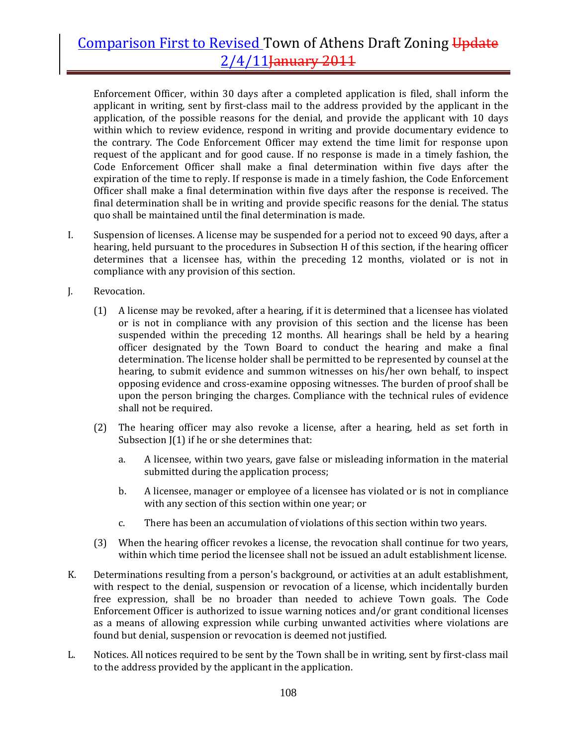Enforcement Officer, within 30 days after a completed application is filed, shall inform the applicant in writing, sent by first‐class mail to the address provided by the applicant in the application, of the possible reasons for the denial, and provide the applicant with 10 days within which to review evidence, respond in writing and provide documentary evidence to the contrary. The Code Enforcement Officer may extend the time limit for response upon request of the applicant and for good cause. If no response is made in a timely fashion, the Code Enforcement Officer shall make a final determination within five days after the expiration of the time to reply. If response is made in a timely fashion, the Code Enforcement Officer shall make a final determination within five days after the response is received. The final determination shall be in writing and provide specific reasons for the denial. The status quo shall be maintained until the final determination is made.

- I. Suspension of licenses. A license may be suspended for a period not to exceed 90 days, after a hearing, held pursuant to the procedures in Subsection H of this section, if the hearing officer determines that a licensee has, within the preceding 12 months, violated or is not in compliance with any provision of this section.
- J. Revocation.
	- (1) A license may be revoked, after a hearing, if it is determined that a licensee has violated or is not in compliance with any provision of this section and the license has been suspended within the preceding 12 months. All hearings shall be held by a hearing officer designated by the Town Board to conduct the hearing and make a final determination. The license holder shall be permitted to be represented by counsel at the hearing, to submit evidence and summon witnesses on his/her own behalf, to inspect opposing evidence and cross‐examine opposing witnesses. The burden of proof shall be upon the person bringing the charges. Compliance with the technical rules of evidence shall not be required.
	- (2) The hearing officer may also revoke a license, after a hearing, held as set forth in Subsection J(1) if he or she determines that:
		- a. A licensee, within two years, gave false or misleading information in the material submitted during the application process;
		- b. A licensee, manager or employee of a licensee has violated or is not in compliance with any section of this section within one year; or
		- c. There has been an accumulation of violations of this section within two years.
	- (3) When the hearing officer revokes a license, the revocation shall continue for two years, within which time period the licensee shall not be issued an adult establishment license.
- K. Determinations resulting from a person's background, or activities at an adult establishment, with respect to the denial, suspension or revocation of a license, which incidentally burden free expression, shall be no broader than needed to achieve Town goals. The Code Enforcement Officer is authorized to issue warning notices and/or grant conditional licenses as a means of allowing expression while curbing unwanted activities where violations are found but denial, suspension or revocation is deemed not justified.
- L. Notices. All notices required to be sent by the Town shall be in writing, sent by first‐class mail to the address provided by the applicant in the application.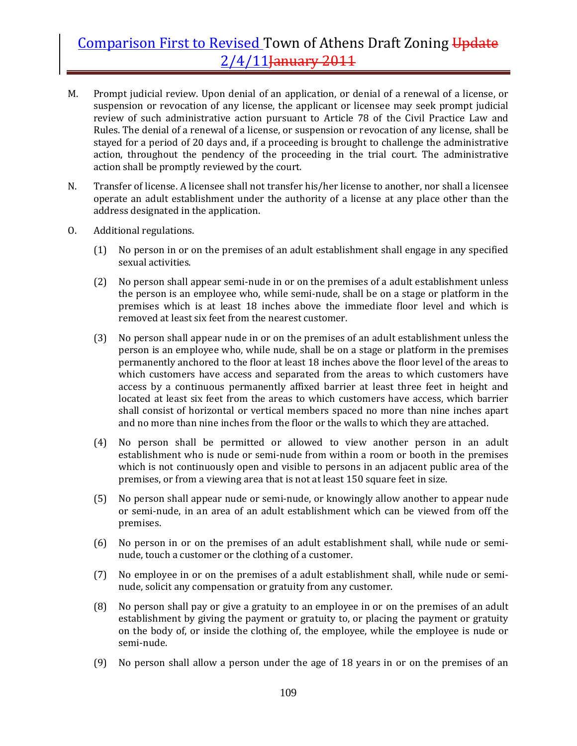- M. Prompt judicial review. Upon denial of an application, or denial of a renewal of a license, or suspension or revocation of any license, the applicant or licensee may seek prompt judicial review of such administrative action pursuant to Article 78 of the Civil Practice Law and Rules. The denial of a renewal of a license, or suspension or revocation of any license, shall be stayed for a period of 20 days and, if a proceeding is brought to challenge the administrative action, throughout the pendency of the proceeding in the trial court. The administrative action shall be promptly reviewed by the court.
- N. Transfer of license. A licensee shall not transfer his/her license to another, nor shall a licensee operate an adult establishment under the authority of a license at any place other than the address designated in the application.
- O. Additional regulations.
	- (1) No person in or on the premises of an adult establishment shall engage in any specified sexual activities.
	- (2) No person shall appear semi‐nude in or on the premises of a adult establishment unless the person is an employee who, while semi‐nude, shall be on a stage or platform in the premises which is at least 18 inches above the immediate floor level and which is removed at least six feet from the nearest customer.
	- (3) No person shall appear nude in or on the premises of an adult establishment unless the person is an employee who, while nude, shall be on a stage or platform in the premises permanently anchored to the floor at least 18 inches above the floor level of the areas to which customers have access and separated from the areas to which customers have access by a continuous permanently affixed barrier at least three feet in height and located at least six feet from the areas to which customers have access, which barrier shall consist of horizontal or vertical members spaced no more than nine inches apart and no more than nine inches from the floor or the walls to which they are attached.
	- (4) No person shall be permitted or allowed to view another person in an adult establishment who is nude or semi‐nude from within a room or booth in the premises which is not continuously open and visible to persons in an adjacent public area of the premises, or from a viewing area that is not at least 150 square feet in size.
	- (5) No person shall appear nude or semi‐nude, or knowingly allow another to appear nude or semi-nude, in an area of an adult establishment which can be viewed from off the premises.
	- (6) No person in or on the premises of an adult establishment shall, while nude or seminude, touch a customer or the clothing of a customer.
	- (7) No employee in or on the premises of a adult establishment shall, while nude or semi‐ nude, solicit any compensation or gratuity from any customer.
	- (8) No person shall pay or give a gratuity to an employee in or on the premises of an adult establishment by giving the payment or gratuity to, or placing the payment or gratuity on the body of, or inside the clothing of, the employee, while the employee is nude or semi‐nude.
	- (9) No person shall allow a person under the age of 18 years in or on the premises of an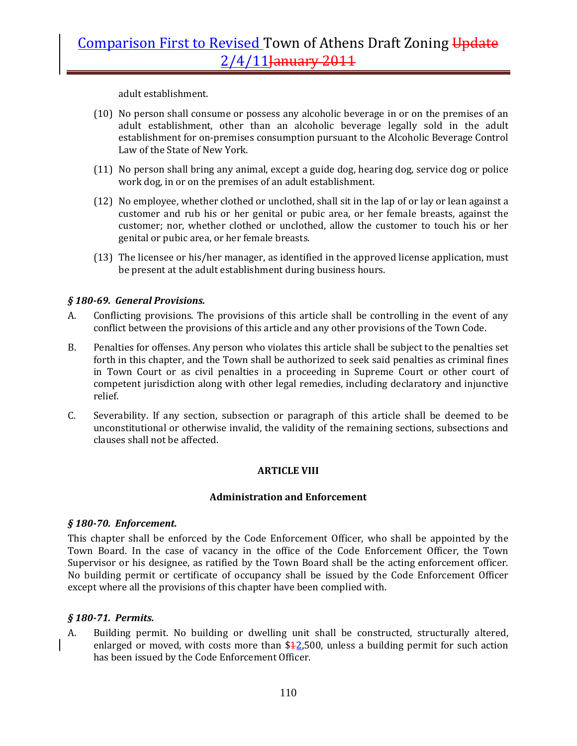adult establishment.

- (10) No person shall consume or possess any alcoholic beverage in or on the premises of an adult establishment, other than an alcoholic beverage legally sold in the adult establishment for on‐premises consumption pursuant to the Alcoholic Beverage Control Law of the State of New York.
- (11) No person shall bring any animal, except a guide dog, hearing dog, service dog or police work dog, in or on the premises of an adult establishment.
- (12) No employee, whether clothed or unclothed, shall sit in the lap of or lay or lean against a customer and rub his or her genital or pubic area, or her female breasts, against the customer; nor, whether clothed or unclothed, allow the customer to touch his or her genital or pubic area, or her female breasts.
- (13) The licensee or his/her manager, as identified in the approved license application, must be present at the adult establishment during business hours.

## *§ 18069. General Provisions.*

- A. Conflicting provisions. The provisions of this article shall be controlling in the event of any conflict between the provisions of this article and any other provisions of the Town Code.
- B. Penalties for offenses. Any person who violates this article shall be subject to the penalties set forth in this chapter, and the Town shall be authorized to seek said penalties as criminal fines in Town Court or as civil penalties in a proceeding in Supreme Court or other court of competent jurisdiction along with other legal remedies, including declaratory and injunctive relief.
- C. Severability. If any section, subsection or paragraph of this article shall be deemed to be unconstitutional or otherwise invalid, the validity of the remaining sections, subsections and clauses shall not be affected.

### **ARTICLE VIII**

### **Administration and Enforcement**

### *§ 18070. Enforcement.*

This chapter shall be enforced by the Code Enforcement Officer, who shall be appointed by the Town Board. In the case of vacancy in the office of the Code Enforcement Officer, the Town Supervisor or his designee, as ratified by the Town Board shall be the acting enforcement officer. No building permit or certificate of occupancy shall be issued by the Code Enforcement Officer except where all the provisions of this chapter have been complied with.

### *§ 18071. Permits.*

A. Building permit. No building or dwelling unit shall be constructed, structurally altered, enlarged or moved, with costs more than  $$42,500$ , unless a building permit for such action has been issued by the Code Enforcement Officer.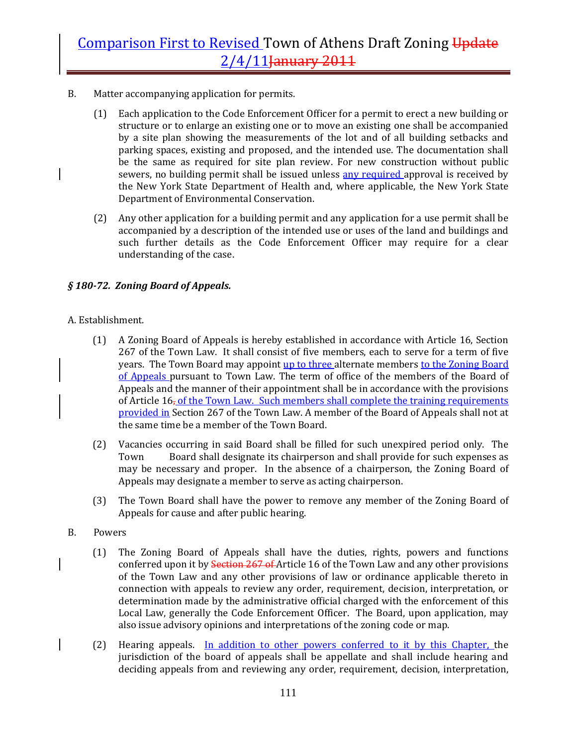- B. Matter accompanying application for permits.
	- (1) Each application to the Code Enforcement Officer for a permit to erect a new building or structure or to enlarge an existing one or to move an existing one shall be accompanied by a site plan showing the measurements of the lot and of all building setbacks and parking spaces, existing and proposed, and the intended use. The documentation shall be the same as required for site plan review. For new construction without public sewers, no building permit shall be issued unless any required approval is received by the New York State Department of Health and, where applicable, the New York State Department of Environmental Conservation.
	- (2) Any other application for a building permit and any application for a use permit shall be accompanied by a description of the intended use or uses of the land and buildings and such further details as the Code Enforcement Officer may require for a clear understanding of the case.

## *§ 18072. Zoning Board of Appeals.*

### A. Establishment.

- (1) A Zoning Board of Appeals is hereby established in accordance with Article 16, Section 267 of the Town Law. It shall consist of five members, each to serve for a term of five years. The Town Board may appoint up to three alternate members to the Zoning Board of Appeals pursuant to Town Law. The term of office of the members of the Board of Appeals and the manner of their appointment shall be in accordance with the provisions of Article  $16<sub>r</sub>$  of the Town Law. Such members shall complete the training requirements provided in Section 267 of the Town Law. A member of the Board of Appeals shall not at the same time be a member of the Town Board.
- (2) Vacancies occurring in said Board shall be filled for such unexpired period only. The Town Board shall designate its chairperson and shall provide for such expenses as may be necessary and proper. In the absence of a chairperson, the Zoning Board of Appeals may designate a member to serve as acting chairperson.
- (3) The Town Board shall have the power to remove any member of the Zoning Board of Appeals for cause and after public hearing.
- B. Powers
	- (1) The Zoning Board of Appeals shall have the duties, rights, powers and functions conferred upon it by **Section 267 of** Article 16 of the Town Law and any other provisions of the Town Law and any other provisions of law or ordinance applicable thereto in connection with appeals to review any order, requirement, decision, interpretation, or determination made by the administrative official charged with the enforcement of this Local Law, generally the Code Enforcement Officer. The Board, upon application, may also issue advisory opinions and interpretations of the zoning code or map.
	- (2) Hearing appeals. In addition to other powers conferred to it by this Chapter, the jurisdiction of the board of appeals shall be appellate and shall include hearing and deciding appeals from and reviewing any order, requirement, decision, interpretation,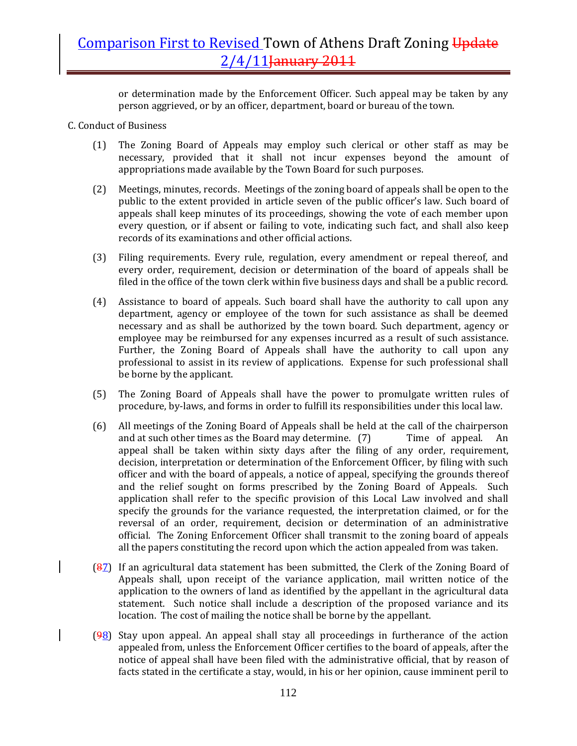or determination made by the Enforcement Officer. Such appeal may be taken by any person aggrieved, or by an officer, department, board or bureau of the town.

- C. Conduct of Business
	- (1) The Zoning Board of Appeals may employ such clerical or other staff as may be necessary, provided that it shall not incur expenses beyond the amount of appropriations made available by the Town Board for such purposes.
	- (2) Meetings, minutes, records. Meetings of the zoning board of appeals shall be open to the public to the extent provided in article seven of the public officer's law. Such board of appeals shall keep minutes of its proceedings, showing the vote of each member upon every question, or if absent or failing to vote, indicating such fact, and shall also keep records of its examinations and other official actions.
	- (3) Filing requirements. Every rule, regulation, every amendment or repeal thereof, and every order, requirement, decision or determination of the board of appeals shall be filed in the office of the town clerk within five business days and shall be a public record.
	- (4) Assistance to board of appeals. Such board shall have the authority to call upon any department, agency or employee of the town for such assistance as shall be deemed necessary and as shall be authorized by the town board. Such department, agency or employee may be reimbursed for any expenses incurred as a result of such assistance. Further, the Zoning Board of Appeals shall have the authority to call upon any professional to assist in its review of applications. Expense for such professional shall be borne by the applicant.
	- (5) The Zoning Board of Appeals shall have the power to promulgate written rules of procedure, by‐laws, and forms in order to fulfill its responsibilities under this local law.
	- (6) All meetings of the Zoning Board of Appeals shall be held at the call of the chairperson and at such other times as the Board may determine. (7) Time of appeal. An appeal shall be taken within sixty days after the filing of any order, requirement, decision, interpretation or determination of the Enforcement Officer, by filing with such officer and with the board of appeals, a notice of appeal, specifying the grounds thereof and the relief sought on forms prescribed by the Zoning Board of Appeals. Such application shall refer to the specific provision of this Local Law involved and shall specify the grounds for the variance requested, the interpretation claimed, or for the reversal of an order, requirement, decision or determination of an administrative official. The Zoning Enforcement Officer shall transmit to the zoning board of appeals all the papers constituting the record upon which the action appealed from was taken.
	- (87) If an agricultural data statement has been submitted, the Clerk of the Zoning Board of Appeals shall, upon receipt of the variance application, mail written notice of the application to the owners of land as identified by the appellant in the agricultural data statement. Such notice shall include a description of the proposed variance and its location. The cost of mailing the notice shall be borne by the appellant.
	- $(98)$  Stay upon appeal. An appeal shall stay all proceedings in furtherance of the action appealed from, unless the Enforcement Officer certifies to the board of appeals, after the notice of appeal shall have been filed with the administrative official, that by reason of facts stated in the certificate a stay, would, in his or her opinion, cause imminent peril to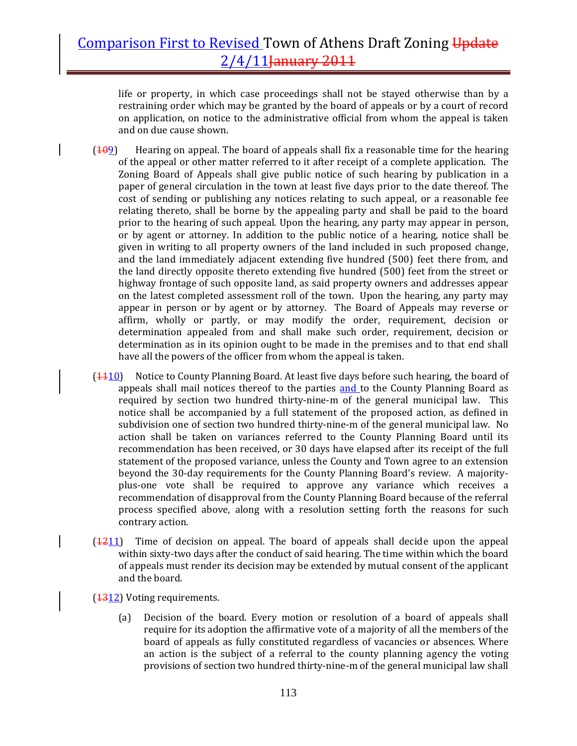life or property, in which case proceedings shall not be stayed otherwise than by a restraining order which may be granted by the board of appeals or by a court of record on application, on notice to the administrative official from whom the appeal is taken and on due cause shown.

- $(109)$  Hearing on appeal. The board of appeals shall fix a reasonable time for the hearing of the appeal or other matter referred to it after receipt of a complete application. The Zoning Board of Appeals shall give public notice of such hearing by publication in a paper of general circulation in the town at least five days prior to the date thereof. The cost of sending or publishing any notices relating to such appeal, or a reasonable fee relating thereto, shall be borne by the appealing party and shall be paid to the board prior to the hearing of such appeal. Upon the hearing, any party may appear in person, or by agent or attorney. In addition to the public notice of a hearing, notice shall be given in writing to all property owners of the land included in such proposed change, and the land immediately adjacent extending five hundred (500) feet there from, and the land directly opposite thereto extending five hundred (500) feet from the street or highway frontage of such opposite land, as said property owners and addresses appear on the latest completed assessment roll of the town. Upon the hearing, any party may appear in person or by agent or by attorney. The Board of Appeals may reverse or affirm, wholly or partly, or may modify the order, requirement, decision or determination appealed from and shall make such order, requirement, decision or determination as in its opinion ought to be made in the premises and to that end shall have all the powers of the officer from whom the appeal is taken.
- $(1110)$  Notice to County Planning Board. At least five days before such hearing, the board of appeals shall mail notices thereof to the parties and to the County Planning Board as required by section two hundred thirty-nine-m of the general municipal law. This notice shall be accompanied by a full statement of the proposed action, as defined in subdivision one of section two hundred thirty-nine-m of the general municipal law. No action shall be taken on variances referred to the County Planning Board until its recommendation has been received, or 30 days have elapsed after its receipt of the full statement of the proposed variance, unless the County and Town agree to an extension beyond the 30‐day requirements for the County Planning Board's review. A majority‐ plus‐one vote shall be required to approve any variance which receives a recommendation of disapproval from the County Planning Board because of the referral process specified above, along with a resolution setting forth the reasons for such contrary action.
- $(1211)$  Time of decision on appeal. The board of appeals shall decide upon the appeal within sixty-two days after the conduct of said hearing. The time within which the board of appeals must render its decision may be extended by mutual consent of the applicant and the board.

(1312) Voting requirements.

(a) Decision of the board. Every motion or resolution of a board of appeals shall require for its adoption the affirmative vote of a majority of all the members of the board of appeals as fully constituted regardless of vacancies or absences. Where an action is the subject of a referral to the county planning agency the voting provisions of section two hundred thirty‐nine‐m of the general municipal law shall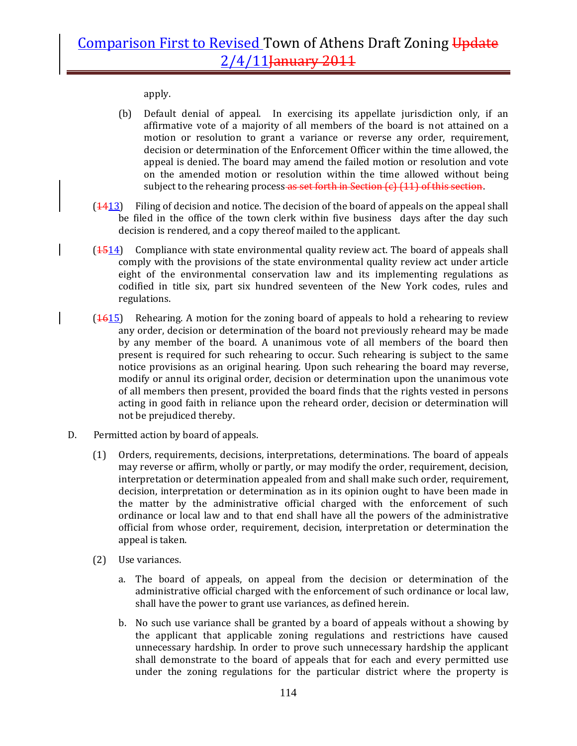apply.

- (b) Default denial of appeal. In exercising its appellate jurisdiction only, if an affirmative vote of a majority of all members of the board is not attained on a motion or resolution to grant a variance or reverse any order, requirement, decision or determination of the Enforcement Officer within the time allowed, the appeal is denied. The board may amend the failed motion or resolution and vote on the amended motion or resolution within the time allowed without being subject to the rehearing process as set forth in Section (c) (11) of this section.
- (1413) Filing of decision and notice. The decision of the board of appeals on the appeal shall be filed in the office of the town clerk within five business days after the day such decision is rendered, and a copy thereof mailed to the applicant.
- $(1514)$  Compliance with state environmental quality review act. The board of appeals shall comply with the provisions of the state environmental quality review act under article eight of the environmental conservation law and its implementing regulations as codified in title six, part six hundred seventeen of the New York codes, rules and regulations.
- $(1615)$  Rehearing. A motion for the zoning board of appeals to hold a rehearing to review any order, decision or determination of the board not previously reheard may be made by any member of the board. A unanimous vote of all members of the board then present is required for such rehearing to occur. Such rehearing is subject to the same notice provisions as an original hearing. Upon such rehearing the board may reverse, modify or annul its original order, decision or determination upon the unanimous vote of all members then present, provided the board finds that the rights vested in persons acting in good faith in reliance upon the reheard order, decision or determination will not be prejudiced thereby.
- D. Permitted action by board of appeals.
	- (1) Orders, requirements, decisions, interpretations, determinations. The board of appeals may reverse or affirm, wholly or partly, or may modify the order, requirement, decision, interpretation or determination appealed from and shall make such order, requirement, decision, interpretation or determination as in its opinion ought to have been made in the matter by the administrative official charged with the enforcement of such ordinance or local law and to that end shall have all the powers of the administrative official from whose order, requirement, decision, interpretation or determination the appeal is taken.
	- (2) Use variances.
		- a. The board of appeals, on appeal from the decision or determination of the administrative official charged with the enforcement of such ordinance or local law, shall have the power to grant use variances, as defined herein.
		- b. No such use variance shall be granted by a board of appeals without a showing by the applicant that applicable zoning regulations and restrictions have caused unnecessary hardship. In order to prove such unnecessary hardship the applicant shall demonstrate to the board of appeals that for each and every permitted use under the zoning regulations for the particular district where the property is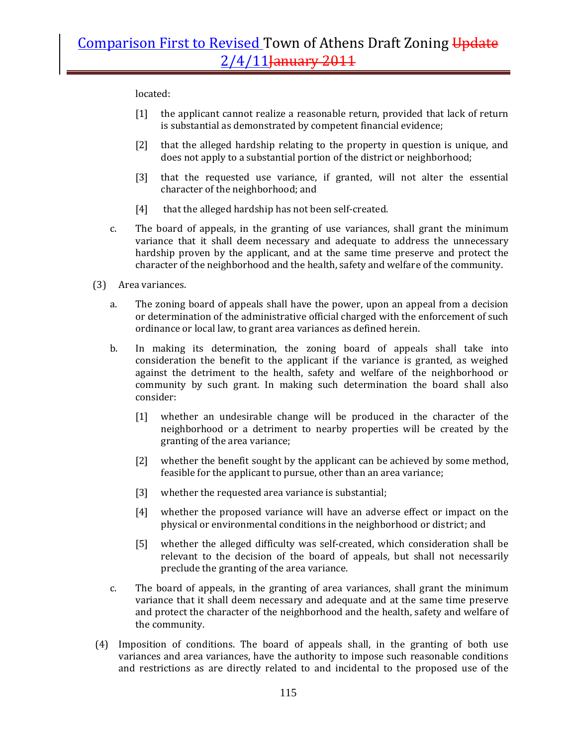located:

- [1] the applicant cannot realize a reasonable return, provided that lack of return is substantial as demonstrated by competent financial evidence;
- [2] that the alleged hardship relating to the property in question is unique, and does not apply to a substantial portion of the district or neighborhood;
- [3] that the requested use variance, if granted, will not alter the essential character of the neighborhood; and
- [4] that the alleged hardship has not been self-created.
- c. The board of appeals, in the granting of use variances, shall grant the minimum variance that it shall deem necessary and adequate to address the unnecessary hardship proven by the applicant, and at the same time preserve and protect the character of the neighborhood and the health, safety and welfare of the community.
- (3) Area variances.
	- a. The zoning board of appeals shall have the power, upon an appeal from a decision or determination of the administrative official charged with the enforcement of such ordinance or local law, to grant area variances as defined herein.
	- b. In making its determination, the zoning board of appeals shall take into consideration the benefit to the applicant if the variance is granted, as weighed against the detriment to the health, safety and welfare of the neighborhood or community by such grant. In making such determination the board shall also consider:
		- [1] whether an undesirable change will be produced in the character of the neighborhood or a detriment to nearby properties will be created by the granting of the area variance;
		- [2] whether the benefit sought by the applicant can be achieved by some method, feasible for the applicant to pursue, other than an area variance;
		- [3] whether the requested area variance is substantial;
		- [4] whether the proposed variance will have an adverse effect or impact on the physical or environmental conditions in the neighborhood or district; and
		- [5] whether the alleged difficulty was self-created, which consideration shall be relevant to the decision of the board of appeals, but shall not necessarily preclude the granting of the area variance.
	- c. The board of appeals, in the granting of area variances, shall grant the minimum variance that it shall deem necessary and adequate and at the same time preserve and protect the character of the neighborhood and the health, safety and welfare of the community.
- (4) Imposition of conditions. The board of appeals shall, in the granting of both use variances and area variances, have the authority to impose such reasonable conditions and restrictions as are directly related to and incidental to the proposed use of the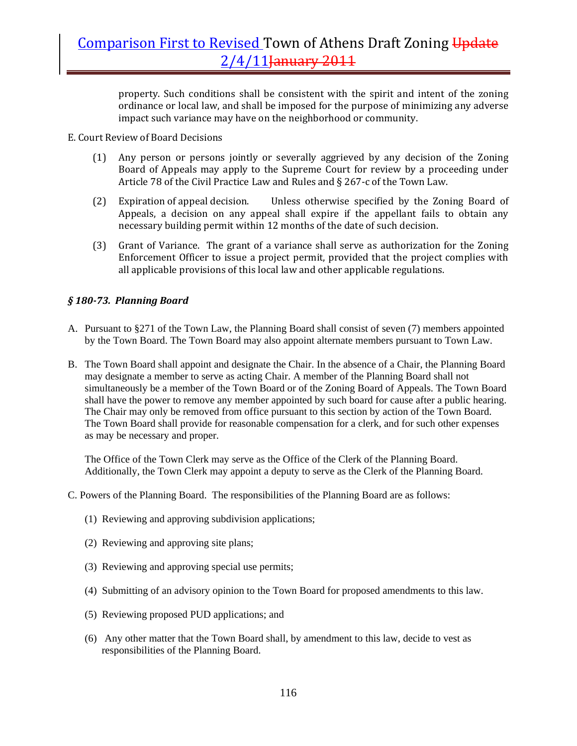property. Such conditions shall be consistent with the spirit and intent of the zoning ordinance or local law, and shall be imposed for the purpose of minimizing any adverse impact such variance may have on the neighborhood or community.

E. Court Review of Board Decisions

- (1) Any person or persons jointly or severally aggrieved by any decision of the Zoning Board of Appeals may apply to the Supreme Court for review by a proceeding under Article 78 of the Civil Practice Law and Rules and § 267‐c of the Town Law.
- (2) Expiration of appeal decision. Unless otherwise specified by the Zoning Board of Appeals, a decision on any appeal shall expire if the appellant fails to obtain any necessary building permit within 12 months of the date of such decision.
- (3) Grant of Variance. The grant of a variance shall serve as authorization for the Zoning Enforcement Officer to issue a project permit, provided that the project complies with all applicable provisions of this local law and other applicable regulations.

## *§ 18073. Planning Board*

- A. Pursuant to §271 of the Town Law, the Planning Board shall consist of seven (7) members appointed by the Town Board. The Town Board may also appoint alternate members pursuant to Town Law.
- B. The Town Board shall appoint and designate the Chair. In the absence of a Chair, the Planning Board may designate a member to serve as acting Chair. A member of the Planning Board shall not simultaneously be a member of the Town Board or of the Zoning Board of Appeals. The Town Board shall have the power to remove any member appointed by such board for cause after a public hearing. The Chair may only be removed from office pursuant to this section by action of the Town Board. The Town Board shall provide for reasonable compensation for a clerk, and for such other expenses as may be necessary and proper.

The Office of the Town Clerk may serve as the Office of the Clerk of the Planning Board. Additionally, the Town Clerk may appoint a deputy to serve as the Clerk of the Planning Board.

C. Powers of the Planning Board. The responsibilities of the Planning Board are as follows:

- (1) Reviewing and approving subdivision applications;
- (2) Reviewing and approving site plans;
- (3) Reviewing and approving special use permits;
- (4) Submitting of an advisory opinion to the Town Board for proposed amendments to this law.
- (5) Reviewing proposed PUD applications; and
- (6) Any other matter that the Town Board shall, by amendment to this law, decide to vest as responsibilities of the Planning Board.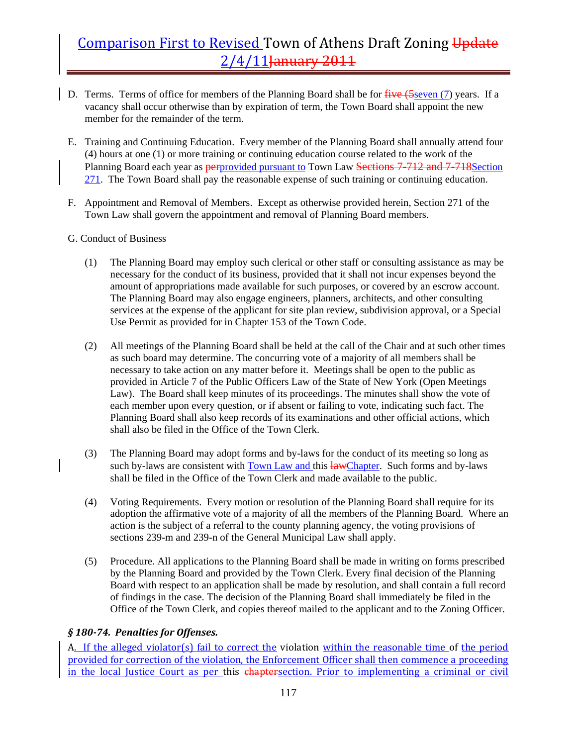- D. Terms. Terms of office for members of the Planning Board shall be for five (5seven (7) years. If a vacancy shall occur otherwise than by expiration of term, the Town Board shall appoint the new member for the remainder of the term.
- E. Training and Continuing Education. Every member of the Planning Board shall annually attend four (4) hours at one (1) or more training or continuing education course related to the work of the Planning Board each year as **perprovided pursuant to Town Law <del>Sections 7-712 and 7-718</del>Section** 271. The Town Board shall pay the reasonable expense of such training or continuing education.
- F. Appointment and Removal of Members. Except as otherwise provided herein, Section 271 of the Town Law shall govern the appointment and removal of Planning Board members.
- G. Conduct of Business
	- (1) The Planning Board may employ such clerical or other staff or consulting assistance as may be necessary for the conduct of its business, provided that it shall not incur expenses beyond the amount of appropriations made available for such purposes, or covered by an escrow account. The Planning Board may also engage engineers, planners, architects, and other consulting services at the expense of the applicant for site plan review, subdivision approval, or a Special Use Permit as provided for in Chapter 153 of the Town Code.
	- (2) All meetings of the Planning Board shall be held at the call of the Chair and at such other times as such board may determine. The concurring vote of a majority of all members shall be necessary to take action on any matter before it. Meetings shall be open to the public as provided in Article 7 of the Public Officers Law of the State of New York (Open Meetings Law). The Board shall keep minutes of its proceedings. The minutes shall show the vote of each member upon every question, or if absent or failing to vote, indicating such fact. The Planning Board shall also keep records of its examinations and other official actions, which shall also be filed in the Office of the Town Clerk.
	- (3) The Planning Board may adopt forms and by-laws for the conduct of its meeting so long as such by-laws are consistent with Town Law and this lawChapter. Such forms and by-laws shall be filed in the Office of the Town Clerk and made available to the public.
	- (4) Voting Requirements. Every motion or resolution of the Planning Board shall require for its adoption the affirmative vote of a majority of all the members of the Planning Board. Where an action is the subject of a referral to the county planning agency, the voting provisions of sections 239-m and 239-n of the General Municipal Law shall apply.
	- (5) Procedure. All applications to the Planning Board shall be made in writing on forms prescribed by the Planning Board and provided by the Town Clerk. Every final decision of the Planning Board with respect to an application shall be made by resolution, and shall contain a full record of findings in the case. The decision of the Planning Board shall immediately be filed in the Office of the Town Clerk, and copies thereof mailed to the applicant and to the Zoning Officer.

## *§ 18074. Penalties for Offenses.*

A. If the alleged violator(s) fail to correct the violation within the reasonable time of the period provided for correction of the violation, the Enforcement Officer shall then commence a proceeding in the local Justice Court as per this chaptersection. Prior to implementing a criminal or civil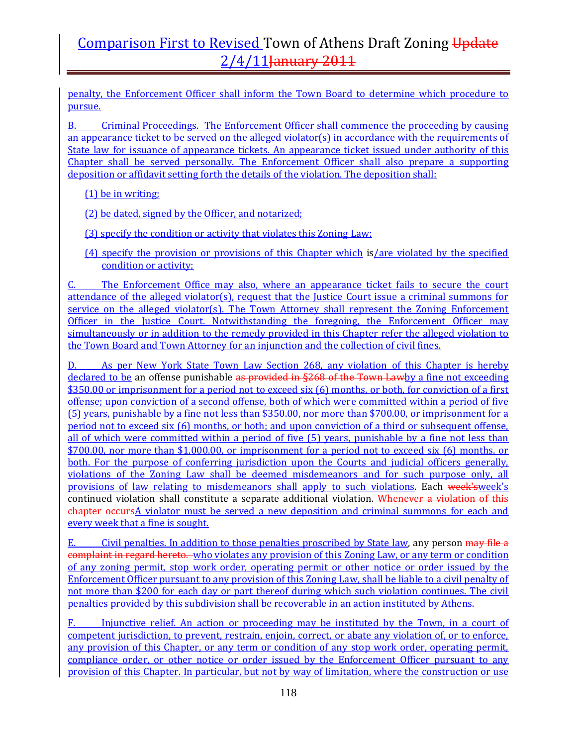penalty, the Enforcement Officer shall inform the Town Board to determine which procedure to pursue.

B. Criminal Proceedings. The Enforcement Officer shall commence the proceeding by causing an appearance ticket to be served on the alleged violator(s) in accordance with the requirements of State law for issuance of appearance tickets. An appearance ticket issued under authority of this Chapter shall be served personally. The Enforcement Officer shall also prepare a supporting deposition or affidavit setting forth the details of the violation. The deposition shall:

(1) be in writing;

(2) be dated, signed by the Officer, and notarized;

(3) specify the condition or activity that violates this Zoning Law;

(4) specify the provision or provisions of this Chapter which is/are violated by the specified condition or activity;

C. The Enforcement Office may also, where an appearance ticket fails to secure the court attendance of the alleged violator(s), request that the Justice Court issue a criminal summons for service on the alleged violator(s). The Town Attorney shall represent the Zoning Enforcement Officer in the Justice Court. Notwithstanding the foregoing, the Enforcement Officer may simultaneously or in addition to the remedy provided in this Chapter refer the alleged violation to the Town Board and Town Attorney for an injunction and the collection of civil fines.

As per New York State Town Law Section 268, any violation of this Chapter is hereby declared to be an offense punishable as provided in §268 of the Town Lawby a fine not exceeding \$350.00 or imprisonment for a period not to exceed six (6) months, or both, for conviction of a first offense; upon conviction of a second offense, both of which were committed within a period of five (5) years, punishable by a fine not less than \$350.00, nor more than \$700.00, or imprisonment for a period not to exceed six (6) months, or both; and upon conviction of a third or subsequent offense, all of which were committed within a period of five (5) years, punishable by a fine not less than \$700.00, nor more than \$1,000.00, or imprisonment for a period not to exceed six (6) months, or both. For the purpose of conferring jurisdiction upon the Courts and judicial officers generally, violations of the Zoning Law shall be deemed misdemeanors and for such purpose only, all provisions of law relating to misdemeanors shall apply to such violations. Each week'sweek's continued violation shall constitute a separate additional violation. Whenever a violation of this chapter occursA violator must be served a new deposition and criminal summons for each and every week that a fine is sought.

E. Civil penalties. In addition to those penalties proscribed by State law, any person may file a complaint in regard hereto. who violates any provision of this Zoning Law, or any term or condition of any zoning permit, stop work order, operating permit or other notice or order issued by the Enforcement Officer pursuant to any provision of this Zoning Law, shall be liable to a civil penalty of not more than \$200 for each day or part thereof during which such violation continues. The civil penalties provided by this subdivision shall be recoverable in an action instituted by Athens.

F. Injunctive relief. An action or proceeding may be instituted by the Town, in a court of competent jurisdiction, to prevent, restrain, enjoin, correct, or abate any violation of, or to enforce, any provision of this Chapter, or any term or condition of any stop work order, operating permit, compliance order, or other notice or order issued by the Enforcement Officer pursuant to any provision of this Chapter. In particular, but not by way of limitation, where the construction or use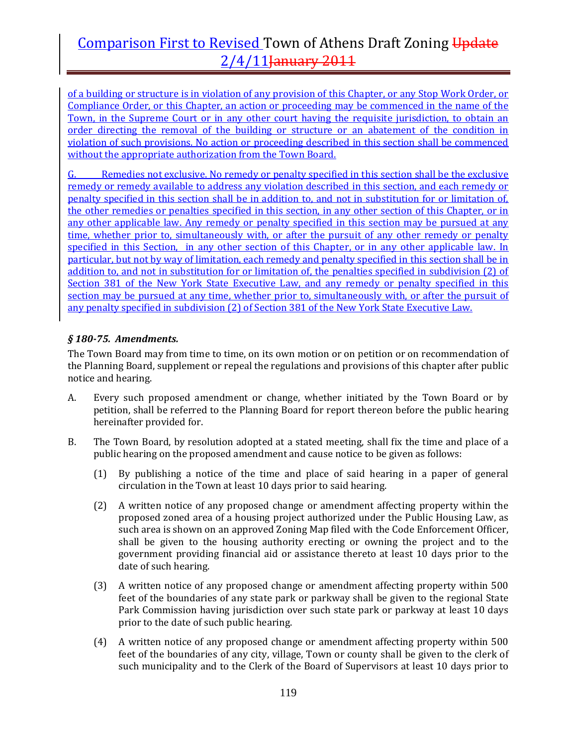of a building or structure is in violation of any provision of this Chapter, or any Stop Work Order, or Compliance Order, or this Chapter, an action or proceeding may be commenced in the name of the Town, in the Supreme Court or in any other court having the requisite jurisdiction, to obtain an order directing the removal of the building or structure or an abatement of the condition in violation of such provisions. No action or proceeding described in this section shall be commenced without the appropriate authorization from the Town Board.

G. Remedies not exclusive. No remedy or penalty specified in this section shall be the exclusive remedy or remedy available to address any violation described in this section, and each remedy or penalty specified in this section shall be in addition to, and not in substitution for or limitation of, the other remedies or penalties specified in this section, in any other section of this Chapter, or in any other applicable law. Any remedy or penalty specified in this section may be pursued at any time, whether prior to, simultaneously with, or after the pursuit of any other remedy or penalty specified in this Section, in any other section of this Chapter, or in any other applicable law. In particular, but not by way of limitation, each remedy and penalty specified in this section shall be in addition to, and not in substitution for or limitation of, the penalties specified in subdivision (2) of Section 381 of the New York State Executive Law, and any remedy or penalty specified in this section may be pursued at any time, whether prior to, simultaneously with, or after the pursuit of any penalty specified in subdivision (2) of Section 381 of the New York State Executive Law.

## *§ 18075. Amendments.*

The Town Board may from time to time, on its own motion or on petition or on recommendation of the Planning Board, supplement or repeal the regulations and provisions of this chapter after public notice and hearing.

- A. Every such proposed amendment or change, whether initiated by the Town Board or by petition, shall be referred to the Planning Board for report thereon before the public hearing hereinafter provided for.
- B. The Town Board, by resolution adopted at a stated meeting, shall fix the time and place of a public hearing on the proposed amendment and cause notice to be given as follows:
	- (1) By publishing a notice of the time and place of said hearing in a paper of general circulation in the Town at least 10 days prior to said hearing.
	- (2) A written notice of any proposed change or amendment affecting property within the proposed zoned area of a housing project authorized under the Public Housing Law, as such area is shown on an approved Zoning Map filed with the Code Enforcement Officer, shall be given to the housing authority erecting or owning the project and to the government providing financial aid or assistance thereto at least 10 days prior to the date of such hearing.
	- (3) A written notice of any proposed change or amendment affecting property within 500 feet of the boundaries of any state park or parkway shall be given to the regional State Park Commission having jurisdiction over such state park or parkway at least 10 days prior to the date of such public hearing.
	- (4) A written notice of any proposed change or amendment affecting property within 500 feet of the boundaries of any city, village, Town or county shall be given to the clerk of such municipality and to the Clerk of the Board of Supervisors at least 10 days prior to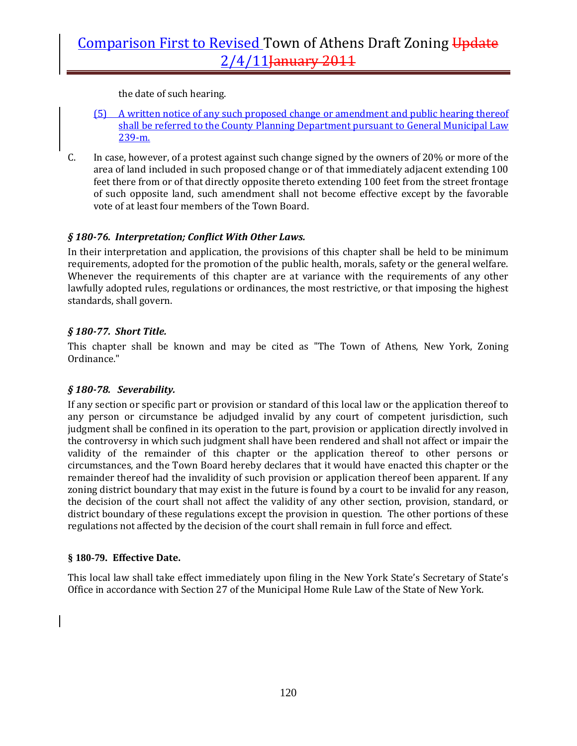the date of such hearing.

- (5) A written notice of any such proposed change or amendment and public hearing thereof shall be referred to the County Planning Department pursuant to General Municipal Law 239‐m.
- C. In case, however, of a protest against such change signed by the owners of 20% or more of the area of land included in such proposed change or of that immediately adjacent extending 100 feet there from or of that directly opposite thereto extending 100 feet from the street frontage of such opposite land, such amendment shall not become effective except by the favorable vote of at least four members of the Town Board.

## *§ 18076. Interpretation; Conflict With Other Laws.*

In their interpretation and application, the provisions of this chapter shall be held to be minimum requirements, adopted for the promotion of the public health, morals, safety or the general welfare. Whenever the requirements of this chapter are at variance with the requirements of any other lawfully adopted rules, regulations or ordinances, the most restrictive, or that imposing the highest standards, shall govern.

## *§ 18077. Short Title.*

This chapter shall be known and may be cited as "The Town of Athens, New York, Zoning Ordinance."

### *§ 18078. Severability.*

If any section or specific part or provision or standard of this local law or the application thereof to any person or circumstance be adjudged invalid by any court of competent jurisdiction, such judgment shall be confined in its operation to the part, provision or application directly involved in the controversy in which such judgment shall have been rendered and shall not affect or impair the validity of the remainder of this chapter or the application thereof to other persons or circumstances, and the Town Board hereby declares that it would have enacted this chapter or the remainder thereof had the invalidity of such provision or application thereof been apparent. If any zoning district boundary that may exist in the future is found by a court to be invalid for any reason, the decision of the court shall not affect the validity of any other section, provision, standard, or district boundary of these regulations except the provision in question. The other portions of these regulations not affected by the decision of the court shall remain in full force and effect.

### **§ 180-79. Effective Date.**

This local law shall take effect immediately upon filing in the New York State's Secretary of State's Office in accordance with Section 27 of the Municipal Home Rule Law of the State of New York.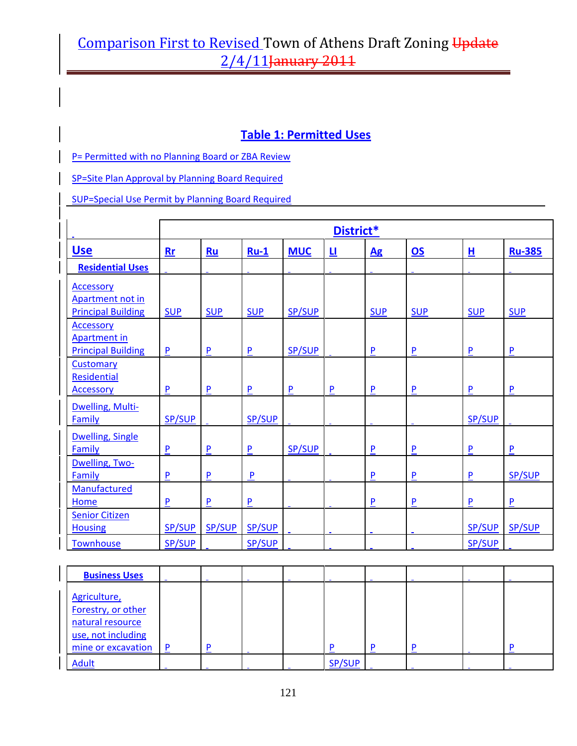## **Table 1: Permitted Uses**

P= Permitted with no Planning Board or ZBA Review

SP=Site Plan Approval by Planning Board Required

SUP=Special Use Permit by Planning Board Required

|                           |                | District*    |              |            |          |                  |                        |                    |               |  |
|---------------------------|----------------|--------------|--------------|------------|----------|------------------|------------------------|--------------------|---------------|--|
| <b>Use</b>                | $Rr$           | Ru           | $Ru-1$       | <b>MUC</b> | <u>u</u> | $\underline{Ag}$ | $\overline{\text{OS}}$ | 且                  | <b>Ru-385</b> |  |
| <b>Residential Uses</b>   |                |              |              |            |          |                  |                        |                    |               |  |
| <b>Accessory</b>          |                |              |              |            |          |                  |                        |                    |               |  |
| Apartment not in          |                |              |              |            |          |                  |                        |                    |               |  |
| <b>Principal Building</b> | <b>SUP</b>     | <b>SUP</b>   | <b>SUP</b>   | SP/SUP     |          | <b>SUP</b>       | <b>SUP</b>             | <b>SUP</b>         | <b>SUP</b>    |  |
| <b>Accessory</b>          |                |              |              |            |          |                  |                        |                    |               |  |
| <b>Apartment in</b>       |                |              |              |            |          |                  |                        |                    |               |  |
| <b>Principal Building</b> | $\mathsf{P}$   | $\mathsf{P}$ | $\mathsf{P}$ | SP/SUP     |          | $\mathsf{P}$     | P                      | $\pmb{\mathsf{P}}$ | P             |  |
| Customary                 |                |              |              |            |          |                  |                        |                    |               |  |
| Residential               |                |              |              |            |          |                  |                        |                    |               |  |
| <b>Accessory</b>          | $\overline{P}$ | P            | P            | P          | P        | P                | P                      | P                  | P             |  |
| Dwelling, Multi-          |                |              |              |            |          |                  |                        |                    |               |  |
| Family                    | SP/SUP         |              | SP/SUP       |            |          |                  |                        | SP/SUP             |               |  |
| <b>Dwelling, Single</b>   |                |              |              |            |          |                  |                        |                    |               |  |
| Family                    | P              | P            | P            | SP/SUP     |          | P                | ${\sf P}$              | P                  | P             |  |
| Dwelling, Two-            |                |              |              |            |          |                  |                        |                    |               |  |
| Family                    | ${\sf P}$      | ${\sf P}$    | $\mathsf{P}$ |            |          | ${\sf P}$        | P                      | $\pmb{\mathsf{P}}$ | <b>SP/SUP</b> |  |
| Manufactured              |                |              |              |            |          |                  |                        |                    |               |  |
| Home                      | ${\sf P}$      | ${\sf P}$    | ${\sf P}$    |            |          | $\mathsf{P}$     | P                      | $\pmb{\mathsf{P}}$ | P             |  |
| <b>Senior Citizen</b>     |                |              |              |            |          |                  |                        |                    |               |  |
| <b>Housing</b>            | SP/SUP         | SP/SUP       | SP/SUP       |            |          |                  |                        | SP/SUP             | SP/SUP        |  |
| <b>Townhouse</b>          | SP/SUP         |              | SP/SUP       |            |          |                  |                        | SP/SUP             |               |  |

| <b>Business Uses</b>                                                                               |   |  |               |  |   |
|----------------------------------------------------------------------------------------------------|---|--|---------------|--|---|
| Agriculture,<br>Forestry, or other<br>natural resource<br>use, not including<br>mine or excavation | P |  | D             |  | D |
| <b>Adult</b>                                                                                       |   |  | <b>SP/SUP</b> |  |   |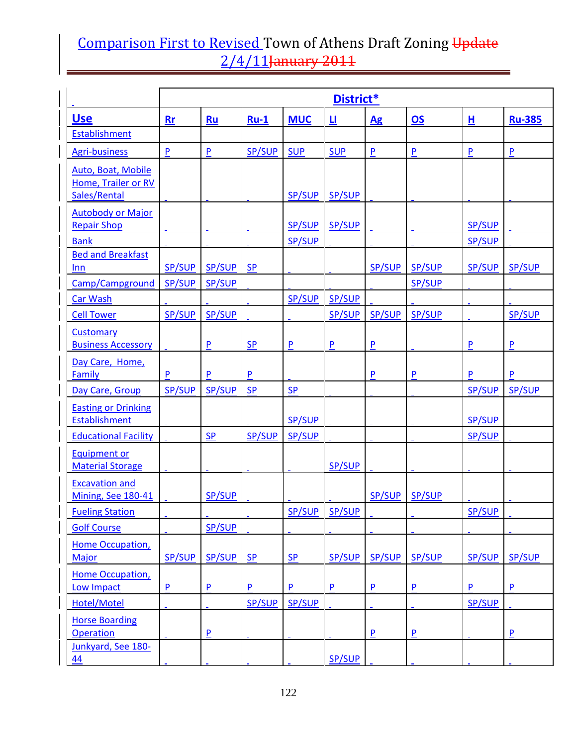|                                                           |                | District*     |                           |                |                           |                        |                        |               |                           |  |  |
|-----------------------------------------------------------|----------------|---------------|---------------------------|----------------|---------------------------|------------------------|------------------------|---------------|---------------------------|--|--|
| <u>Use</u>                                                | Rr             | Ru            | $Ru-1$                    | <b>MUC</b>     | <u>ц</u>                  | $\mathbf{A}\mathbf{g}$ | $\overline{\text{OS}}$ | 且             | <b>Ru-385</b>             |  |  |
| Establishment                                             |                |               |                           |                |                           |                        |                        |               |                           |  |  |
| <b>Agri-business</b>                                      | P              | $\mathsf{P}$  | <b>SP/SUP</b>             | <b>SUP</b>     | <b>SUP</b>                | $\mathsf{P}$           | $\mathsf{P}$           | P             | $\pmb{\mathsf{P}}$        |  |  |
| Auto, Boat, Mobile<br>Home, Trailer or RV<br>Sales/Rental |                |               |                           | <b>SP/SUP</b>  | <b>SP/SUP</b>             |                        |                        |               |                           |  |  |
| <b>Autobody or Major</b><br><b>Repair Shop</b>            |                |               |                           | SP/SUP         | <b>SP/SUP</b>             |                        |                        | SP/SUP        |                           |  |  |
| <b>Bank</b>                                               |                |               |                           | SP/SUP         |                           |                        |                        | SP/SUP        |                           |  |  |
| <b>Bed and Breakfast</b><br>Inn                           | SP/SUP         | <b>SP/SUP</b> | <b>SP</b>                 |                |                           | <b>SP/SUP</b>          | <b>SP/SUP</b>          | SP/SUP        | <b>SP/SUP</b>             |  |  |
| Camp/Campground                                           | SP/SUP         | SP/SUP        |                           |                |                           |                        | SP/SUP                 |               |                           |  |  |
| <b>Car Wash</b>                                           |                |               |                           | <b>SP/SUP</b>  | SP/SUP                    |                        |                        |               |                           |  |  |
| <b>Cell Tower</b>                                         | <b>SP/SUP</b>  | <b>SP/SUP</b> |                           |                | <b>SP/SUP</b>             | <b>SP/SUP</b>          | <b>SP/SUP</b>          |               | <b>SP/SUP</b>             |  |  |
| <b>Customary</b><br><b>Business Accessory</b>             |                | P             | S <sub>P</sub>            | $\overline{P}$ | P                         | P                      |                        | P             | P                         |  |  |
| Day Care, Home,<br>Family                                 | $\mathsf{P}$   | $\mathsf{P}$  | ${\sf P}$                 |                |                           | P                      | $\mathsf{P}$           | P             | $\boldsymbol{\mathsf{P}}$ |  |  |
| Day Care, Group                                           | <b>SP/SUP</b>  | <b>SP/SUP</b> | <b>SP</b>                 | SP             |                           |                        |                        | SP/SUP        | SP/SUP                    |  |  |
| <b>Easting or Drinking</b><br>Establishment               |                |               |                           | <b>SP/SUP</b>  |                           |                        |                        | SP/SUP        |                           |  |  |
| <b>Educational Facility</b>                               |                | $S_{P}$       | SP/SUP                    | SP/SUP         |                           |                        |                        | SP/SUP        |                           |  |  |
| <b>Equipment or</b><br><b>Material Storage</b>            |                |               |                           |                | <b>SP/SUP</b>             |                        |                        |               |                           |  |  |
| <b>Excavation and</b><br>Mining, See 180-41               |                | SP/SUP        |                           |                |                           | SP/SUP                 | SP/SUP                 |               |                           |  |  |
| <b>Fueling Station</b>                                    |                |               |                           | SP/SUP         | <b>SP/SUP</b>             |                        |                        | <b>SP/SUP</b> |                           |  |  |
| <b>Golf Course</b>                                        |                | <b>SP/SUP</b> |                           |                |                           |                        |                        |               |                           |  |  |
| Home Occupation,<br><b>Major</b>                          | <b>SP/SUP</b>  | <b>SP/SUP</b> | <b>SP</b>                 | <b>SP</b>      | <b>SP/SUP</b>             | <b>SP/SUP</b>          | <b>SP/SUP</b>          | <b>SP/SUP</b> | <b>SP/SUP</b>             |  |  |
| <b>Home Occupation,</b><br><b>Low Impact</b>              | $\overline{P}$ | P             | $\boldsymbol{\mathsf{P}}$ | $\mathsf{P}$   | $\boldsymbol{\mathsf{P}}$ | P                      | P                      | P             | P                         |  |  |
| Hotel/Motel                                               |                |               | <b>SP/SUP</b>             | <b>SP/SUP</b>  |                           |                        |                        | SP/SUP        |                           |  |  |
| <b>Horse Boarding</b><br><b>Operation</b>                 |                | P             |                           |                |                           | P                      | P                      |               | P                         |  |  |
| Junkyard, See 180-<br>44                                  |                |               |                           |                | SP/SUP                    |                        |                        |               |                           |  |  |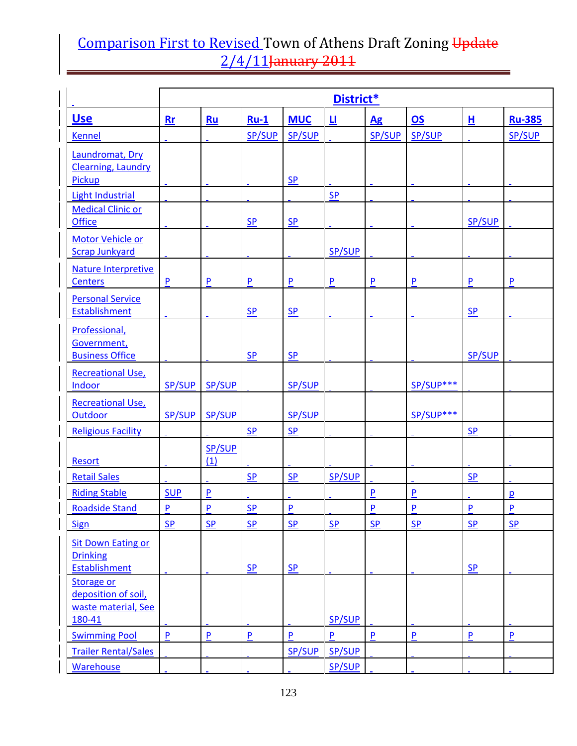|                                                                           | District*                 |                           |                           |                    |                  |                    |                |                    |                    |  |
|---------------------------------------------------------------------------|---------------------------|---------------------------|---------------------------|--------------------|------------------|--------------------|----------------|--------------------|--------------------|--|
| <u>Use</u>                                                                | Rr                        | Ru                        | $Ru-1$                    | <b>MUC</b>         | 旦                | Ag                 | 0s             | H                  | <b>Ru-385</b>      |  |
| <b>Kennel</b>                                                             |                           |                           | SP/SUP                    | <b>SP/SUP</b>      |                  | SP/SUP             | SP/SUP         |                    | SP/SUP             |  |
| Laundromat, Dry<br><b>Clearning, Laundry</b><br><b>Pickup</b>             |                           |                           |                           | <b>SP</b>          |                  |                    |                |                    |                    |  |
| <b>Light Industrial</b>                                                   |                           |                           |                           |                    | <b>SP</b>        |                    |                |                    |                    |  |
| <b>Medical Clinic or</b><br><b>Office</b>                                 |                           |                           | S <sub>P</sub>            | S <sub>P</sub>     |                  |                    |                | SP/SUP             |                    |  |
| Motor Vehicle or<br><b>Scrap Junkyard</b>                                 |                           |                           |                           |                    | SP/SUP           |                    |                |                    |                    |  |
| Nature Interpretive<br>Centers                                            | P                         | $\mathsf{P}$              | $\mathsf{P}$              | P                  | P                | $\mathsf{P}$       | $\mathsf{P}$   | P                  | P                  |  |
| <b>Personal Service</b><br><b>Establishment</b>                           |                           |                           | <b>SP</b>                 | S <sub>P</sub>     |                  |                    |                | <b>SP</b>          |                    |  |
| Professional,<br>Government,<br><b>Business Office</b>                    |                           |                           | SP                        | $S_{P}$            |                  |                    |                | <b>SP/SUP</b>      |                    |  |
| <b>Recreational Use,</b><br>Indoor                                        | SP/SUP                    | SP/SUP                    |                           | SP/SUP             |                  |                    | SP/SUP***      |                    |                    |  |
| <b>Recreational Use,</b><br>Outdoor                                       | SP/SUP                    | <b>SP/SUP</b>             |                           | <b>SP/SUP</b>      |                  |                    | SP/SUP***      |                    |                    |  |
| <b>Religious Facility</b>                                                 |                           | SP/SUP                    | S <sub>P</sub>            | S <sub>P</sub>     |                  |                    |                | S <sub>P</sub>     |                    |  |
| <b>Resort</b>                                                             |                           | (1)                       |                           |                    |                  |                    |                |                    |                    |  |
| <b>Retail Sales</b>                                                       |                           |                           | <b>SP</b>                 | <b>SP</b>          | <b>SP/SUP</b>    |                    |                | <b>SP</b>          |                    |  |
| <b>Riding Stable</b>                                                      | <b>SUP</b>                | P                         |                           |                    |                  | P                  | P              |                    | $\mathbf{p}$       |  |
| <b>Roadside Stand</b>                                                     | $\pmb{\mathsf{P}}$        | $\overline{P}$            | $\underline{\mathsf{SP}}$ | $\pmb{\mathsf{P}}$ |                  | $\overline{P}$     | $\overline{P}$ | $\overline{P}$     | $\overline{P}$     |  |
| <b>Sign</b>                                                               | SP                        | SP                        | SP                        | SP                 | SP               | <b>SP</b>          | <b>SP</b>      | SP                 | SP                 |  |
| <b>Sit Down Eating or</b><br><b>Drinking</b><br><b>Establishment</b>      |                           |                           | SP                        | $S_{P}$            |                  |                    |                | $S_{P}$            |                    |  |
| <b>Storage or</b><br>deposition of soil,<br>waste material, See<br>180-41 |                           |                           |                           |                    | <b>SP/SUP</b>    |                    |                |                    |                    |  |
| <b>Swimming Pool</b>                                                      | $\boldsymbol{\mathsf{P}}$ | $\boldsymbol{\mathsf{P}}$ | $\mathsf{P}$              | $\mathsf{P}$       | P                | $\pmb{\mathsf{P}}$ | $\mathsf{P}$   | $\pmb{\mathsf{P}}$ | $\pmb{\mathsf{P}}$ |  |
| <b>Trailer Rental/Sales</b><br><b>Warehouse</b>                           |                           |                           |                           | SP/SUP             | SP/SUP<br>SP/SUP |                    |                |                    |                    |  |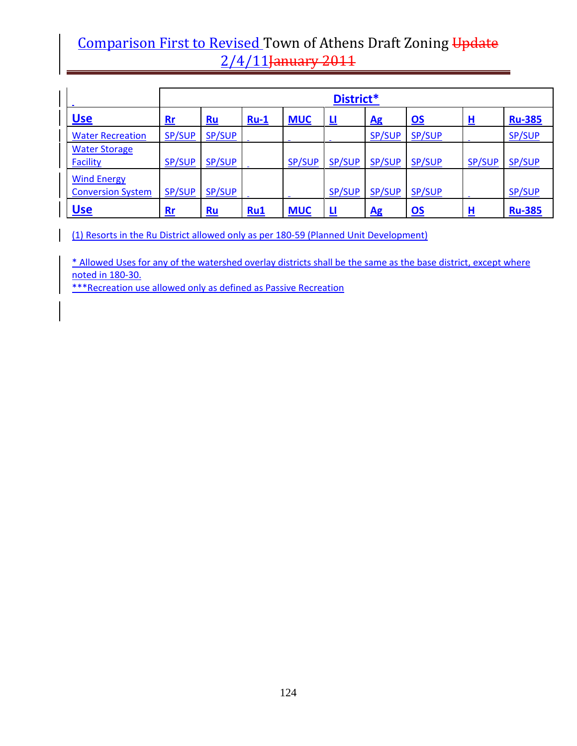|                                                |               | District*     |        |               |               |               |                           |          |               |  |  |  |
|------------------------------------------------|---------------|---------------|--------|---------------|---------------|---------------|---------------------------|----------|---------------|--|--|--|
| <b>Use</b>                                     | $Rr$          | Ru            | $Ru-1$ | <b>MUC</b>    | 世             | Ag            | $\underline{\mathsf{OS}}$ | 旦        | <b>Ru-385</b> |  |  |  |
| <b>Water Recreation</b>                        | SP/SUP        | SP/SUP        |        |               |               | <b>SP/SUP</b> | SP/SUP                    |          | SP/SUP        |  |  |  |
| <b>Water Storage</b><br><b>Facility</b>        | <b>SP/SUP</b> | SP/SUP        |        | <b>SP/SUP</b> | <b>SP/SUP</b> | <b>SP/SUP</b> | SP/SUP                    | SP/SUP   | SP/SUP        |  |  |  |
| <b>Wind Energy</b><br><b>Conversion System</b> | <b>SP/SUP</b> | <b>SP/SUP</b> |        |               | <b>SP/SUP</b> | <b>SP/SUP</b> | <b>SP/SUP</b>             |          | <b>SP/SUP</b> |  |  |  |
| <b>Use</b>                                     | $Rr$          | $Ru$          | Ru1    | <b>MUC</b>    | Ц             | Ag            | $\underline{\mathsf{OS}}$ | <u>ዘ</u> | <b>Ru-385</b> |  |  |  |

(1) Resorts in the Ru District allowed only as per 180‐59 (Planned Unit Development)

\* Allowed Uses for any of the watershed overlay districts shall be the same as the base district, except where noted in 180‐30.

\*\*\*Recreation use allowed only as defined as Passive Recreation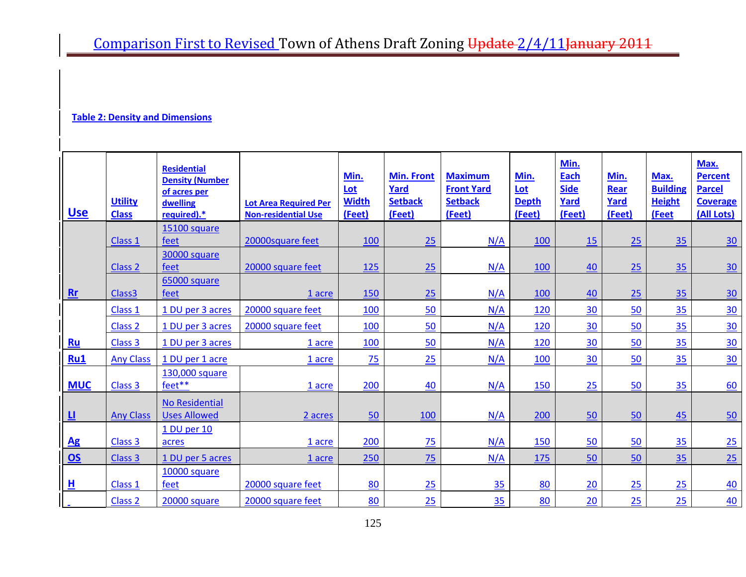#### **Table 2: Density and Dimensions**

| <u>Use</u>             | <b>Utility</b><br><b>Class</b> | <b>Residential</b><br><b>Density (Number</b><br>of acres per<br>dwelling<br>required).* | <b>Lot Area Required Per</b><br><b>Non-residential Use</b> | Min.<br>Lot<br><b>Width</b><br>(Feet) | <b>Min. Front</b><br>Yard<br><b>Setback</b><br>(Feet) | <b>Maximum</b><br><b>Front Yard</b><br><b>Setback</b><br>(Feet) | Min.<br>Lot<br><b>Depth</b><br>(Feet) | Min.<br><b>Each</b><br><b>Side</b><br>Yard<br>(Feet) | Min.<br><b>Rear</b><br>Yard<br>(Feet) | Max.<br><b>Building</b><br><b>Height</b><br>(Feet | Max.<br><b>Percent</b><br><b>Parcel</b><br><b>Coverage</b><br>(All Lots) |
|------------------------|--------------------------------|-----------------------------------------------------------------------------------------|------------------------------------------------------------|---------------------------------------|-------------------------------------------------------|-----------------------------------------------------------------|---------------------------------------|------------------------------------------------------|---------------------------------------|---------------------------------------------------|--------------------------------------------------------------------------|
|                        | Class 1                        | 15100 square<br>feet                                                                    | 20000square feet                                           | 100                                   | 25                                                    | N/A                                                             | 100                                   | 15                                                   | 25                                    | 35                                                | 30                                                                       |
|                        | Class <sub>2</sub>             | 30000 square<br>feet                                                                    | 20000 square feet                                          | 125                                   | 25                                                    | N/A                                                             | 100                                   | 40                                                   | 25                                    | 35                                                | 30                                                                       |
| Rr                     | Class <sub>3</sub>             | 65000 square<br>feet                                                                    | 1 acre                                                     | 150                                   | 25                                                    | N/A                                                             | 100                                   | 40                                                   | 25                                    | 35                                                | 30                                                                       |
|                        | Class 1                        | 1 DU per 3 acres                                                                        | 20000 square feet                                          | 100                                   | 50                                                    | N/A                                                             | 120                                   | 30                                                   | 50                                    | 35                                                | 30                                                                       |
|                        | Class <sub>2</sub>             | 1 DU per 3 acres                                                                        | 20000 square feet                                          | 100                                   | 50                                                    | N/A                                                             | 120                                   | 30                                                   | 50                                    | 35                                                | 30                                                                       |
| Ru                     | Class 3                        | 1 DU per 3 acres                                                                        | 1 acre                                                     | 100                                   | 50                                                    | N/A                                                             | 120                                   | 30                                                   | 50                                    | 35                                                | 30                                                                       |
| Ru1                    | <b>Any Class</b>               | 1 DU per 1 acre                                                                         | 1 acre                                                     | 75                                    | 25                                                    | N/A                                                             | 100                                   | 30                                                   | 50                                    | 35                                                | 30                                                                       |
| <b>MUC</b>             | Class 3                        | 130,000 square<br>feet**                                                                | 1 acre                                                     | 200                                   | 40                                                    | N/A                                                             | 150                                   | 25                                                   | 50                                    | 35                                                | 60                                                                       |
| 世                      | <b>Any Class</b>               | <b>No Residential</b><br><b>Uses Allowed</b>                                            | 2 acres                                                    | 50                                    | 100                                                   | N/A                                                             | 200                                   | 50                                                   | 50                                    | 45                                                | 50                                                                       |
| $\mathbf{A}\mathbf{g}$ | Class 3                        | 1 DU per 10<br>acres                                                                    | 1 acre                                                     | 200                                   | 75                                                    | N/A                                                             | 150                                   | 50                                                   | 50                                    | 35                                                | $\underline{25}$                                                         |
| $\overline{\text{OS}}$ | Class 3                        | 1 DU per 5 acres                                                                        | 1 acre                                                     | 250                                   | 75                                                    | N/A                                                             | 175                                   | 50                                                   | 50                                    | 35                                                | 25                                                                       |
| 且                      | Class 1                        | 10000 square<br>feet                                                                    | 20000 square feet                                          | 80                                    | 25                                                    | 35                                                              | 80                                    | 20                                                   | 25                                    | 25                                                | 40                                                                       |
|                        | Class <sub>2</sub>             | 20000 square                                                                            | 20000 square feet                                          | 80                                    | 25                                                    | 35                                                              | 80                                    | 20                                                   | 25                                    | 25                                                | 40                                                                       |